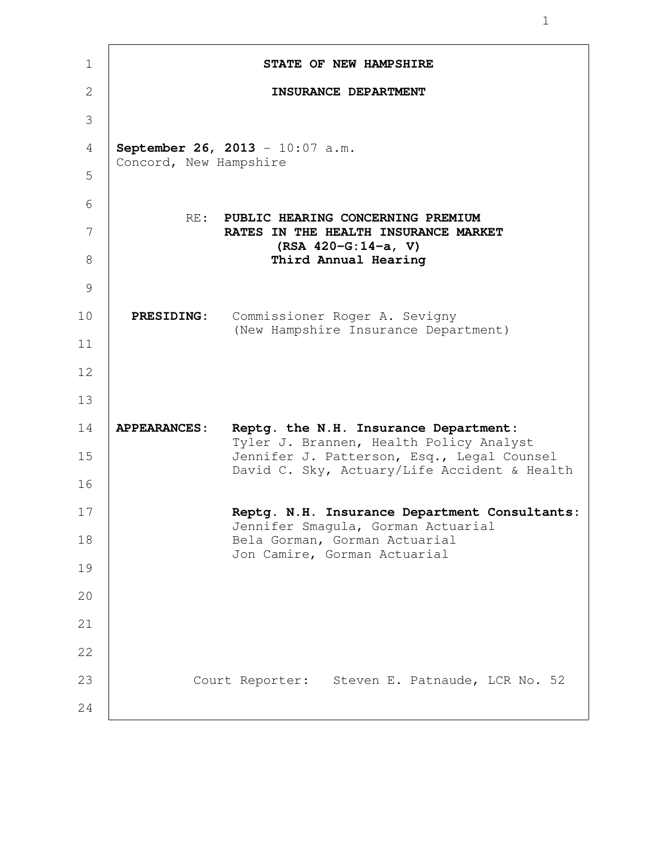| $\mathbf 1$ |                        | STATE OF NEW HAMPSHIRE                                                                     |
|-------------|------------------------|--------------------------------------------------------------------------------------------|
| 2           |                        | INSURANCE DEPARTMENT                                                                       |
| 3           |                        |                                                                                            |
| 4           | Concord, New Hampshire | September 26, 2013 - 10:07 a.m.                                                            |
| 5           |                        |                                                                                            |
| 6           | RE:                    | PUBLIC HEARING CONCERNING PREMIUM                                                          |
| 7           |                        | RATES IN THE HEALTH INSURANCE MARKET<br>$(RSA 420-G:14-a, V)$                              |
| 8           |                        | Third Annual Hearing                                                                       |
| 9           |                        |                                                                                            |
| 10          | <b>PRESIDING:</b>      | Commissioner Roger A. Sevigny<br>(New Hampshire Insurance Department)                      |
| 11          |                        |                                                                                            |
| 12          |                        |                                                                                            |
| 13          |                        |                                                                                            |
| 14          | <b>APPEARANCES:</b>    | Reptg. the N.H. Insurance Department:<br>Tyler J. Brannen, Health Policy Analyst           |
| 15          |                        | Jennifer J. Patterson, Esq., Legal Counsel<br>David C. Sky, Actuary/Life Accident & Health |
| 16          |                        |                                                                                            |
| 17          |                        | Reptg. N.H. Insurance Department Consultants:<br>Jennifer Smagula, Gorman Actuarial        |
| 18          |                        | Bela Gorman, Gorman Actuarial<br>Jon Camire, Gorman Actuarial                              |
| 19          |                        |                                                                                            |
| 20          |                        |                                                                                            |
| 21          |                        |                                                                                            |
| 22          |                        |                                                                                            |
| 23          |                        | Court Reporter: Steven E. Patnaude, LCR No. 52                                             |
| 24          |                        |                                                                                            |

 $\mathsf{T}$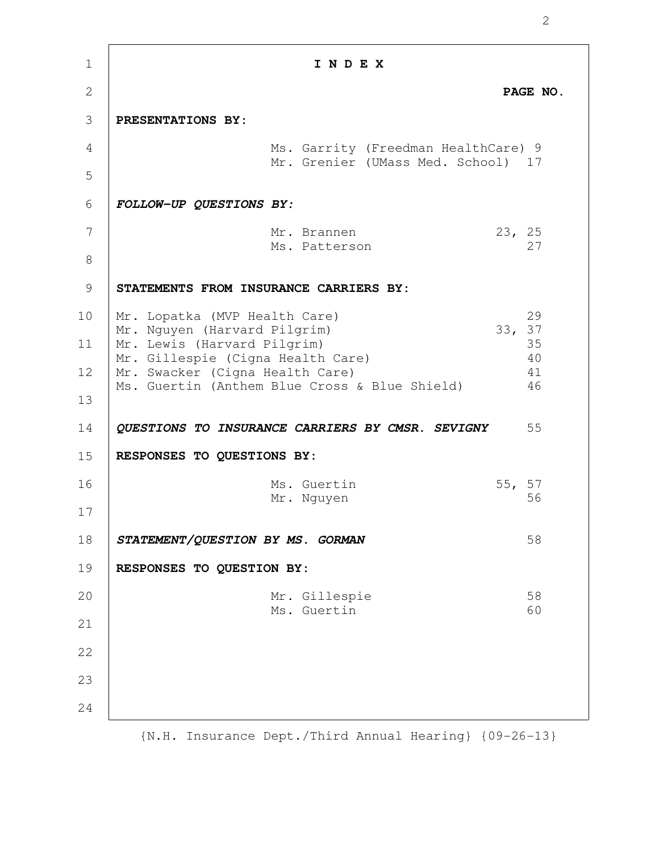| $\mathbf{1}$   | INDEX                                                                                                                                                                                                                           |                            |
|----------------|---------------------------------------------------------------------------------------------------------------------------------------------------------------------------------------------------------------------------------|----------------------------|
| $\mathbf{2}$   |                                                                                                                                                                                                                                 | PAGE NO.                   |
| 3              | PRESENTATIONS BY:                                                                                                                                                                                                               |                            |
| $\overline{4}$ | Ms. Garrity (Freedman HealthCare) 9                                                                                                                                                                                             |                            |
| 5              | Mr. Grenier (UMass Med. School) 17                                                                                                                                                                                              |                            |
| 6              | FOLLOW-UP QUESTIONS BY:                                                                                                                                                                                                         |                            |
| 7              | 23, 25<br>Mr. Brannen                                                                                                                                                                                                           |                            |
| 8              | Ms. Patterson                                                                                                                                                                                                                   | 27                         |
| 9              | STATEMENTS FROM INSURANCE CARRIERS BY:                                                                                                                                                                                          |                            |
| 10<br>11<br>12 | Mr. Lopatka (MVP Health Care)<br>33, 37<br>Mr. Nguyen (Harvard Pilgrim)<br>Mr. Lewis (Harvard Pilgrim)<br>Mr. Gillespie (Cigna Health Care)<br>Mr. Swacker (Cigna Health Care)<br>Ms. Guertin (Anthem Blue Cross & Blue Shield) | 29<br>35<br>40<br>41<br>46 |
| 13<br>14<br>15 | QUESTIONS TO INSURANCE CARRIERS BY CMSR. SEVIGNY<br>RESPONSES TO QUESTIONS BY:                                                                                                                                                  | 55                         |
| 16             | Ms. Guertin                                                                                                                                                                                                                     | 55, 57                     |
| 17             | Mr. Nguyen                                                                                                                                                                                                                      | 56                         |
| 18             | STATEMENT/QUESTION BY MS. GORMAN                                                                                                                                                                                                | 58                         |
| 19             | RESPONSES TO QUESTION BY:                                                                                                                                                                                                       |                            |
| 20             | Mr. Gillespie                                                                                                                                                                                                                   | 58                         |
| 21             | Ms. Guertin                                                                                                                                                                                                                     | 60                         |
| 22             |                                                                                                                                                                                                                                 |                            |
| 23             |                                                                                                                                                                                                                                 |                            |
| 24             |                                                                                                                                                                                                                                 |                            |
|                |                                                                                                                                                                                                                                 |                            |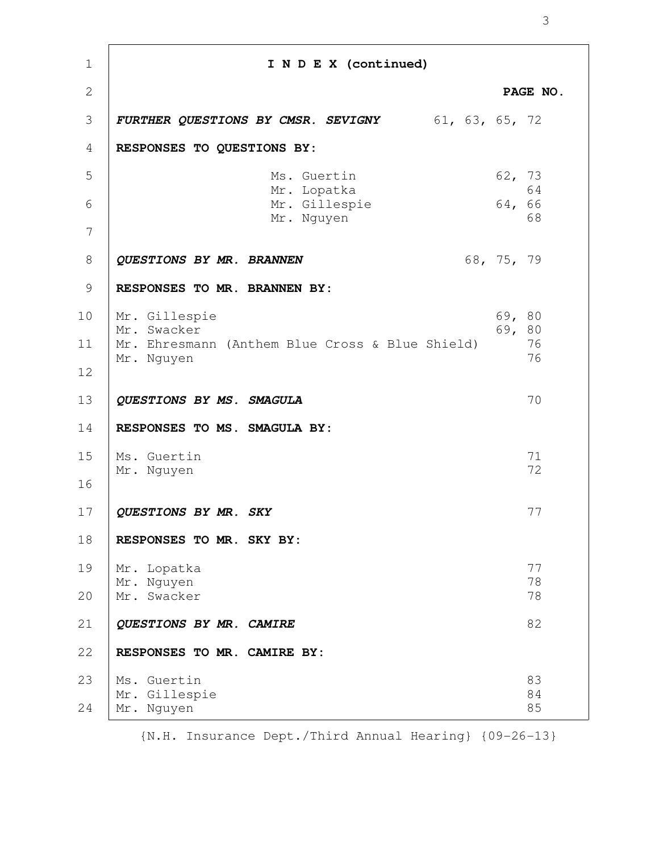| $\mathbf{1}$   | I N D E X (continued)                                                                         |                              |
|----------------|-----------------------------------------------------------------------------------------------|------------------------------|
| $\overline{2}$ |                                                                                               | PAGE NO.                     |
| 3              | <b>FURTHER QUESTIONS BY CMSR. SEVIGNY</b> 61, 63, 65, 72                                      |                              |
| 4              | RESPONSES TO QUESTIONS BY:                                                                    |                              |
| 5              | Ms. Guertin<br>Mr. Lopatka                                                                    | 62, 73<br>64                 |
| 6              | Mr. Gillespie<br>Mr. Nguyen                                                                   | 64, 66<br>68                 |
| 7              |                                                                                               |                              |
| 8              | QUESTIONS BY MR. BRANNEN                                                                      | 68, 75, 79                   |
| 9              | RESPONSES TO MR. BRANNEN BY:                                                                  |                              |
| 10<br>11<br>12 | Mr. Gillespie<br>Mr. Swacker<br>Mr. Ehresmann (Anthem Blue Cross & Blue Shield)<br>Mr. Nguyen | 69, 80<br>69, 80<br>76<br>76 |
| 13             | QUESTIONS BY MS. SMAGULA                                                                      | 70                           |
| 14<br>15<br>16 | RESPONSES TO MS. SMAGULA BY:<br>Ms. Guertin<br>Mr. Nguyen                                     | 71<br>72                     |
| 17             | QUESTIONS BY MR. SKY                                                                          | 77                           |
| 18             | RESPONSES TO MR. SKY BY:                                                                      |                              |
| 19<br>20       | Mr. Lopatka<br>Mr. Nguyen<br>Mr. Swacker                                                      | 77<br>78<br>78               |
| 21             | QUESTIONS BY MR. CAMIRE                                                                       | 82                           |
| 22             | RESPONSES TO MR. CAMIRE BY:                                                                   |                              |
| 23<br>24       | Ms. Guertin<br>Mr. Gillespie<br>Mr. Nguyen                                                    | 83<br>84<br>85               |

{N.H. Insurance Dept./Third Annual Hearing} {09-26-13}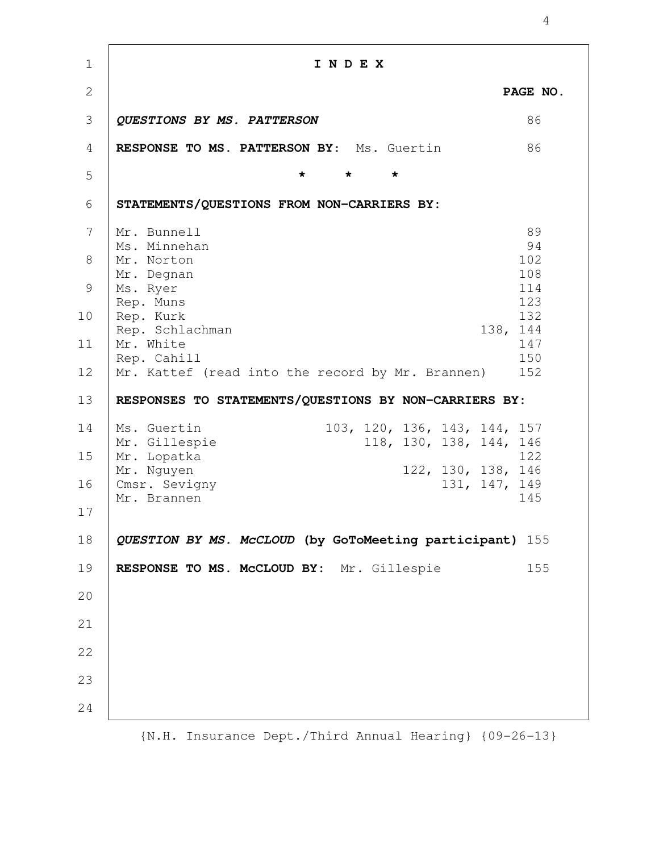**I N D E X PAGE NO. QUESTIONS BY MS. PATTERSON** 86 **RESPONSE TO MS. PATTERSON BY**: Ms. Guertin 86 **\* \* \* STATEMENTS/QUESTIONS FROM NON-CARRIERS BY:** Mr. Bunnell 89 Ms. Minnehan 94 Mr. Norton 102 Mr. Degnan 108 Ms. Ryer 114 Rep. Muns 123 Rep. Kurk 132 Rep. Schlachman 138, 144 Mr. White 147 Rep. Cahill 150 Mr. Kattef (read into the record by Mr. Brannen) 152 **RESPONSES TO STATEMENTS/QUESTIONS BY NON-CARRIERS BY:** Ms. Guertin 103, 120, 136, 143, 144, 157 Mr. Gillespie 118, 130, 138, 144, 146 Mr. Lopatka 122 Mr. Nguyen 122, 130, 138, 146 Cmsr. Sevigny 131, 147, 149 Mr. Brannen 145 **QUESTION BY MS. McCLOUD (by GoToMeeting participant)** 155 **RESPONSE TO MS. McCLOUD BY:** Mr. Gillespie 155 1 2 3 4 5 6 7 8 9 10 11 12 13 14 15 16 17 18 19 20 21 22 23 24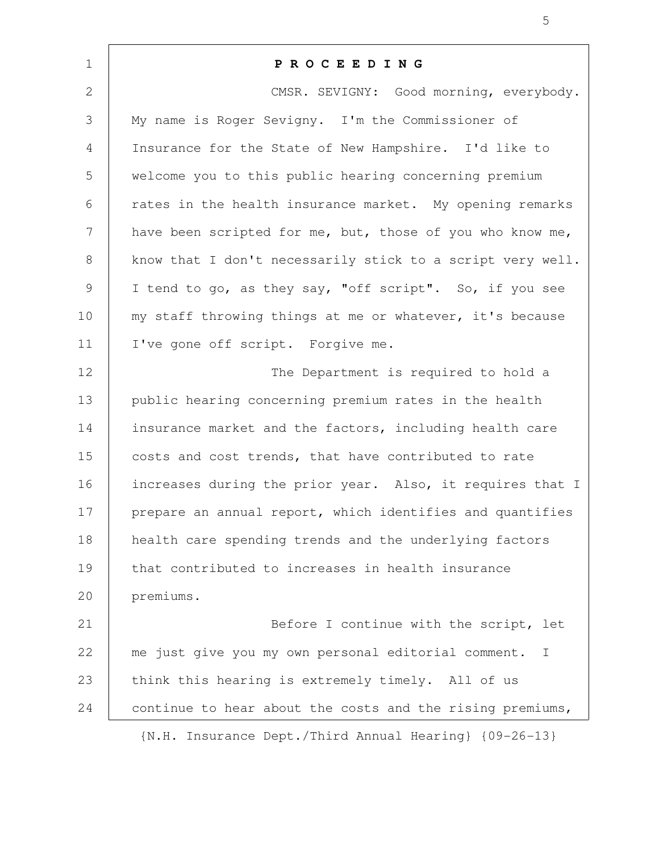| $\mathbf 1$  | <b>PROCEEDING</b>                                                   |
|--------------|---------------------------------------------------------------------|
| $\mathbf{2}$ | CMSR. SEVIGNY: Good morning, everybody.                             |
| 3            | My name is Roger Sevigny. I'm the Commissioner of                   |
| 4            | Insurance for the State of New Hampshire. I'd like to               |
| 5            | welcome you to this public hearing concerning premium               |
| 6            | rates in the health insurance market. My opening remarks            |
| 7            | have been scripted for me, but, those of you who know me,           |
| 8            | know that I don't necessarily stick to a script very well.          |
| 9            | I tend to go, as they say, "off script". So, if you see             |
| 10           | my staff throwing things at me or whatever, it's because            |
| 11           | I've gone off script. Forgive me.                                   |
| 12           | The Department is required to hold a                                |
| 13           | public hearing concerning premium rates in the health               |
| 14           | insurance market and the factors, including health care             |
| 15           | costs and cost trends, that have contributed to rate                |
| 16           | increases during the prior year. Also, it requires that I           |
| 17           | prepare an annual report, which identifies and quantifies           |
| 18           | health care spending trends and the underlying factors              |
| 19           | that contributed to increases in health insurance                   |
| 20           | premiums.                                                           |
| 21           | Before I continue with the script, let                              |
| 22           | me just give you my own personal editorial comment.<br>$\mathbb{I}$ |
| 23           | think this hearing is extremely timely. All of us                   |
| 24           | continue to hear about the costs and the rising premiums,           |
|              | {N.H. Insurance Dept./Third Annual Hearing} {09-26-13}              |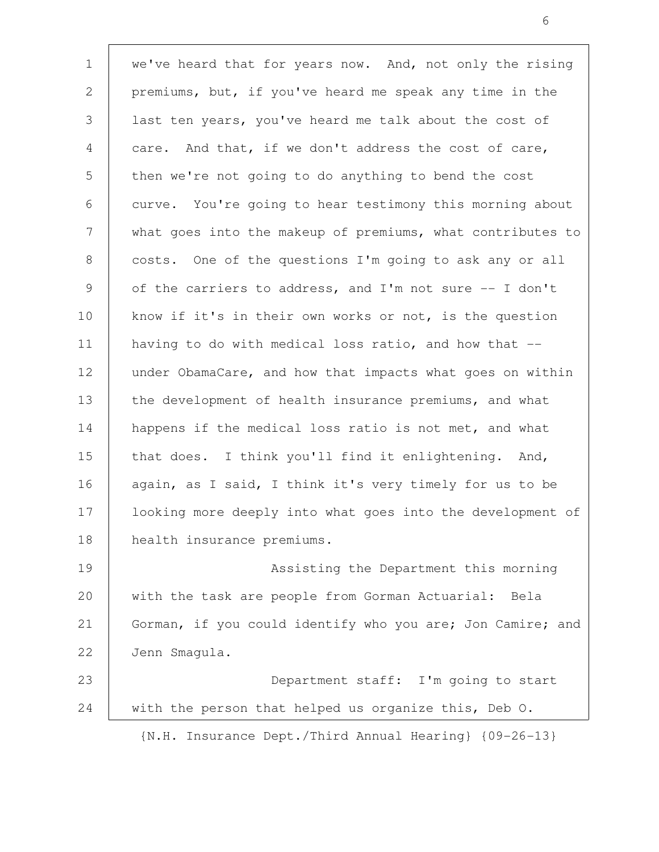we've heard that for years now. And, not only the rising premiums, but, if you've heard me speak any time in the last ten years, you've heard me talk about the cost of care. And that, if we don't address the cost of care, then we're not going to do anything to bend the cost curve. You're going to hear testimony this morning about what goes into the makeup of premiums, what contributes to costs. One of the questions I'm going to ask any or all of the carriers to address, and I'm not sure -- I don't know if it's in their own works or not, is the question having to do with medical loss ratio, and how that - under ObamaCare, and how that impacts what goes on within the development of health insurance premiums, and what happens if the medical loss ratio is not met, and what that does. I think you'll find it enlightening. And, again, as I said, I think it's very timely for us to be looking more deeply into what goes into the development of health insurance premiums. Assisting the Department this morning with the task are people from Gorman Actuarial: Bela Gorman, if you could identify who you are; Jon Camire; and Jenn Smagula. 1 2 3 4 5 6 7 8 9 10 11 12 13 14 15 16 17 18 19 20 21 22

Department staff: I'm going to start with the person that helped us organize this, Deb O. 23 24

{N.H. Insurance Dept./Third Annual Hearing} {09-26-13}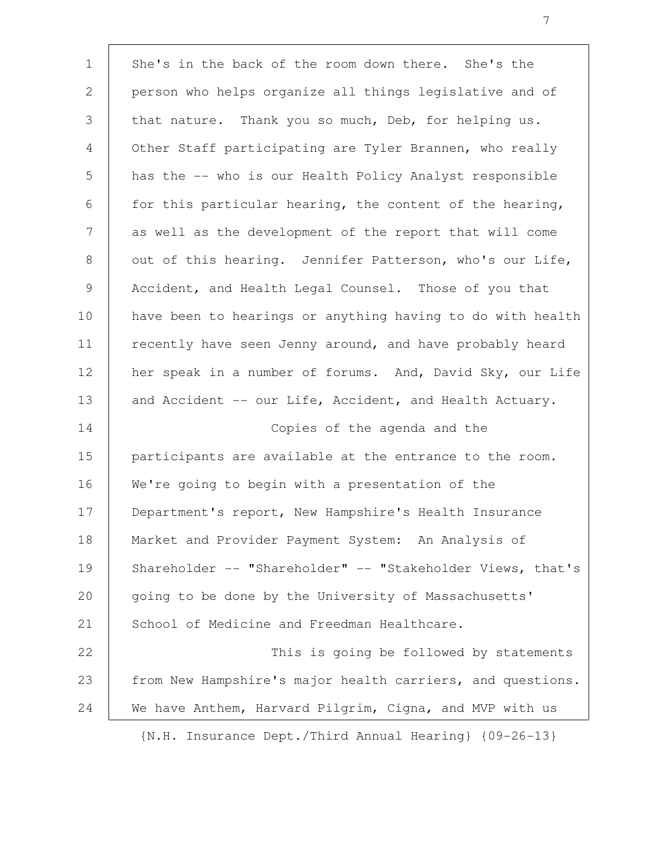She's in the back of the room down there. She's the person who helps organize all things legislative and of that nature. Thank you so much, Deb, for helping us. Other Staff participating are Tyler Brannen, who really has the -- who is our Health Policy Analyst responsible for this particular hearing, the content of the hearing, as well as the development of the report that will come out of this hearing. Jennifer Patterson, who's our Life, Accident, and Health Legal Counsel. Those of you that have been to hearings or anything having to do with health recently have seen Jenny around, and have probably heard her speak in a number of forums. And, David Sky, our Life and Accident -- our Life, Accident, and Health Actuary. Copies of the agenda and the participants are available at the entrance to the room. We're going to begin with a presentation of the Department's report, New Hampshire's Health Insurance Market and Provider Payment System: An Analysis of Shareholder -- "Shareholder" -- "Stakeholder Views, that's going to be done by the University of Massachusetts' School of Medicine and Freedman Healthcare. This is going be followed by statements from New Hampshire's major health carriers, and questions. We have Anthem, Harvard Pilgrim, Cigna, and MVP with us 1 2 3 4 5 6 7 8 9 10 11 12 13 14 15 16 17 18 19 20 21 22 23 24

{N.H. Insurance Dept./Third Annual Hearing} {09-26-13}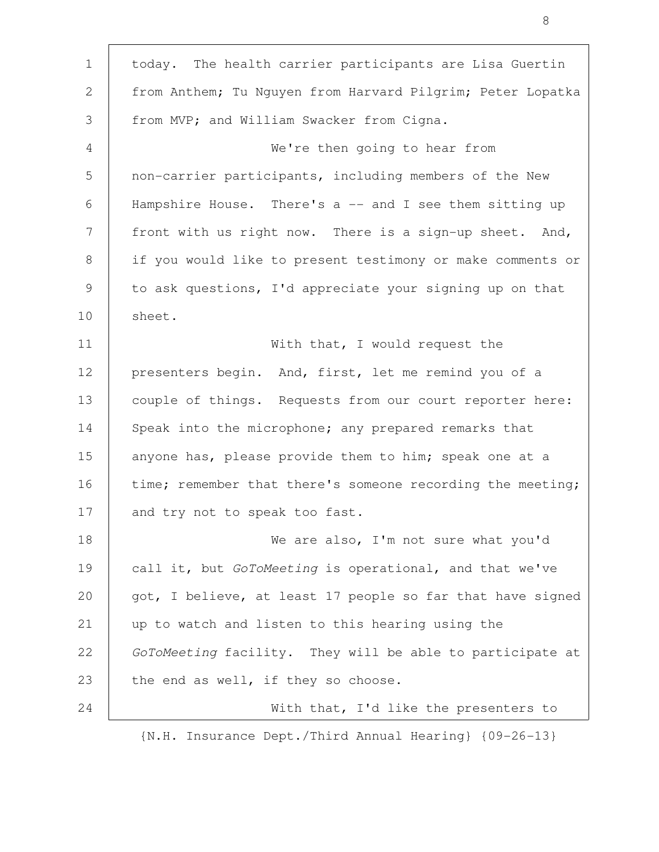| $\mathbf 1$ | today. The health carrier participants are Lisa Guertin    |
|-------------|------------------------------------------------------------|
| 2           | from Anthem; Tu Nguyen from Harvard Pilgrim; Peter Lopatka |
| 3           | from MVP; and William Swacker from Cigna.                  |
| 4           | We're then going to hear from                              |
| 5           | non-carrier participants, including members of the New     |
| 6           | Hampshire House. There's a -- and I see them sitting up    |
| 7           | front with us right now. There is a sign-up sheet. And,    |
| 8           | if you would like to present testimony or make comments or |
| 9           | to ask questions, I'd appreciate your signing up on that   |
| 10          | sheet.                                                     |
| 11          | With that, I would request the                             |
| 12          | presenters begin. And, first, let me remind you of a       |
| 13          | couple of things. Requests from our court reporter here:   |
| 14          | Speak into the microphone; any prepared remarks that       |
| 15          | anyone has, please provide them to him; speak one at a     |
| 16          | time; remember that there's someone recording the meeting; |
| 17          | and try not to speak too fast.                             |
| 18          | We are also, I'm not sure what you'd                       |
| 19          | call it, but GoToMeeting is operational, and that we've    |
| 20          | got, I believe, at least 17 people so far that have signed |
| 21          | up to watch and listen to this hearing using the           |
| 22          | GoToMeeting facility. They will be able to participate at  |
| 23          | the end as well, if they so choose.                        |
| 24          | With that, I'd like the presenters to                      |

 $\mathsf{T}$ 

8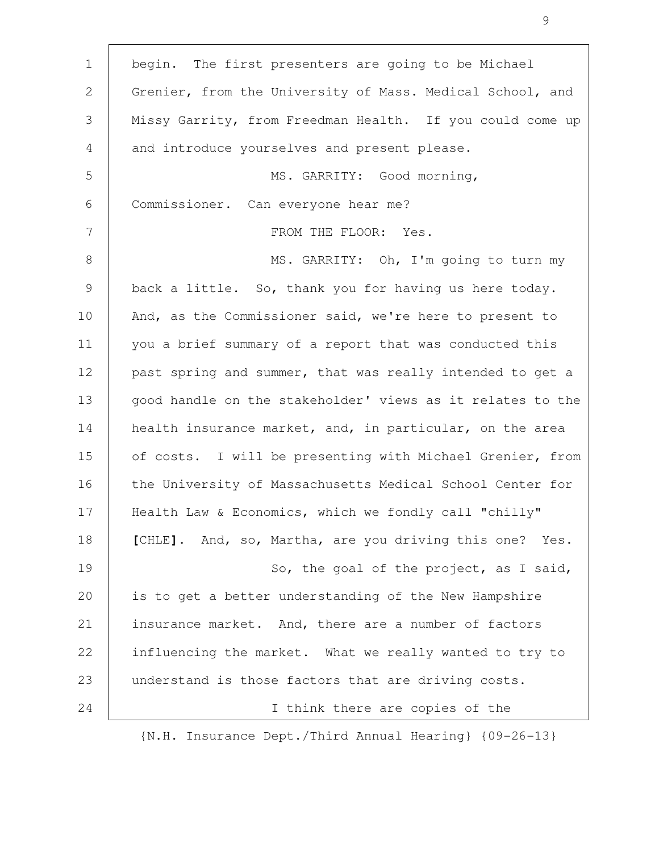| $\mathbf 1$ | begin. The first presenters are going to be Michael        |
|-------------|------------------------------------------------------------|
| 2           | Grenier, from the University of Mass. Medical School, and  |
| 3           | Missy Garrity, from Freedman Health. If you could come up  |
| 4           | and introduce yourselves and present please.               |
| 5           | MS. GARRITY: Good morning,                                 |
| 6           | Commissioner. Can everyone hear me?                        |
| 7           | FROM THE FLOOR: Yes.                                       |
| 8           | MS. GARRITY: Oh, I'm going to turn my                      |
| $\mathsf 9$ | back a little. So, thank you for having us here today.     |
| 10          | And, as the Commissioner said, we're here to present to    |
| 11          | you a brief summary of a report that was conducted this    |
| 12          | past spring and summer, that was really intended to get a  |
| 13          | good handle on the stakeholder' views as it relates to the |
| 14          | health insurance market, and, in particular, on the area   |
| 15          | of costs. I will be presenting with Michael Grenier, from  |
| 16          | the University of Massachusetts Medical School Center for  |
| 17          | Health Law & Economics, which we fondly call "chilly"      |
| 18          | [CHLE]. And, so, Martha, are you driving this one? Yes.    |
| 19          | So, the goal of the project, as I said,                    |
| 20          | is to get a better understanding of the New Hampshire      |
| 21          | insurance market. And, there are a number of factors       |
| 22          | influencing the market. What we really wanted to try to    |
| 23          | understand is those factors that are driving costs.        |
| 24          | I think there are copies of the                            |

 $\mathsf{T}$ 

9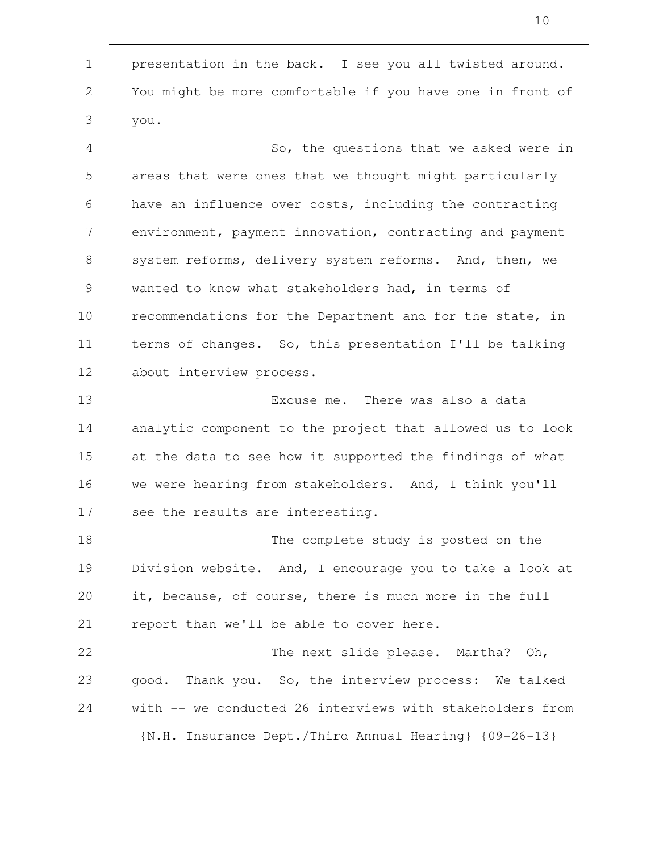presentation in the back. I see you all twisted around. You might be more comfortable if you have one in front of you. So, the questions that we asked were in areas that were ones that we thought might particularly have an influence over costs, including the contracting environment, payment innovation, contracting and payment system reforms, delivery system reforms. And, then, we wanted to know what stakeholders had, in terms of recommendations for the Department and for the state, in terms of changes. So, this presentation I'll be talking about interview process. Excuse me. There was also a data analytic component to the project that allowed us to look at the data to see how it supported the findings of what we were hearing from stakeholders. And, I think you'll see the results are interesting. The complete study is posted on the Division website. And, I encourage you to take a look at it, because, of course, there is much more in the full report than we'll be able to cover here. The next slide please. Martha? Oh, good. Thank you. So, the interview process: We talked with -- we conducted 26 interviews with stakeholders from 1 2 3 4 5 6 7 8 9 10 11 12 13 14 15 16 17 18 19 20 21 22 23 24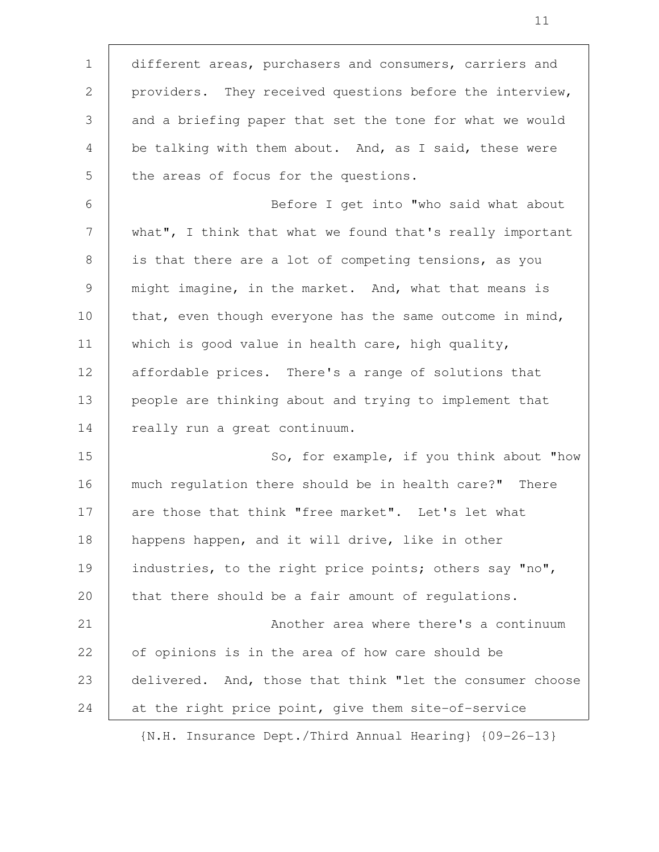different areas, purchasers and consumers, carriers and providers. They received questions before the interview, and a briefing paper that set the tone for what we would be talking with them about. And, as I said, these were the areas of focus for the questions. Before I get into "who said what about what", I think that what we found that's really important is that there are a lot of competing tensions, as you might imagine, in the market. And, what that means is that, even though everyone has the same outcome in mind, which is good value in health care, high quality, affordable prices. There's a range of solutions that people are thinking about and trying to implement that really run a great continuum. So, for example, if you think about "how much regulation there should be in health care?" There are those that think "free market". Let's let what happens happen, and it will drive, like in other industries, to the right price points; others say "no", that there should be a fair amount of regulations. Another area where there's a continuum of opinions is in the area of how care should be delivered. And, those that think "let the consumer choose at the right price point, give them site-of-service 1 2 3 4 5 6 7 8 9 10 11 12 13 14 15 16 17 18 19 20 21 22 23 24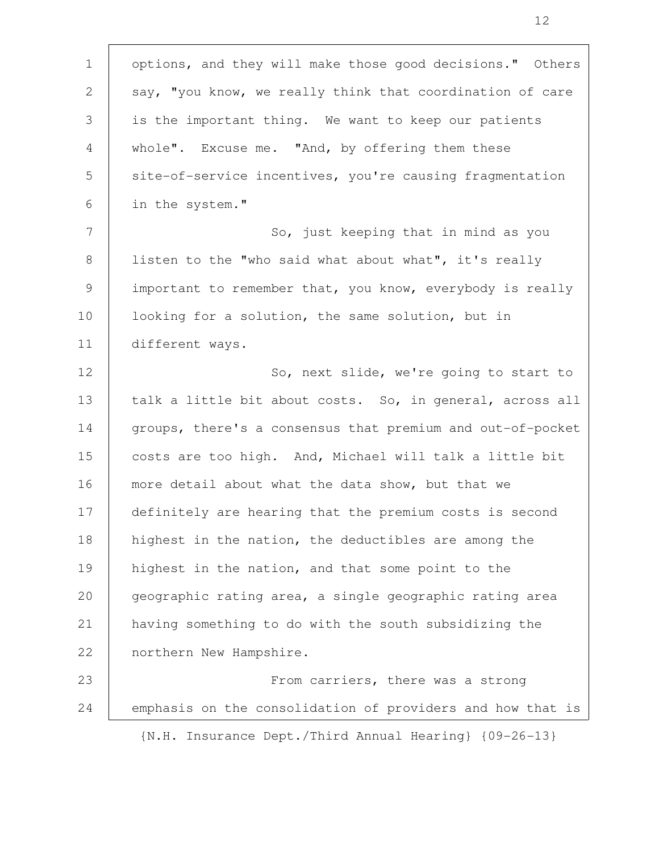| $\mathbf 1$     | options, and they will make those good decisions." Others  |
|-----------------|------------------------------------------------------------|
| 2               | say, "you know, we really think that coordination of care  |
| 3               | is the important thing. We want to keep our patients       |
| 4               | whole". Excuse me. "And, by offering them these            |
| 5               | site-of-service incentives, you're causing fragmentation   |
| 6               | in the system."                                            |
| $7\phantom{.0}$ | So, just keeping that in mind as you                       |
| 8               | listen to the "who said what about what", it's really      |
| 9               | important to remember that, you know, everybody is really  |
| 10              | looking for a solution, the same solution, but in          |
| 11              | different ways.                                            |
| 12              | So, next slide, we're going to start to                    |
| 13              | talk a little bit about costs. So, in general, across all  |
| 14              | groups, there's a consensus that premium and out-of-pocket |
| 15              | costs are too high. And, Michael will talk a little bit    |
| 16              | more detail about what the data show, but that we          |
| 17              | definitely are hearing that the premium costs is second    |
| 18              | highest in the nation, the deductibles are among the       |
| 19              | highest in the nation, and that some point to the          |
| 20              | geographic rating area, a single geographic rating area    |
| 21              | having something to do with the south subsidizing the      |
| 22              | northern New Hampshire.                                    |
| 23              | From carriers, there was a strong                          |
| 24              | emphasis on the consolidation of providers and how that is |
|                 |                                                            |

 $\mathsf{r}$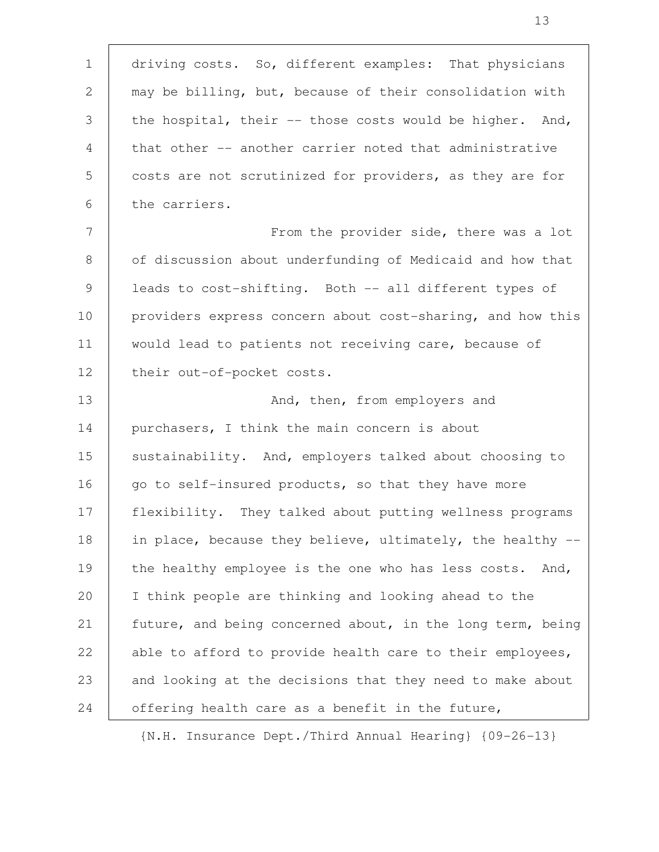driving costs. So, different examples: That physicians may be billing, but, because of their consolidation with the hospital, their -- those costs would be higher. And, that other -- another carrier noted that administrative costs are not scrutinized for providers, as they are for the carriers. From the provider side, there was a lot of discussion about underfunding of Medicaid and how that leads to cost-shifting. Both -- all different types of providers express concern about cost-sharing, and how this would lead to patients not receiving care, because of their out-of-pocket costs. And, then, from employers and purchasers, I think the main concern is about sustainability. And, employers talked about choosing to go to self-insured products, so that they have more flexibility. They talked about putting wellness programs in place, because they believe, ultimately, the healthy -the healthy employee is the one who has less costs. And, I think people are thinking and looking ahead to the future, and being concerned about, in the long term, being able to afford to provide health care to their employees, and looking at the decisions that they need to make about offering health care as a benefit in the future, 1 2 3 4 5 6 7 8 9 10 11 12 13 14 15 16 17 18 19 20 21 22 23 24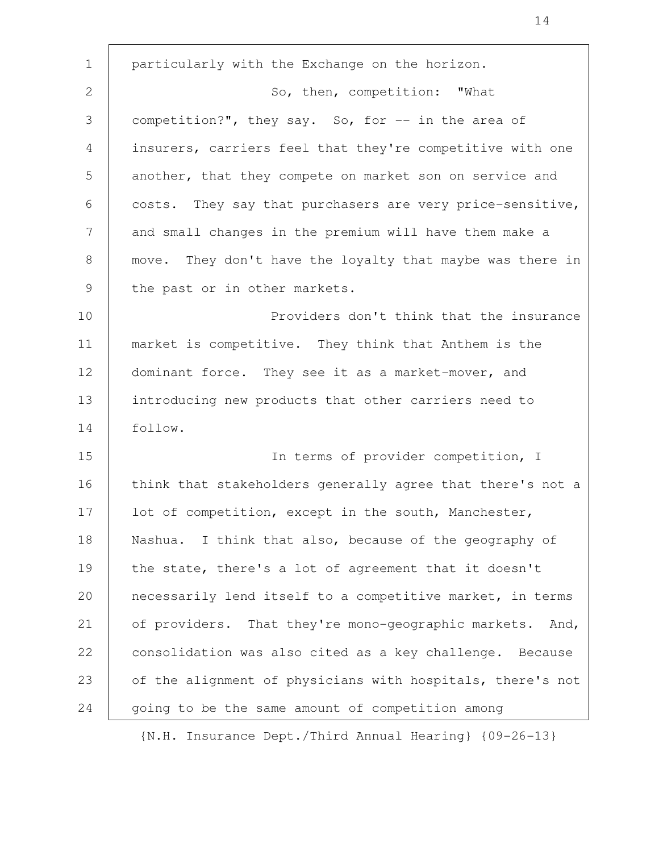particularly with the Exchange on the horizon. So, then, competition: "What competition?", they say. So, for -- in the area of insurers, carriers feel that they're competitive with one another, that they compete on market son on service and costs. They say that purchasers are very price-sensitive, and small changes in the premium will have them make a move. They don't have the loyalty that maybe was there in the past or in other markets. Providers don't think that the insurance market is competitive. They think that Anthem is the dominant force. They see it as a market-mover, and introducing new products that other carriers need to follow. In terms of provider competition, I think that stakeholders generally agree that there's not a lot of competition, except in the south, Manchester, Nashua. I think that also, because of the geography of the state, there's a lot of agreement that it doesn't necessarily lend itself to a competitive market, in terms of providers. That they're mono-geographic markets. And, consolidation was also cited as a key challenge. Because of the alignment of physicians with hospitals, there's not going to be the same amount of competition among 1 2 3 4 5 6 7 8 9 10 11 12 13 14 15 16 17 18 19 20 21 22 23 24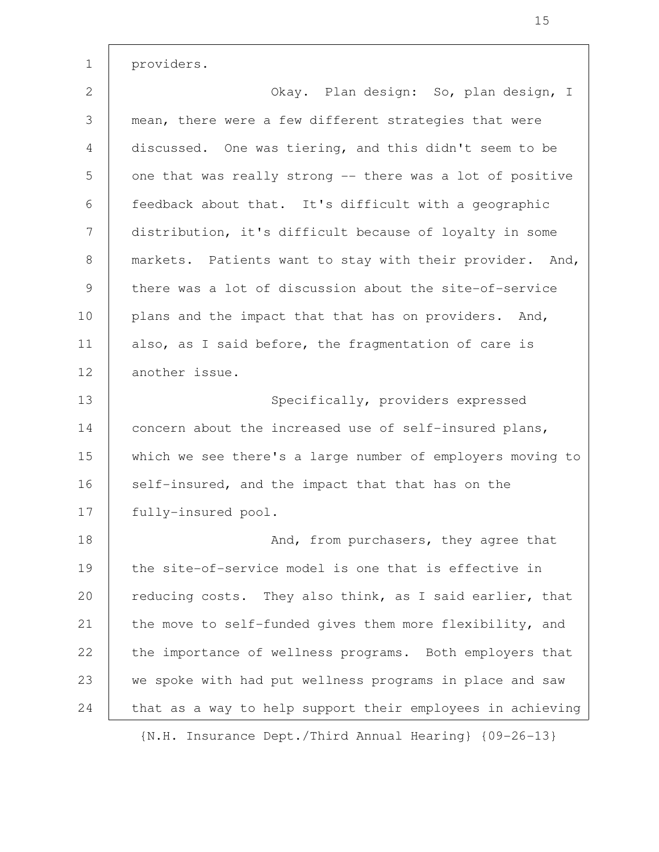providers. 1

Okay. Plan design: So, plan design, I mean, there were a few different strategies that were discussed. One was tiering, and this didn't seem to be one that was really strong -- there was a lot of positive feedback about that. It's difficult with a geographic distribution, it's difficult because of loyalty in some markets. Patients want to stay with their provider. And, there was a lot of discussion about the site-of-service plans and the impact that that has on providers. And, also, as I said before, the fragmentation of care is another issue. Specifically, providers expressed 2 3 4 5 6 7 8 9 10 11 12 13

concern about the increased use of self-insured plans, which we see there's a large number of employers moving to self-insured, and the impact that that has on the fully-insured pool. 14 15 16 17

And, from purchasers, they agree that the site-of-service model is one that is effective in reducing costs. They also think, as I said earlier, that the move to self-funded gives them more flexibility, and the importance of wellness programs. Both employers that we spoke with had put wellness programs in place and saw that as a way to help support their employees in achieving 18 19 20 21 22 23 24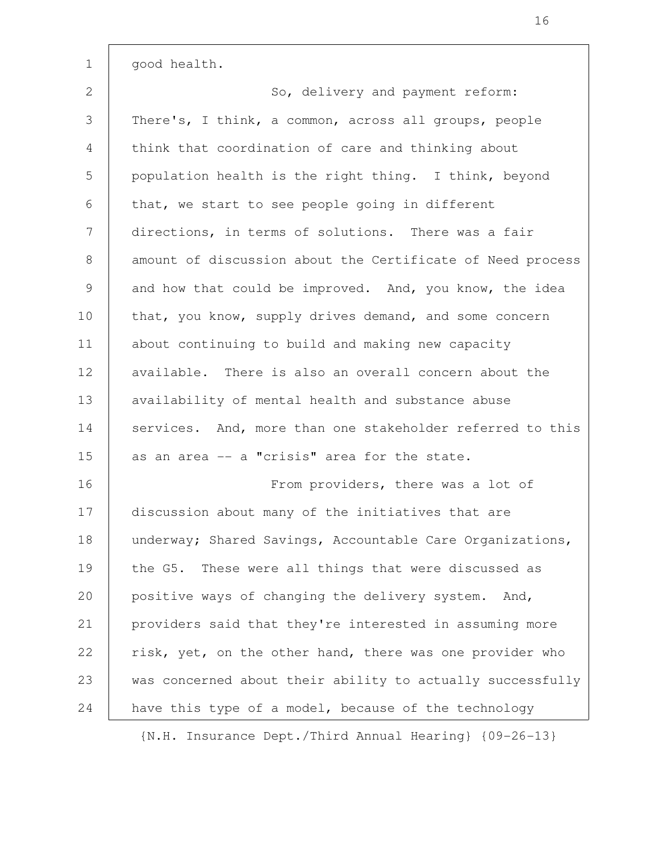good health. So, delivery and payment reform: There's, I think, a common, across all groups, people think that coordination of care and thinking about population health is the right thing. I think, beyond that, we start to see people going in different directions, in terms of solutions. There was a fair amount of discussion about the Certificate of Need process and how that could be improved. And, you know, the idea that, you know, supply drives demand, and some concern about continuing to build and making new capacity available. There is also an overall concern about the availability of mental health and substance abuse services. And, more than one stakeholder referred to this as an area -- a "crisis" area for the state. From providers, there was a lot of discussion about many of the initiatives that are underway; Shared Savings, Accountable Care Organizations, the G5. These were all things that were discussed as positive ways of changing the delivery system. And, providers said that they're interested in assuming more risk, yet, on the other hand, there was one provider who was concerned about their ability to actually successfully have this type of a model, because of the technology 1 2 3 4 5 6 7 8 9 10 11 12 13 14 15 16 17 18 19 20 21 22 23 24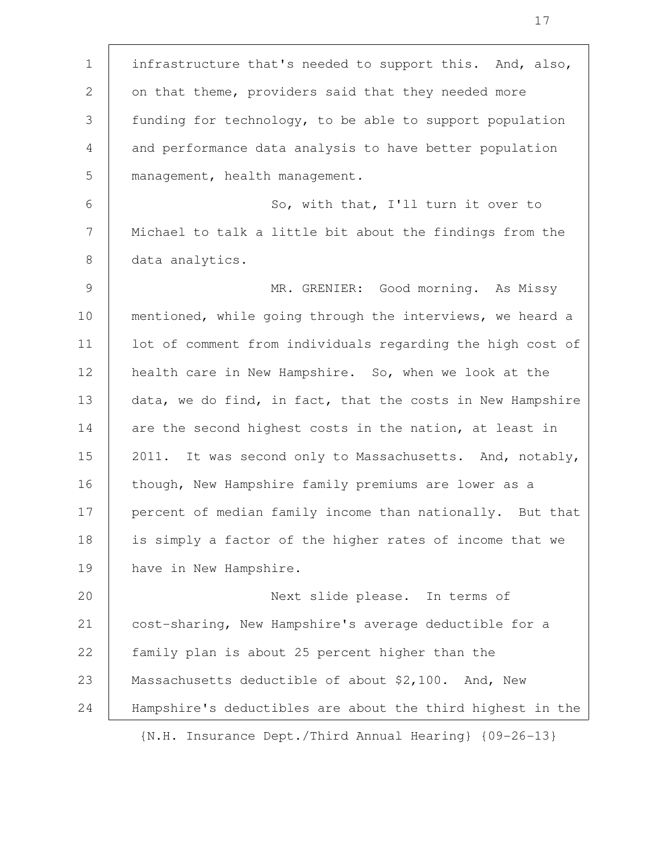infrastructure that's needed to support this. And, also, on that theme, providers said that they needed more funding for technology, to be able to support population and performance data analysis to have better population management, health management. So, with that, I'll turn it over to Michael to talk a little bit about the findings from the data analytics. MR. GRENIER: Good morning. As Missy mentioned, while going through the interviews, we heard a lot of comment from individuals regarding the high cost of health care in New Hampshire. So, when we look at the data, we do find, in fact, that the costs in New Hampshire are the second highest costs in the nation, at least in 2011. It was second only to Massachusetts. And, notably, though, New Hampshire family premiums are lower as a percent of median family income than nationally. But that is simply a factor of the higher rates of income that we have in New Hampshire. Next slide please. In terms of cost-sharing, New Hampshire's average deductible for a family plan is about 25 percent higher than the Massachusetts deductible of about \$2,100. And, New Hampshire's deductibles are about the third highest in the {N.H. Insurance Dept./Third Annual Hearing} {09-26-13} 1 2 3 4 5 6 7 8 9 10 11 12 13 14 15 16 17 18 19 20 21 22 23 24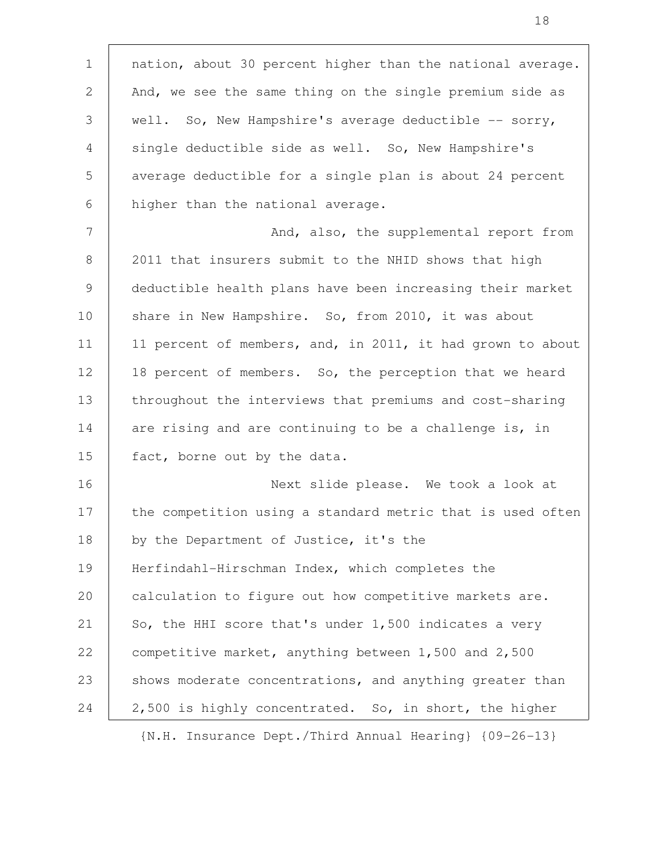nation, about 30 percent higher than the national average. And, we see the same thing on the single premium side as well. So, New Hampshire's average deductible  $--$  sorry, single deductible side as well. So, New Hampshire's average deductible for a single plan is about 24 percent higher than the national average. And, also, the supplemental report from 2011 that insurers submit to the NHID shows that high deductible health plans have been increasing their market share in New Hampshire. So, from 2010, it was about 11 percent of members, and, in 2011, it had grown to about 18 percent of members. So, the perception that we heard throughout the interviews that premiums and cost-sharing are rising and are continuing to be a challenge is, in fact, borne out by the data. Next slide please. We took a look at the competition using a standard metric that is used often by the Department of Justice, it's the Herfindahl-Hirschman Index, which completes the calculation to figure out how competitive markets are. So, the HHI score that's under 1,500 indicates a very competitive market, anything between 1,500 and 2,500 shows moderate concentrations, and anything greater than 2,500 is highly concentrated. So, in short, the higher 1 2 3 4 5 6 7 8 9 10 11 12 13 14 15 16 17 18 19 20 21 22 23 24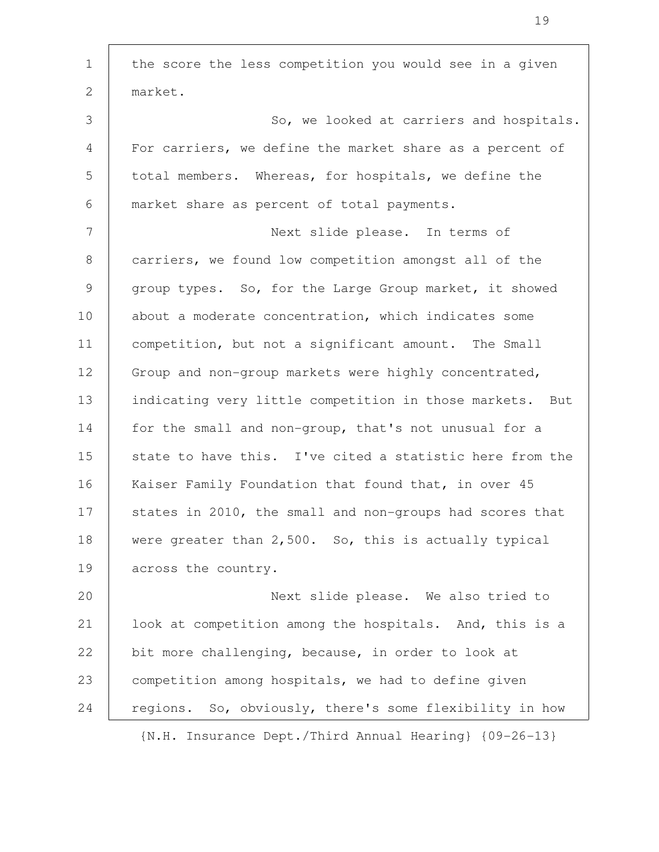the score the less competition you would see in a given market. So, we looked at carriers and hospitals. For carriers, we define the market share as a percent of total members. Whereas, for hospitals, we define the market share as percent of total payments. Next slide please. In terms of carriers, we found low competition amongst all of the group types. So, for the Large Group market, it showed about a moderate concentration, which indicates some competition, but not a significant amount. The Small Group and non-group markets were highly concentrated, indicating very little competition in those markets. But for the small and non-group, that's not unusual for a state to have this. I've cited a statistic here from the Kaiser Family Foundation that found that, in over 45 states in 2010, the small and non-groups had scores that were greater than 2,500. So, this is actually typical across the country. Next slide please. We also tried to look at competition among the hospitals. And, this is a bit more challenging, because, in order to look at competition among hospitals, we had to define given regions. So, obviously, there's some flexibility in how 1 2 3 4 5 6 7 8 9 10 11 12 13 14 15 16 17 18 19 20 21 22 23 24

{N.H. Insurance Dept./Third Annual Hearing} {09-26-13}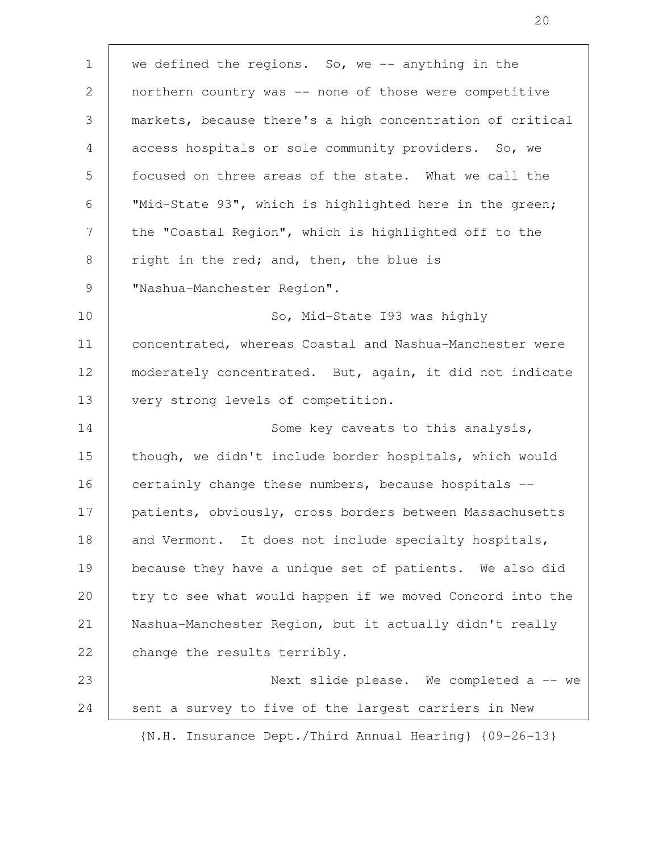we defined the regions. So, we  $-$  anything in the northern country was -- none of those were competitive markets, because there's a high concentration of critical access hospitals or sole community providers. So, we focused on three areas of the state. What we call the "Mid-State 93", which is highlighted here in the green; the "Coastal Region", which is highlighted off to the right in the red; and, then, the blue is "Nashua-Manchester Region". So, Mid-State I93 was highly concentrated, whereas Coastal and Nashua-Manchester were moderately concentrated. But, again, it did not indicate very strong levels of competition. Some key caveats to this analysis, though, we didn't include border hospitals, which would certainly change these numbers, because hospitals - patients, obviously, cross borders between Massachusetts and Vermont. It does not include specialty hospitals, because they have a unique set of patients. We also did try to see what would happen if we moved Concord into the Nashua-Manchester Region, but it actually didn't really change the results terribly. Next slide please. We completed a  $-$  we sent a survey to five of the largest carriers in New {N.H. Insurance Dept./Third Annual Hearing} {09-26-13} 1 2 3 4 5 6 7 8 9 10 11 12 13 14 15 16 17 18 19 20 21 22 23 24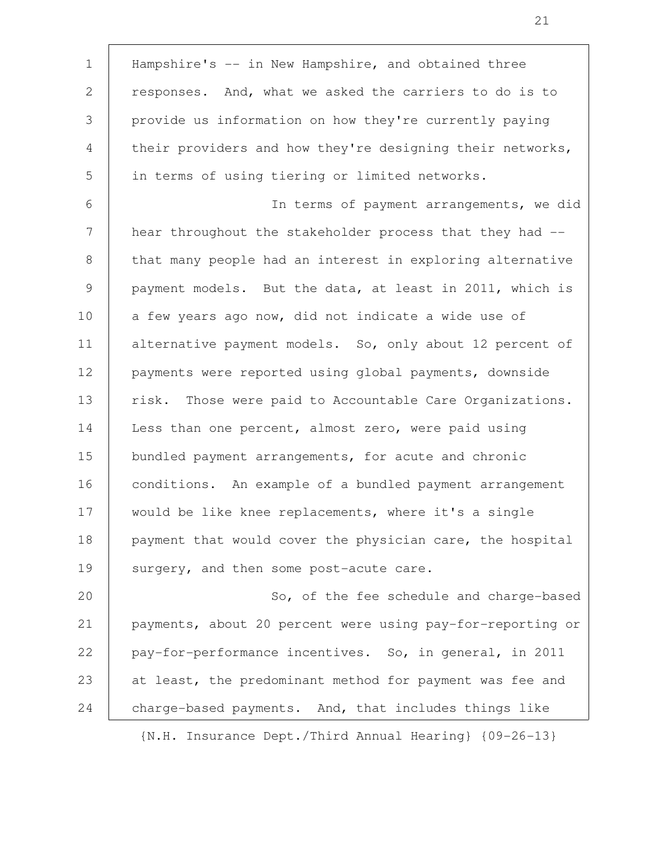| $\mathbf 1$ | Hampshire's -- in New Hampshire, and obtained three         |
|-------------|-------------------------------------------------------------|
| 2           | responses. And, what we asked the carriers to do is to      |
| 3           | provide us information on how they're currently paying      |
| 4           | their providers and how they're designing their networks,   |
| 5           | in terms of using tiering or limited networks.              |
| 6           | In terms of payment arrangements, we did                    |
| 7           | hear throughout the stakeholder process that they had --    |
| 8           | that many people had an interest in exploring alternative   |
| 9           | payment models. But the data, at least in 2011, which is    |
| 10          | a few years ago now, did not indicate a wide use of         |
| 11          | alternative payment models. So, only about 12 percent of    |
| 12          | payments were reported using global payments, downside      |
| 13          | Those were paid to Accountable Care Organizations.<br>risk. |
| 14          | Less than one percent, almost zero, were paid using         |
| 15          | bundled payment arrangements, for acute and chronic         |
| 16          | conditions. An example of a bundled payment arrangement     |
| 17          | would be like knee replacements, where it's a single        |
| 18          | payment that would cover the physician care, the hospital   |
| 19          | surgery, and then some post-acute care.                     |
| 20          | So, of the fee schedule and charge-based                    |
| 21          | payments, about 20 percent were using pay-for-reporting or  |
| 22          | pay-for-performance incentives. So, in general, in 2011     |
| 23          | at least, the predominant method for payment was fee and    |
| 24          | charge-based payments. And, that includes things like       |
|             | {N.H. Insurance Dept./Third Annual Hearing} {09-26-13}      |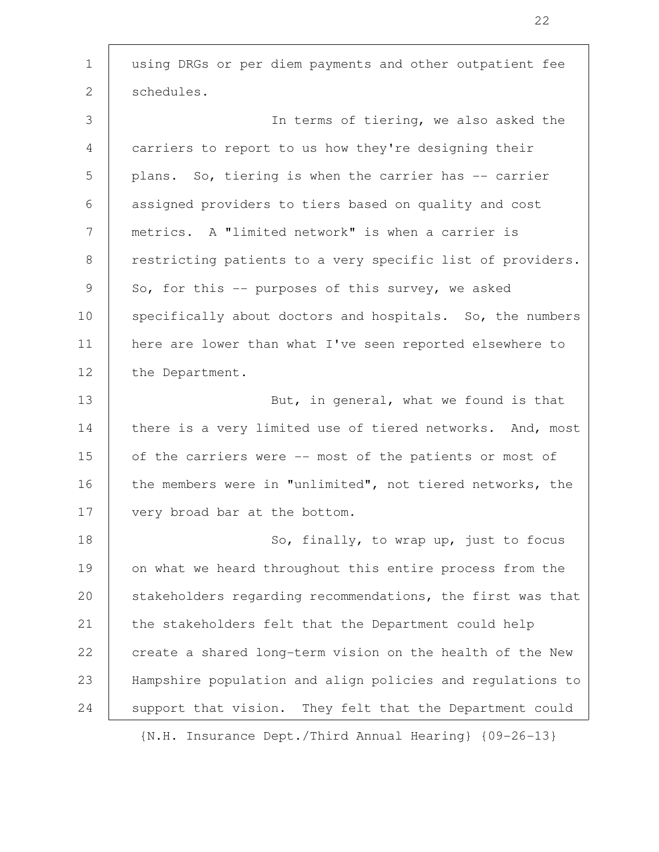using DRGs or per diem payments and other outpatient fee schedules. In terms of tiering, we also asked the carriers to report to us how they're designing their plans. So, tiering is when the carrier has -- carrier assigned providers to tiers based on quality and cost metrics. A "limited network" is when a carrier is restricting patients to a very specific list of providers. So, for this  $-$  purposes of this survey, we asked specifically about doctors and hospitals. So, the numbers here are lower than what I've seen reported elsewhere to the Department. But, in general, what we found is that there is a very limited use of tiered networks. And, most of the carriers were -- most of the patients or most of the members were in "unlimited", not tiered networks, the very broad bar at the bottom. So, finally, to wrap up, just to focus on what we heard throughout this entire process from the stakeholders regarding recommendations, the first was that the stakeholders felt that the Department could help create a shared long-term vision on the health of the New Hampshire population and align policies and regulations to support that vision. They felt that the Department could 1 2 3 4 5 6 7 8 9 10 11 12 13 14 15 16 17 18 19 20 21 22 23 24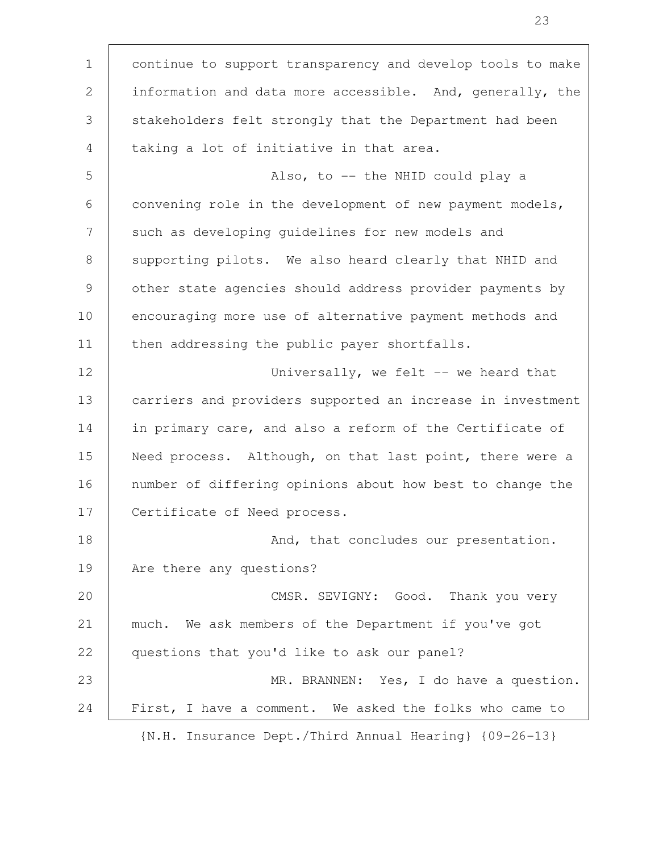continue to support transparency and develop tools to make information and data more accessible. And, generally, the stakeholders felt strongly that the Department had been taking a lot of initiative in that area. Also, to -- the NHID could play a convening role in the development of new payment models, such as developing guidelines for new models and supporting pilots. We also heard clearly that NHID and other state agencies should address provider payments by encouraging more use of alternative payment methods and then addressing the public payer shortfalls. Universally, we felt -- we heard that carriers and providers supported an increase in investment in primary care, and also a reform of the Certificate of Need process. Although, on that last point, there were a number of differing opinions about how best to change the Certificate of Need process. And, that concludes our presentation. Are there any questions? CMSR. SEVIGNY: Good. Thank you very much. We ask members of the Department if you've got questions that you'd like to ask our panel? MR. BRANNEN: Yes, I do have a question. First, I have a comment. We asked the folks who came to {N.H. Insurance Dept./Third Annual Hearing} {09-26-13} 1 2 3 4 5 6 7 8 9 10 11 12 13 14 15 16 17 18 19 20 21 22 23 24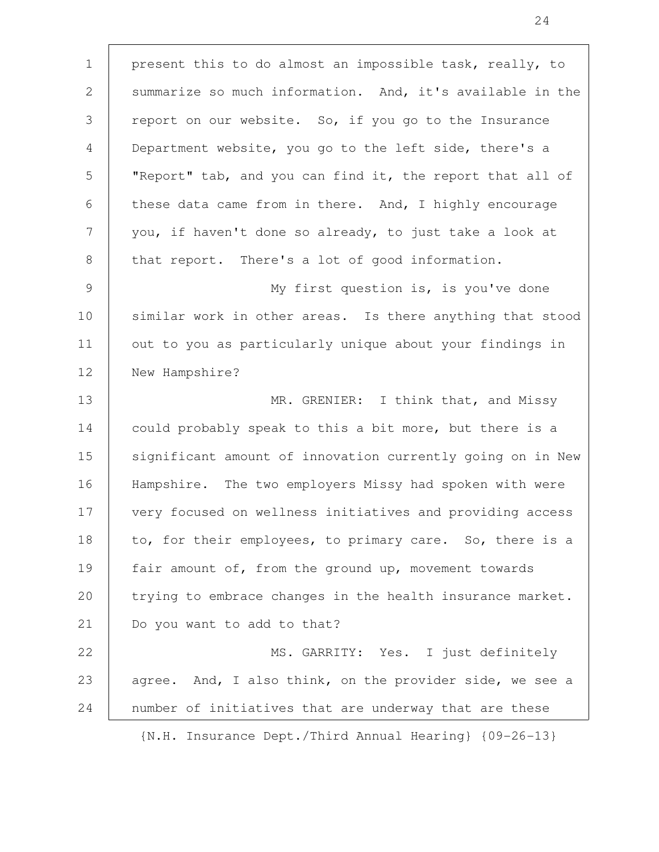present this to do almost an impossible task, really, to summarize so much information. And, it's available in the report on our website. So, if you go to the Insurance Department website, you go to the left side, there's a "Report" tab, and you can find it, the report that all of these data came from in there. And, I highly encourage you, if haven't done so already, to just take a look at that report. There's a lot of good information. My first question is, is you've done similar work in other areas. Is there anything that stood out to you as particularly unique about your findings in New Hampshire? MR. GRENIER: I think that, and Missy could probably speak to this a bit more, but there is a significant amount of innovation currently going on in New Hampshire. The two employers Missy had spoken with were very focused on wellness initiatives and providing access to, for their employees, to primary care. So, there is a fair amount of, from the ground up, movement towards trying to embrace changes in the health insurance market. Do you want to add to that? MS. GARRITY: Yes. I just definitely agree. And, I also think, on the provider side, we see a number of initiatives that are underway that are these 1 2 3 4 5 6 7 8 9 10 11 12 13 14 15 16 17 18 19 20 21 22 23 24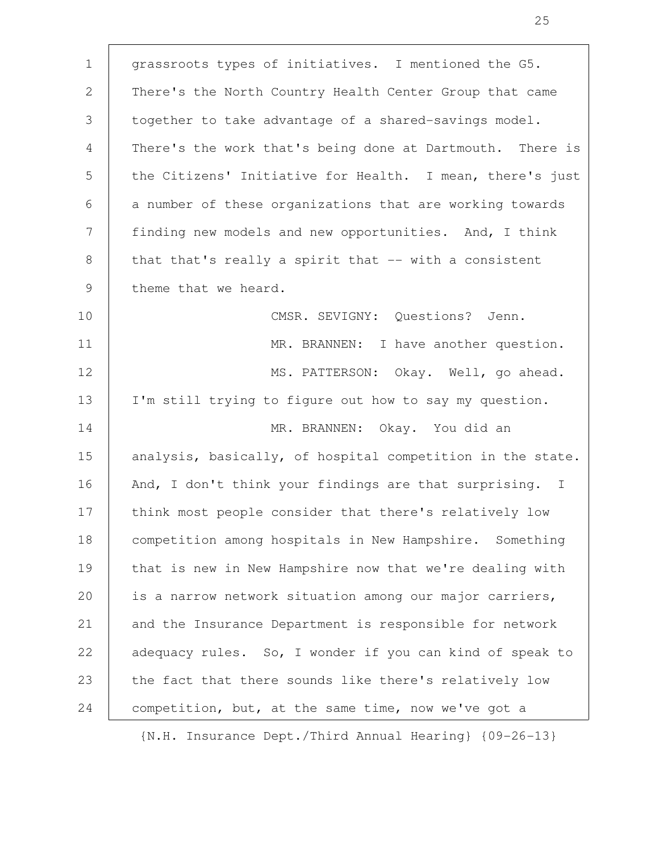grassroots types of initiatives. I mentioned the G5. There's the North Country Health Center Group that came together to take advantage of a shared-savings model. There's the work that's being done at Dartmouth. There is the Citizens' Initiative for Health. I mean, there's just a number of these organizations that are working towards finding new models and new opportunities. And, I think that that's really a spirit that -- with a consistent theme that we heard. CMSR. SEVIGNY: Questions? Jenn. MR. BRANNEN: I have another question. MS. PATTERSON: Okay. Well, go ahead. I'm still trying to figure out how to say my question. MR. BRANNEN: Okay. You did an analysis, basically, of hospital competition in the state. And, I don't think your findings are that surprising. I think most people consider that there's relatively low competition among hospitals in New Hampshire. Something that is new in New Hampshire now that we're dealing with is a narrow network situation among our major carriers, and the Insurance Department is responsible for network adequacy rules. So, I wonder if you can kind of speak to the fact that there sounds like there's relatively low competition, but, at the same time, now we've got a 1 2 3 4 5 6 7 8 9 10 11 12 13 14 15 16 17 18 19 20 21 22 23 24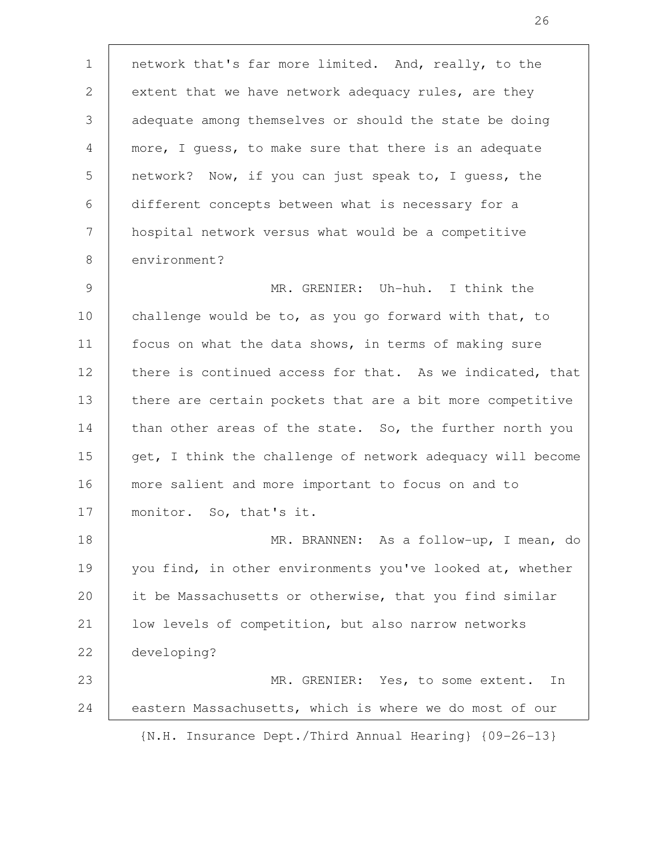network that's far more limited. And, really, to the extent that we have network adequacy rules, are they adequate among themselves or should the state be doing more, I guess, to make sure that there is an adequate network? Now, if you can just speak to, I guess, the different concepts between what is necessary for a hospital network versus what would be a competitive environment? MR. GRENIER: Uh-huh. I think the challenge would be to, as you go forward with that, to focus on what the data shows, in terms of making sure there is continued access for that. As we indicated, that there are certain pockets that are a bit more competitive than other areas of the state. So, the further north you get, I think the challenge of network adequacy will become more salient and more important to focus on and to monitor. So, that's it. MR. BRANNEN: As a follow-up, I mean, do you find, in other environments you've looked at, whether it be Massachusetts or otherwise, that you find similar low levels of competition, but also narrow networks developing? MR. GRENIER: Yes, to some extent. In eastern Massachusetts, which is where we do most of our {N.H. Insurance Dept./Third Annual Hearing} {09-26-13} 1 2 3 4 5 6 7 8 9 10 11 12 13 14 15 16 17 18 19 20 21 22 23 24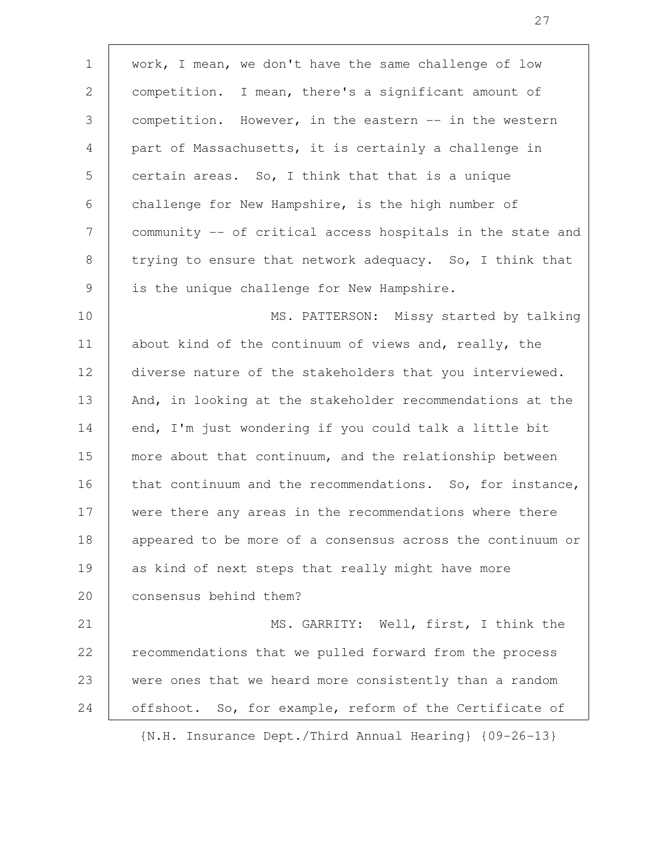work, I mean, we don't have the same challenge of low competition. I mean, there's a significant amount of competition. However, in the eastern -- in the western part of Massachusetts, it is certainly a challenge in certain areas. So, I think that that is a unique challenge for New Hampshire, is the high number of community -- of critical access hospitals in the state and trying to ensure that network adequacy. So, I think that is the unique challenge for New Hampshire. MS. PATTERSON: Missy started by talking about kind of the continuum of views and, really, the diverse nature of the stakeholders that you interviewed. And, in looking at the stakeholder recommendations at the end, I'm just wondering if you could talk a little bit more about that continuum, and the relationship between that continuum and the recommendations. So, for instance, were there any areas in the recommendations where there appeared to be more of a consensus across the continuum or as kind of next steps that really might have more consensus behind them? MS. GARRITY: Well, first, I think the recommendations that we pulled forward from the process were ones that we heard more consistently than a random offshoot. So, for example, reform of the Certificate of {N.H. Insurance Dept./Third Annual Hearing} {09-26-13} 1 2 3 4 5 6 7 8 9 10 11 12 13 14 15 16 17 18 19 20 21 22 23 24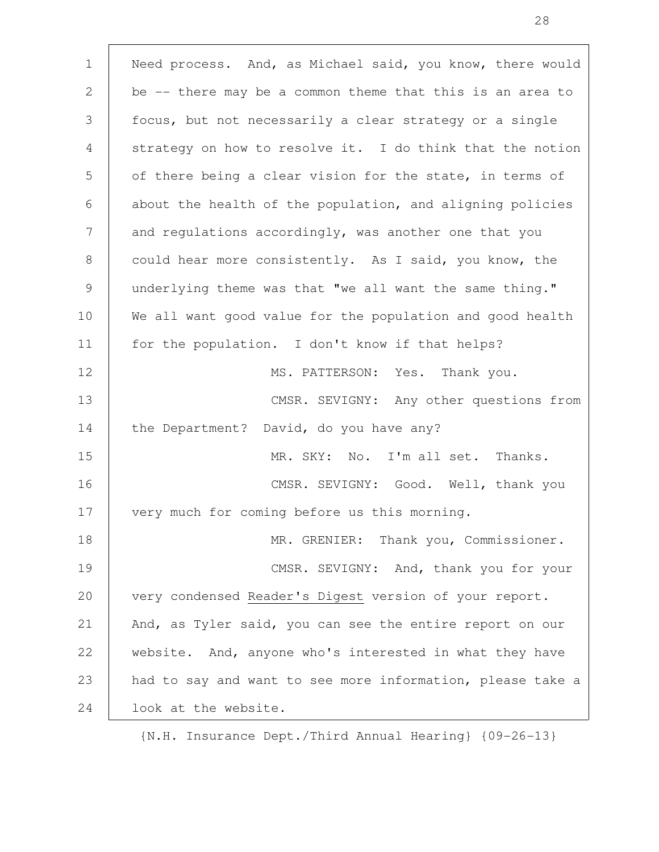Need process. And, as Michael said, you know, there would be -- there may be a common theme that this is an area to focus, but not necessarily a clear strategy or a single strategy on how to resolve it. I do think that the notion of there being a clear vision for the state, in terms of about the health of the population, and aligning policies and regulations accordingly, was another one that you could hear more consistently. As I said, you know, the underlying theme was that "we all want the same thing." We all want good value for the population and good health for the population. I don't know if that helps? MS. PATTERSON: Yes. Thank you. CMSR. SEVIGNY: Any other questions from the Department? David, do you have any? MR. SKY: No. I'm all set. Thanks. CMSR. SEVIGNY: Good. Well, thank you very much for coming before us this morning. MR. GRENIER: Thank you, Commissioner. CMSR. SEVIGNY: And, thank you for your very condensed Reader's Digest version of your report. And, as Tyler said, you can see the entire report on our website. And, anyone who's interested in what they have had to say and want to see more information, please take a look at the website. 1 2 3 4 5 6 7 8 9 10 11 12 13 14 15 16 17 18 19 20 21 22 23 24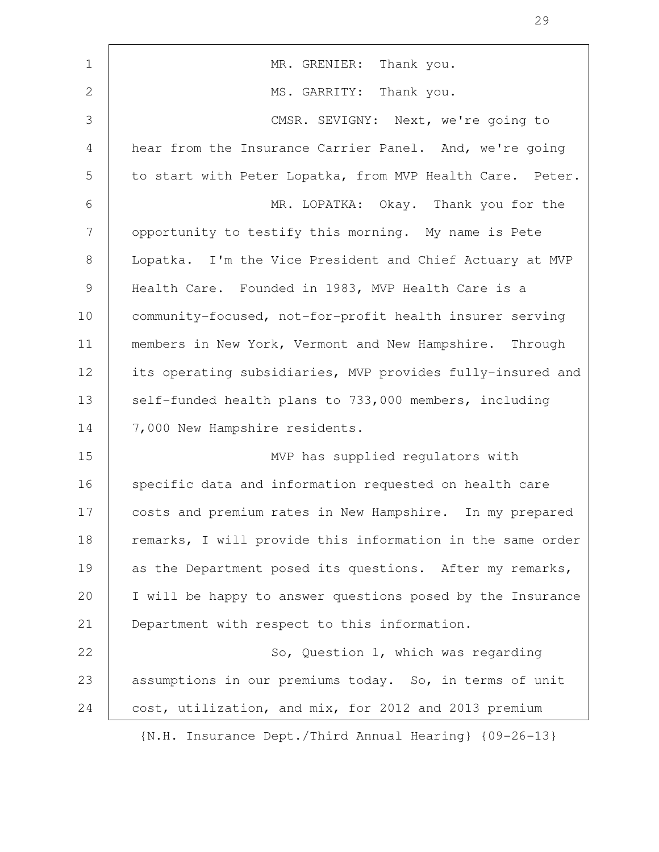| $\mathbf 1$    | MR. GRENIER: Thank you.                                    |
|----------------|------------------------------------------------------------|
| $\mathbf{2}$   | MS. GARRITY: Thank you.                                    |
| 3              | CMSR. SEVIGNY: Next, we're going to                        |
| $\overline{4}$ | hear from the Insurance Carrier Panel. And, we're going    |
| 5              | to start with Peter Lopatka, from MVP Health Care. Peter.  |
| 6              | MR. LOPATKA: Okay. Thank you for the                       |
| 7              | opportunity to testify this morning. My name is Pete       |
| 8              | Lopatka. I'm the Vice President and Chief Actuary at MVP   |
| $\overline{9}$ | Health Care. Founded in 1983, MVP Health Care is a         |
| 10             | community-focused, not-for-profit health insurer serving   |
| 11             | members in New York, Vermont and New Hampshire. Through    |
| 12             | its operating subsidiaries, MVP provides fully-insured and |
| 13             | self-funded health plans to 733,000 members, including     |
| 14             | 7,000 New Hampshire residents.                             |
| 15             | MVP has supplied regulators with                           |
| 16             | specific data and information requested on health care     |
| 17             | costs and premium rates in New Hampshire. In my prepared   |
| 18             | remarks, I will provide this information in the same order |
| 19             | as the Department posed its questions. After my remarks,   |
| 20             | I will be happy to answer questions posed by the Insurance |
| 21             | Department with respect to this information.               |
| 22             | So, Question 1, which was regarding                        |
| 23             | assumptions in our premiums today. So, in terms of unit    |
| 24             | cost, utilization, and mix, for 2012 and 2013 premium      |
|                |                                                            |

29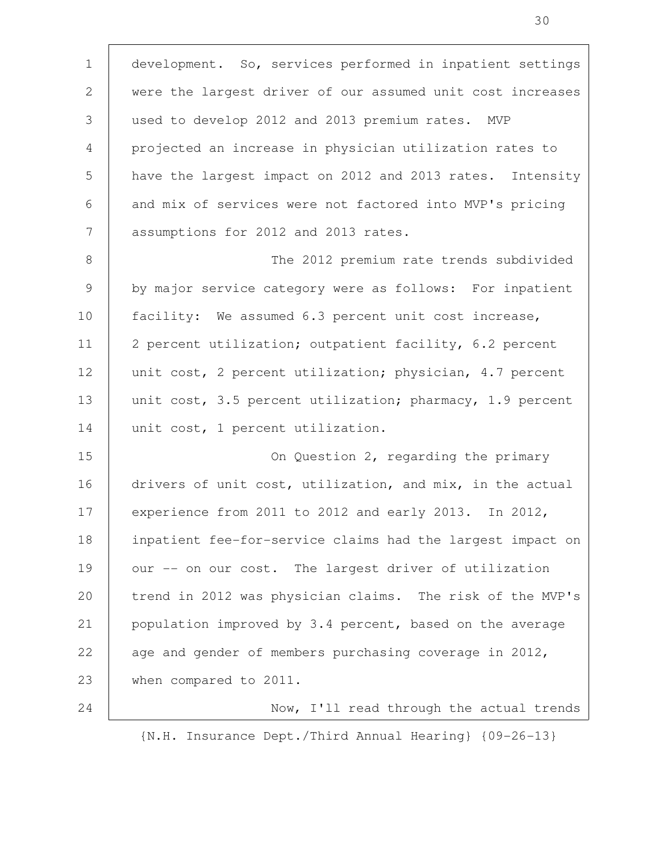development. So, services performed in inpatient settings were the largest driver of our assumed unit cost increases used to develop 2012 and 2013 premium rates. MVP projected an increase in physician utilization rates to have the largest impact on 2012 and 2013 rates. Intensity and mix of services were not factored into MVP's pricing assumptions for 2012 and 2013 rates. The 2012 premium rate trends subdivided by major service category were as follows: For inpatient facility: We assumed 6.3 percent unit cost increase, 2 percent utilization; outpatient facility, 6.2 percent unit cost, 2 percent utilization; physician, 4.7 percent unit cost, 3.5 percent utilization; pharmacy, 1.9 percent unit cost, 1 percent utilization. On Question 2, regarding the primary drivers of unit cost, utilization, and mix, in the actual experience from 2011 to 2012 and early 2013. In 2012, inpatient fee-for-service claims had the largest impact on our -- on our cost. The largest driver of utilization trend in 2012 was physician claims. The risk of the MVP's population improved by 3.4 percent, based on the average age and gender of members purchasing coverage in 2012, when compared to 2011. Now, I'll read through the actual trends 1 2 3 4 5 6 7 8 9 10 11 12 13 14 15 16 17 18 19 20 21 22 23 24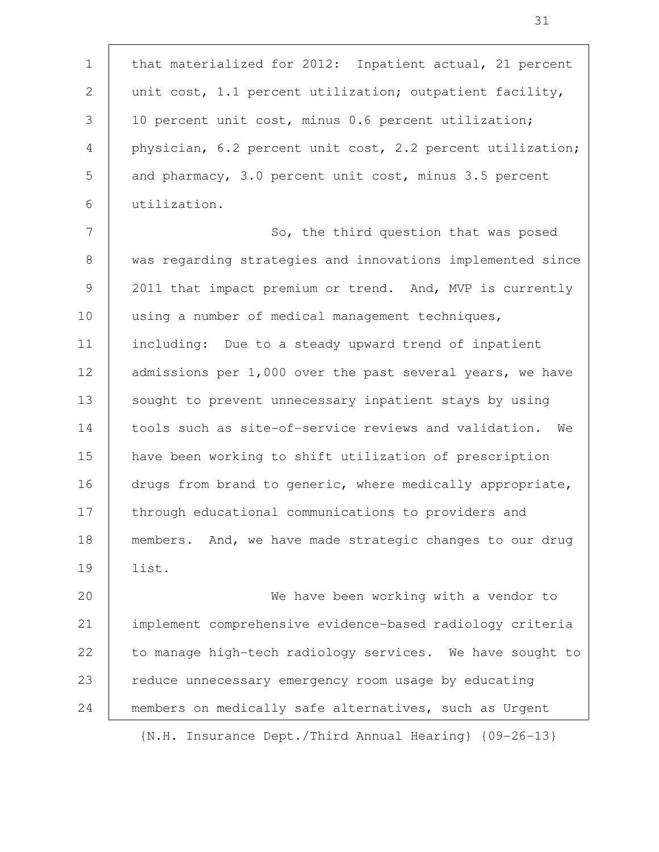that materialized for 2012: Inpatient actual, 21 percent unit cost, 1.1 percent utilization; outpatient facility, 10 percent unit cost, minus 0.6 percent utilization; physician, 6.2 percent unit cost, 2.2 percent utilization; and pharmacy, 3.0 percent unit cost, minus 3.5 percent utilization. So, the third question that was posed was regarding strategies and innovations implemented since 2011 that impact premium or trend. And, MVP is currently using a number of medical management techniques, including: Due to a steady upward trend of inpatient admissions per 1,000 over the past several years, we have sought to prevent unnecessary inpatient stays by using tools such as site-of-service reviews and validation. We have been working to shift utilization of prescription drugs from brand to generic, where medically appropriate, through educational communications to providers and members. And, we have made strategic changes to our drug list. We have been working with a vendor to implement comprehensive evidence-based radiology criteria to manage high-tech radiology services. We have sought to reduce unnecessary emergency room usage by educating 1 2 3 4 5 6 7 8 9 10 11 12 13 14 15 16 17 18 19 20 21 22 23

{N.H. Insurance Dept./Third Annual Hearing} {09-26-13}

members on medically safe alternatives, such as Urgent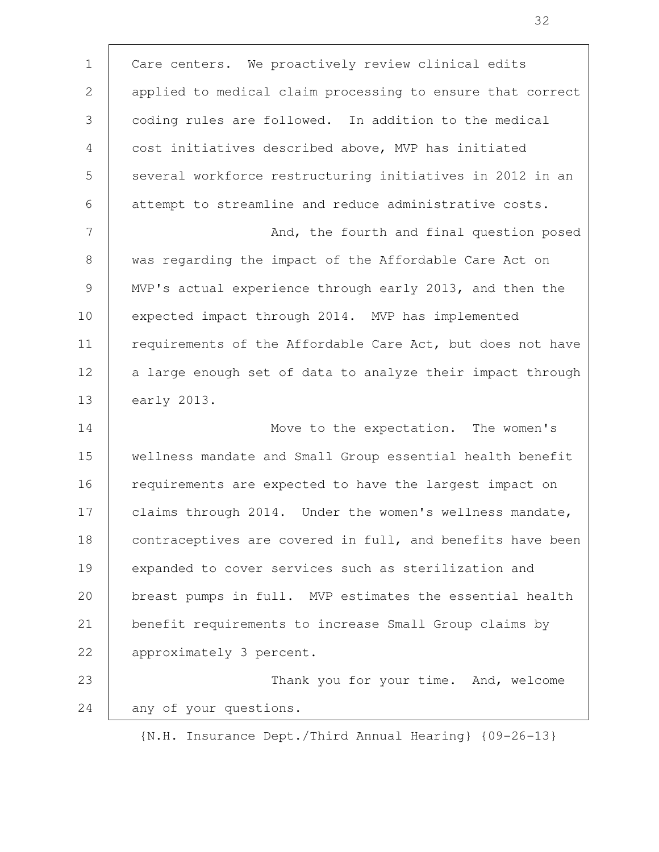Care centers. We proactively review clinical edits applied to medical claim processing to ensure that correct coding rules are followed. In addition to the medical cost initiatives described above, MVP has initiated several workforce restructuring initiatives in 2012 in an attempt to streamline and reduce administrative costs. And, the fourth and final question posed was regarding the impact of the Affordable Care Act on MVP's actual experience through early 2013, and then the expected impact through 2014. MVP has implemented requirements of the Affordable Care Act, but does not have a large enough set of data to analyze their impact through early 2013. Move to the expectation. The women's wellness mandate and Small Group essential health benefit requirements are expected to have the largest impact on claims through 2014. Under the women's wellness mandate, contraceptives are covered in full, and benefits have been expanded to cover services such as sterilization and breast pumps in full. MVP estimates the essential health benefit requirements to increase Small Group claims by approximately 3 percent. Thank you for your time. And, welcome any of your questions. 1 2 3 4 5 6 7 8 9 10 11 12 13 14 15 16 17 18 19 20 21 22 23 24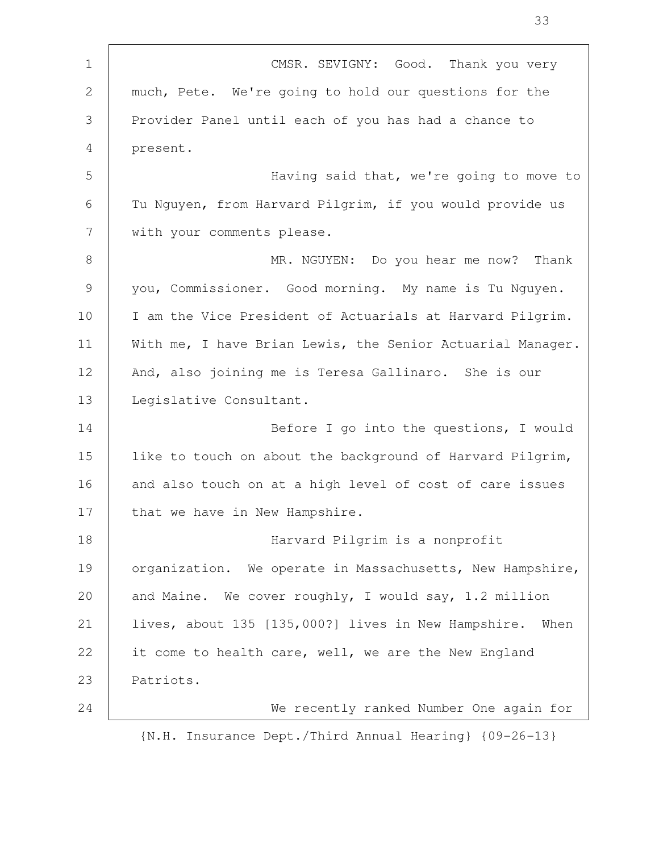| $\mathbf{1}$   | CMSR. SEVIGNY: Good. Thank you very                         |
|----------------|-------------------------------------------------------------|
| $\overline{2}$ | much, Pete. We're going to hold our questions for the       |
| 3              | Provider Panel until each of you has had a chance to        |
| $\overline{4}$ | present.                                                    |
| 5              | Having said that, we're going to move to                    |
| 6              | Tu Nguyen, from Harvard Pilgrim, if you would provide us    |
| 7              | with your comments please.                                  |
| 8              | MR. NGUYEN: Do you hear me now? Thank                       |
| 9              | you, Commissioner. Good morning. My name is Tu Nguyen.      |
| 10             | I am the Vice President of Actuarials at Harvard Pilgrim.   |
| 11             | With me, I have Brian Lewis, the Senior Actuarial Manager.  |
| 12             | And, also joining me is Teresa Gallinaro. She is our        |
| 13             | Legislative Consultant.                                     |
| 14             | Before I go into the questions, I would                     |
| 15             | like to touch on about the background of Harvard Pilgrim,   |
| 16             | and also touch on at a high level of cost of care issues    |
| 17             | that we have in New Hampshire.                              |
| 18             | Harvard Pilgrim is a nonprofit                              |
| 19             | organization. We operate in Massachusetts, New Hampshire,   |
| 20             | and Maine. We cover roughly, I would say, 1.2 million       |
| 21             | lives, about 135 [135,000?] lives in New Hampshire.<br>When |
| 22             | it come to health care, well, we are the New England        |
| 23             | Patriots.                                                   |
| 24             | We recently ranked Number One again for                     |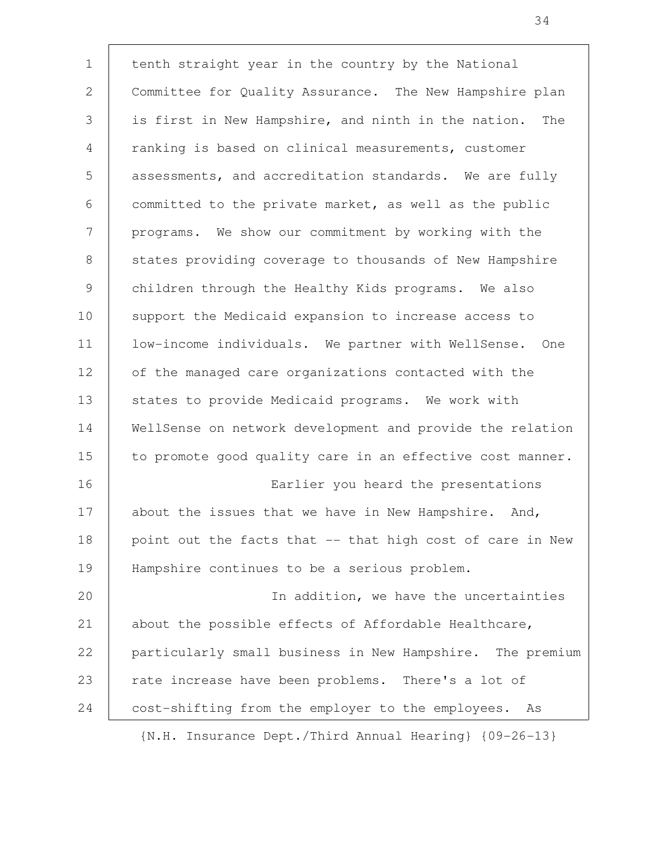tenth straight year in the country by the National Committee for Quality Assurance. The New Hampshire plan is first in New Hampshire, and ninth in the nation. The ranking is based on clinical measurements, customer assessments, and accreditation standards. We are fully committed to the private market, as well as the public programs. We show our commitment by working with the states providing coverage to thousands of New Hampshire children through the Healthy Kids programs. We also support the Medicaid expansion to increase access to low-income individuals. We partner with WellSense. One of the managed care organizations contacted with the states to provide Medicaid programs. We work with WellSense on network development and provide the relation to promote good quality care in an effective cost manner. Earlier you heard the presentations about the issues that we have in New Hampshire. And, point out the facts that -- that high cost of care in New Hampshire continues to be a serious problem. In addition, we have the uncertainties about the possible effects of Affordable Healthcare, particularly small business in New Hampshire. The premium rate increase have been problems. There's a lot of cost-shifting from the employer to the employees. As 1 2 3 4 5 6 7 8 9 10 11 12 13 14 15 16 17 18 19 20 21 22 23 24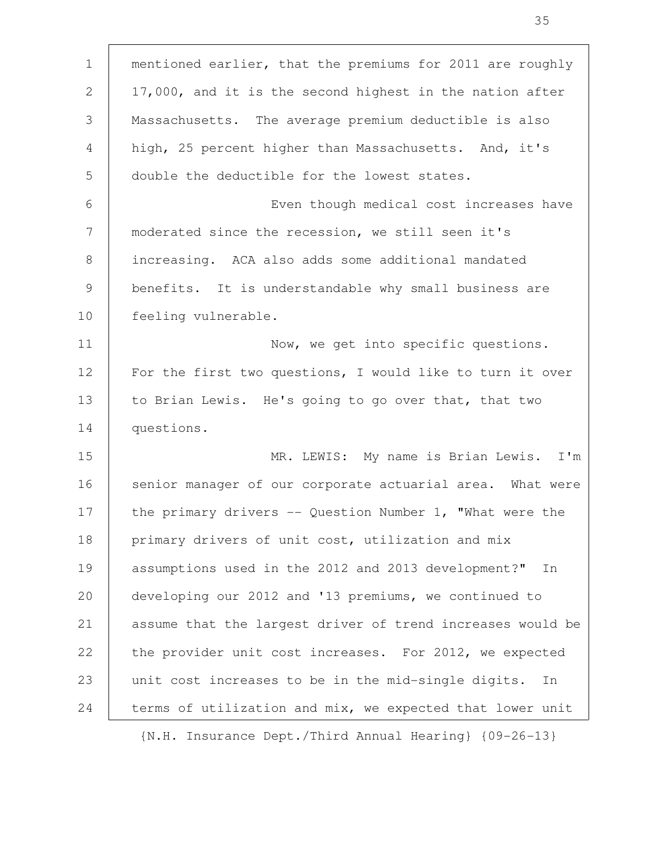| $\mathbf{1}$   | mentioned earlier, that the premiums for 2011 are roughly  |
|----------------|------------------------------------------------------------|
| 2              | 17,000, and it is the second highest in the nation after   |
| 3              | Massachusetts. The average premium deductible is also      |
| 4              | high, 25 percent higher than Massachusetts. And, it's      |
| 5              | double the deductible for the lowest states.               |
| 6              | Even though medical cost increases have                    |
| 7              | moderated since the recession, we still seen it's          |
| 8              | increasing. ACA also adds some additional mandated         |
| $\overline{9}$ | benefits. It is understandable why small business are      |
| 10             | feeling vulnerable.                                        |
| 11             | Now, we get into specific questions.                       |
| 12             | For the first two questions, I would like to turn it over  |
| 13             | to Brian Lewis. He's going to go over that, that two       |
| 14             | questions.                                                 |
| 15             | MR. LEWIS: My name is Brian Lewis. I'm                     |
| 16             | senior manager of our corporate actuarial area. What were  |
| 17             | the primary drivers $-$ Question Number 1, "What were the  |
| 18             | primary drivers of unit cost, utilization and mix          |
| 19             | assumptions used in the 2012 and 2013 development?"<br>In  |
| 20             | developing our 2012 and '13 premiums, we continued to      |
| 21             | assume that the largest driver of trend increases would be |
| 22             | the provider unit cost increases. For 2012, we expected    |
| 23             | unit cost increases to be in the mid-single digits.<br>In  |
| 24             | terms of utilization and mix, we expected that lower unit  |
|                |                                                            |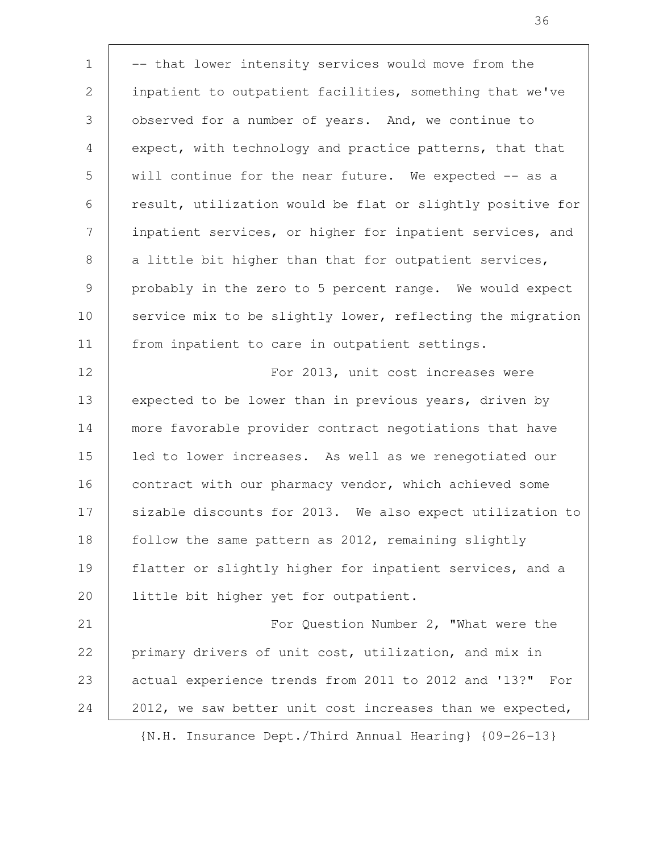-- that lower intensity services would move from the inpatient to outpatient facilities, something that we've observed for a number of years. And, we continue to expect, with technology and practice patterns, that that will continue for the near future. We expected -- as a result, utilization would be flat or slightly positive for inpatient services, or higher for inpatient services, and a little bit higher than that for outpatient services, probably in the zero to 5 percent range. We would expect service mix to be slightly lower, reflecting the migration from inpatient to care in outpatient settings. For 2013, unit cost increases were expected to be lower than in previous years, driven by more favorable provider contract negotiations that have led to lower increases. As well as we renegotiated our contract with our pharmacy vendor, which achieved some sizable discounts for 2013. We also expect utilization to follow the same pattern as 2012, remaining slightly flatter or slightly higher for inpatient services, and a little bit higher yet for outpatient. For Question Number 2, "What were the primary drivers of unit cost, utilization, and mix in actual experience trends from 2011 to 2012 and '13?" For 2012, we saw better unit cost increases than we expected, 1 2 3 4 5 6 7 8 9 10 11 12 13 14 15 16 17 18 19 20 21 22 23 24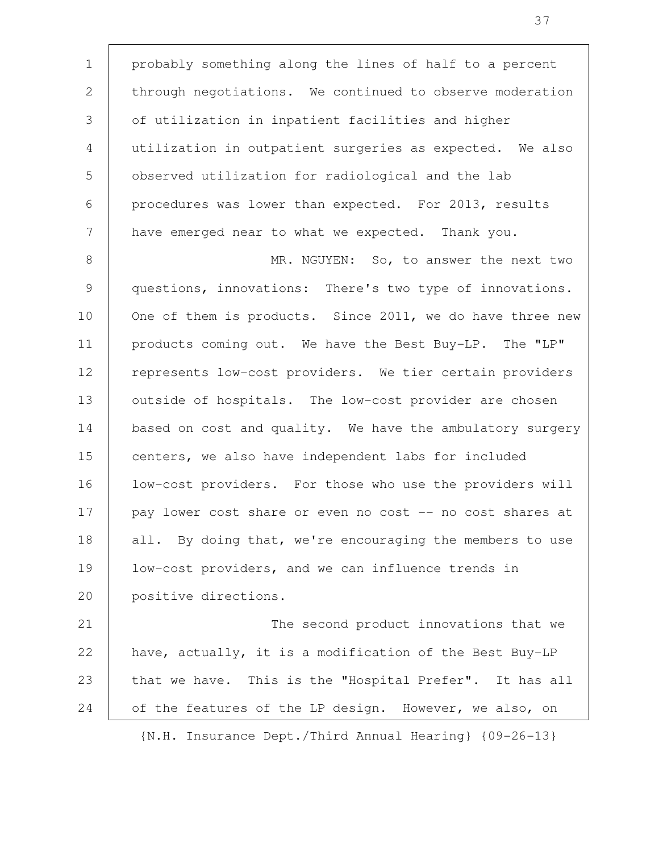probably something along the lines of half to a percent through negotiations. We continued to observe moderation of utilization in inpatient facilities and higher utilization in outpatient surgeries as expected. We also observed utilization for radiological and the lab procedures was lower than expected. For 2013, results have emerged near to what we expected. Thank you. MR. NGUYEN: So, to answer the next two questions, innovations: There's two type of innovations. One of them is products. Since 2011, we do have three new products coming out. We have the Best Buy-LP. The "LP" represents low-cost providers. We tier certain providers outside of hospitals. The low-cost provider are chosen based on cost and quality. We have the ambulatory surgery centers, we also have independent labs for included low-cost providers. For those who use the providers will pay lower cost share or even no cost -- no cost shares at all. By doing that, we're encouraging the members to use low-cost providers, and we can influence trends in positive directions. The second product innovations that we have, actually, it is a modification of the Best Buy-LP that we have. This is the "Hospital Prefer". It has all of the features of the LP design. However, we also, on 1 2 3 4 5 6 7 8 9 10 11 12 13 14 15 16 17 18 19 20 21 22 23 24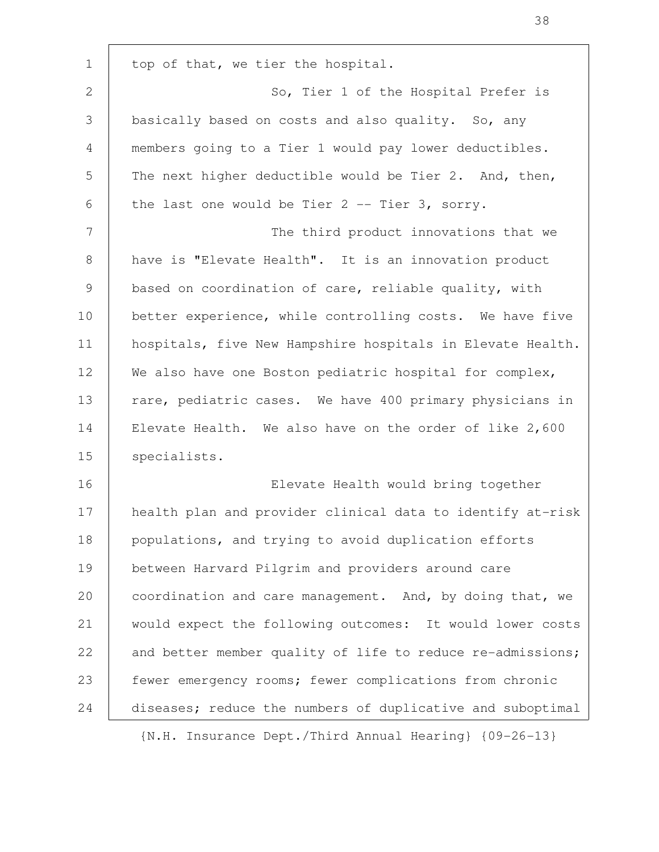top of that, we tier the hospital. So, Tier 1 of the Hospital Prefer is basically based on costs and also quality. So, any members going to a Tier 1 would pay lower deductibles. The next higher deductible would be Tier 2. And, then, the last one would be Tier 2 -- Tier 3, sorry. The third product innovations that we have is "Elevate Health". It is an innovation product based on coordination of care, reliable quality, with better experience, while controlling costs. We have five hospitals, five New Hampshire hospitals in Elevate Health. We also have one Boston pediatric hospital for complex, rare, pediatric cases. We have 400 primary physicians in Elevate Health. We also have on the order of like 2,600 specialists. Elevate Health would bring together health plan and provider clinical data to identify at-risk populations, and trying to avoid duplication efforts between Harvard Pilgrim and providers around care coordination and care management. And, by doing that, we would expect the following outcomes: It would lower costs and better member quality of life to reduce re-admissions; fewer emergency rooms; fewer complications from chronic diseases; reduce the numbers of duplicative and suboptimal 1 2 3 4 5 6 7 8 9 10 11 12 13 14 15 16 17 18 19 20 21 22 23 24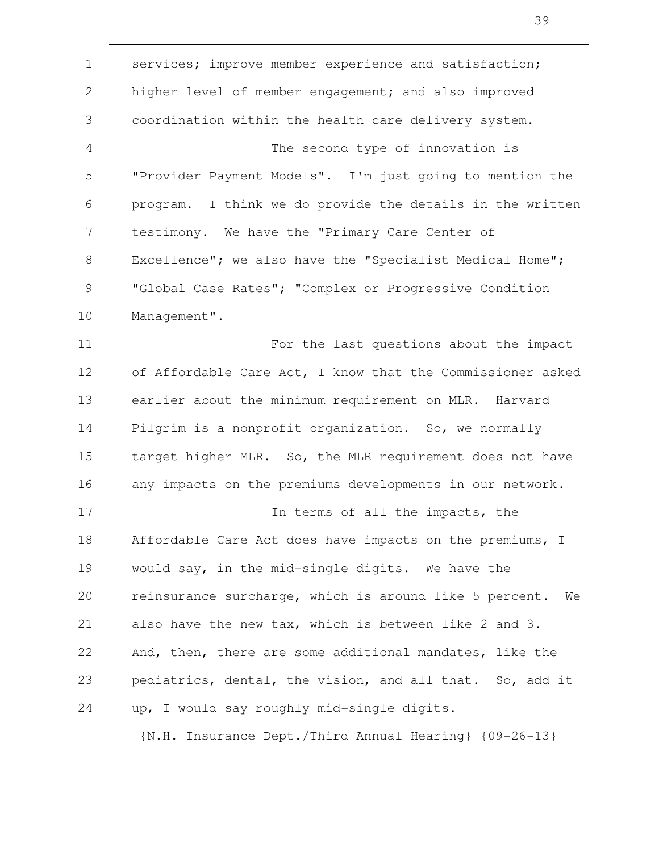| $\mathbf 1$ | services; improve member experience and satisfaction;        |
|-------------|--------------------------------------------------------------|
| 2           | higher level of member engagement; and also improved         |
| 3           | coordination within the health care delivery system.         |
| 4           | The second type of innovation is                             |
| 5           | "Provider Payment Models". I'm just going to mention the     |
| 6           | program. I think we do provide the details in the written    |
| 7           | testimony. We have the "Primary Care Center of               |
| 8           | Excellence"; we also have the "Specialist Medical Home";     |
| 9           | "Global Case Rates"; "Complex or Progressive Condition       |
| 10          | Management".                                                 |
| 11          | For the last questions about the impact                      |
| 12          | of Affordable Care Act, I know that the Commissioner asked   |
| 13          | earlier about the minimum requirement on MLR. Harvard        |
| 14          | Pilgrim is a nonprofit organization. So, we normally         |
| 15          | target higher MLR. So, the MLR requirement does not have     |
| 16          | any impacts on the premiums developments in our network.     |
| 17          | In terms of all the impacts, the                             |
| 18          | Affordable Care Act does have impacts on the premiums, I     |
| 19          | would say, in the mid-single digits. We have the             |
| 20          | reinsurance surcharge, which is around like 5 percent.<br>We |
| 21          | also have the new tax, which is between like 2 and 3.        |
| 22          | And, then, there are some additional mandates, like the      |
| 23          | pediatrics, dental, the vision, and all that. So, add it     |
| 24          | up, I would say roughly mid-single digits.                   |
|             |                                                              |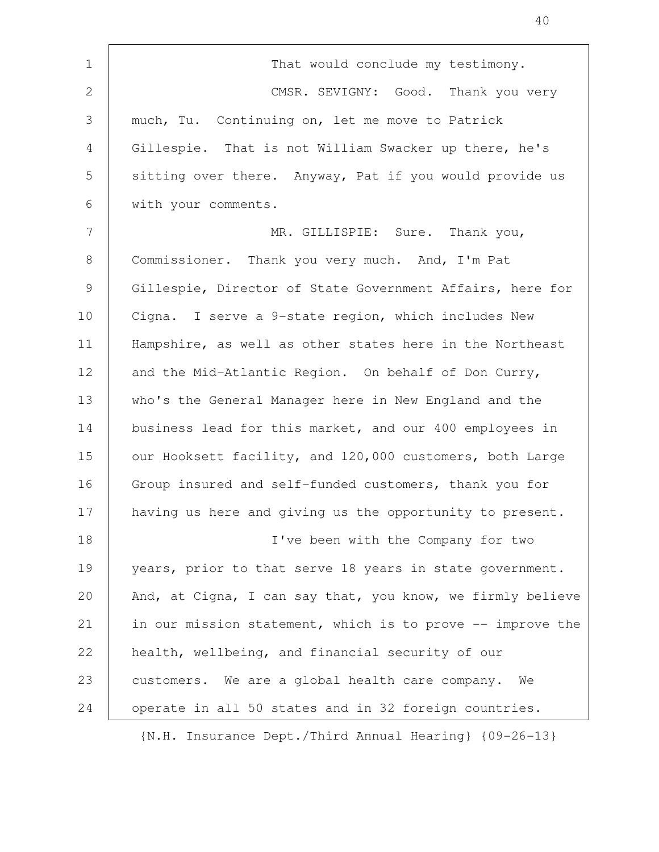| $\mathbf 1$  | That would conclude my testimony.                          |
|--------------|------------------------------------------------------------|
| $\mathbf{2}$ | CMSR. SEVIGNY: Good. Thank you very                        |
| 3            | much, Tu. Continuing on, let me move to Patrick            |
| 4            | Gillespie. That is not William Swacker up there, he's      |
| 5            | sitting over there. Anyway, Pat if you would provide us    |
| 6            | with your comments.                                        |
| 7            | MR. GILLISPIE: Sure. Thank you,                            |
| 8            | Commissioner. Thank you very much. And, I'm Pat            |
| 9            | Gillespie, Director of State Government Affairs, here for  |
| 10           | Cigna. I serve a 9-state region, which includes New        |
| 11           | Hampshire, as well as other states here in the Northeast   |
| 12           | and the Mid-Atlantic Region. On behalf of Don Curry,       |
| 13           | who's the General Manager here in New England and the      |
| 14           | business lead for this market, and our 400 employees in    |
| 15           | our Hooksett facility, and 120,000 customers, both Large   |
| 16           | Group insured and self-funded customers, thank you for     |
| 17           | having us here and giving us the opportunity to present.   |
| 18           | I've been with the Company for two                         |
| 19           | years, prior to that serve 18 years in state government.   |
| 20           | And, at Cigna, I can say that, you know, we firmly believe |
| 21           | in our mission statement, which is to prove -- improve the |
| 22           | health, wellbeing, and financial security of our           |
| 23           | customers. We are a global health care company.<br>We      |
| 24           | operate in all 50 states and in 32 foreign countries.      |
|              |                                                            |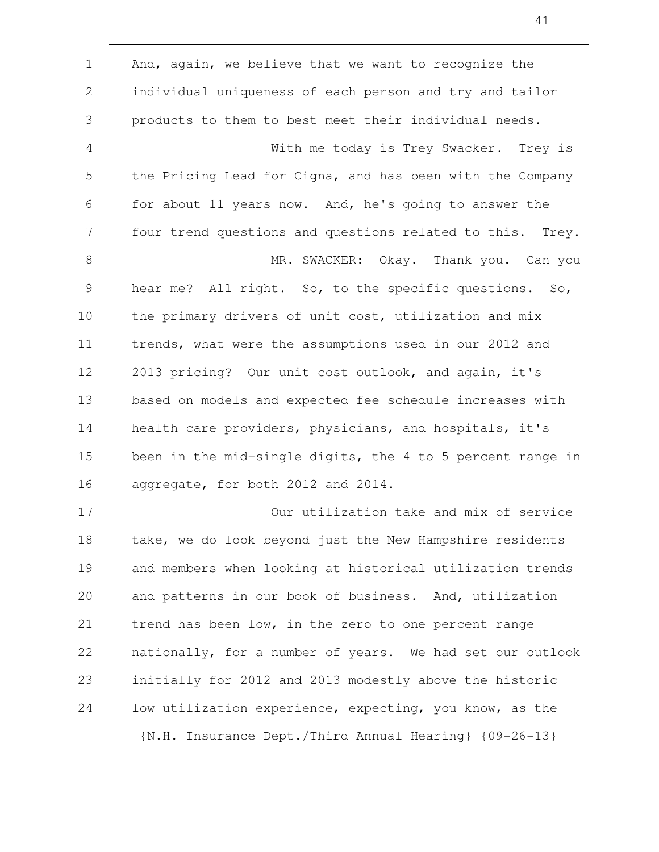| $\mathbf 1$ | And, again, we believe that we want to recognize the       |
|-------------|------------------------------------------------------------|
| 2           | individual uniqueness of each person and try and tailor    |
| 3           | products to them to best meet their individual needs.      |
| 4           | With me today is Trey Swacker. Trey is                     |
| 5           | the Pricing Lead for Cigna, and has been with the Company  |
| 6           | for about 11 years now. And, he's going to answer the      |
| 7           | four trend questions and questions related to this. Trey.  |
| 8           | MR. SWACKER: Okay. Thank you. Can you                      |
| 9           | hear me? All right. So, to the specific questions. So,     |
| 10          | the primary drivers of unit cost, utilization and mix      |
| 11          | trends, what were the assumptions used in our 2012 and     |
| 12          | 2013 pricing? Our unit cost outlook, and again, it's       |
| 13          | based on models and expected fee schedule increases with   |
| 14          | health care providers, physicians, and hospitals, it's     |
| 15          | been in the mid-single digits, the 4 to 5 percent range in |
| 16          | aggregate, for both 2012 and 2014.                         |
| 17          | Our utilization take and mix of service                    |
| 18          | take, we do look beyond just the New Hampshire residents   |
| 19          | and members when looking at historical utilization trends  |
| 20          | and patterns in our book of business. And, utilization     |
| 21          | trend has been low, in the zero to one percent range       |
| 22          | nationally, for a number of years. We had set our outlook  |
| 23          | initially for 2012 and 2013 modestly above the historic    |
| 24          | low utilization experience, expecting, you know, as the    |
|             |                                                            |

 $\Gamma$ 

{N.H. Insurance Dept./Third Annual Hearing} {09-26-13}

41

Ĕ.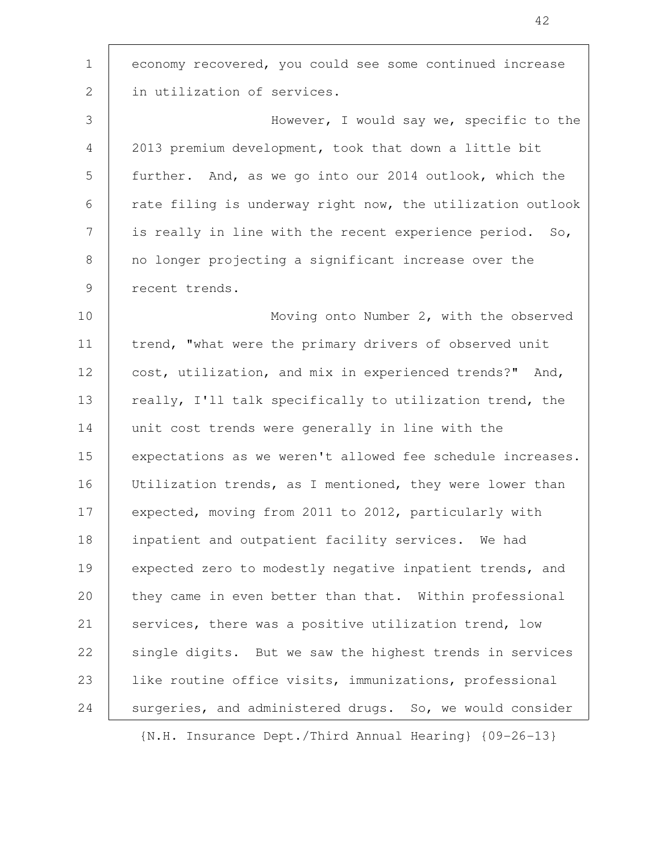economy recovered, you could see some continued increase in utilization of services. 1 2

However, I would say we, specific to the 2013 premium development, took that down a little bit further. And, as we go into our 2014 outlook, which the rate filing is underway right now, the utilization outlook is really in line with the recent experience period. So, no longer projecting a significant increase over the recent trends. 3 4 5 6 7 8 9

Moving onto Number 2, with the observed trend, "what were the primary drivers of observed unit cost, utilization, and mix in experienced trends?" And, really, I'll talk specifically to utilization trend, the unit cost trends were generally in line with the expectations as we weren't allowed fee schedule increases. Utilization trends, as I mentioned, they were lower than expected, moving from 2011 to 2012, particularly with inpatient and outpatient facility services. We had expected zero to modestly negative inpatient trends, and they came in even better than that. Within professional services, there was a positive utilization trend, low single digits. But we saw the highest trends in services like routine office visits, immunizations, professional surgeries, and administered drugs. So, we would consider 10 11 12 13 14 15 16 17 18 19 20 21 22 23 24

{N.H. Insurance Dept./Third Annual Hearing} {09-26-13}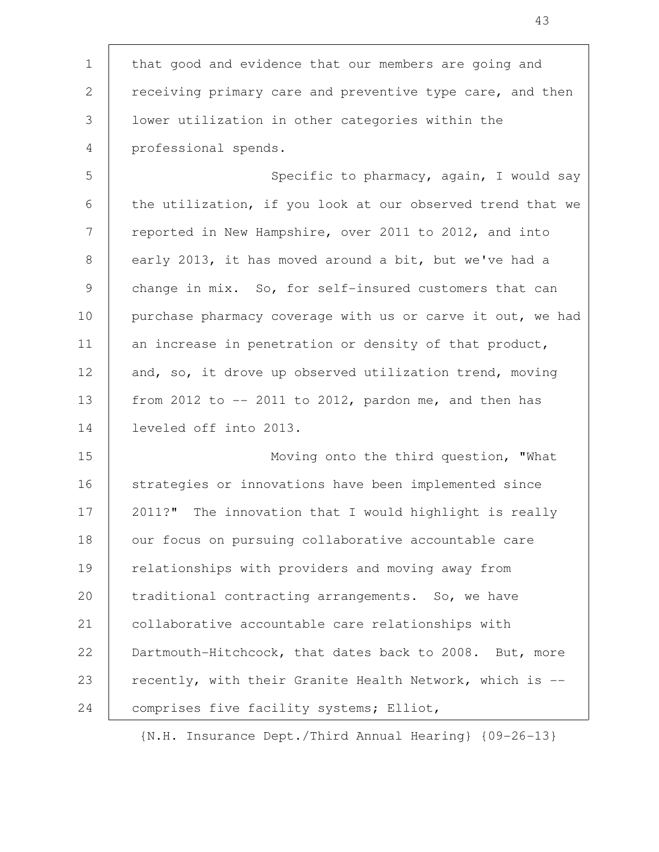that good and evidence that our members are going and receiving primary care and preventive type care, and then lower utilization in other categories within the professional spends. 1 2 3 4

Specific to pharmacy, again, I would say the utilization, if you look at our observed trend that we reported in New Hampshire, over 2011 to 2012, and into early 2013, it has moved around a bit, but we've had a change in mix. So, for self-insured customers that can purchase pharmacy coverage with us or carve it out, we had an increase in penetration or density of that product, and, so, it drove up observed utilization trend, moving from 2012 to  $-$ - 2011 to 2012, pardon me, and then has leveled off into 2013. 5 6 7 8 9 10 11 12 13 14

Moving onto the third question, "What strategies or innovations have been implemented since 2011?" The innovation that I would highlight is really our focus on pursuing collaborative accountable care relationships with providers and moving away from traditional contracting arrangements. So, we have collaborative accountable care relationships with Dartmouth-Hitchcock, that dates back to 2008. But, more recently, with their Granite Health Network, which is - comprises five facility systems; Elliot, 15 16 17 18 19 20 21 22 23 24

{N.H. Insurance Dept./Third Annual Hearing} {09-26-13}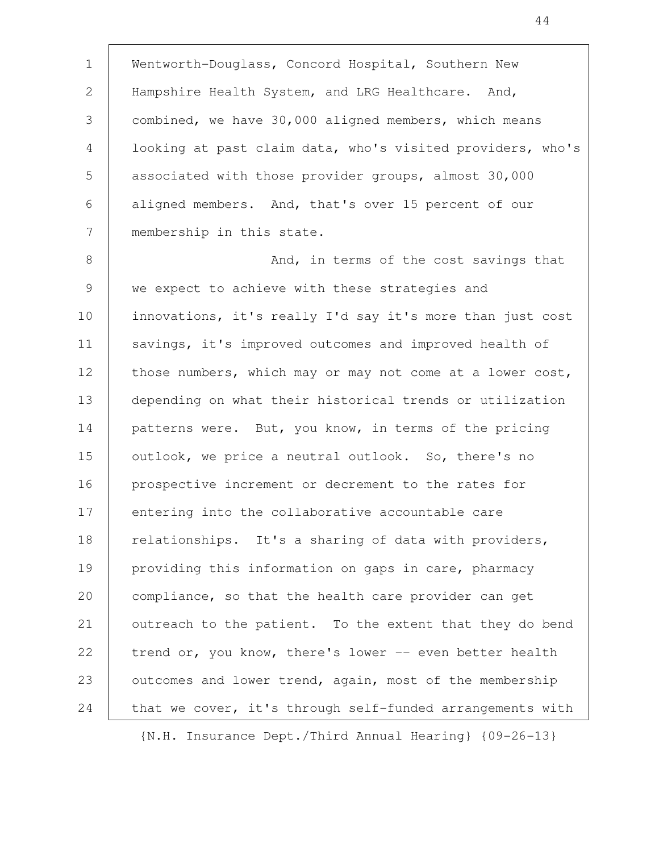Wentworth-Douglass, Concord Hospital, Southern New Hampshire Health System, and LRG Healthcare. And, combined, we have 30,000 aligned members, which means looking at past claim data, who's visited providers, who's associated with those provider groups, almost 30,000 aligned members. And, that's over 15 percent of our membership in this state. And, in terms of the cost savings that we expect to achieve with these strategies and innovations, it's really I'd say it's more than just cost savings, it's improved outcomes and improved health of those numbers, which may or may not come at a lower cost, depending on what their historical trends or utilization patterns were. But, you know, in terms of the pricing outlook, we price a neutral outlook. So, there's no prospective increment or decrement to the rates for entering into the collaborative accountable care relationships. It's a sharing of data with providers, providing this information on gaps in care, pharmacy compliance, so that the health care provider can get outreach to the patient. To the extent that they do bend trend or, you know, there's lower -- even better health outcomes and lower trend, again, most of the membership that we cover, it's through self-funded arrangements with 1 2 3 4 5 6 7 8 9 10 11 12 13 14 15 16 17 18 19 20 21 22 23 24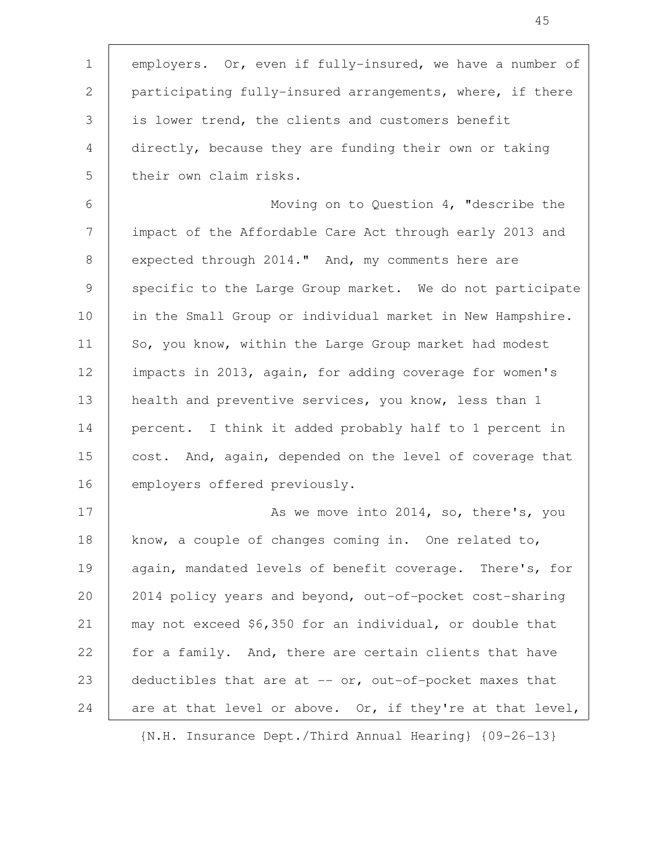employers. Or, even if fully-insured, we have a number of participating fully-insured arrangements, where, if there is lower trend, the clients and customers benefit directly, because they are funding their own or taking their own claim risks. Moving on to Question 4, "describe the impact of the Affordable Care Act through early 2013 and expected through 2014." And, my comments here are specific to the Large Group market. We do not participate in the Small Group or individual market in New Hampshire. So, you know, within the Large Group market had modest impacts in 2013, again, for adding coverage for women's health and preventive services, you know, less than 1 percent. I think it added probably half to 1 percent in cost. And, again, depended on the level of coverage that employers offered previously. As we move into 2014, so, there's, you know, a couple of changes coming in. One related to, again, mandated levels of benefit coverage. There's, for 2014 policy years and beyond, out-of-pocket cost-sharing may not exceed \$6,350 for an individual, or double that for a family. And, there are certain clients that have deductibles that are at  $--$  or, out-of-pocket maxes that are at that level or above. Or, if they're at that level, 1 2 3 4 5 6 7 8 9 10 11 12 13 14 15 16 17 18 19 20 21 22 23 24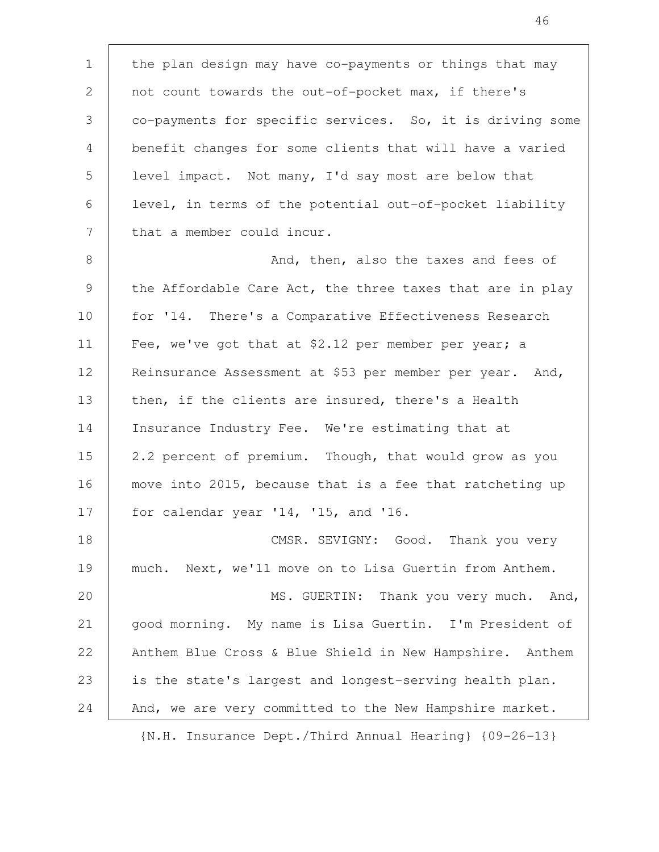the plan design may have co-payments or things that may not count towards the out-of-pocket max, if there's co-payments for specific services. So, it is driving some benefit changes for some clients that will have a varied level impact. Not many, I'd say most are below that level, in terms of the potential out-of-pocket liability that a member could incur. And, then, also the taxes and fees of the Affordable Care Act, the three taxes that are in play for '14. There's a Comparative Effectiveness Research Fee, we've got that at \$2.12 per member per year; a Reinsurance Assessment at \$53 per member per year. And, then, if the clients are insured, there's a Health Insurance Industry Fee. We're estimating that at 2.2 percent of premium. Though, that would grow as you move into 2015, because that is a fee that ratcheting up for calendar year '14, '15, and '16. CMSR. SEVIGNY: Good. Thank you very much. Next, we'll move on to Lisa Guertin from Anthem. MS. GUERTIN: Thank you very much. And, good morning. My name is Lisa Guertin. I'm President of Anthem Blue Cross & Blue Shield in New Hampshire. Anthem is the state's largest and longest-serving health plan. And, we are very committed to the New Hampshire market. 1 2 3 4 5 6 7 8 9 10 11 12 13 14 15 16 17 18 19 20 21 22 23 24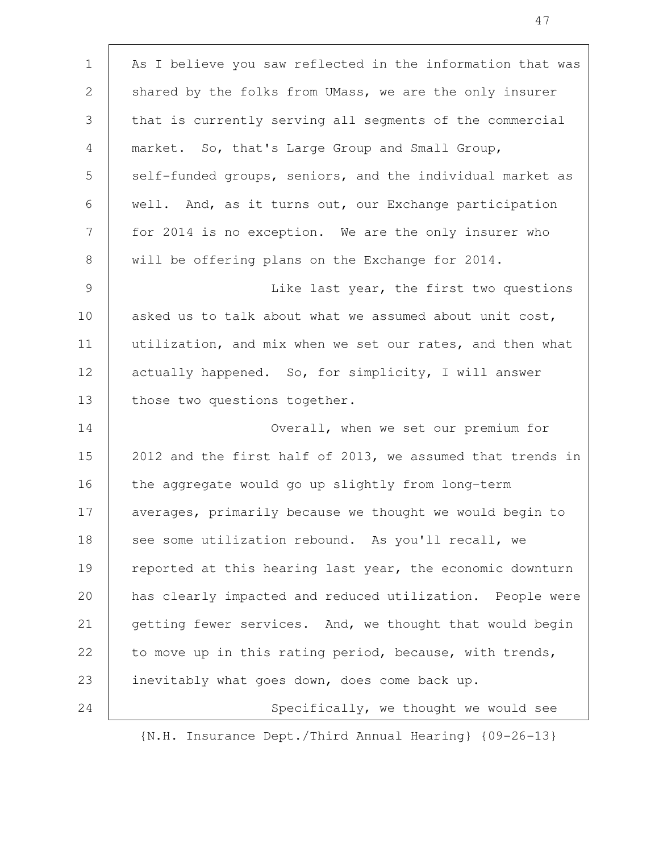As I believe you saw reflected in the information that was shared by the folks from UMass, we are the only insurer that is currently serving all segments of the commercial market. So, that's Large Group and Small Group, self-funded groups, seniors, and the individual market as well. And, as it turns out, our Exchange participation for 2014 is no exception. We are the only insurer who will be offering plans on the Exchange for 2014. Like last year, the first two questions asked us to talk about what we assumed about unit cost, utilization, and mix when we set our rates, and then what actually happened. So, for simplicity, I will answer those two questions together. Overall, when we set our premium for 2012 and the first half of 2013, we assumed that trends in the aggregate would go up slightly from long-term averages, primarily because we thought we would begin to see some utilization rebound. As you'll recall, we reported at this hearing last year, the economic downturn has clearly impacted and reduced utilization. People were getting fewer services. And, we thought that would begin to move up in this rating period, because, with trends, inevitably what goes down, does come back up. Specifically, we thought we would see 1 2 3 4 5 6 7 8 9 10 11 12 13 14 15 16 17 18 19 20 21 22 23 24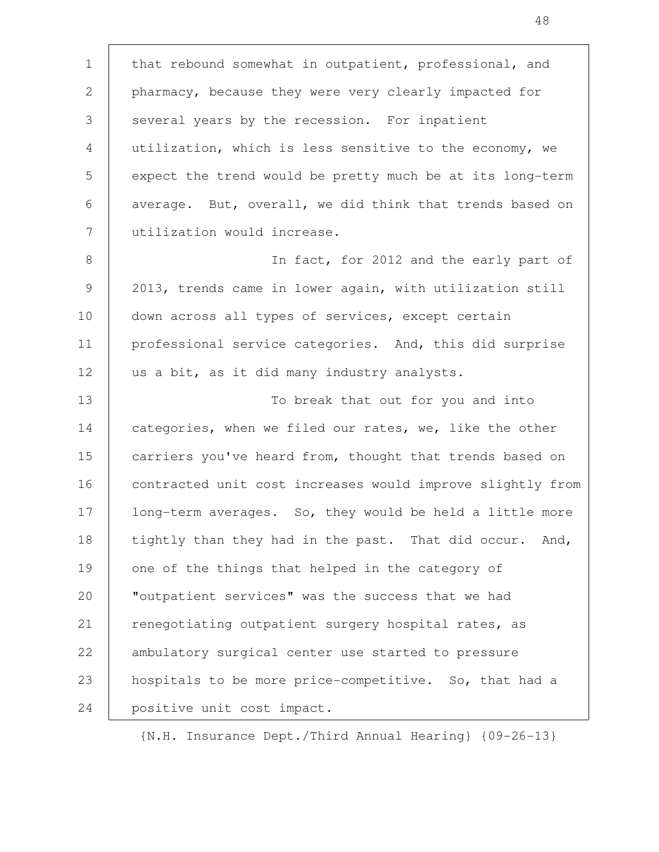that rebound somewhat in outpatient, professional, and pharmacy, because they were very clearly impacted for several years by the recession. For inpatient utilization, which is less sensitive to the economy, we expect the trend would be pretty much be at its long-term average. But, overall, we did think that trends based on utilization would increase. In fact, for 2012 and the early part of 2013, trends came in lower again, with utilization still down across all types of services, except certain professional service categories. And, this did surprise us a bit, as it did many industry analysts. To break that out for you and into categories, when we filed our rates, we, like the other carriers you've heard from, thought that trends based on contracted unit cost increases would improve slightly from long-term averages. So, they would be held a little more tightly than they had in the past. That did occur. And, one of the things that helped in the category of "outpatient services" was the success that we had renegotiating outpatient surgery hospital rates, as ambulatory surgical center use started to pressure hospitals to be more price-competitive. So, that had a positive unit cost impact. 1 2 3 4 5 6 7 8 9 10 11 12 13 14 15 16 17 18 19 20 21 22 23 24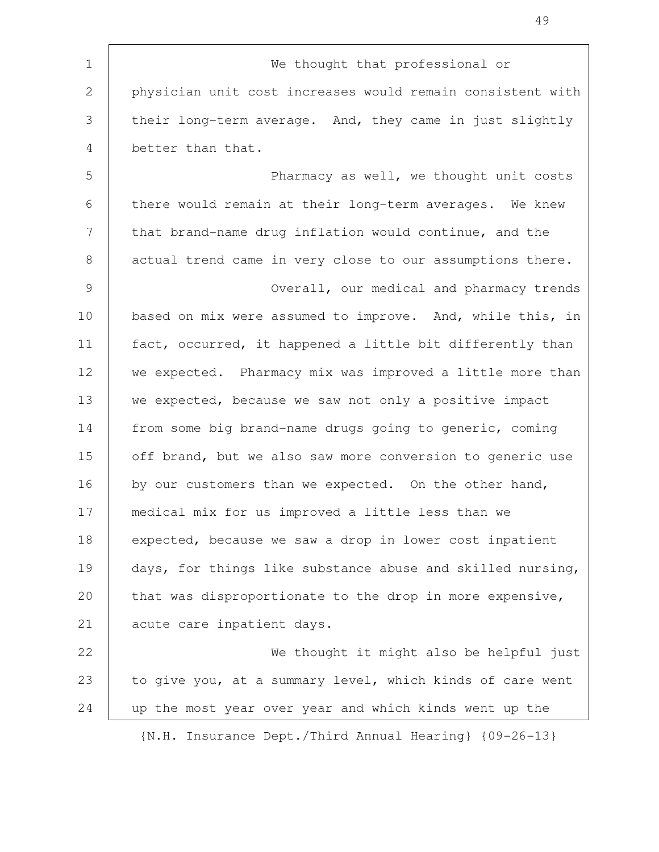We thought that professional or physician unit cost increases would remain consistent with their long-term average. And, they came in just slightly better than that. Pharmacy as well, we thought unit costs there would remain at their long-term averages. We knew that brand-name drug inflation would continue, and the actual trend came in very close to our assumptions there. Overall, our medical and pharmacy trends based on mix were assumed to improve. And, while this, in fact, occurred, it happened a little bit differently than we expected. Pharmacy mix was improved a little more than we expected, because we saw not only a positive impact from some big brand-name drugs going to generic, coming off brand, but we also saw more conversion to generic use by our customers than we expected. On the other hand, medical mix for us improved a little less than we expected, because we saw a drop in lower cost inpatient days, for things like substance abuse and skilled nursing, that was disproportionate to the drop in more expensive, acute care inpatient days. We thought it might also be helpful just to give you, at a summary level, which kinds of care went up the most year over year and which kinds went up the {N.H. Insurance Dept./Third Annual Hearing} {09-26-13} 1 2 3 4 5 6 7 8 9 10 11 12 13 14 15 16 17 18 19 20 21 22 23 24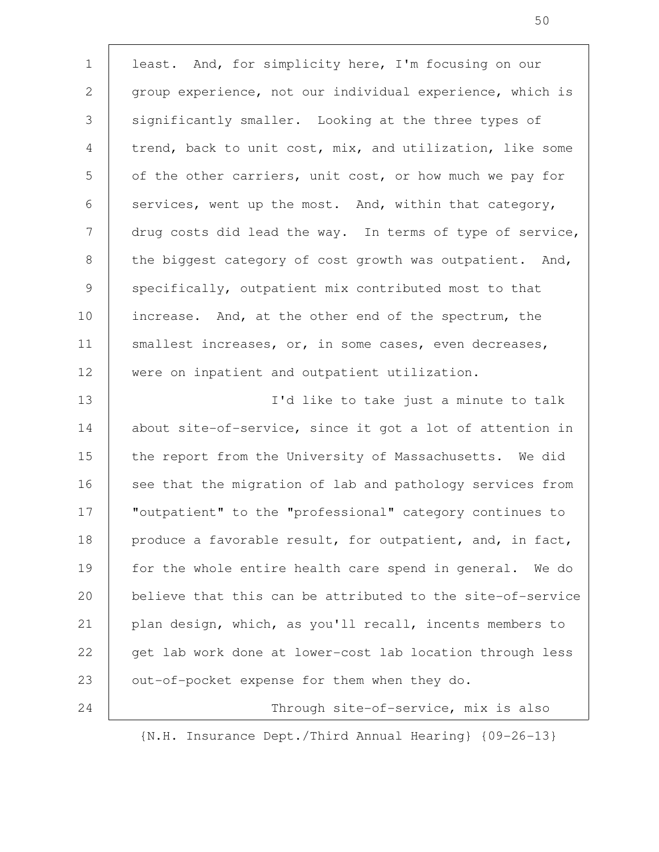least. And, for simplicity here, I'm focusing on our group experience, not our individual experience, which is significantly smaller. Looking at the three types of trend, back to unit cost, mix, and utilization, like some of the other carriers, unit cost, or how much we pay for services, went up the most. And, within that category, drug costs did lead the way. In terms of type of service, the biggest category of cost growth was outpatient. And, specifically, outpatient mix contributed most to that increase. And, at the other end of the spectrum, the smallest increases, or, in some cases, even decreases, were on inpatient and outpatient utilization. I'd like to take just a minute to talk about site-of-service, since it got a lot of attention in the report from the University of Massachusetts. We did see that the migration of lab and pathology services from "outpatient" to the "professional" category continues to produce a favorable result, for outpatient, and, in fact, for the whole entire health care spend in general. We do believe that this can be attributed to the site-of-service plan design, which, as you'll recall, incents members to get lab work done at lower-cost lab location through less out-of-pocket expense for them when they do. Through site-of-service, mix is also 1 2 3 4 5 6 7 8 9 10 11 12 13 14 15 16 17 18 19 20 21 22 23 24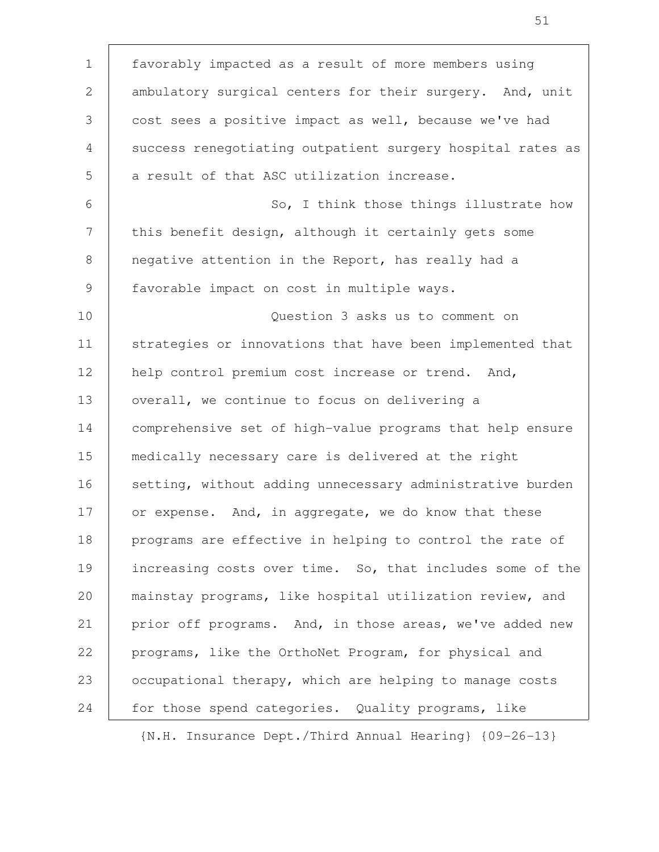| $\mathbf 1$ | favorably impacted as a result of more members using       |
|-------------|------------------------------------------------------------|
| 2           | ambulatory surgical centers for their surgery. And, unit   |
| 3           | cost sees a positive impact as well, because we've had     |
| 4           | success renegotiating outpatient surgery hospital rates as |
| 5           | a result of that ASC utilization increase.                 |
| 6           | So, I think those things illustrate how                    |
| 7           | this benefit design, although it certainly gets some       |
| 8           | negative attention in the Report, has really had a         |
| 9           | favorable impact on cost in multiple ways.                 |
| 10          | Question 3 asks us to comment on                           |
| 11          | strategies or innovations that have been implemented that  |
| 12          | help control premium cost increase or trend. And,          |
| 13          | overall, we continue to focus on delivering a              |
| 14          | comprehensive set of high-value programs that help ensure  |
| 15          | medically necessary care is delivered at the right         |
| 16          | setting, without adding unnecessary administrative burden  |
| 17          | or expense. And, in aggregate, we do know that these       |
| 18          | programs are effective in helping to control the rate of   |
| 19          | increasing costs over time. So, that includes some of the  |
| 20          | mainstay programs, like hospital utilization review, and   |
| 21          | prior off programs. And, in those areas, we've added new   |
| 22          | programs, like the OrthoNet Program, for physical and      |
| 23          | occupational therapy, which are helping to manage costs    |
| 24          | for those spend categories. Quality programs, like         |

 $\mathsf{T}$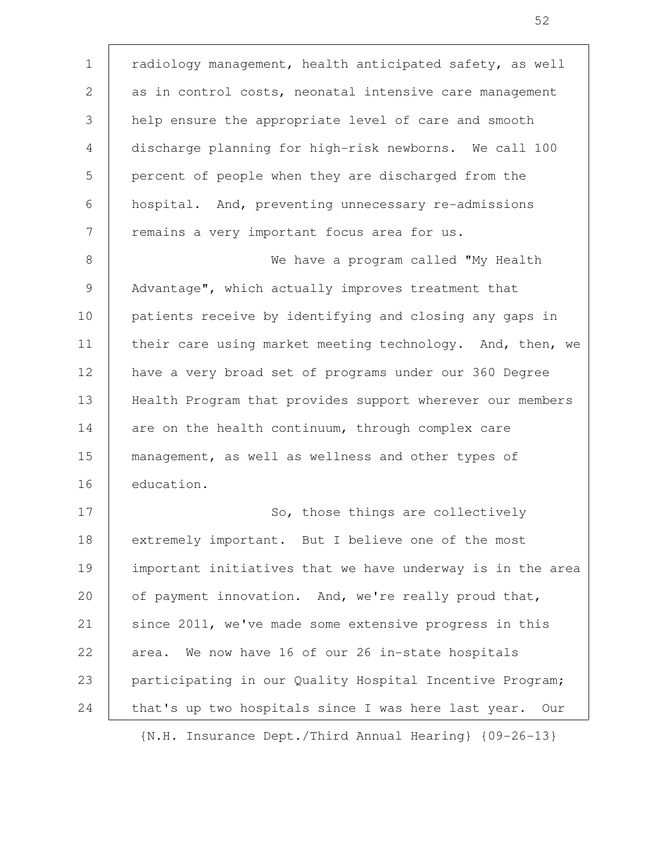radiology management, health anticipated safety, as well as in control costs, neonatal intensive care management help ensure the appropriate level of care and smooth discharge planning for high-risk newborns. We call 100 percent of people when they are discharged from the hospital. And, preventing unnecessary re-admissions remains a very important focus area for us. We have a program called "My Health Advantage", which actually improves treatment that patients receive by identifying and closing any gaps in their care using market meeting technology. And, then, we have a very broad set of programs under our 360 Degree Health Program that provides support wherever our members are on the health continuum, through complex care management, as well as wellness and other types of education. So, those things are collectively extremely important. But I believe one of the most important initiatives that we have underway is in the area of payment innovation. And, we're really proud that, since 2011, we've made some extensive progress in this area. We now have 16 of our 26 in-state hospitals participating in our Quality Hospital Incentive Program; that's up two hospitals since I was here last year. Our {N.H. Insurance Dept./Third Annual Hearing} {09-26-13} 1 2 3 4 5 6 7 8 9 10 11 12 13 14 15 16 17 18 19 20 21 22 23 24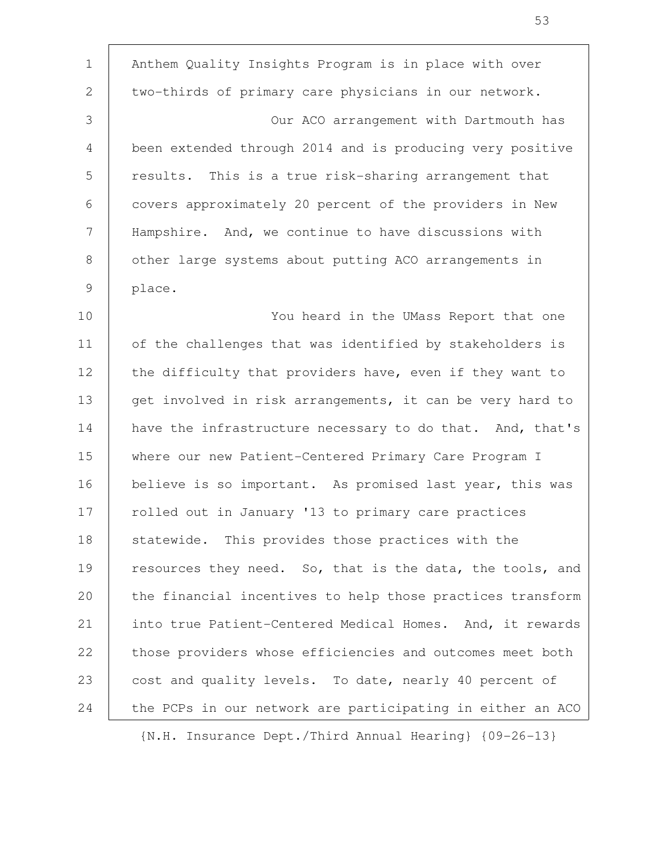Anthem Quality Insights Program is in place with over two-thirds of primary care physicians in our network. Our ACO arrangement with Dartmouth has been extended through 2014 and is producing very positive results. This is a true risk-sharing arrangement that covers approximately 20 percent of the providers in New Hampshire. And, we continue to have discussions with other large systems about putting ACO arrangements in place. You heard in the UMass Report that one of the challenges that was identified by stakeholders is the difficulty that providers have, even if they want to get involved in risk arrangements, it can be very hard to have the infrastructure necessary to do that. And, that's where our new Patient-Centered Primary Care Program I believe is so important. As promised last year, this was rolled out in January '13 to primary care practices statewide. This provides those practices with the resources they need. So, that is the data, the tools, and the financial incentives to help those practices transform into true Patient-Centered Medical Homes. And, it rewards those providers whose efficiencies and outcomes meet both cost and quality levels. To date, nearly 40 percent of the PCPs in our network are participating in either an ACO 1 2 3 4 5 6 7 8 9 10 11 12 13 14 15 16 17 18 19 20 21 22 23 24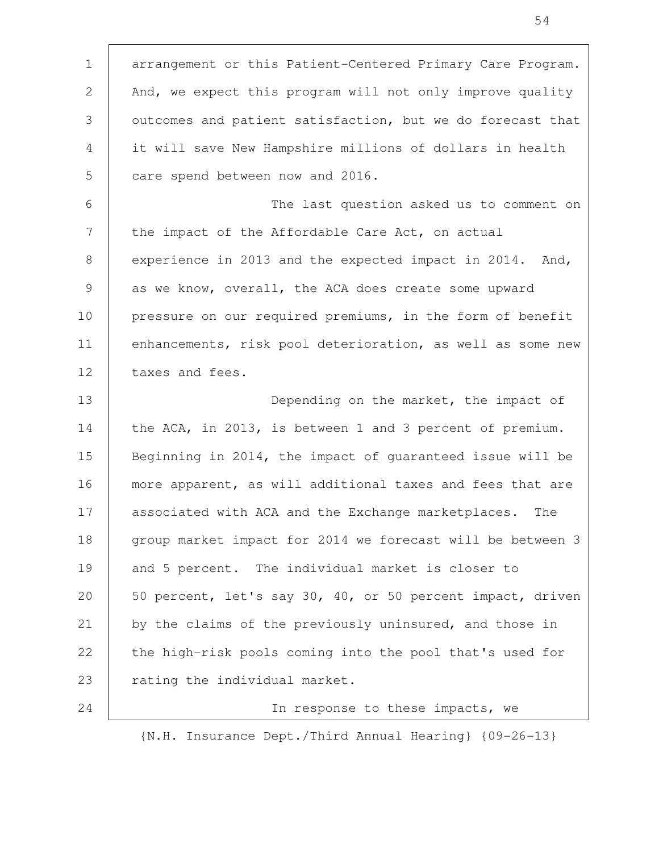arrangement or this Patient-Centered Primary Care Program. And, we expect this program will not only improve quality outcomes and patient satisfaction, but we do forecast that it will save New Hampshire millions of dollars in health care spend between now and 2016. The last question asked us to comment on the impact of the Affordable Care Act, on actual experience in 2013 and the expected impact in 2014. And, as we know, overall, the ACA does create some upward pressure on our required premiums, in the form of benefit enhancements, risk pool deterioration, as well as some new taxes and fees. Depending on the market, the impact of the ACA, in 2013, is between 1 and 3 percent of premium. Beginning in 2014, the impact of guaranteed issue will be more apparent, as will additional taxes and fees that are associated with ACA and the Exchange marketplaces. The group market impact for 2014 we forecast will be between 3 and 5 percent. The individual market is closer to 50 percent, let's say 30, 40, or 50 percent impact, driven by the claims of the previously uninsured, and those in the high-risk pools coming into the pool that's used for rating the individual market. In response to these impacts, we 1 2 3 4 5 6 7 8 9 10 11 12 13 14 15 16 17 18 19 20 21 22 23 24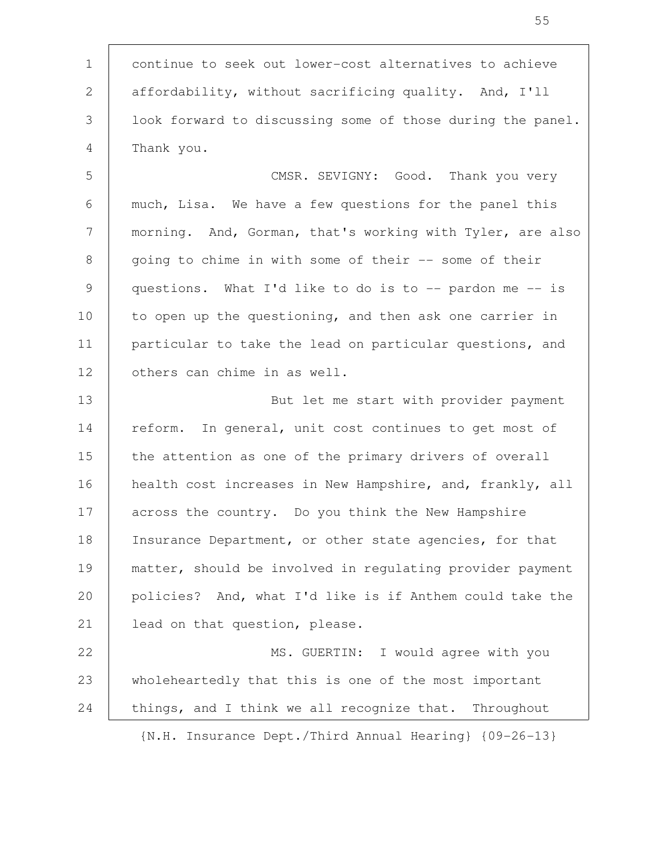continue to seek out lower-cost alternatives to achieve affordability, without sacrificing quality. And, I'll look forward to discussing some of those during the panel. Thank you. 1 2 3 4

CMSR. SEVIGNY: Good. Thank you very much, Lisa. We have a few questions for the panel this morning. And, Gorman, that's working with Tyler, are also going to chime in with some of their -- some of their questions. What I'd like to do is to  $-$ - pardon me  $-$ - is to open up the questioning, and then ask one carrier in particular to take the lead on particular questions, and others can chime in as well. 5 6 7 8 9 10 11 12

But let me start with provider payment reform. In general, unit cost continues to get most of the attention as one of the primary drivers of overall health cost increases in New Hampshire, and, frankly, all across the country. Do you think the New Hampshire Insurance Department, or other state agencies, for that matter, should be involved in regulating provider payment policies? And, what I'd like is if Anthem could take the lead on that question, please. 13 14 15 16 17 18 19 20 21

MS. GUERTIN: I would agree with you wholeheartedly that this is one of the most important things, and I think we all recognize that. Throughout 22 23 24

{N.H. Insurance Dept./Third Annual Hearing} {09-26-13}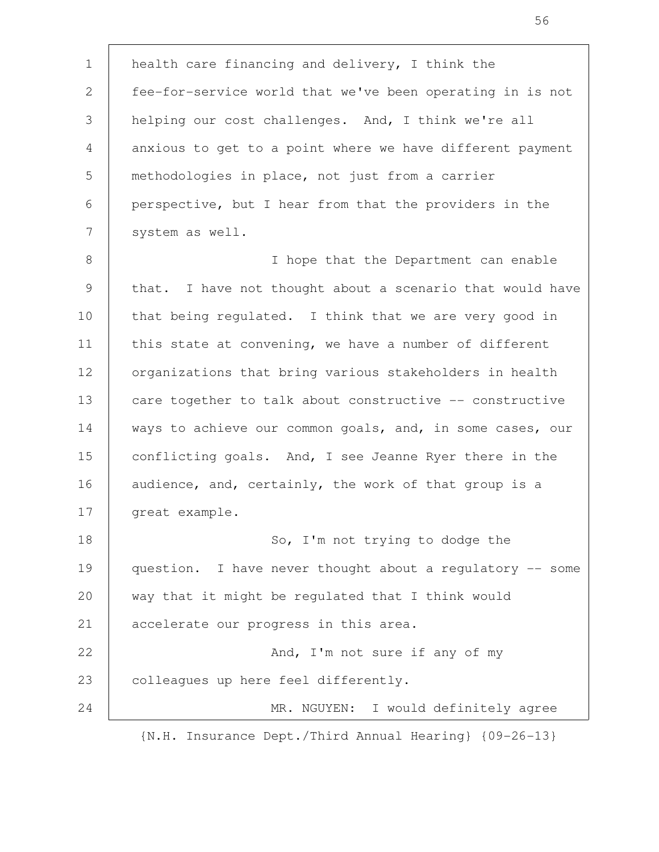health care financing and delivery, I think the fee-for-service world that we've been operating in is not helping our cost challenges. And, I think we're all anxious to get to a point where we have different payment methodologies in place, not just from a carrier perspective, but I hear from that the providers in the system as well. I hope that the Department can enable that. I have not thought about a scenario that would have that being regulated. I think that we are very good in this state at convening, we have a number of different organizations that bring various stakeholders in health care together to talk about constructive -- constructive ways to achieve our common goals, and, in some cases, our conflicting goals. And, I see Jeanne Ryer there in the audience, and, certainly, the work of that group is a great example. So, I'm not trying to dodge the question. I have never thought about a regulatory -- some way that it might be regulated that I think would accelerate our progress in this area. And, I'm not sure if any of my colleagues up here feel differently. MR. NGUYEN: I would definitely agree 1 2 3 4 5 6 7 8 9 10 11 12 13 14 15 16 17 18 19 20 21 22 23 24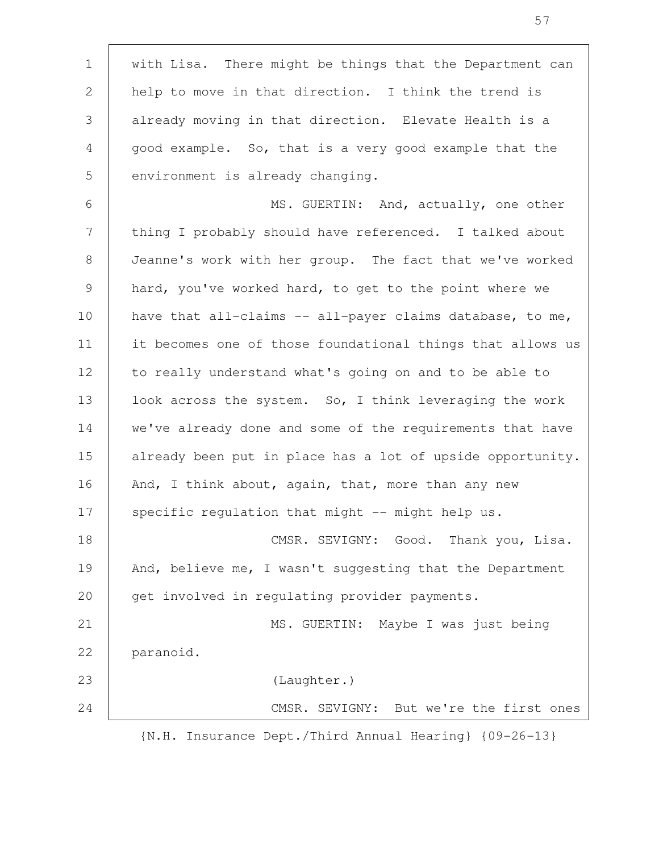with Lisa. There might be things that the Department can help to move in that direction. I think the trend is already moving in that direction. Elevate Health is a good example. So, that is a very good example that the environment is already changing. MS. GUERTIN: And, actually, one other thing I probably should have referenced. I talked about Jeanne's work with her group. The fact that we've worked hard, you've worked hard, to get to the point where we have that all-claims  $-$  all-payer claims database, to me, it becomes one of those foundational things that allows us to really understand what's going on and to be able to look across the system. So, I think leveraging the work we've already done and some of the requirements that have already been put in place has a lot of upside opportunity. And, I think about, again, that, more than any new specific regulation that might -- might help us. CMSR. SEVIGNY: Good. Thank you, Lisa. And, believe me, I wasn't suggesting that the Department get involved in regulating provider payments. MS. GUERTIN: Maybe I was just being paranoid. (Laughter.) CMSR. SEVIGNY: But we're the first ones 1 2 3 4 5 6 7 8 9 10 11 12 13 14 15 16 17 18 19 20 21 22 23 24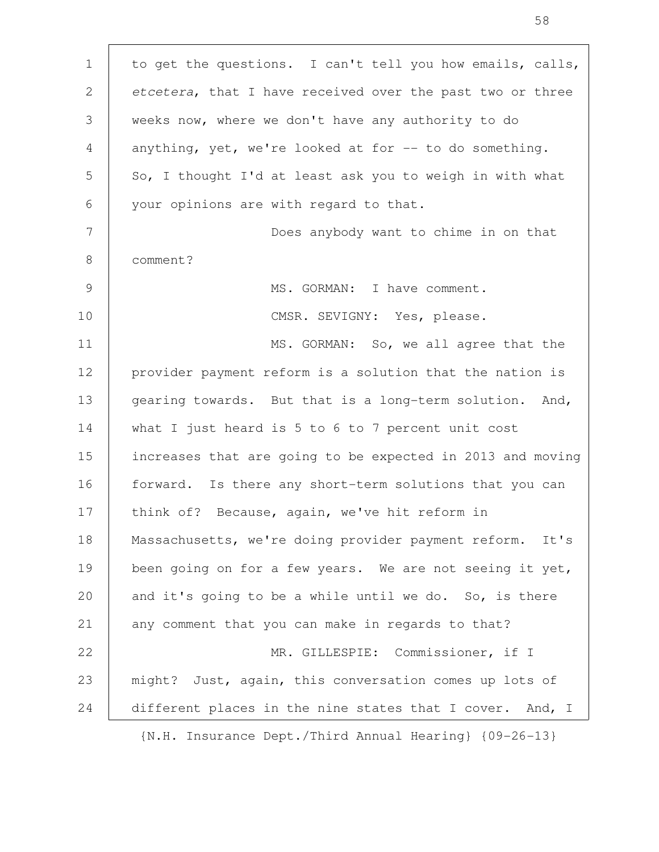to get the questions. I can't tell you how emails, calls, etcetera, that I have received over the past two or three weeks now, where we don't have any authority to do anything, yet, we're looked at for  $-$  to do something. So, I thought I'd at least ask you to weigh in with what your opinions are with regard to that. Does anybody want to chime in on that comment? MS. GORMAN: I have comment. CMSR. SEVIGNY: Yes, please. MS. GORMAN: So, we all agree that the provider payment reform is a solution that the nation is gearing towards. But that is a long-term solution. And, what I just heard is 5 to 6 to 7 percent unit cost increases that are going to be expected in 2013 and moving forward. Is there any short-term solutions that you can think of? Because, again, we've hit reform in Massachusetts, we're doing provider payment reform. It's been going on for a few years. We are not seeing it yet, and it's going to be a while until we do. So, is there any comment that you can make in regards to that? MR. GILLESPIE: Commissioner, if I might? Just, again, this conversation comes up lots of different places in the nine states that I cover. And, I {N.H. Insurance Dept./Third Annual Hearing} {09-26-13} 1 2 3 4 5 6 7 8 9 10 11 12 13 14 15 16 17 18 19 20 21 22 23 24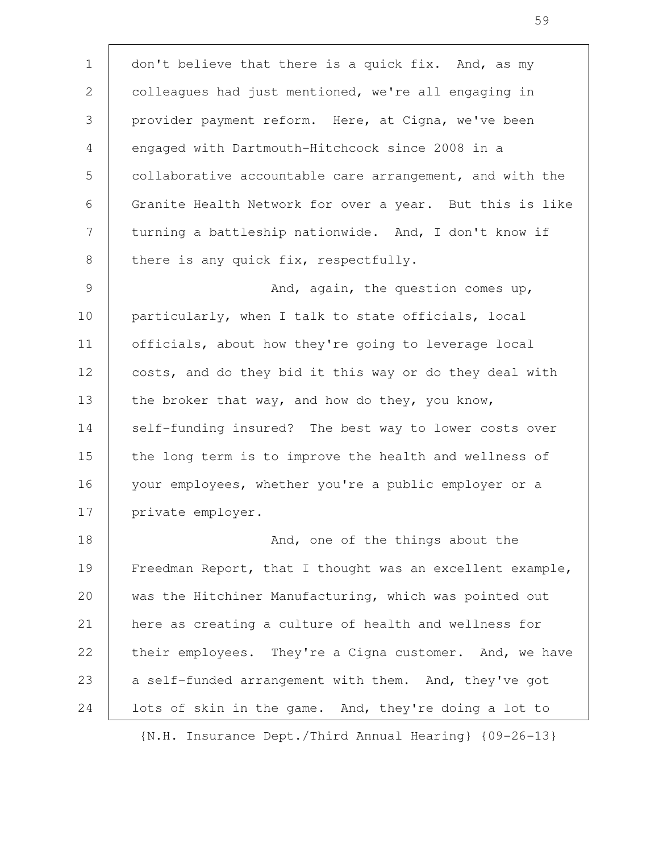don't believe that there is a quick fix. And, as my colleagues had just mentioned, we're all engaging in provider payment reform. Here, at Cigna, we've been engaged with Dartmouth-Hitchcock since 2008 in a collaborative accountable care arrangement, and with the Granite Health Network for over a year. But this is like turning a battleship nationwide. And, I don't know if there is any quick fix, respectfully. And, again, the question comes up, particularly, when I talk to state officials, local officials, about how they're going to leverage local costs, and do they bid it this way or do they deal with the broker that way, and how do they, you know, self-funding insured? The best way to lower costs over the long term is to improve the health and wellness of your employees, whether you're a public employer or a private employer. And, one of the things about the Freedman Report, that I thought was an excellent example, was the Hitchiner Manufacturing, which was pointed out here as creating a culture of health and wellness for their employees. They're a Cigna customer. And, we have a self-funded arrangement with them. And, they've got lots of skin in the game. And, they're doing a lot to 1 2 3 4 5 6 7 8 9 10 11 12 13 14 15 16 17 18 19 20 21 22 23 24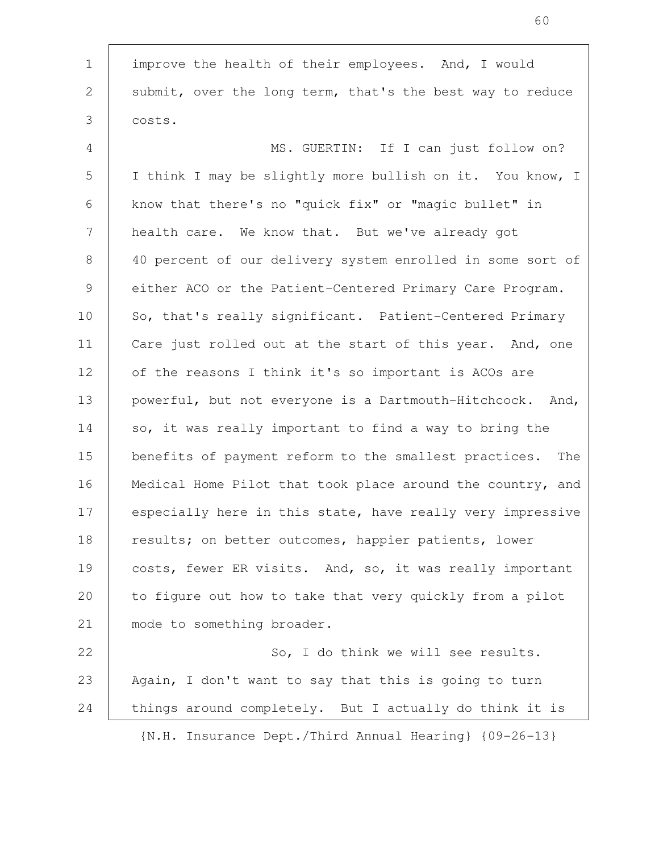improve the health of their employees. And, I would submit, over the long term, that's the best way to reduce costs. MS. GUERTIN: If I can just follow on? I think I may be slightly more bullish on it. You know, I know that there's no "quick fix" or "magic bullet" in health care. We know that. But we've already got 40 percent of our delivery system enrolled in some sort of either ACO or the Patient-Centered Primary Care Program. So, that's really significant. Patient-Centered Primary Care just rolled out at the start of this year. And, one of the reasons I think it's so important is ACOs are powerful, but not everyone is a Dartmouth-Hitchcock. And, so, it was really important to find a way to bring the benefits of payment reform to the smallest practices. The Medical Home Pilot that took place around the country, and especially here in this state, have really very impressive results; on better outcomes, happier patients, lower costs, fewer ER visits. And, so, it was really important to figure out how to take that very quickly from a pilot mode to something broader. So, I do think we will see results. Again, I don't want to say that this is going to turn things around completely. But I actually do think it is 1 2 3 4 5 6 7 8 9 10 11 12 13 14 15 16 17 18 19 20 21 22 23 24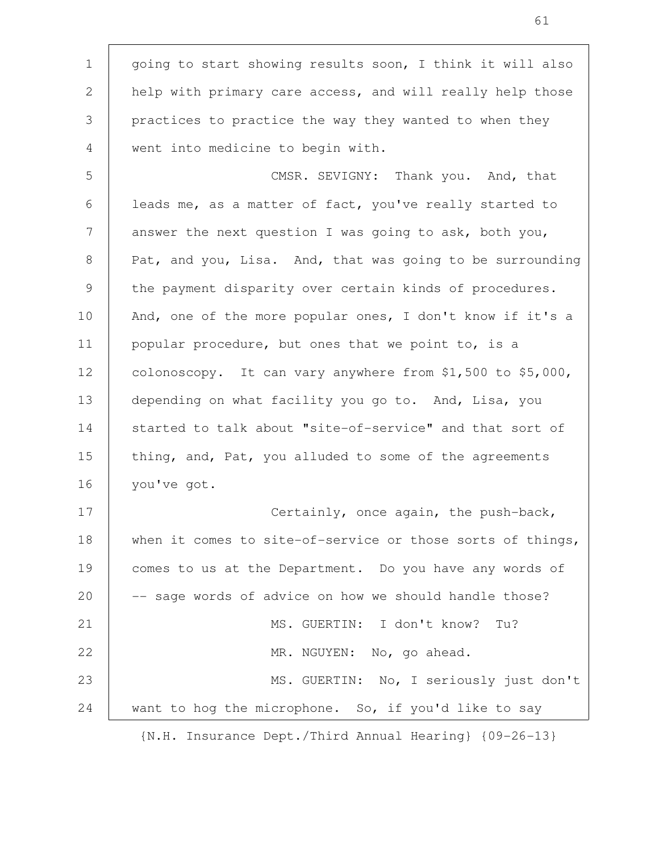going to start showing results soon, I think it will also help with primary care access, and will really help those practices to practice the way they wanted to when they went into medicine to begin with. CMSR. SEVIGNY: Thank you. And, that leads me, as a matter of fact, you've really started to answer the next question I was going to ask, both you, Pat, and you, Lisa. And, that was going to be surrounding the payment disparity over certain kinds of procedures. And, one of the more popular ones, I don't know if it's a popular procedure, but ones that we point to, is a colonoscopy. It can vary anywhere from \$1,500 to \$5,000, depending on what facility you go to. And, Lisa, you started to talk about "site-of-service" and that sort of thing, and, Pat, you alluded to some of the agreements you've got. Certainly, once again, the push-back, when it comes to site-of-service or those sorts of things, comes to us at the Department. Do you have any words of -- sage words of advice on how we should handle those? MS. GUERTIN: I don't know? Tu? MR. NGUYEN: No, go ahead. MS. GUERTIN: No, I seriously just don't want to hog the microphone. So, if you'd like to say 1 2 3 4 5 6 7 8 9 10 11 12 13 14 15 16 17 18 19 20 21 22 23 24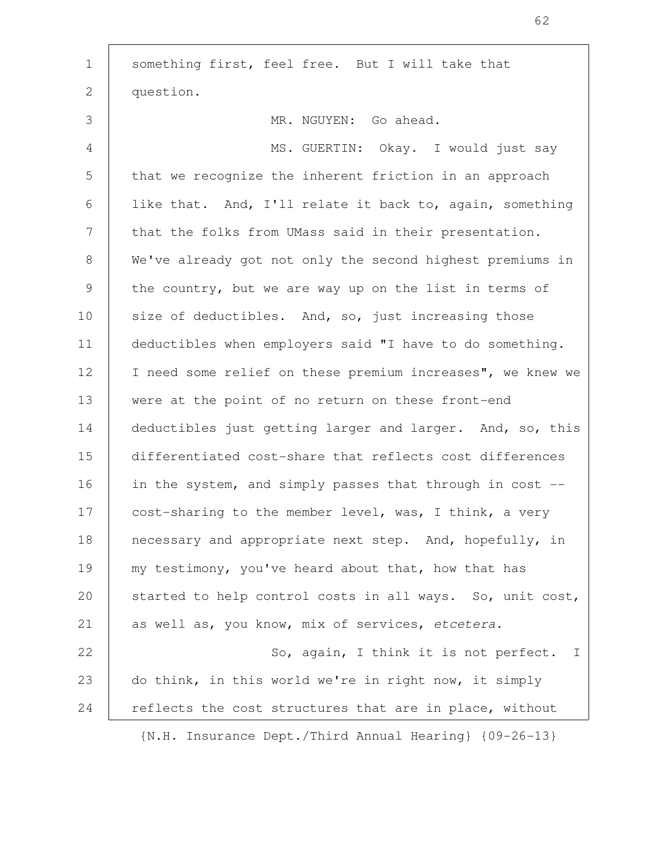| $\mathbf{1}$  | something first, feel free. But I will take that           |
|---------------|------------------------------------------------------------|
| 2             | question.                                                  |
| 3             | MR. NGUYEN: Go ahead.                                      |
| 4             | MS. GUERTIN: Okay. I would just say                        |
| 5             | that we recognize the inherent friction in an approach     |
| 6             | like that. And, I'll relate it back to, again, something   |
| 7             | that the folks from UMass said in their presentation.      |
| 8             | We've already got not only the second highest premiums in  |
| $\mathcal{G}$ | the country, but we are way up on the list in terms of     |
| 10            | size of deductibles. And, so, just increasing those        |
| 11            | deductibles when employers said "I have to do something.   |
| 12            | I need some relief on these premium increases", we knew we |
| 13            | were at the point of no return on these front-end          |
| 14            | deductibles just getting larger and larger. And, so, this  |
| 15            | differentiated cost-share that reflects cost differences   |
| 16            | in the system, and simply passes that through in cost --   |
| 17            | cost-sharing to the member level, was, I think, a very     |
| 18            | necessary and appropriate next step. And, hopefully, in    |
| 19            | my testimony, you've heard about that, how that has        |
| 20            | started to help control costs in all ways. So, unit cost,  |
| 21            | as well as, you know, mix of services, etcetera.           |
| 22            | So, again, I think it is not perfect. I                    |
| 23            | do think, in this world we're in right now, it simply      |
| 24            | reflects the cost structures that are in place, without    |
|               | {N.H. Insurance Dept./Third Annual Hearing} {09-26-13}     |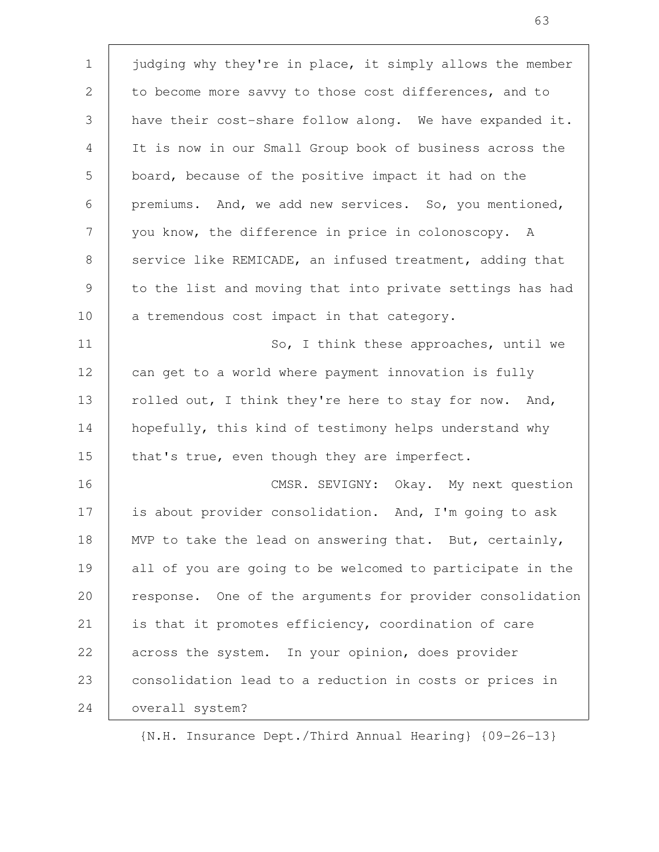judging why they're in place, it simply allows the member to become more savvy to those cost differences, and to have their cost-share follow along. We have expanded it. It is now in our Small Group book of business across the board, because of the positive impact it had on the premiums. And, we add new services. So, you mentioned, you know, the difference in price in colonoscopy. A service like REMICADE, an infused treatment, adding that to the list and moving that into private settings has had a tremendous cost impact in that category. So, I think these approaches, until we can get to a world where payment innovation is fully rolled out, I think they're here to stay for now. And, hopefully, this kind of testimony helps understand why that's true, even though they are imperfect. CMSR. SEVIGNY: Okay. My next question is about provider consolidation. And, I'm going to ask MVP to take the lead on answering that. But, certainly, all of you are going to be welcomed to participate in the response. One of the arguments for provider consolidation is that it promotes efficiency, coordination of care across the system. In your opinion, does provider consolidation lead to a reduction in costs or prices in overall system? 1 2 3 4 5 6 7 8 9 10 11 12 13 14 15 16 17 18 19 20 21 22 23 24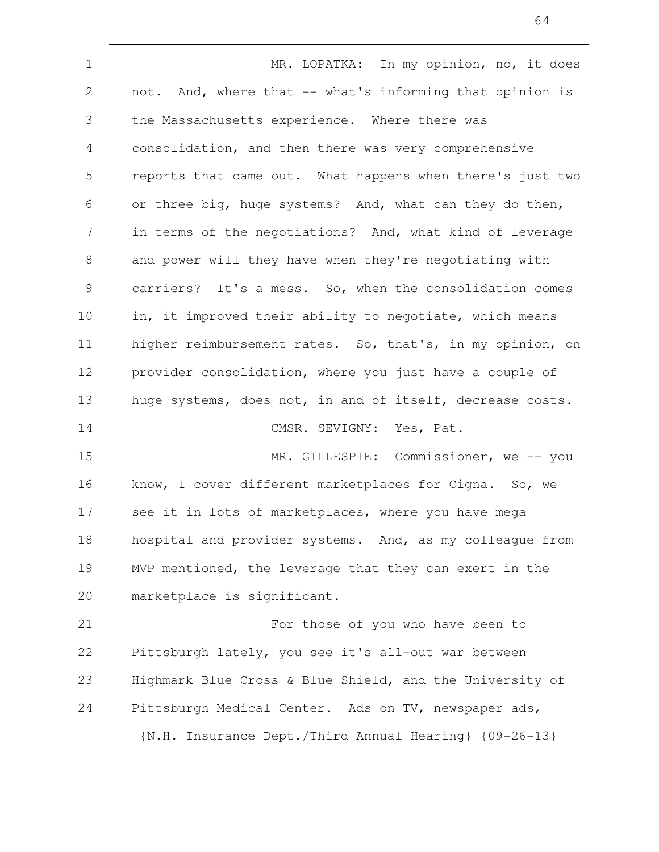| $\mathbf 1$     | MR. LOPATKA: In my opinion, no, it does                   |
|-----------------|-----------------------------------------------------------|
| 2               | not. And, where that -- what's informing that opinion is  |
| 3               | the Massachusetts experience. Where there was             |
| $\overline{4}$  | consolidation, and then there was very comprehensive      |
| 5               | reports that came out. What happens when there's just two |
| 6               | or three big, huge systems? And, what can they do then,   |
| $7\phantom{.0}$ | in terms of the negotiations? And, what kind of leverage  |
| 8               | and power will they have when they're negotiating with    |
| 9               | carriers? It's a mess. So, when the consolidation comes   |
| 10              | in, it improved their ability to negotiate, which means   |
| 11              | higher reimbursement rates. So, that's, in my opinion, on |
| 12              | provider consolidation, where you just have a couple of   |
| 13              | huge systems, does not, in and of itself, decrease costs. |
| 14              | CMSR. SEVIGNY: Yes, Pat.                                  |
| 15              | MR. GILLESPIE: Commissioner, we -- you                    |
| 16              | know, I cover different marketplaces for Cigna. So, we    |
| 17              | see it in lots of marketplaces, where you have mega       |
| 18              | hospital and provider systems. And, as my colleague from  |
| 19              | MVP mentioned, the leverage that they can exert in the    |
| 20              | marketplace is significant.                               |
| 21              | For those of you who have been to                         |
| 22              | Pittsburgh lately, you see it's all-out war between       |
| 23              | Highmark Blue Cross & Blue Shield, and the University of  |
| 24              | Pittsburgh Medical Center. Ads on TV, newspaper ads,      |
|                 | IN H Incurance Dept (Third Annual Hearing) 109-26-131     |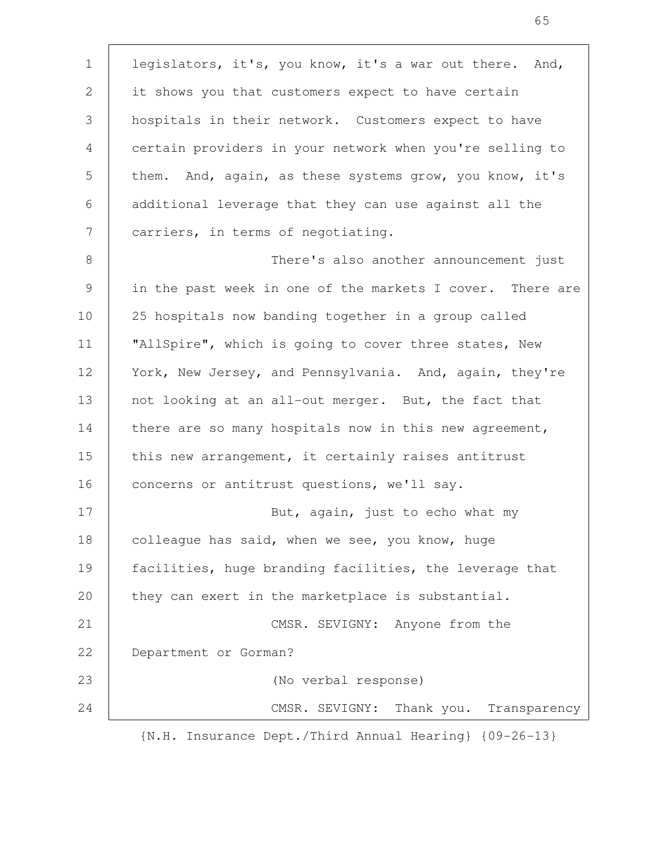legislators, it's, you know, it's a war out there. And, it shows you that customers expect to have certain hospitals in their network. Customers expect to have certain providers in your network when you're selling to them. And, again, as these systems grow, you know, it's additional leverage that they can use against all the carriers, in terms of negotiating. There's also another announcement just in the past week in one of the markets I cover. There are 25 hospitals now banding together in a group called "AllSpire", which is going to cover three states, New York, New Jersey, and Pennsylvania. And, again, they're not looking at an all-out merger. But, the fact that there are so many hospitals now in this new agreement, this new arrangement, it certainly raises antitrust concerns or antitrust questions, we'll say. But, again, just to echo what my colleague has said, when we see, you know, huge facilities, huge branding facilities, the leverage that they can exert in the marketplace is substantial. CMSR. SEVIGNY: Anyone from the Department or Gorman? (No verbal response) CMSR. SEVIGNY: Thank you. Transparency 1 2 3 4 5 6 7 8 9 10 11 12 13 14 15 16 17 18 19 20 21 22 23 24

65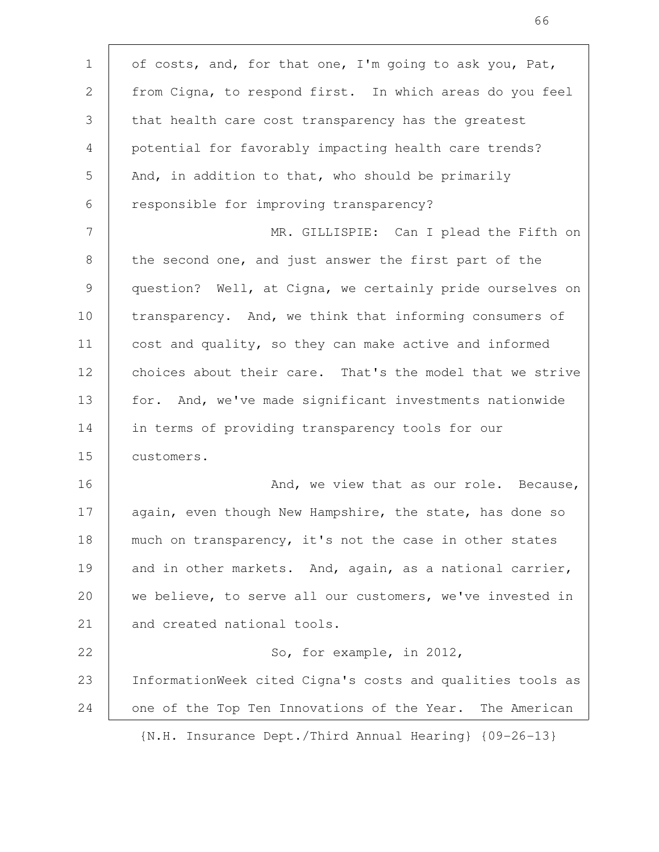of costs, and, for that one, I'm going to ask you, Pat, from Cigna, to respond first. In which areas do you feel that health care cost transparency has the greatest potential for favorably impacting health care trends? And, in addition to that, who should be primarily responsible for improving transparency? MR. GILLISPIE: Can I plead the Fifth on the second one, and just answer the first part of the question? Well, at Cigna, we certainly pride ourselves on transparency. And, we think that informing consumers of cost and quality, so they can make active and informed choices about their care. That's the model that we strive for. And, we've made significant investments nationwide in terms of providing transparency tools for our customers. And, we view that as our role. Because, again, even though New Hampshire, the state, has done so much on transparency, it's not the case in other states and in other markets. And, again, as a national carrier, we believe, to serve all our customers, we've invested in and created national tools. So, for example, in 2012, InformationWeek cited Cigna's costs and qualities tools as one of the Top Ten Innovations of the Year. The American {N.H. Insurance Dept./Third Annual Hearing} {09-26-13} 1 2 3 4 5 6 7 8 9 10 11 12 13 14 15 16 17 18 19 20 21 22 23 24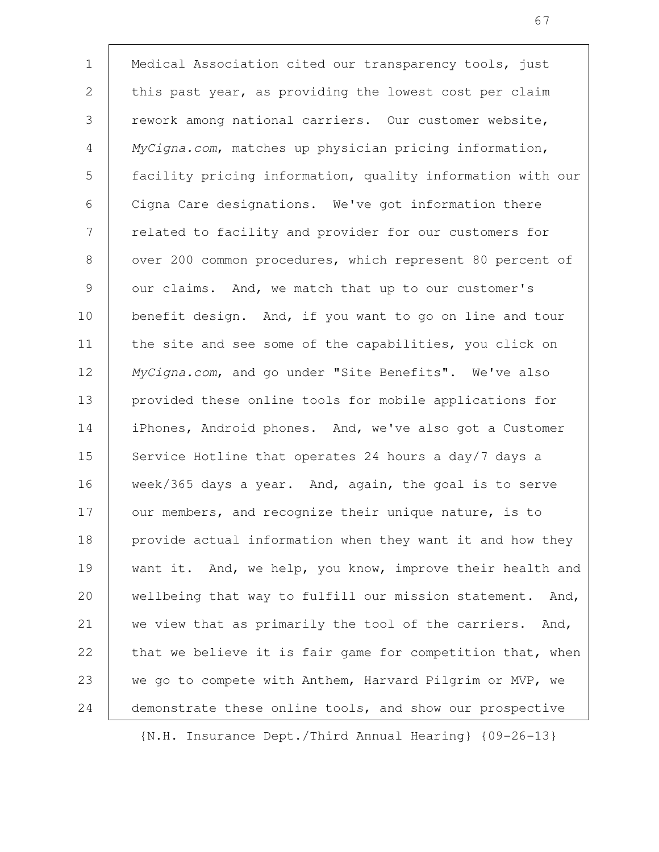Medical Association cited our transparency tools, just this past year, as providing the lowest cost per claim rework among national carriers. Our customer website, MyCigna.com, matches up physician pricing information, facility pricing information, quality information with our Cigna Care designations. We've got information there related to facility and provider for our customers for over 200 common procedures, which represent 80 percent of our claims. And, we match that up to our customer's benefit design. And, if you want to go on line and tour the site and see some of the capabilities, you click on MyCigna.com, and go under "Site Benefits". We've also provided these online tools for mobile applications for iPhones, Android phones. And, we've also got a Customer Service Hotline that operates 24 hours a day/7 days a week/365 days a year. And, again, the goal is to serve our members, and recognize their unique nature, is to provide actual information when they want it and how they want it. And, we help, you know, improve their health and wellbeing that way to fulfill our mission statement. And, we view that as primarily the tool of the carriers. And, that we believe it is fair game for competition that, when we go to compete with Anthem, Harvard Pilgrim or MVP, we demonstrate these online tools, and show our prospective 1 2 3 4 5 6 7 8 9 10 11 12 13 14 15 16 17 18 19 20 21 22 23 24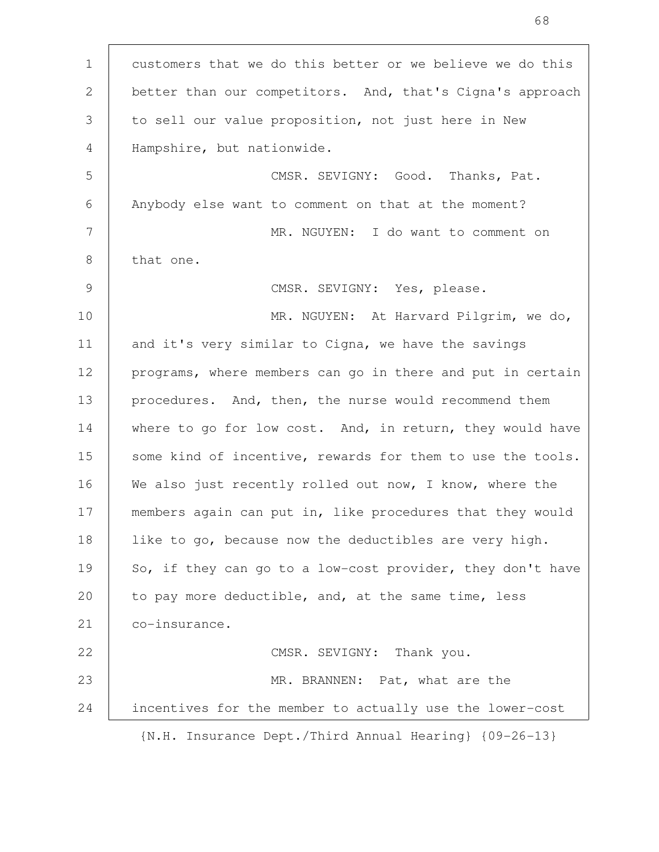customers that we do this better or we believe we do this better than our competitors. And, that's Cigna's approach to sell our value proposition, not just here in New Hampshire, but nationwide. CMSR. SEVIGNY: Good. Thanks, Pat. Anybody else want to comment on that at the moment? MR. NGUYEN: I do want to comment on that one. CMSR. SEVIGNY: Yes, please. MR. NGUYEN: At Harvard Pilgrim, we do, and it's very similar to Cigna, we have the savings programs, where members can go in there and put in certain procedures. And, then, the nurse would recommend them where to go for low cost. And, in return, they would have some kind of incentive, rewards for them to use the tools. We also just recently rolled out now, I know, where the members again can put in, like procedures that they would like to go, because now the deductibles are very high. So, if they can go to a low-cost provider, they don't have to pay more deductible, and, at the same time, less co-insurance. CMSR. SEVIGNY: Thank you. MR. BRANNEN: Pat, what are the incentives for the member to actually use the lower-cost {N.H. Insurance Dept./Third Annual Hearing} {09-26-13} 1 2 3 4 5 6 7 8 9 10 11 12 13 14 15 16 17 18 19 20 21 22 23 24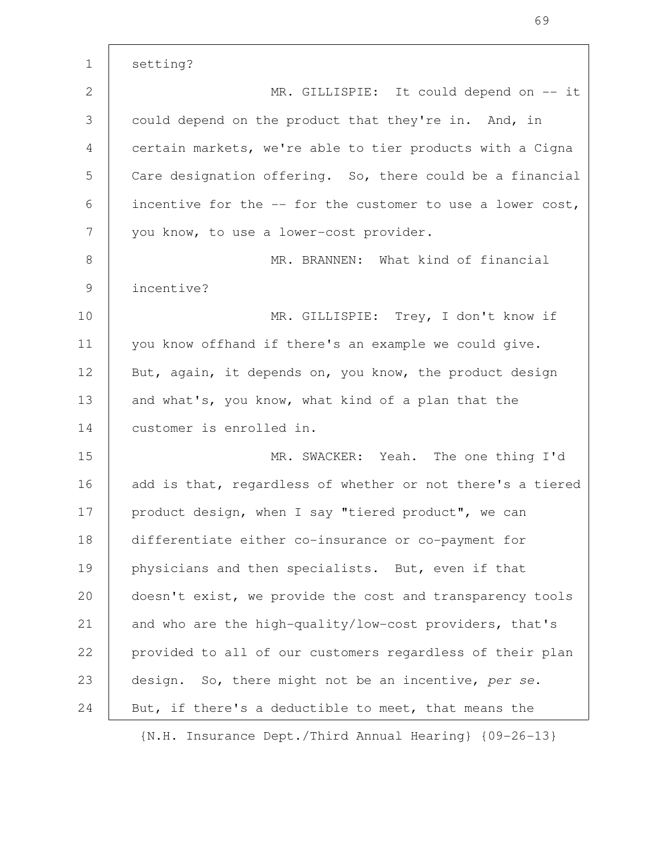setting? MR. GILLISPIE: It could depend on -- it could depend on the product that they're in. And, in certain markets, we're able to tier products with a Cigna Care designation offering. So, there could be a financial incentive for the -- for the customer to use a lower cost, you know, to use a lower-cost provider. MR. BRANNEN: What kind of financial incentive? MR. GILLISPIE: Trey, I don't know if you know offhand if there's an example we could give. But, again, it depends on, you know, the product design and what's, you know, what kind of a plan that the customer is enrolled in. MR. SWACKER: Yeah. The one thing I'd add is that, regardless of whether or not there's a tiered product design, when I say "tiered product", we can differentiate either co-insurance or co-payment for physicians and then specialists. But, even if that doesn't exist, we provide the cost and transparency tools and who are the high-quality/low-cost providers, that's provided to all of our customers regardless of their plan design. So, there might not be an incentive, per se. But, if there's a deductible to meet, that means the 1 2 3 4 5 6 7 8 9 10 11 12 13 14 15 16 17 18 19 20 21 22 23 24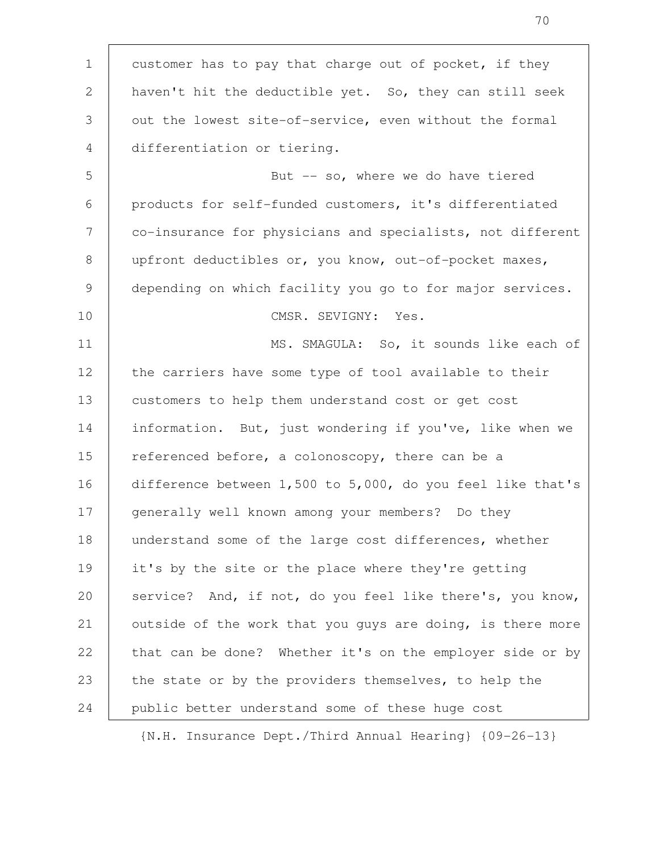customer has to pay that charge out of pocket, if they haven't hit the deductible yet. So, they can still seek out the lowest site-of-service, even without the formal differentiation or tiering. But  $-$  so, where we do have tiered products for self-funded customers, it's differentiated co-insurance for physicians and specialists, not different upfront deductibles or, you know, out-of-pocket maxes, depending on which facility you go to for major services. CMSR. SEVIGNY: Yes. MS. SMAGULA: So, it sounds like each of the carriers have some type of tool available to their customers to help them understand cost or get cost information. But, just wondering if you've, like when we referenced before, a colonoscopy, there can be a difference between 1,500 to 5,000, do you feel like that's generally well known among your members? Do they understand some of the large cost differences, whether it's by the site or the place where they're getting service? And, if not, do you feel like there's, you know, outside of the work that you guys are doing, is there more that can be done? Whether it's on the employer side or by the state or by the providers themselves, to help the public better understand some of these huge cost 1 2 3 4 5 6 7 8 9 10 11 12 13 14 15 16 17 18 19 20 21 22 23 24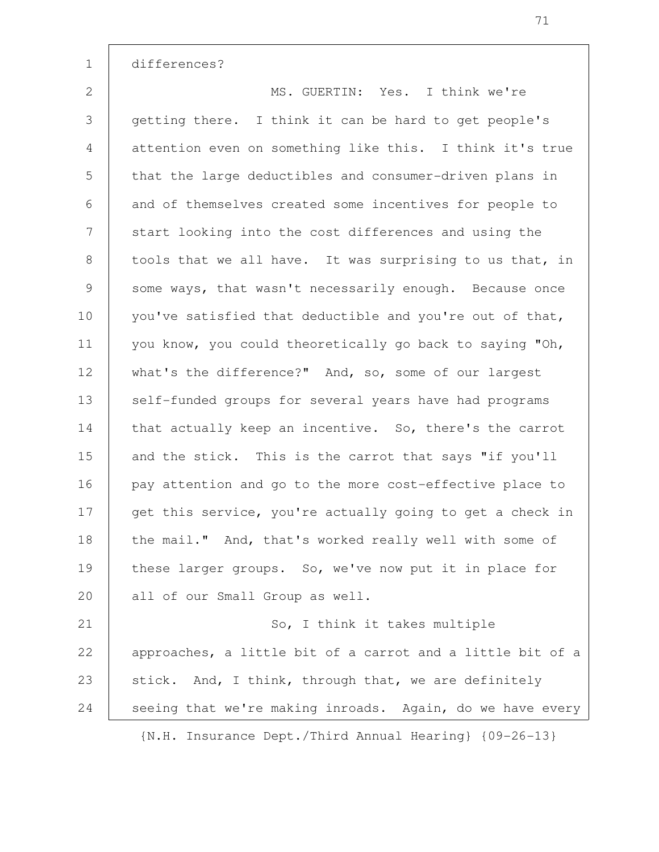differences? MS. GUERTIN: Yes. I think we're getting there. I think it can be hard to get people's attention even on something like this. I think it's true that the large deductibles and consumer-driven plans in and of themselves created some incentives for people to start looking into the cost differences and using the tools that we all have. It was surprising to us that, in some ways, that wasn't necessarily enough. Because once you've satisfied that deductible and you're out of that, you know, you could theoretically go back to saying "Oh, what's the difference?" And, so, some of our largest self-funded groups for several years have had programs that actually keep an incentive. So, there's the carrot and the stick. This is the carrot that says "if you'll pay attention and go to the more cost-effective place to get this service, you're actually going to get a check in the mail." And, that's worked really well with some of these larger groups. So, we've now put it in place for all of our Small Group as well. So, I think it takes multiple approaches, a little bit of a carrot and a little bit of a stick. And, I think, through that, we are definitely seeing that we're making inroads. Again, do we have every {N.H. Insurance Dept./Third Annual Hearing} {09-26-13} 1 2 3 4 5 6 7 8 9 10 11 12 13 14 15 16 17 18 19 20 21 22 23 24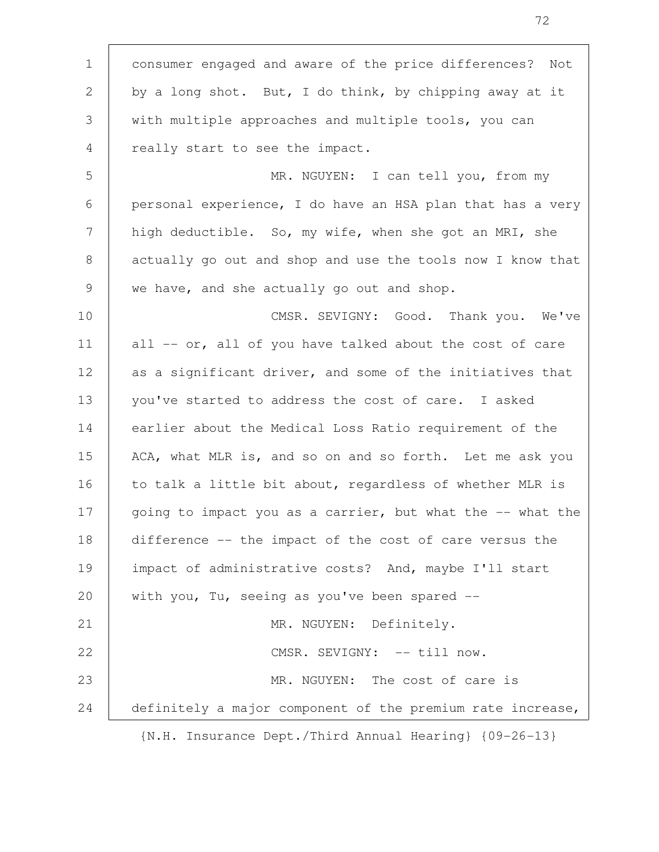consumer engaged and aware of the price differences? Not by a long shot. But, I do think, by chipping away at it with multiple approaches and multiple tools, you can really start to see the impact. MR. NGUYEN: I can tell you, from my personal experience, I do have an HSA plan that has a very high deductible. So, my wife, when she got an MRI, she actually go out and shop and use the tools now I know that we have, and she actually go out and shop. CMSR. SEVIGNY: Good. Thank you. We've all -- or, all of you have talked about the cost of care as a significant driver, and some of the initiatives that you've started to address the cost of care. I asked earlier about the Medical Loss Ratio requirement of the ACA, what MLR is, and so on and so forth. Let me ask you to talk a little bit about, regardless of whether MLR is going to impact you as a carrier, but what the -- what the difference -- the impact of the cost of care versus the impact of administrative costs? And, maybe I'll start with you, Tu, seeing as you've been spared --MR. NGUYEN: Definitely. CMSR. SEVIGNY: -- till now. MR. NGUYEN: The cost of care is definitely a major component of the premium rate increase, {N.H. Insurance Dept./Third Annual Hearing} {09-26-13} 1 2 3 4 5 6 7 8 9 10 11 12 13 14 15 16 17 18 19 20 21 22 23 24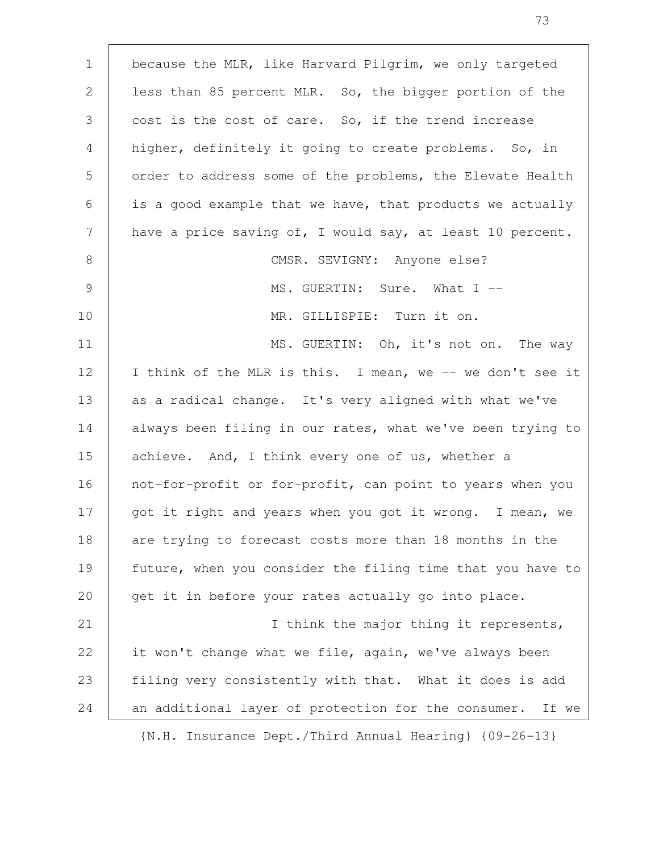| $\mathbf 1$ | because the MLR, like Harvard Pilgrim, we only targeted    |
|-------------|------------------------------------------------------------|
| 2           | less than 85 percent MLR. So, the bigger portion of the    |
| 3           | cost is the cost of care. So, if the trend increase        |
| 4           | higher, definitely it going to create problems. So, in     |
| 5           | order to address some of the problems, the Elevate Health  |
| 6           | is a good example that we have, that products we actually  |
| 7           | have a price saving of, I would say, at least 10 percent.  |
| 8           | CMSR. SEVIGNY: Anyone else?                                |
| 9           | MS. GUERTIN: Sure. What I --                               |
| 10          | MR. GILLISPIE: Turn it on.                                 |
|             |                                                            |
| 11          | MS. GUERTIN: Oh, it's not on. The way                      |
| 12          | I think of the MLR is this. I mean, we -- we don't see it  |
| 13          | as a radical change. It's very aligned with what we've     |
| 14          | always been filing in our rates, what we've been trying to |
| 15          | achieve. And, I think every one of us, whether a           |
| 16          | not-for-profit or for-profit, can point to years when you  |
| 17          | got it right and years when you got it wrong. I mean, we   |
| 18          | are trying to forecast costs more than 18 months in the    |
| 19          | future, when you consider the filing time that you have to |
| 20          | get it in before your rates actually go into place.        |
| 21          | I think the major thing it represents,                     |
| 22          | it won't change what we file, again, we've always been     |
| 23          | filing very consistently with that. What it does is add    |
| 24          | an additional layer of protection for the consumer. If we  |
|             | IN H Insurance Dent (Third Annual Hearing) (09-26-13)      |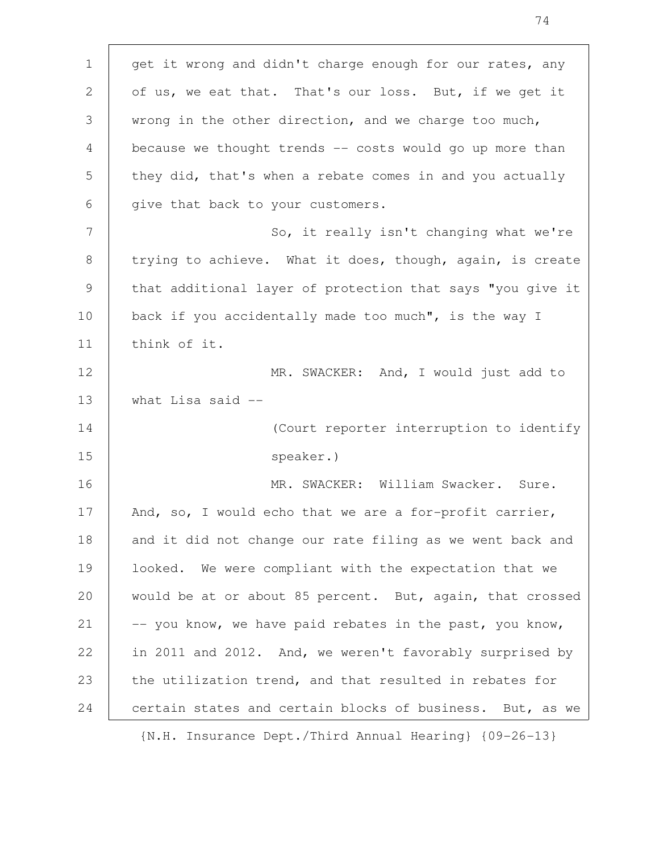get it wrong and didn't charge enough for our rates, any of us, we eat that. That's our loss. But, if we get it wrong in the other direction, and we charge too much, because we thought trends -- costs would go up more than they did, that's when a rebate comes in and you actually give that back to your customers. So, it really isn't changing what we're trying to achieve. What it does, though, again, is create that additional layer of protection that says "you give it back if you accidentally made too much", is the way I think of it. MR. SWACKER: And, I would just add to what Lisa said -- (Court reporter interruption to identify speaker.) MR. SWACKER: William Swacker. Sure. And, so, I would echo that we are a for-profit carrier, and it did not change our rate filing as we went back and looked. We were compliant with the expectation that we would be at or about 85 percent. But, again, that crossed -- you know, we have paid rebates in the past, you know, in 2011 and 2012. And, we weren't favorably surprised by the utilization trend, and that resulted in rebates for certain states and certain blocks of business. But, as we 1 2 3 4 5 6 7 8 9 10 11 12 13 14 15 16 17 18 19 20 21 22 23 24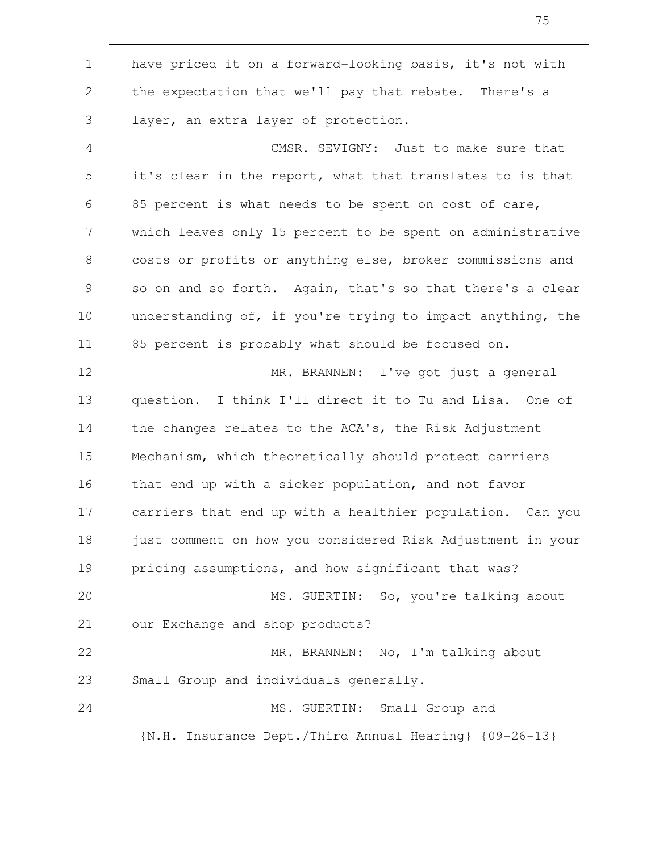have priced it on a forward-looking basis, it's not with the expectation that we'll pay that rebate. There's a layer, an extra layer of protection. CMSR. SEVIGNY: Just to make sure that it's clear in the report, what that translates to is that 85 percent is what needs to be spent on cost of care, which leaves only 15 percent to be spent on administrative costs or profits or anything else, broker commissions and so on and so forth. Again, that's so that there's a clear understanding of, if you're trying to impact anything, the 85 percent is probably what should be focused on. MR. BRANNEN: I've got just a general question. I think I'll direct it to Tu and Lisa. One of the changes relates to the ACA's, the Risk Adjustment Mechanism, which theoretically should protect carriers that end up with a sicker population, and not favor carriers that end up with a healthier population. Can you just comment on how you considered Risk Adjustment in your pricing assumptions, and how significant that was? MS. GUERTIN: So, you're talking about our Exchange and shop products? MR. BRANNEN: No, I'm talking about Small Group and individuals generally. MS. GUERTIN: Small Group and 1 2 3 4 5 6 7 8 9 10 11 12 13 14 15 16 17 18 19 20 21 22 23 24

{N.H. Insurance Dept./Third Annual Hearing} {09-26-13}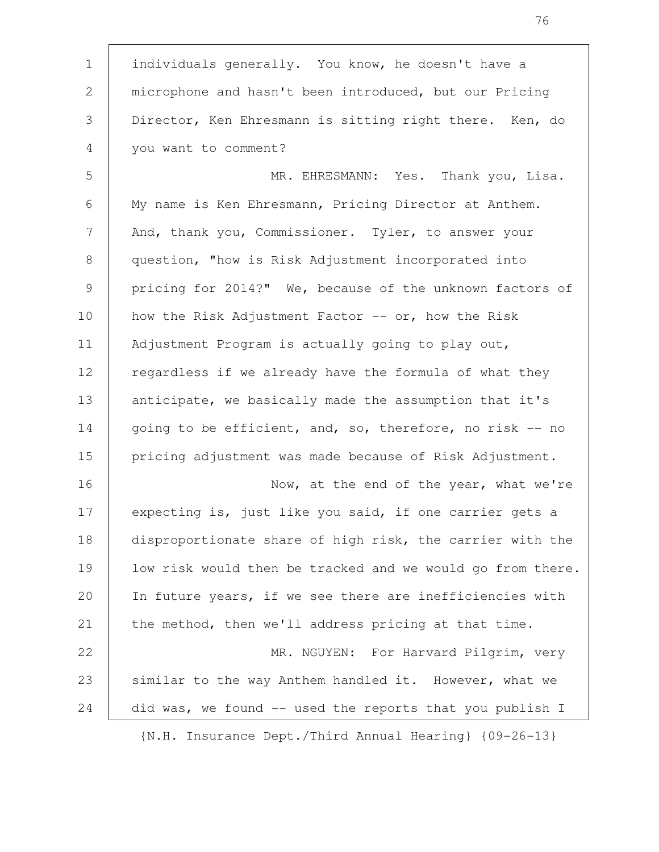individuals generally. You know, he doesn't have a microphone and hasn't been introduced, but our Pricing Director, Ken Ehresmann is sitting right there. Ken, do you want to comment? 1 2 3 4

MR. EHRESMANN: Yes. Thank you, Lisa. My name is Ken Ehresmann, Pricing Director at Anthem. And, thank you, Commissioner. Tyler, to answer your question, "how is Risk Adjustment incorporated into pricing for 2014?" We, because of the unknown factors of how the Risk Adjustment Factor  $-$ - or, how the Risk Adjustment Program is actually going to play out, regardless if we already have the formula of what they anticipate, we basically made the assumption that it's going to be efficient, and, so, therefore, no risk -- no pricing adjustment was made because of Risk Adjustment. 5 6 7 8 9 10 11 12 13 14 15

Now, at the end of the year, what we're expecting is, just like you said, if one carrier gets a disproportionate share of high risk, the carrier with the low risk would then be tracked and we would go from there. In future years, if we see there are inefficiencies with the method, then we'll address pricing at that time. MR. NGUYEN: For Harvard Pilgrim, very 16 17 18 19 20 21 22

similar to the way Anthem handled it. However, what we did was, we found -- used the reports that you publish I 23 24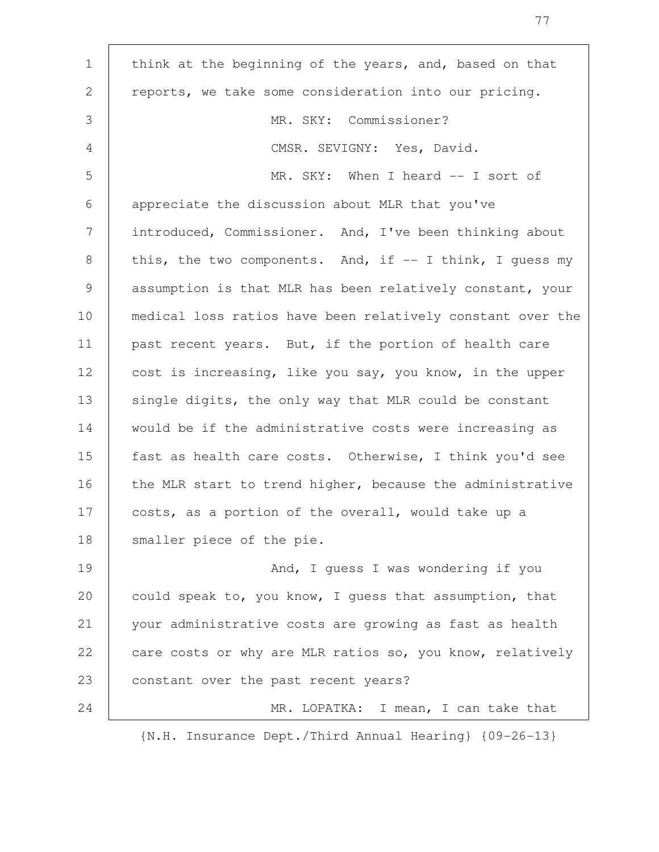| $\mathbf 1$  | think at the beginning of the years, and, based on that    |
|--------------|------------------------------------------------------------|
| $\mathbf{2}$ | reports, we take some consideration into our pricing.      |
| 3            | MR. SKY: Commissioner?                                     |
| 4            | CMSR. SEVIGNY: Yes, David.                                 |
| 5            | MR. SKY: When I heard -- I sort of                         |
| 6            | appreciate the discussion about MLR that you've            |
| 7            | introduced, Commissioner. And, I've been thinking about    |
| 8            | this, the two components. And, if $-$ I think, I quess my  |
| 9            | assumption is that MLR has been relatively constant, your  |
| 10           | medical loss ratios have been relatively constant over the |
| 11           | past recent years. But, if the portion of health care      |
| 12           | cost is increasing, like you say, you know, in the upper   |
| 13           | single digits, the only way that MLR could be constant     |
| 14           | would be if the administrative costs were increasing as    |
| 15           | fast as health care costs. Otherwise, I think you'd see    |
| 16           | the MLR start to trend higher, because the administrative  |
| 17           | costs, as a portion of the overall, would take up a        |
| 18           | smaller piece of the pie.                                  |
| 19           | And, I guess I was wondering if you                        |
| 20           | could speak to, you know, I guess that assumption, that    |
| 21           | your administrative costs are growing as fast as health    |
| 22           | care costs or why are MLR ratios so, you know, relatively  |
| 23           | constant over the past recent years?                       |
| 24           | MR. LOPATKA: I mean, I can take that                       |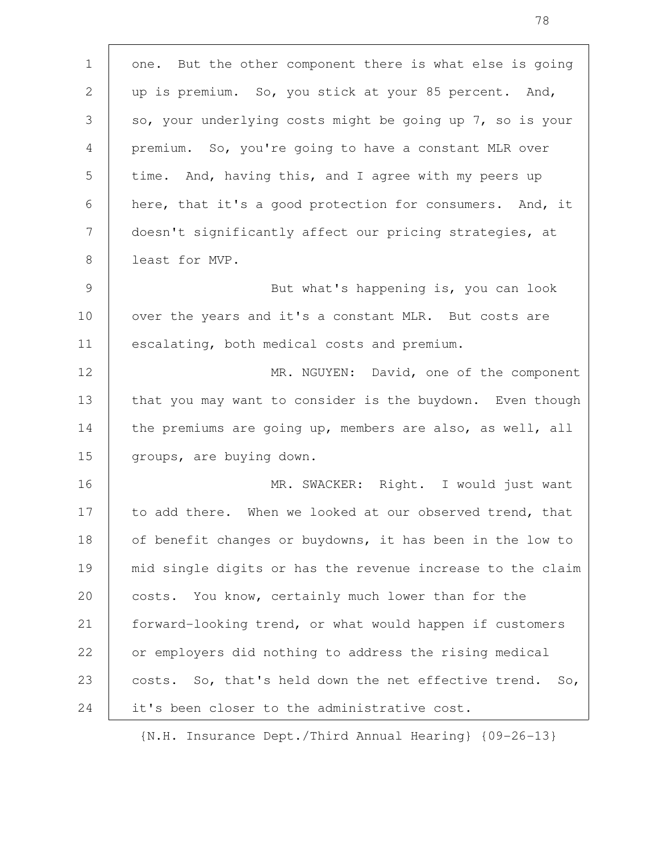| $\mathbf{1}$   | one. But the other component there is what else is going    |
|----------------|-------------------------------------------------------------|
| 2              | up is premium. So, you stick at your 85 percent. And,       |
| 3              | so, your underlying costs might be going up 7, so is your   |
| 4              | premium. So, you're going to have a constant MLR over       |
| 5              | time. And, having this, and I agree with my peers up        |
| 6              | here, that it's a good protection for consumers. And, it    |
| 7              | doesn't significantly affect our pricing strategies, at     |
| 8              | least for MVP.                                              |
| $\overline{9}$ | But what's happening is, you can look                       |
| 10             | over the years and it's a constant MLR. But costs are       |
| 11             | escalating, both medical costs and premium.                 |
| 12             | MR. NGUYEN: David, one of the component                     |
| 13             | that you may want to consider is the buydown. Even though   |
| 14             | the premiums are going up, members are also, as well, all   |
| 15             | groups, are buying down.                                    |
| 16             | MR. SWACKER: Right. I would just want                       |
| 17             | to add there. When we looked at our observed trend, that    |
| 18             | of benefit changes or buydowns, it has been in the low to   |
| 19             | mid single digits or has the revenue increase to the claim  |
| 20             | costs. You know, certainly much lower than for the          |
| 21             | forward-looking trend, or what would happen if customers    |
| 22             | or employers did nothing to address the rising medical      |
| 23             | costs. So, that's held down the net effective trend.<br>So, |
| 24             | it's been closer to the administrative cost.                |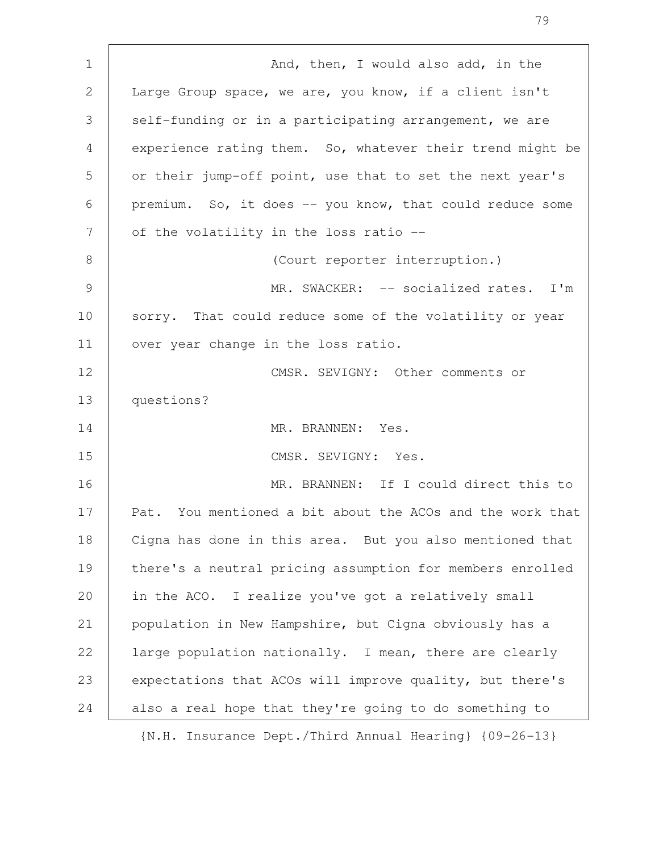And, then, I would also add, in the Large Group space, we are, you know, if a client isn't self-funding or in a participating arrangement, we are experience rating them. So, whatever their trend might be or their jump-off point, use that to set the next year's premium. So, it does -- you know, that could reduce some of the volatility in the loss ratio -- (Court reporter interruption.) MR. SWACKER: -- socialized rates. I'm sorry. That could reduce some of the volatility or year over year change in the loss ratio. CMSR. SEVIGNY: Other comments or questions? MR. BRANNEN: Yes. CMSR. SEVIGNY: Yes. MR. BRANNEN: If I could direct this to Pat. You mentioned a bit about the ACOs and the work that Cigna has done in this area. But you also mentioned that there's a neutral pricing assumption for members enrolled in the ACO. I realize you've got a relatively small population in New Hampshire, but Cigna obviously has a large population nationally. I mean, there are clearly expectations that ACOs will improve quality, but there's also a real hope that they're going to do something to {N.H. Insurance Dept./Third Annual Hearing} {09-26-13} 1 2 3 4 5 6 7 8 9 10 11 12 13 14 15 16 17 18 19 20 21 22 23 24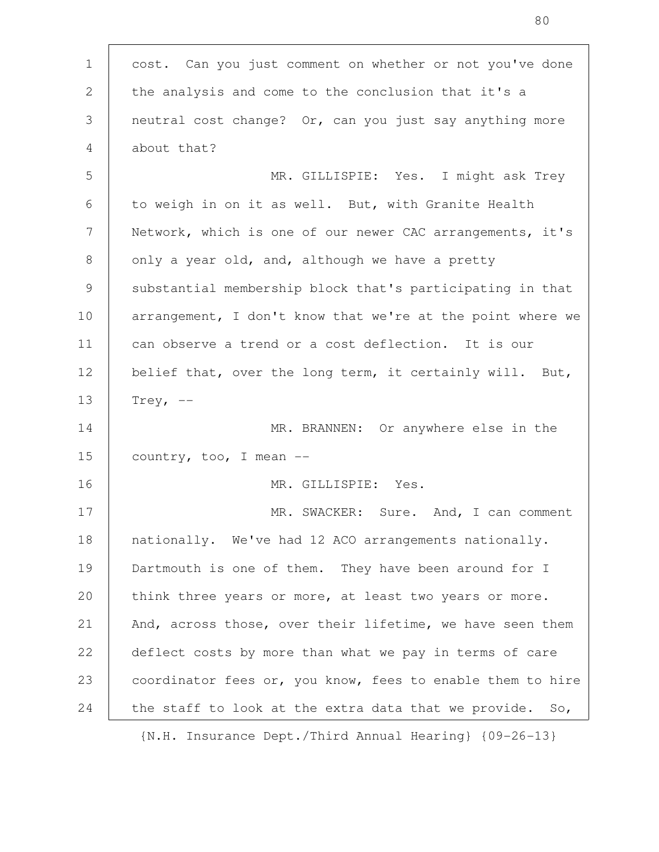cost. Can you just comment on whether or not you've done the analysis and come to the conclusion that it's a neutral cost change? Or, can you just say anything more about that? MR. GILLISPIE: Yes. I might ask Trey to weigh in on it as well. But, with Granite Health Network, which is one of our newer CAC arrangements, it's only a year old, and, although we have a pretty substantial membership block that's participating in that arrangement, I don't know that we're at the point where we can observe a trend or a cost deflection. It is our belief that, over the long term, it certainly will. But, Trey,  $--$ MR. BRANNEN: Or anywhere else in the country, too, I mean -- MR. GILLISPIE: Yes. MR. SWACKER: Sure. And, I can comment nationally. We've had 12 ACO arrangements nationally. Dartmouth is one of them. They have been around for I think three years or more, at least two years or more. And, across those, over their lifetime, we have seen them deflect costs by more than what we pay in terms of care coordinator fees or, you know, fees to enable them to hire the staff to look at the extra data that we provide. So, 1 2 3 4 5 6 7 8 9 10 11 12 13 14 15 16 17 18 19 20 21 22 23 24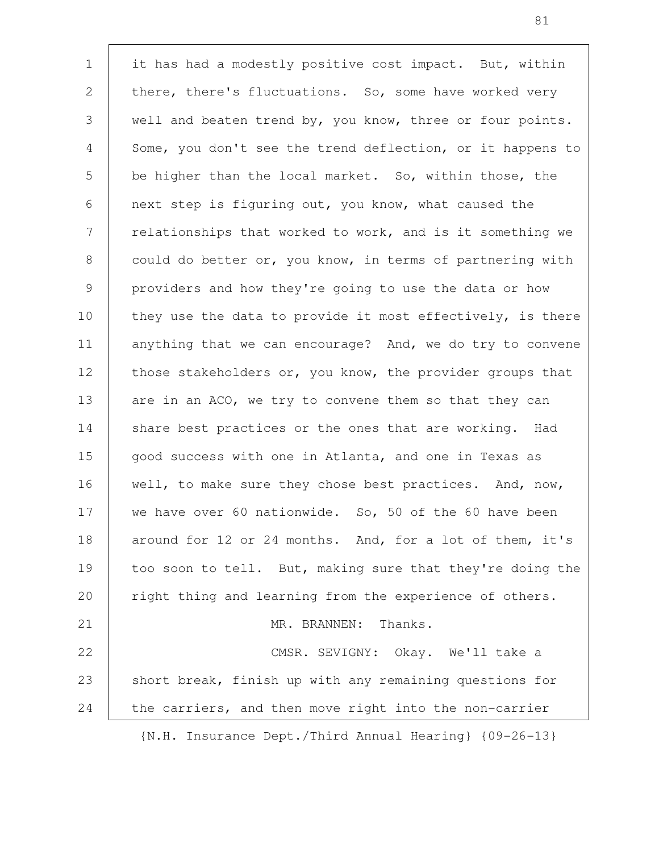it has had a modestly positive cost impact. But, within there, there's fluctuations. So, some have worked very well and beaten trend by, you know, three or four points. Some, you don't see the trend deflection, or it happens to be higher than the local market. So, within those, the next step is figuring out, you know, what caused the relationships that worked to work, and is it something we could do better or, you know, in terms of partnering with providers and how they're going to use the data or how they use the data to provide it most effectively, is there anything that we can encourage? And, we do try to convene those stakeholders or, you know, the provider groups that are in an ACO, we try to convene them so that they can share best practices or the ones that are working. Had good success with one in Atlanta, and one in Texas as well, to make sure they chose best practices. And, now, we have over 60 nationwide. So, 50 of the 60 have been around for 12 or 24 months. And, for a lot of them, it's too soon to tell. But, making sure that they're doing the right thing and learning from the experience of others. MR. BRANNEN: Thanks. CMSR. SEVIGNY: Okay. We'll take a short break, finish up with any remaining questions for the carriers, and then move right into the non-carrier 1 2 3 4 5 6 7 8 9 10 11 12 13 14 15 16 17 18 19 20 21 22 23 24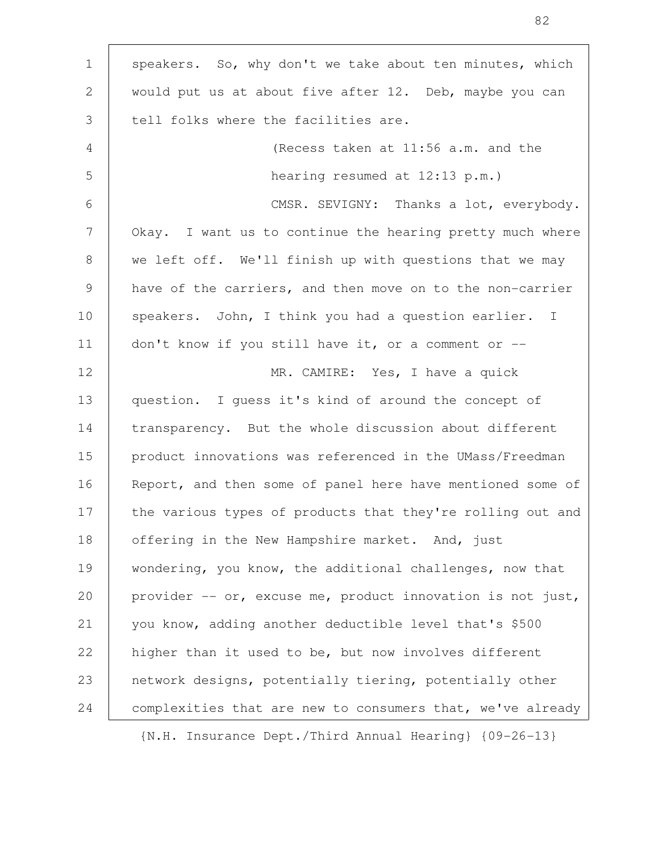| $\mathbf{1}$   | speakers. So, why don't we take about ten minutes, which   |
|----------------|------------------------------------------------------------|
| 2              | would put us at about five after 12. Deb, maybe you can    |
| 3              | tell folks where the facilities are.                       |
| 4              | (Recess taken at 11:56 a.m. and the                        |
| 5              | hearing resumed at $12:13$ p.m.)                           |
| 6              | CMSR. SEVIGNY: Thanks a lot, everybody.                    |
| 7              | Okay. I want us to continue the hearing pretty much where  |
| 8              | we left off. We'll finish up with questions that we may    |
| $\overline{9}$ | have of the carriers, and then move on to the non-carrier  |
| 10             | speakers. John, I think you had a question earlier. I      |
| 11             | don't know if you still have it, or a comment or $-$       |
| 12             | MR. CAMIRE: Yes, I have a quick                            |
| 13             | question. I quess it's kind of around the concept of       |
| 14             | transparency. But the whole discussion about different     |
| 15             | product innovations was referenced in the UMass/Freedman   |
| 16             | Report, and then some of panel here have mentioned some of |
| 17             | the various types of products that they're rolling out and |
| 18             | offering in the New Hampshire market. And, just            |
| 19             | wondering, you know, the additional challenges, now that   |
| 20             | provider -- or, excuse me, product innovation is not just, |
| 21             | you know, adding another deductible level that's \$500     |
| 22             | higher than it used to be, but now involves different      |
| 23             | network designs, potentially tiering, potentially other    |
| 24             | complexities that are new to consumers that, we've already |
|                |                                                            |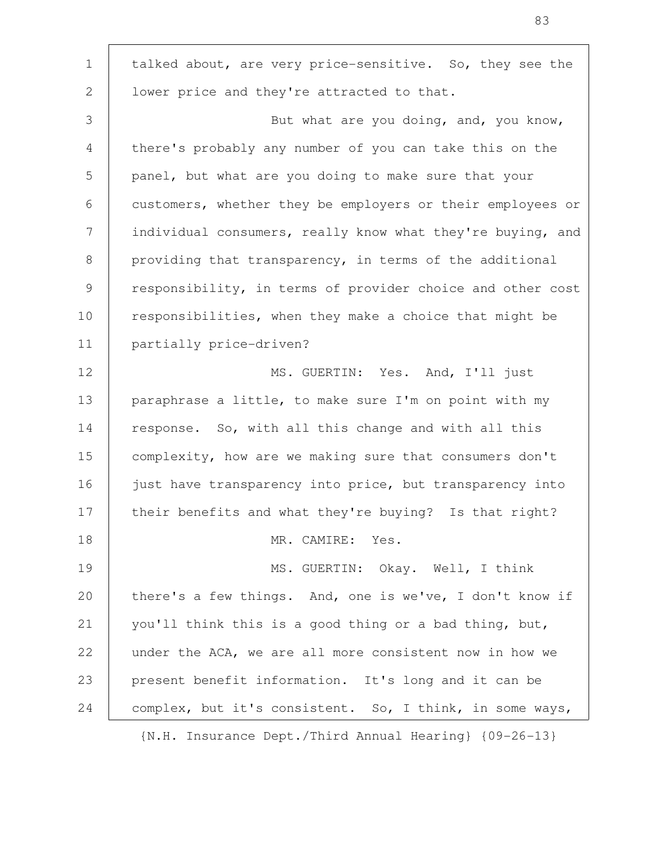talked about, are very price-sensitive. So, they see the lower price and they're attracted to that. But what are you doing, and, you know, there's probably any number of you can take this on the panel, but what are you doing to make sure that your customers, whether they be employers or their employees or individual consumers, really know what they're buying, and providing that transparency, in terms of the additional responsibility, in terms of provider choice and other cost responsibilities, when they make a choice that might be partially price-driven? MS. GUERTIN: Yes. And, I'll just paraphrase a little, to make sure I'm on point with my response. So, with all this change and with all this complexity, how are we making sure that consumers don't just have transparency into price, but transparency into their benefits and what they're buying? Is that right? MR. CAMIRE: Yes. MS. GUERTIN: Okay. Well, I think there's a few things. And, one is we've, I don't know if you'll think this is a good thing or a bad thing, but, under the ACA, we are all more consistent now in how we present benefit information. It's long and it can be complex, but it's consistent. So, I think, in some ways, 1 2 3 4 5 6 7 8 9 10 11 12 13 14 15 16 17 18 19 20 21 22 23 24

{N.H. Insurance Dept./Third Annual Hearing} {09-26-13}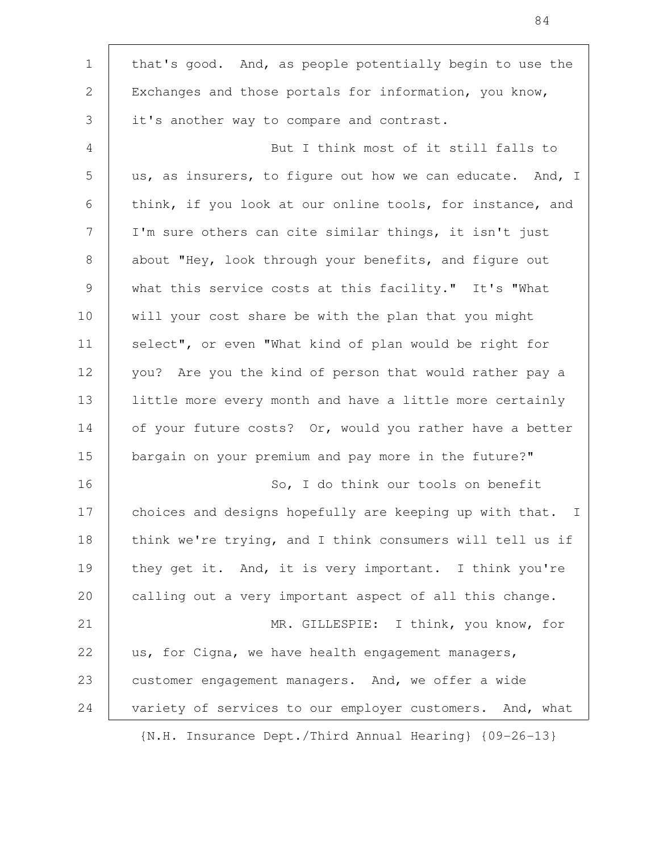| $\mathbf 1$<br>that's good. And, as people potentially begin to use the<br>2<br>Exchanges and those portals for information, you know,<br>3<br>it's another way to compare and contrast.<br>But I think most of it still falls to<br>4<br>5<br>us, as insurers, to figure out how we can educate. And, I<br>6<br>think, if you look at our online tools, for instance, and<br>7<br>I'm sure others can cite similar things, it isn't just<br>about "Hey, look through your benefits, and figure out<br>8<br>9<br>what this service costs at this facility." It's "What<br>10<br>will your cost share be with the plan that you might<br>11<br>select", or even "What kind of plan would be right for<br>12<br>you? Are you the kind of person that would rather pay a<br>13<br>little more every month and have a little more certainly<br>14<br>of your future costs? Or, would you rather have a better<br>15<br>bargain on your premium and pay more in the future?"<br>16<br>So, I do think our tools on benefit<br>17<br>choices and designs hopefully are keeping up with that.<br>18<br>think we're trying, and I think consumers will tell us if<br>19<br>they get it. And, it is very important. I think you're<br>20<br>calling out a very important aspect of all this change.<br>21<br>MR. GILLESPIE: I think, you know, for<br>22<br>us, for Cigna, we have health engagement managers,<br>23<br>customer engagement managers. And, we offer a wide |    |                                                          |
|------------------------------------------------------------------------------------------------------------------------------------------------------------------------------------------------------------------------------------------------------------------------------------------------------------------------------------------------------------------------------------------------------------------------------------------------------------------------------------------------------------------------------------------------------------------------------------------------------------------------------------------------------------------------------------------------------------------------------------------------------------------------------------------------------------------------------------------------------------------------------------------------------------------------------------------------------------------------------------------------------------------------------------------------------------------------------------------------------------------------------------------------------------------------------------------------------------------------------------------------------------------------------------------------------------------------------------------------------------------------------------------------------------------------------------------------------------------|----|----------------------------------------------------------|
|                                                                                                                                                                                                                                                                                                                                                                                                                                                                                                                                                                                                                                                                                                                                                                                                                                                                                                                                                                                                                                                                                                                                                                                                                                                                                                                                                                                                                                                                  |    |                                                          |
|                                                                                                                                                                                                                                                                                                                                                                                                                                                                                                                                                                                                                                                                                                                                                                                                                                                                                                                                                                                                                                                                                                                                                                                                                                                                                                                                                                                                                                                                  |    |                                                          |
|                                                                                                                                                                                                                                                                                                                                                                                                                                                                                                                                                                                                                                                                                                                                                                                                                                                                                                                                                                                                                                                                                                                                                                                                                                                                                                                                                                                                                                                                  |    |                                                          |
|                                                                                                                                                                                                                                                                                                                                                                                                                                                                                                                                                                                                                                                                                                                                                                                                                                                                                                                                                                                                                                                                                                                                                                                                                                                                                                                                                                                                                                                                  |    |                                                          |
|                                                                                                                                                                                                                                                                                                                                                                                                                                                                                                                                                                                                                                                                                                                                                                                                                                                                                                                                                                                                                                                                                                                                                                                                                                                                                                                                                                                                                                                                  |    |                                                          |
|                                                                                                                                                                                                                                                                                                                                                                                                                                                                                                                                                                                                                                                                                                                                                                                                                                                                                                                                                                                                                                                                                                                                                                                                                                                                                                                                                                                                                                                                  |    |                                                          |
|                                                                                                                                                                                                                                                                                                                                                                                                                                                                                                                                                                                                                                                                                                                                                                                                                                                                                                                                                                                                                                                                                                                                                                                                                                                                                                                                                                                                                                                                  |    |                                                          |
|                                                                                                                                                                                                                                                                                                                                                                                                                                                                                                                                                                                                                                                                                                                                                                                                                                                                                                                                                                                                                                                                                                                                                                                                                                                                                                                                                                                                                                                                  |    |                                                          |
|                                                                                                                                                                                                                                                                                                                                                                                                                                                                                                                                                                                                                                                                                                                                                                                                                                                                                                                                                                                                                                                                                                                                                                                                                                                                                                                                                                                                                                                                  |    |                                                          |
|                                                                                                                                                                                                                                                                                                                                                                                                                                                                                                                                                                                                                                                                                                                                                                                                                                                                                                                                                                                                                                                                                                                                                                                                                                                                                                                                                                                                                                                                  |    |                                                          |
|                                                                                                                                                                                                                                                                                                                                                                                                                                                                                                                                                                                                                                                                                                                                                                                                                                                                                                                                                                                                                                                                                                                                                                                                                                                                                                                                                                                                                                                                  |    |                                                          |
|                                                                                                                                                                                                                                                                                                                                                                                                                                                                                                                                                                                                                                                                                                                                                                                                                                                                                                                                                                                                                                                                                                                                                                                                                                                                                                                                                                                                                                                                  |    |                                                          |
|                                                                                                                                                                                                                                                                                                                                                                                                                                                                                                                                                                                                                                                                                                                                                                                                                                                                                                                                                                                                                                                                                                                                                                                                                                                                                                                                                                                                                                                                  |    |                                                          |
|                                                                                                                                                                                                                                                                                                                                                                                                                                                                                                                                                                                                                                                                                                                                                                                                                                                                                                                                                                                                                                                                                                                                                                                                                                                                                                                                                                                                                                                                  |    |                                                          |
|                                                                                                                                                                                                                                                                                                                                                                                                                                                                                                                                                                                                                                                                                                                                                                                                                                                                                                                                                                                                                                                                                                                                                                                                                                                                                                                                                                                                                                                                  |    |                                                          |
|                                                                                                                                                                                                                                                                                                                                                                                                                                                                                                                                                                                                                                                                                                                                                                                                                                                                                                                                                                                                                                                                                                                                                                                                                                                                                                                                                                                                                                                                  |    |                                                          |
|                                                                                                                                                                                                                                                                                                                                                                                                                                                                                                                                                                                                                                                                                                                                                                                                                                                                                                                                                                                                                                                                                                                                                                                                                                                                                                                                                                                                                                                                  |    | $\mathbb{I}$                                             |
|                                                                                                                                                                                                                                                                                                                                                                                                                                                                                                                                                                                                                                                                                                                                                                                                                                                                                                                                                                                                                                                                                                                                                                                                                                                                                                                                                                                                                                                                  |    |                                                          |
|                                                                                                                                                                                                                                                                                                                                                                                                                                                                                                                                                                                                                                                                                                                                                                                                                                                                                                                                                                                                                                                                                                                                                                                                                                                                                                                                                                                                                                                                  |    |                                                          |
|                                                                                                                                                                                                                                                                                                                                                                                                                                                                                                                                                                                                                                                                                                                                                                                                                                                                                                                                                                                                                                                                                                                                                                                                                                                                                                                                                                                                                                                                  |    |                                                          |
|                                                                                                                                                                                                                                                                                                                                                                                                                                                                                                                                                                                                                                                                                                                                                                                                                                                                                                                                                                                                                                                                                                                                                                                                                                                                                                                                                                                                                                                                  |    |                                                          |
|                                                                                                                                                                                                                                                                                                                                                                                                                                                                                                                                                                                                                                                                                                                                                                                                                                                                                                                                                                                                                                                                                                                                                                                                                                                                                                                                                                                                                                                                  |    |                                                          |
|                                                                                                                                                                                                                                                                                                                                                                                                                                                                                                                                                                                                                                                                                                                                                                                                                                                                                                                                                                                                                                                                                                                                                                                                                                                                                                                                                                                                                                                                  |    |                                                          |
|                                                                                                                                                                                                                                                                                                                                                                                                                                                                                                                                                                                                                                                                                                                                                                                                                                                                                                                                                                                                                                                                                                                                                                                                                                                                                                                                                                                                                                                                  | 24 | variety of services to our employer customers. And, what |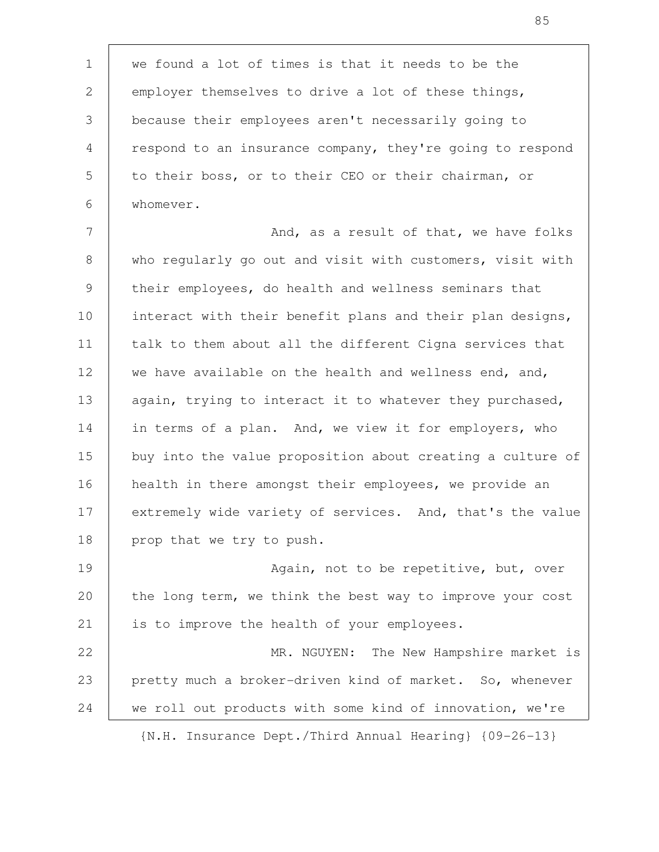we found a lot of times is that it needs to be the employer themselves to drive a lot of these things, because their employees aren't necessarily going to respond to an insurance company, they're going to respond to their boss, or to their CEO or their chairman, or whomever. 1 2 3 4 5 6

And, as a result of that, we have folks who regularly go out and visit with customers, visit with their employees, do health and wellness seminars that interact with their benefit plans and their plan designs, talk to them about all the different Cigna services that we have available on the health and wellness end, and, again, trying to interact it to whatever they purchased, in terms of a plan. And, we view it for employers, who buy into the value proposition about creating a culture of health in there amongst their employees, we provide an extremely wide variety of services. And, that's the value prop that we try to push. 7 8 9 10 11 12 13 14 15 16 17 18

Again, not to be repetitive, but, over the long term, we think the best way to improve your cost is to improve the health of your employees. 19 20 21

MR. NGUYEN: The New Hampshire market is pretty much a broker-driven kind of market. So, whenever we roll out products with some kind of innovation, we're 22 23 24

{N.H. Insurance Dept./Third Annual Hearing} {09-26-13}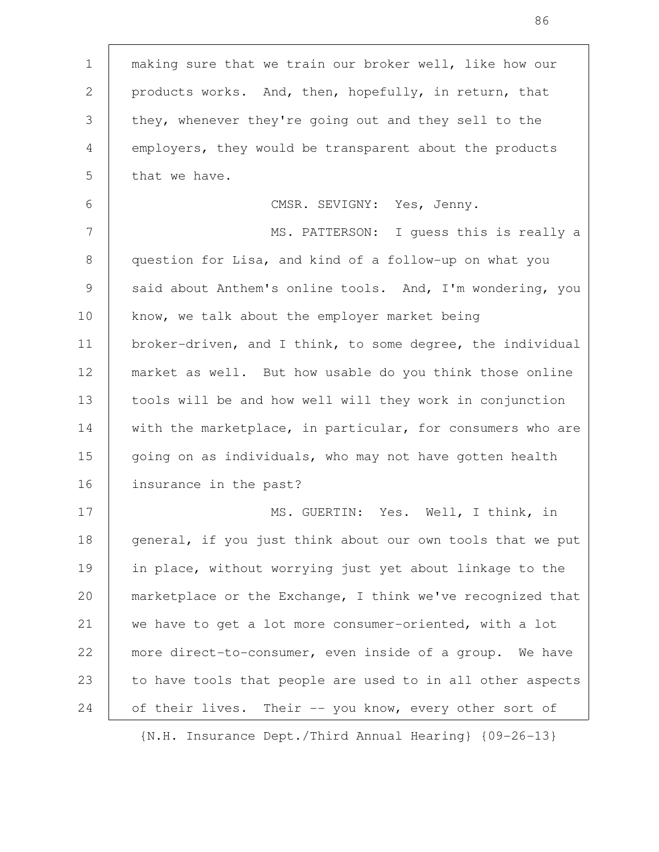making sure that we train our broker well, like how our products works. And, then, hopefully, in return, that they, whenever they're going out and they sell to the employers, they would be transparent about the products that we have. CMSR. SEVIGNY: Yes, Jenny. MS. PATTERSON: I guess this is really a question for Lisa, and kind of a follow-up on what you said about Anthem's online tools. And, I'm wondering, you know, we talk about the employer market being broker-driven, and I think, to some degree, the individual market as well. But how usable do you think those online tools will be and how well will they work in conjunction with the marketplace, in particular, for consumers who are going on as individuals, who may not have gotten health insurance in the past? MS. GUERTIN: Yes. Well, I think, in general, if you just think about our own tools that we put in place, without worrying just yet about linkage to the marketplace or the Exchange, I think we've recognized that we have to get a lot more consumer-oriented, with a lot more direct-to-consumer, even inside of a group. We have to have tools that people are used to in all other aspects of their lives. Their -- you know, every other sort of 1 2 3 4 5 6 7 8 9 10 11 12 13 14 15 16 17 18 19 20 21 22 23 24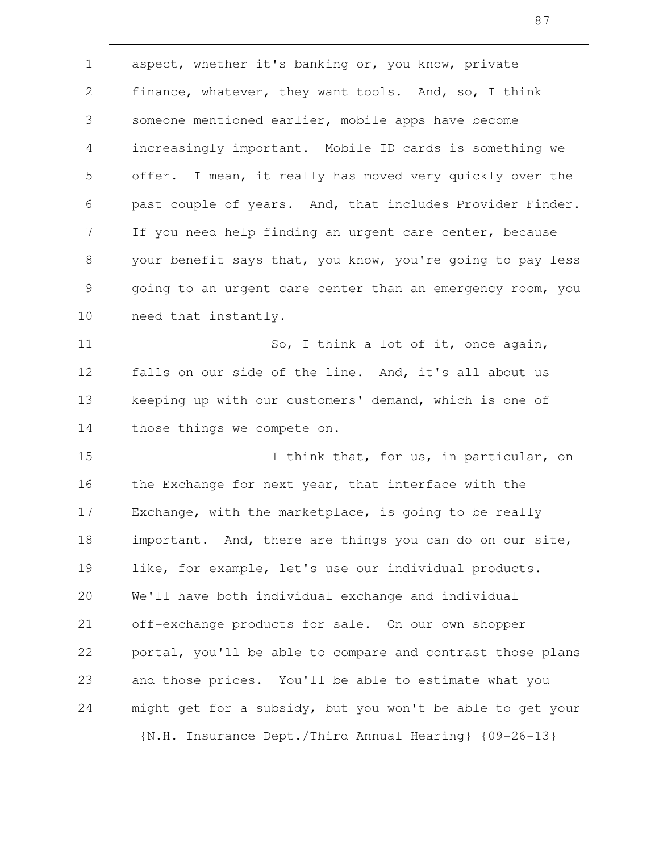aspect, whether it's banking or, you know, private finance, whatever, they want tools. And, so, I think someone mentioned earlier, mobile apps have become increasingly important. Mobile ID cards is something we offer. I mean, it really has moved very quickly over the past couple of years. And, that includes Provider Finder. If you need help finding an urgent care center, because your benefit says that, you know, you're going to pay less going to an urgent care center than an emergency room, you need that instantly. So, I think a lot of it, once again, falls on our side of the line. And, it's all about us keeping up with our customers' demand, which is one of those things we compete on. I think that, for us, in particular, on the Exchange for next year, that interface with the Exchange, with the marketplace, is going to be really important. And, there are things you can do on our site, like, for example, let's use our individual products. We'll have both individual exchange and individual off-exchange products for sale. On our own shopper portal, you'll be able to compare and contrast those plans and those prices. You'll be able to estimate what you might get for a subsidy, but you won't be able to get your 1 2 3 4 5 6 7 8 9 10 11 12 13 14 15 16 17 18 19 20 21 22 23 24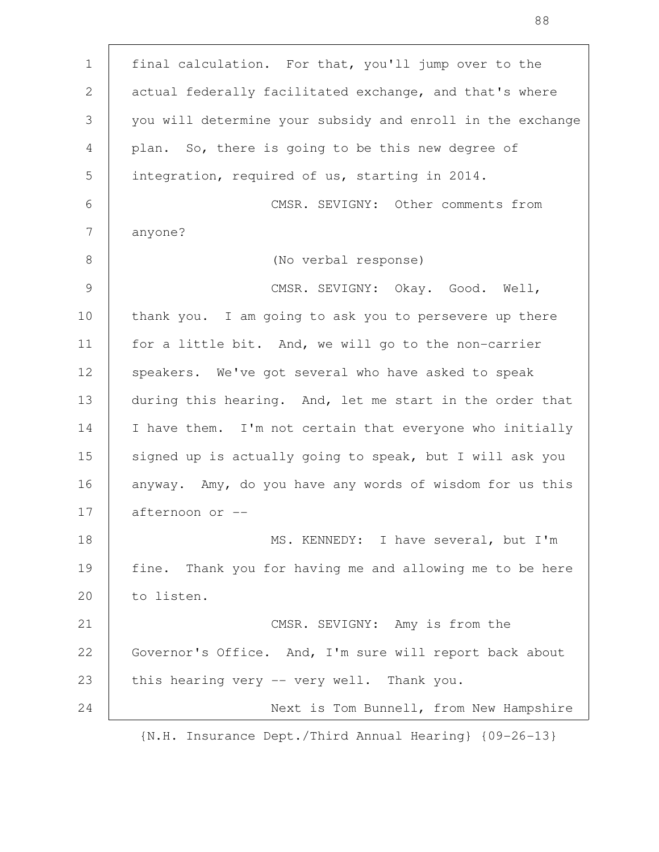final calculation. For that, you'll jump over to the actual federally facilitated exchange, and that's where you will determine your subsidy and enroll in the exchange plan. So, there is going to be this new degree of integration, required of us, starting in 2014. CMSR. SEVIGNY: Other comments from anyone? (No verbal response) CMSR. SEVIGNY: Okay. Good. Well, thank you. I am going to ask you to persevere up there for a little bit. And, we will go to the non-carrier speakers. We've got several who have asked to speak during this hearing. And, let me start in the order that I have them. I'm not certain that everyone who initially signed up is actually going to speak, but I will ask you anyway. Amy, do you have any words of wisdom for us this afternoon or -- MS. KENNEDY: I have several, but I'm fine. Thank you for having me and allowing me to be here to listen. CMSR. SEVIGNY: Amy is from the Governor's Office. And, I'm sure will report back about this hearing very -- very well. Thank you. Next is Tom Bunnell, from New Hampshire 1 2 3 4 5 6 7 8 9 10 11 12 13 14 15 16 17 18 19 20 21 22 23 24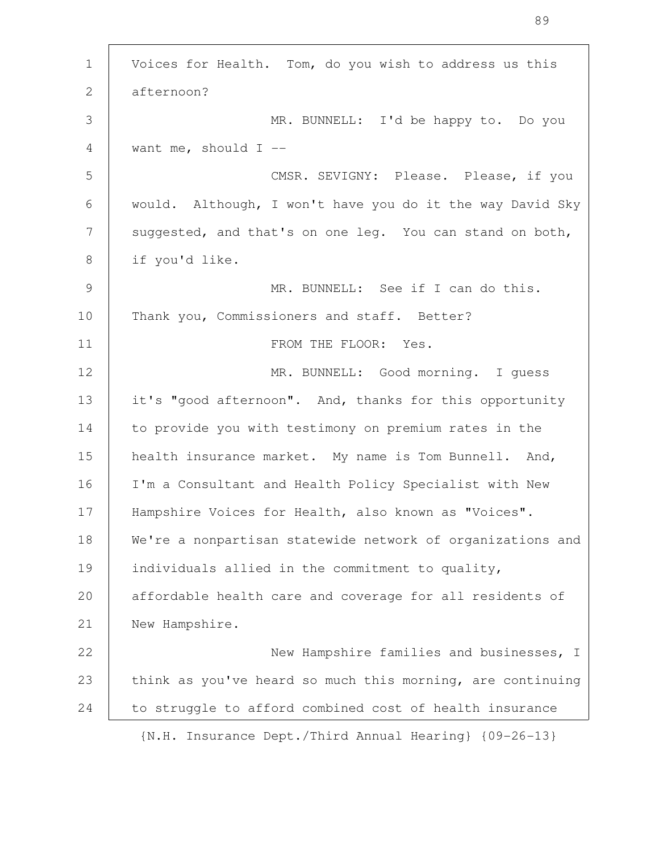| $\mathbf 1$     | Voices for Health. Tom, do you wish to address us this     |
|-----------------|------------------------------------------------------------|
| 2               | afternoon?                                                 |
| 3               | MR. BUNNELL: I'd be happy to. Do you                       |
| 4               | want me, should $I$ --                                     |
| 5               | CMSR. SEVIGNY: Please. Please, if you                      |
| 6               | would. Although, I won't have you do it the way David Sky  |
| $7\phantom{.0}$ | suggested, and that's on one leg. You can stand on both,   |
| 8               | if you'd like.                                             |
| $\overline{9}$  | MR. BUNNELL: See if I can do this.                         |
| 10              | Thank you, Commissioners and staff. Better?                |
| 11              | FROM THE FLOOR: Yes.                                       |
| 12              | MR. BUNNELL: Good morning. I guess                         |
| 13              | it's "good afternoon". And, thanks for this opportunity    |
| 14              | to provide you with testimony on premium rates in the      |
| 15              | health insurance market. My name is Tom Bunnell. And,      |
| 16              | I'm a Consultant and Health Policy Specialist with New     |
| 17              | Hampshire Voices for Health, also known as "Voices".       |
| 18              | We're a nonpartisan statewide network of organizations and |
| 19              | individuals allied in the commitment to quality,           |
| 20              | affordable health care and coverage for all residents of   |
| 21              | New Hampshire.                                             |
| 22              | New Hampshire families and businesses, I                   |
| 23              | think as you've heard so much this morning, are continuing |
| 24              | to struggle to afford combined cost of health insurance    |
|                 | {N.H. Insurance Dept./Third Annual Hearing} {09-26-13}     |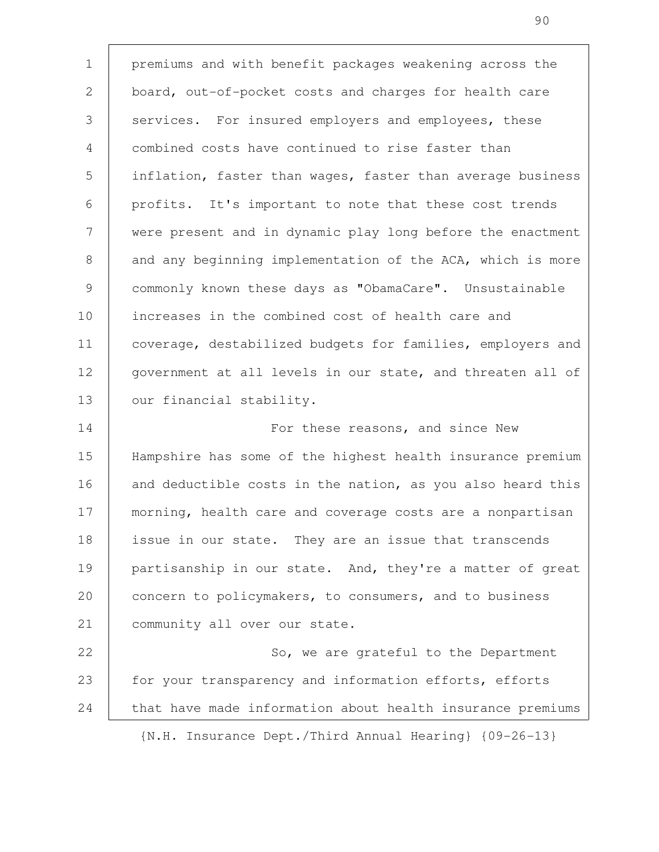premiums and with benefit packages weakening across the board, out-of-pocket costs and charges for health care services. For insured employers and employees, these combined costs have continued to rise faster than inflation, faster than wages, faster than average business profits. It's important to note that these cost trends were present and in dynamic play long before the enactment and any beginning implementation of the ACA, which is more commonly known these days as "ObamaCare". Unsustainable increases in the combined cost of health care and coverage, destabilized budgets for families, employers and government at all levels in our state, and threaten all of our financial stability. For these reasons, and since New Hampshire has some of the highest health insurance premium and deductible costs in the nation, as you also heard this morning, health care and coverage costs are a nonpartisan issue in our state. They are an issue that transcends partisanship in our state. And, they're a matter of great concern to policymakers, to consumers, and to business community all over our state. So, we are grateful to the Department for your transparency and information efforts, efforts that have made information about health insurance premiums 1 2 3 4 5 6 7 8 9 10 11 12 13 14 15 16 17 18 19 20 21 22 23 24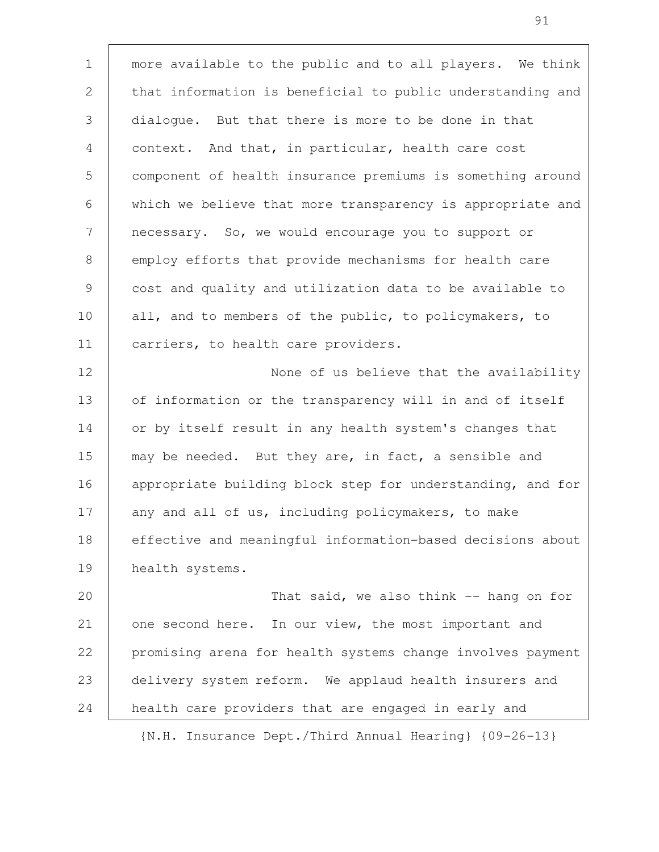more available to the public and to all players. We think that information is beneficial to public understanding and dialogue. But that there is more to be done in that context. And that, in particular, health care cost component of health insurance premiums is something around which we believe that more transparency is appropriate and necessary. So, we would encourage you to support or employ efforts that provide mechanisms for health care cost and quality and utilization data to be available to all, and to members of the public, to policymakers, to carriers, to health care providers. None of us believe that the availability of information or the transparency will in and of itself or by itself result in any health system's changes that 1 2 3 4 5 6 7 8 9 10 11 12 13 14

may be needed. But they are, in fact, a sensible and appropriate building block step for understanding, and for any and all of us, including policymakers, to make effective and meaningful information-based decisions about health systems. 15 16 17 18 19

That said, we also think -- hang on for one second here. In our view, the most important and promising arena for health systems change involves payment delivery system reform. We applaud health insurers and health care providers that are engaged in early and 20 21 22 23 24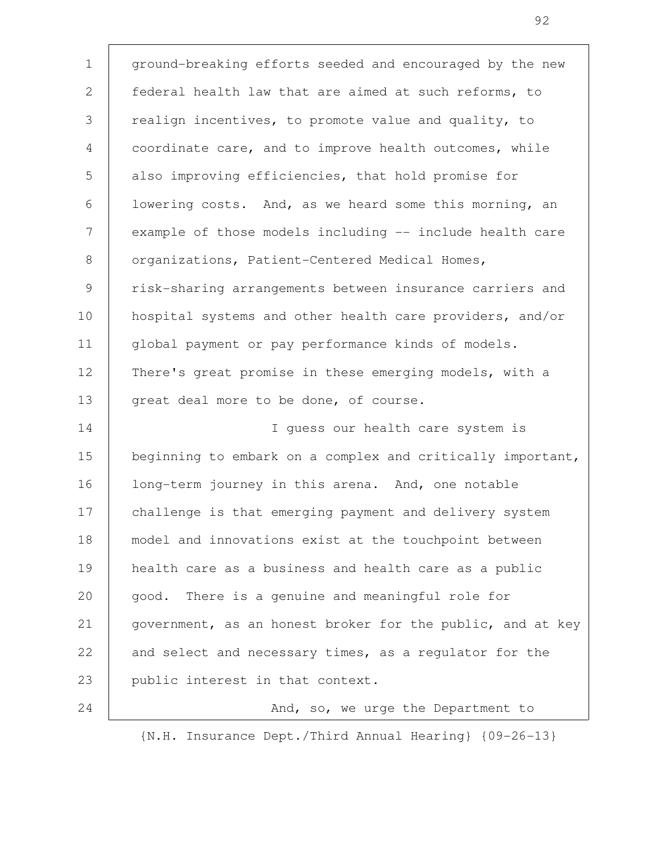ground-breaking efforts seeded and encouraged by the new federal health law that are aimed at such reforms, to realign incentives, to promote value and quality, to coordinate care, and to improve health outcomes, while also improving efficiencies, that hold promise for lowering costs. And, as we heard some this morning, an example of those models including -- include health care organizations, Patient-Centered Medical Homes, risk-sharing arrangements between insurance carriers and hospital systems and other health care providers, and/or global payment or pay performance kinds of models. There's great promise in these emerging models, with a great deal more to be done, of course. I guess our health care system is beginning to embark on a complex and critically important, long-term journey in this arena. And, one notable challenge is that emerging payment and delivery system model and innovations exist at the touchpoint between health care as a business and health care as a public good. There is a genuine and meaningful role for government, as an honest broker for the public, and at key and select and necessary times, as a regulator for the public interest in that context. And, so, we urge the Department to 1 2 3 4 5 6 7 8 9 10 11 12 13 14 15 16 17 18 19 20 21 22 23 24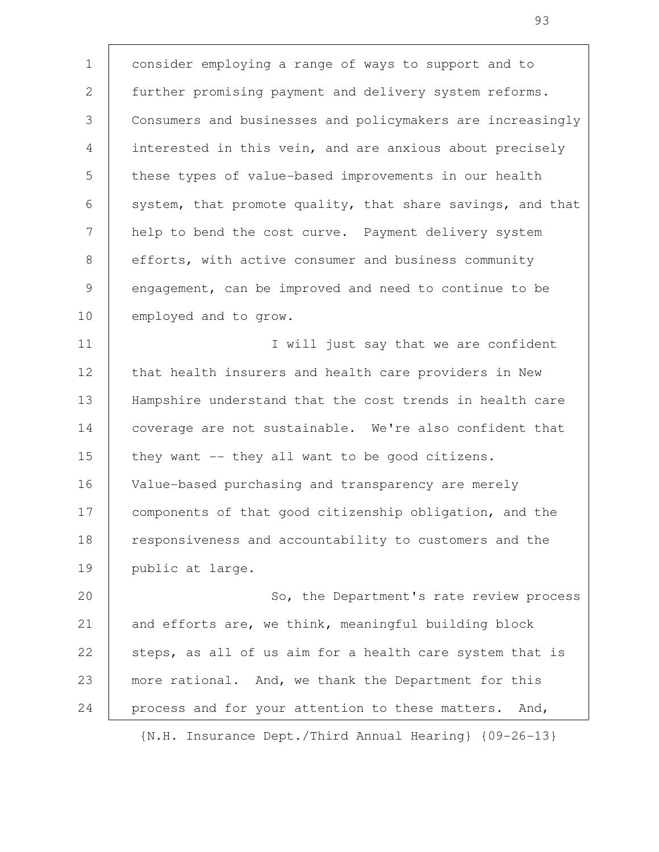consider employing a range of ways to support and to further promising payment and delivery system reforms. Consumers and businesses and policymakers are increasingly interested in this vein, and are anxious about precisely these types of value-based improvements in our health system, that promote quality, that share savings, and that help to bend the cost curve. Payment delivery system efforts, with active consumer and business community engagement, can be improved and need to continue to be employed and to grow. 1 2 3 4 5 6 7 8 9 10

I will just say that we are confident that health insurers and health care providers in New Hampshire understand that the cost trends in health care coverage are not sustainable. We're also confident that they want -- they all want to be good citizens. Value-based purchasing and transparency are merely components of that good citizenship obligation, and the responsiveness and accountability to customers and the public at large. 11 12 13 14 15 16 17 18 19

So, the Department's rate review process and efforts are, we think, meaningful building block steps, as all of us aim for a health care system that is more rational. And, we thank the Department for this process and for your attention to these matters. And, 20 21 22 23 24

{N.H. Insurance Dept./Third Annual Hearing} {09-26-13}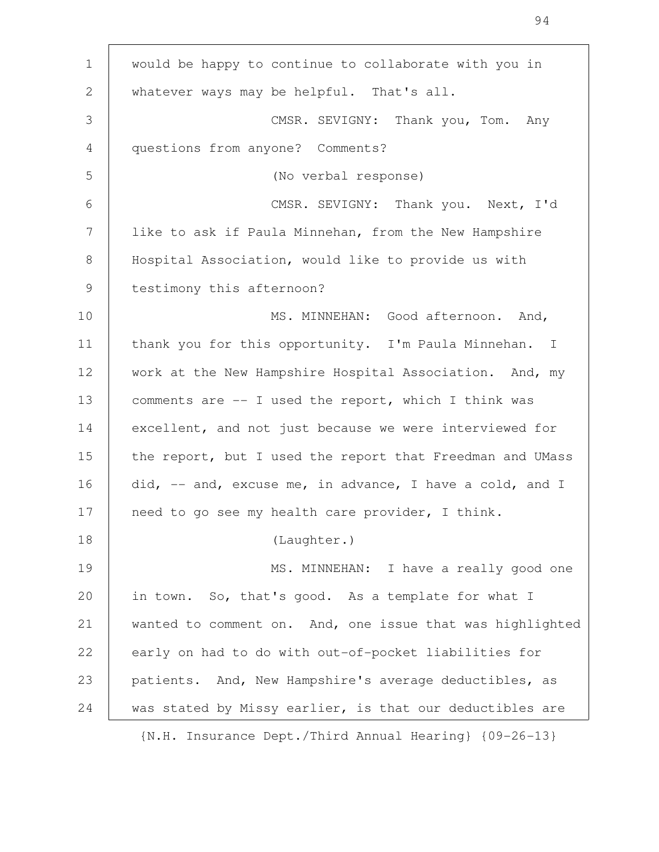| $\mathbf{1}$ | would be happy to continue to collaborate with you in     |
|--------------|-----------------------------------------------------------|
| $\mathbf{2}$ | whatever ways may be helpful. That's all.                 |
| 3            | CMSR. SEVIGNY: Thank you, Tom. Any                        |
| 4            | questions from anyone? Comments?                          |
| 5            | (No verbal response)                                      |
| 6            | CMSR. SEVIGNY: Thank you. Next, I'd                       |
| 7            | like to ask if Paula Minnehan, from the New Hampshire     |
| 8            | Hospital Association, would like to provide us with       |
| 9            | testimony this afternoon?                                 |
| 10           | MS. MINNEHAN: Good afternoon. And,                        |
| 11           | thank you for this opportunity. I'm Paula Minnehan. I     |
| 12           | work at the New Hampshire Hospital Association. And, my   |
| 13           | comments are -- I used the report, which I think was      |
| 14           | excellent, and not just because we were interviewed for   |
| 15           | the report, but I used the report that Freedman and UMass |
| 16           | did, -- and, excuse me, in advance, I have a cold, and I  |
| 17           | need to go see my health care provider, I think.          |
| 18           | (Laughter.)                                               |
| 19           | MS. MINNEHAN: I have a really good one                    |
| 20           | in town. So, that's good. As a template for what I        |
| 21           | wanted to comment on. And, one issue that was highlighted |
| 22           | early on had to do with out-of-pocket liabilities for     |
| 23           | patients. And, New Hampshire's average deductibles, as    |
| 24           | was stated by Missy earlier, is that our deductibles are  |
|              |                                                           |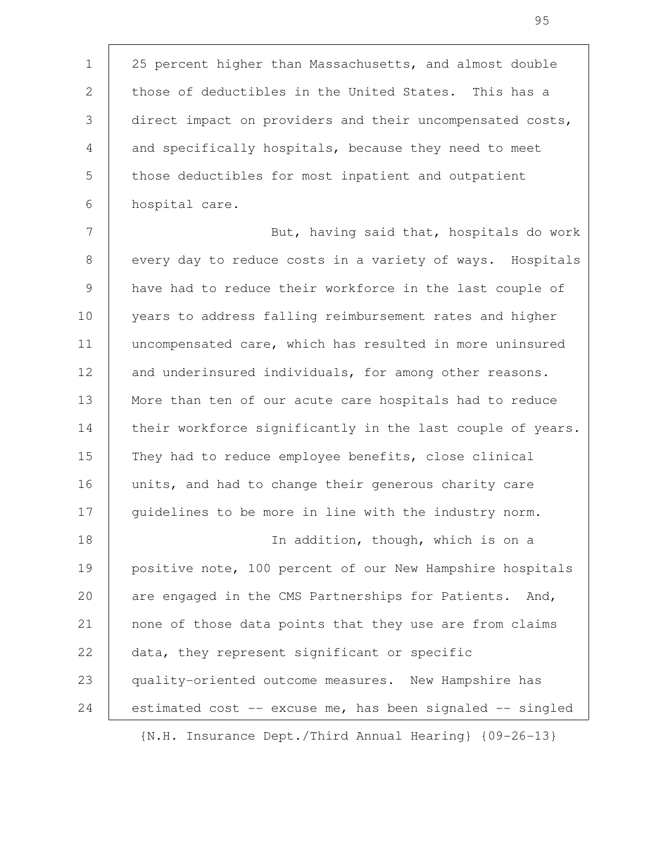25 percent higher than Massachusetts, and almost double those of deductibles in the United States. This has a direct impact on providers and their uncompensated costs, and specifically hospitals, because they need to meet those deductibles for most inpatient and outpatient hospital care. 1 2 3 4 5 6

But, having said that, hospitals do work every day to reduce costs in a variety of ways. Hospitals have had to reduce their workforce in the last couple of years to address falling reimbursement rates and higher uncompensated care, which has resulted in more uninsured and underinsured individuals, for among other reasons. More than ten of our acute care hospitals had to reduce their workforce significantly in the last couple of years. They had to reduce employee benefits, close clinical units, and had to change their generous charity care guidelines to be more in line with the industry norm. In addition, though, which is on a positive note, 100 percent of our New Hampshire hospitals are engaged in the CMS Partnerships for Patients. And, none of those data points that they use are from claims data, they represent significant or specific quality-oriented outcome measures. New Hampshire has 7 8 9 10 11 12 13 14 15 16 17 18 19 20 21 22 23

estimated cost -- excuse me, has been signaled -- singled

24

{N.H. Insurance Dept./Third Annual Hearing} {09-26-13}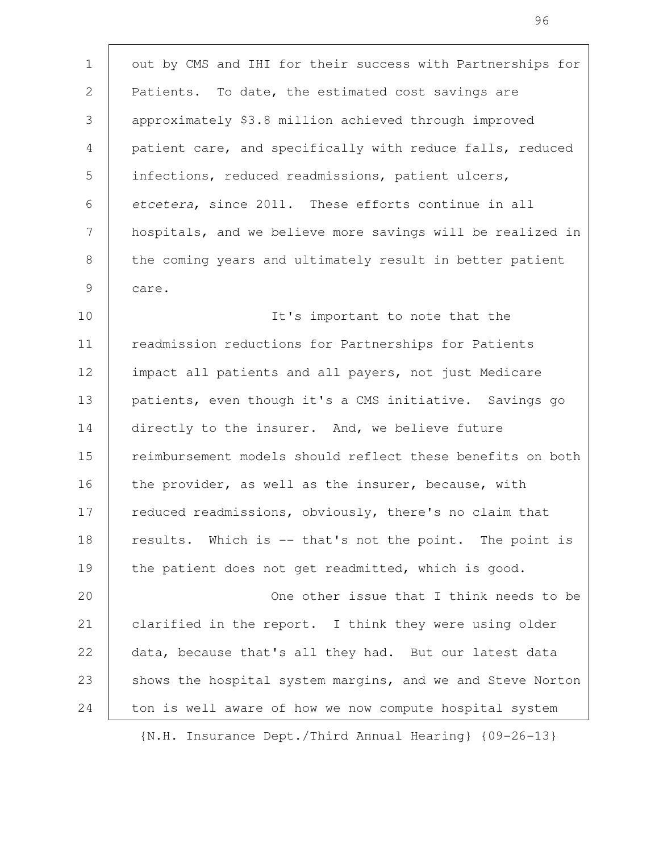out by CMS and IHI for their success with Partnerships for Patients. To date, the estimated cost savings are approximately \$3.8 million achieved through improved patient care, and specifically with reduce falls, reduced infections, reduced readmissions, patient ulcers, etcetera, since 2011. These efforts continue in all hospitals, and we believe more savings will be realized in the coming years and ultimately result in better patient care. 1 2 3 4 5 6 7 8 9

It's important to note that the readmission reductions for Partnerships for Patients impact all patients and all payers, not just Medicare patients, even though it's a CMS initiative. Savings go directly to the insurer. And, we believe future reimbursement models should reflect these benefits on both the provider, as well as the insurer, because, with reduced readmissions, obviously, there's no claim that results. Which is -- that's not the point. The point is the patient does not get readmitted, which is good. 10 11 12 13 14 15 16 17 18 19

One other issue that I think needs to be clarified in the report. I think they were using older data, because that's all they had. But our latest data shows the hospital system margins, and we and Steve Norton ton is well aware of how we now compute hospital system 20 21 22 23 24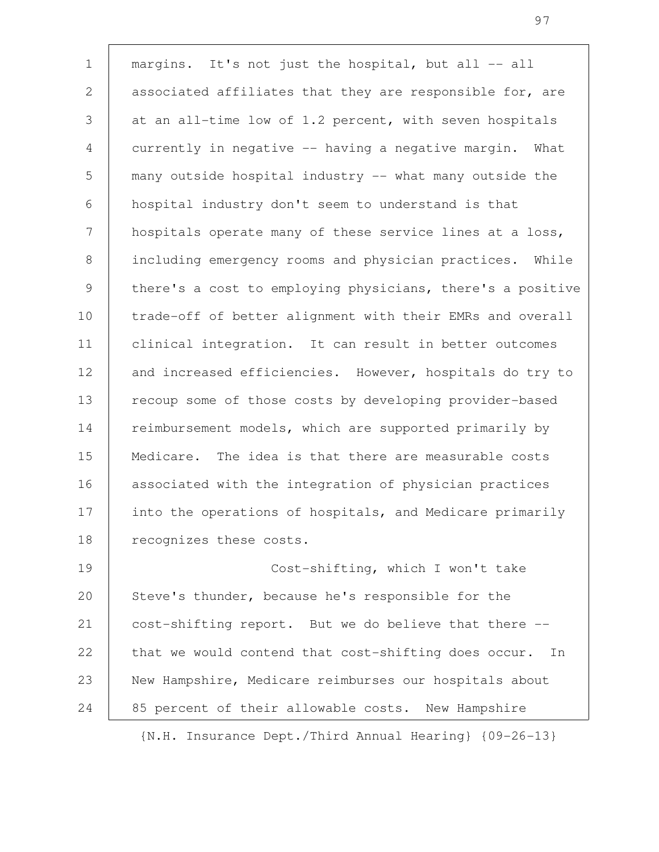margins. It's not just the hospital, but all -- all associated affiliates that they are responsible for, are at an all-time low of 1.2 percent, with seven hospitals currently in negative -- having a negative margin. What many outside hospital industry -- what many outside the hospital industry don't seem to understand is that hospitals operate many of these service lines at a loss, including emergency rooms and physician practices. While there's a cost to employing physicians, there's a positive trade-off of better alignment with their EMRs and overall clinical integration. It can result in better outcomes and increased efficiencies. However, hospitals do try to recoup some of those costs by developing provider-based reimbursement models, which are supported primarily by Medicare. The idea is that there are measurable costs associated with the integration of physician practices into the operations of hospitals, and Medicare primarily recognizes these costs. Cost-shifting, which I won't take Steve's thunder, because he's responsible for the 1 2 3 4 5 6 7 8 9 10 11 12 13 14 15 16 17 18 19 20

cost-shifting report. But we do believe that there - that we would contend that cost-shifting does occur. In New Hampshire, Medicare reimburses our hospitals about 85 percent of their allowable costs. New Hampshire 21 22 23 24

{N.H. Insurance Dept./Third Annual Hearing} {09-26-13}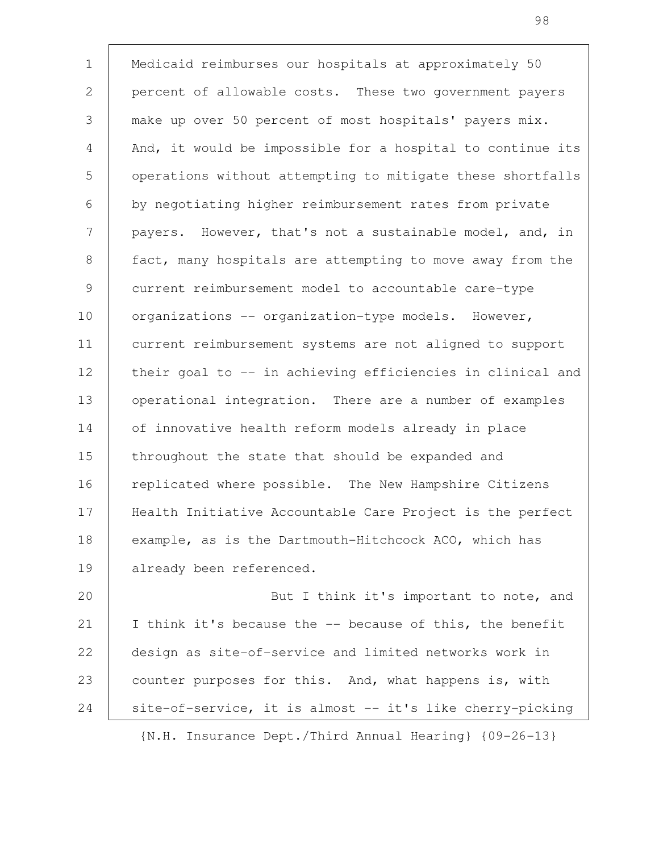Medicaid reimburses our hospitals at approximately 50 percent of allowable costs. These two government payers make up over 50 percent of most hospitals' payers mix. And, it would be impossible for a hospital to continue its operations without attempting to mitigate these shortfalls by negotiating higher reimbursement rates from private payers. However, that's not a sustainable model, and, in fact, many hospitals are attempting to move away from the current reimbursement model to accountable care-type organizations -- organization-type models. However, current reimbursement systems are not aligned to support their goal to -- in achieving efficiencies in clinical and operational integration. There are a number of examples of innovative health reform models already in place throughout the state that should be expanded and replicated where possible. The New Hampshire Citizens Health Initiative Accountable Care Project is the perfect example, as is the Dartmouth-Hitchcock ACO, which has already been referenced. 1 2 3 4 5 6 7 8 9 10 11 12 13 14 15 16 17 18 19

But I think it's important to note, and I think it's because the -- because of this, the benefit design as site-of-service and limited networks work in counter purposes for this. And, what happens is, with site-of-service, it is almost -- it's like cherry-picking 20 21 22 23 24

{N.H. Insurance Dept./Third Annual Hearing} {09-26-13}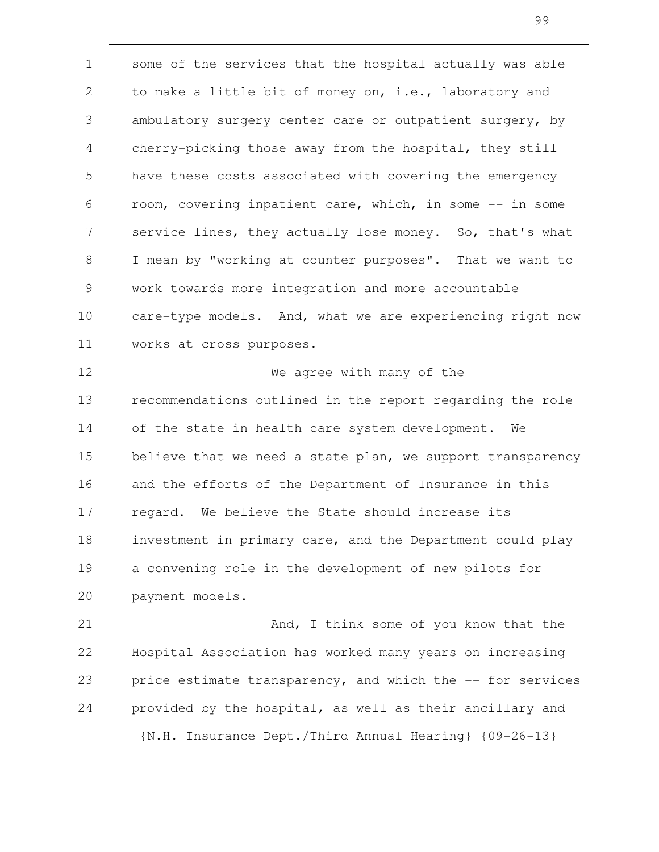some of the services that the hospital actually was able to make a little bit of money on, i.e., laboratory and ambulatory surgery center care or outpatient surgery, by cherry-picking those away from the hospital, they still have these costs associated with covering the emergency room, covering inpatient care, which, in some -- in some service lines, they actually lose money. So, that's what I mean by "working at counter purposes". That we want to work towards more integration and more accountable care-type models. And, what we are experiencing right now works at cross purposes. We agree with many of the recommendations outlined in the report regarding the role of the state in health care system development. We believe that we need a state plan, we support transparency and the efforts of the Department of Insurance in this regard. We believe the State should increase its investment in primary care, and the Department could play a convening role in the development of new pilots for payment models. And, I think some of you know that the Hospital Association has worked many years on increasing price estimate transparency, and which the -- for services provided by the hospital, as well as their ancillary and 1 2 3 4 5 6 7 8 9 10 11 12 13 14 15 16 17 18 19 20 21 22 23 24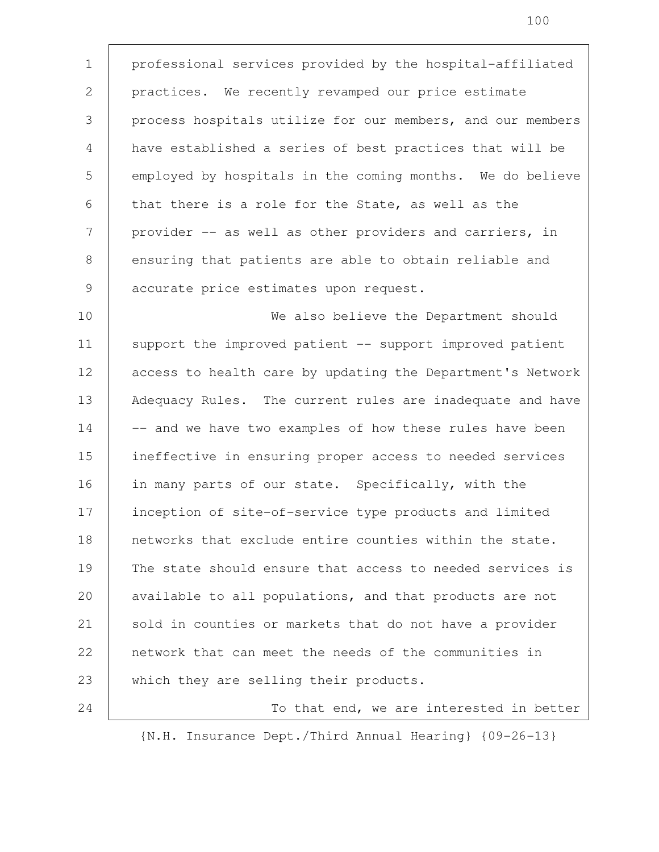professional services provided by the hospital-affiliated practices. We recently revamped our price estimate process hospitals utilize for our members, and our members have established a series of best practices that will be employed by hospitals in the coming months. We do believe that there is a role for the State, as well as the provider -- as well as other providers and carriers, in ensuring that patients are able to obtain reliable and accurate price estimates upon request. 1 2 3 4 5 6 7 8 9

We also believe the Department should support the improved patient -- support improved patient access to health care by updating the Department's Network Adequacy Rules. The current rules are inadequate and have -- and we have two examples of how these rules have been ineffective in ensuring proper access to needed services in many parts of our state. Specifically, with the inception of site-of-service type products and limited networks that exclude entire counties within the state. The state should ensure that access to needed services is available to all populations, and that products are not sold in counties or markets that do not have a provider network that can meet the needs of the communities in which they are selling their products. 10 11 12 13 14 15 16 17 18 19 20 21 22 23

To that end, we are interested in better {N.H. Insurance Dept./Third Annual Hearing} {09-26-13}

24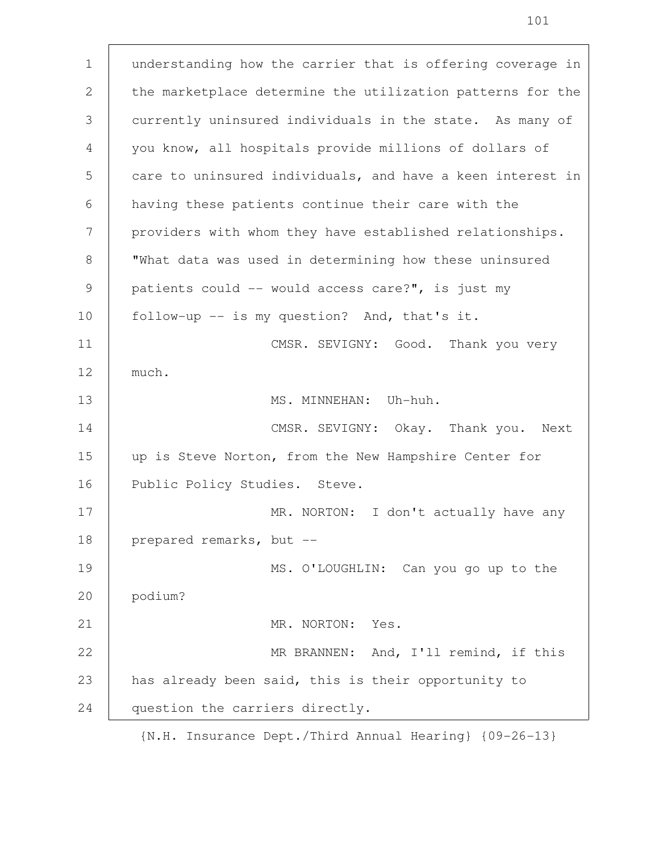understanding how the carrier that is offering coverage in the marketplace determine the utilization patterns for the currently uninsured individuals in the state. As many of you know, all hospitals provide millions of dollars of care to uninsured individuals, and have a keen interest in having these patients continue their care with the providers with whom they have established relationships. "What data was used in determining how these uninsured patients could -- would access care?", is just my follow-up -- is my question? And, that's it. CMSR. SEVIGNY: Good. Thank you very much. MS. MINNEHAN: Uh-huh. CMSR. SEVIGNY: Okay. Thank you. Next up is Steve Norton, from the New Hampshire Center for Public Policy Studies. Steve. MR. NORTON: I don't actually have any prepared remarks, but -- MS. O'LOUGHLIN: Can you go up to the podium? MR. NORTON: Yes. MR BRANNEN: And, I'll remind, if this has already been said, this is their opportunity to question the carriers directly. 1 2 3 4 5 6 7 8 9 10 11 12 13 14 15 16 17 18 19 20 21 22 23 24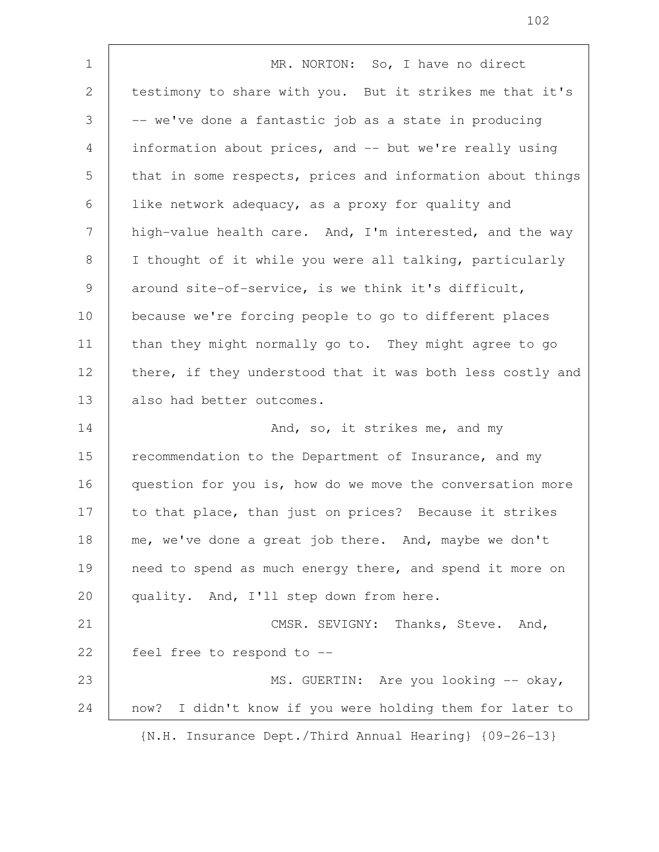MR. NORTON: So, I have no direct testimony to share with you. But it strikes me that it's -- we've done a fantastic job as a state in producing information about prices, and -- but we're really using that in some respects, prices and information about things like network adequacy, as a proxy for quality and high-value health care. And, I'm interested, and the way I thought of it while you were all talking, particularly around site-of-service, is we think it's difficult, because we're forcing people to go to different places than they might normally go to. They might agree to go there, if they understood that it was both less costly and also had better outcomes. And, so, it strikes me, and my recommendation to the Department of Insurance, and my question for you is, how do we move the conversation more to that place, than just on prices? Because it strikes me, we've done a great job there. And, maybe we don't need to spend as much energy there, and spend it more on quality. And, I'll step down from here. CMSR. SEVIGNY: Thanks, Steve. And, feel free to respond to -- MS. GUERTIN: Are you looking -- okay, now? I didn't know if you were holding them for later to {N.H. Insurance Dept./Third Annual Hearing} {09-26-13} 1 2 3 4 5 6 7 8 9 10 11 12 13 14 15 16 17 18 19 20 21 22 23 24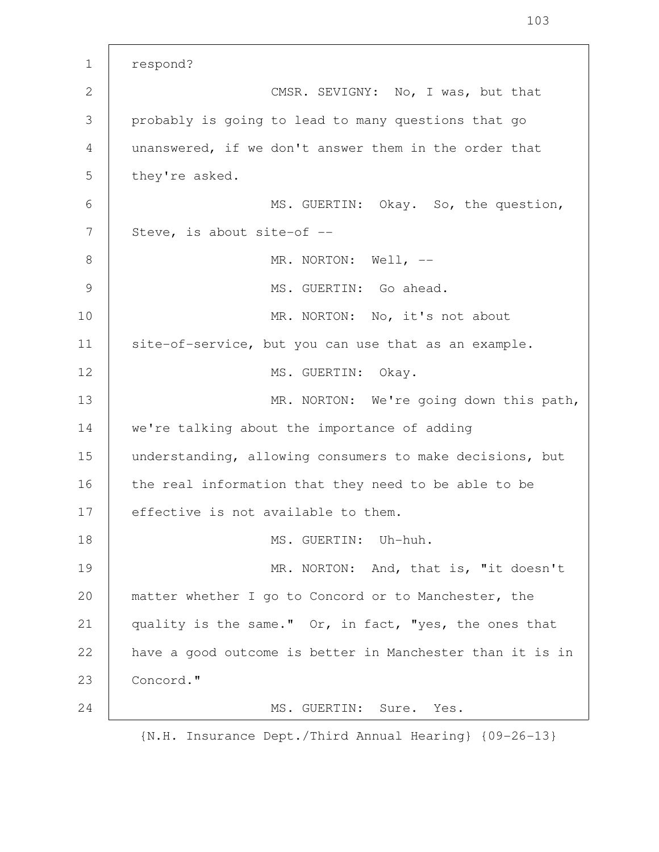respond? CMSR. SEVIGNY: No, I was, but that probably is going to lead to many questions that go unanswered, if we don't answer them in the order that they're asked. MS. GUERTIN: Okay. So, the question, Steve, is about site-of -- MR. NORTON: Well, --MS. GUERTIN: Go ahead. MR. NORTON: No, it's not about site-of-service, but you can use that as an example. MS. GUERTIN: Okay. MR. NORTON: We're going down this path, we're talking about the importance of adding understanding, allowing consumers to make decisions, but the real information that they need to be able to be effective is not available to them. MS. GUERTIN: Uh-huh. MR. NORTON: And, that is, "it doesn't matter whether I go to Concord or to Manchester, the quality is the same." Or, in fact, "yes, the ones that have a good outcome is better in Manchester than it is in Concord." MS. GUERTIN: Sure. Yes. {N.H. Insurance Dept./Third Annual Hearing} {09-26-13} 1 2 3 4 5 6 7 8 9 10 11 12 13 14 15 16 17 18 19 20 21 22 23 24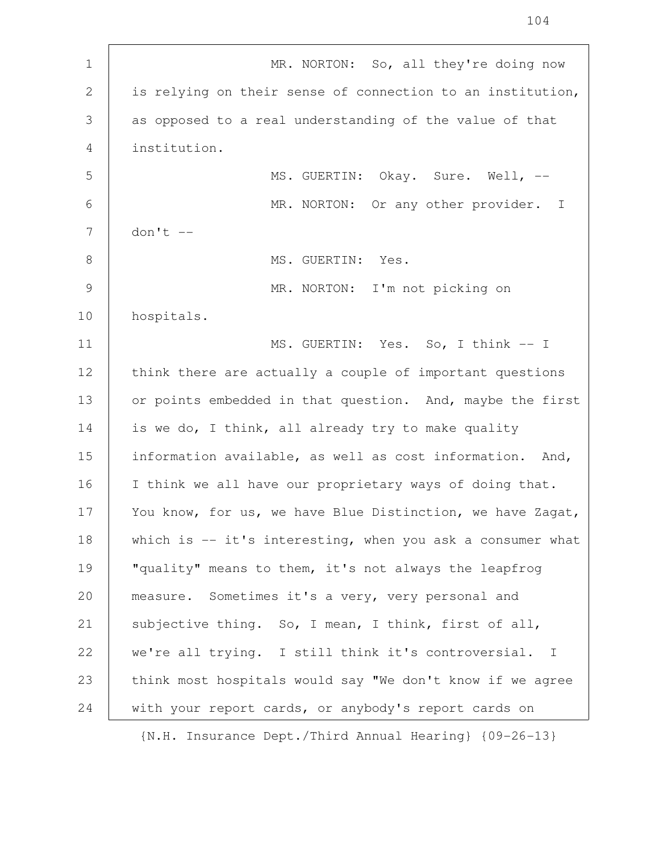| $\mathbf 1$   | MR. NORTON: So, all they're doing now                       |
|---------------|-------------------------------------------------------------|
| $\mathbf{2}$  | is relying on their sense of connection to an institution,  |
| 3             | as opposed to a real understanding of the value of that     |
| 4             | institution.                                                |
| 5             | MS. GUERTIN: Okay. Sure. Well, --                           |
| 6             | MR. NORTON: Or any other provider.<br>$\mathbf{I}$          |
| 7             | $don't --$                                                  |
| 8             | MS. GUERTIN: Yes.                                           |
| $\mathcal{G}$ | MR. NORTON: I'm not picking on                              |
| 10            | hospitals.                                                  |
| 11            | MS. GUERTIN: Yes. So, I think -- I                          |
| 12            | think there are actually a couple of important questions    |
| 13            | or points embedded in that question. And, maybe the first   |
| 14            | is we do, I think, all already try to make quality          |
| 15            | information available, as well as cost information. And,    |
| 16            | I think we all have our proprietary ways of doing that.     |
| 17            | You know, for us, we have Blue Distinction, we have Zagat,  |
| 18            | which is $-$ it's interesting, when you ask a consumer what |
| 19            | "quality" means to them, it's not always the leapfrog       |
| 20            | measure. Sometimes it's a very, very personal and           |
| 21            | subjective thing. So, I mean, I think, first of all,        |
| 22            | we're all trying. I still think it's controversial. I       |
| 23            | think most hospitals would say "We don't know if we agree   |
| 24            | with your report cards, or anybody's report cards on        |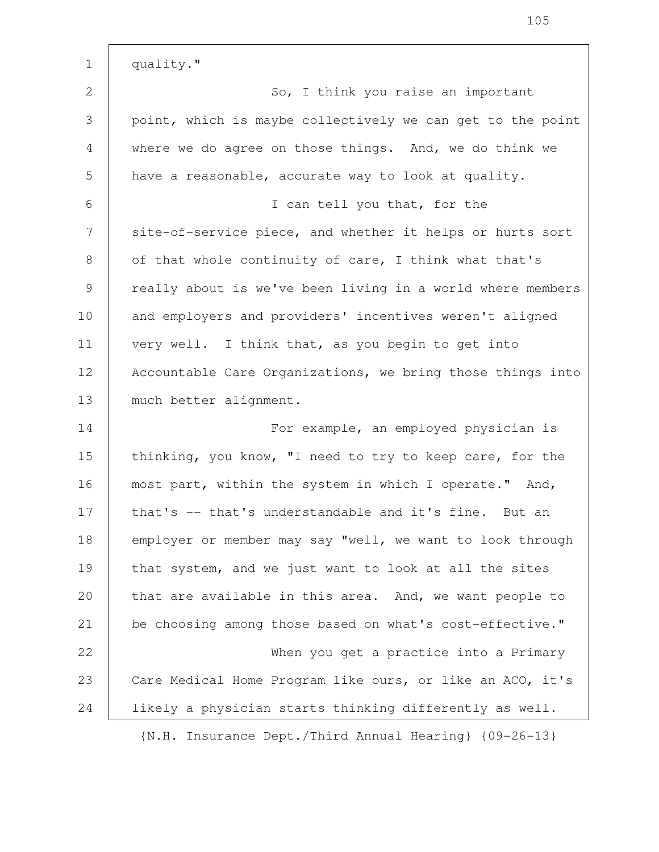quality." So, I think you raise an important point, which is maybe collectively we can get to the point where we do agree on those things. And, we do think we have a reasonable, accurate way to look at quality. I can tell you that, for the site-of-service piece, and whether it helps or hurts sort of that whole continuity of care, I think what that's really about is we've been living in a world where members and employers and providers' incentives weren't aligned very well. I think that, as you begin to get into Accountable Care Organizations, we bring those things into much better alignment. For example, an employed physician is thinking, you know, "I need to try to keep care, for the most part, within the system in which I operate." And, that's -- that's understandable and it's fine. But an employer or member may say "well, we want to look through that system, and we just want to look at all the sites that are available in this area. And, we want people to be choosing among those based on what's cost-effective." When you get a practice into a Primary Care Medical Home Program like ours, or like an ACO, it's likely a physician starts thinking differently as well. 1 2 3 4 5 6 7 8 9 10 11 12 13 14 15 16 17 18 19 20 21 22 23 24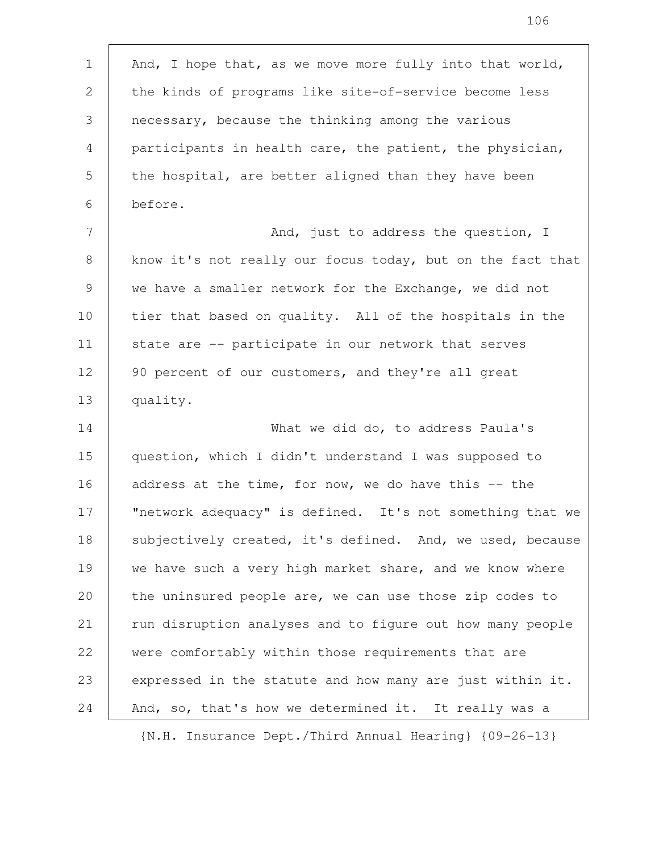And, I hope that, as we move more fully into that world, the kinds of programs like site-of-service become less necessary, because the thinking among the various participants in health care, the patient, the physician, the hospital, are better aligned than they have been before. And, just to address the question, I know it's not really our focus today, but on the fact that we have a smaller network for the Exchange, we did not tier that based on quality. All of the hospitals in the state are -- participate in our network that serves 90 percent of our customers, and they're all great quality. What we did do, to address Paula's question, which I didn't understand I was supposed to address at the time, for now, we do have this  $-$  the "network adequacy" is defined. It's not something that we subjectively created, it's defined. And, we used, because we have such a very high market share, and we know where the uninsured people are, we can use those zip codes to run disruption analyses and to figure out how many people were comfortably within those requirements that are expressed in the statute and how many are just within it. And, so, that's how we determined it. It really was a 1 2 3 4 5 6 7 8 9 10 11 12 13 14 15 16 17 18 19 20 21 22 23 24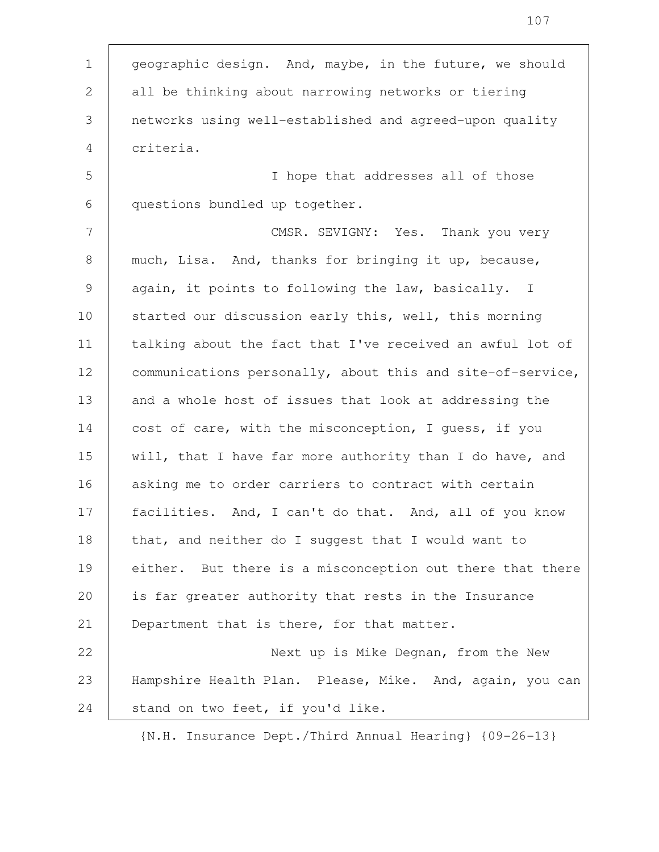geographic design. And, maybe, in the future, we should all be thinking about narrowing networks or tiering networks using well-established and agreed-upon quality criteria. 1 2 3 4

I hope that addresses all of those questions bundled up together. 5 6

CMSR. SEVIGNY: Yes. Thank you very much, Lisa. And, thanks for bringing it up, because, again, it points to following the law, basically. I started our discussion early this, well, this morning talking about the fact that I've received an awful lot of communications personally, about this and site-of-service, and a whole host of issues that look at addressing the cost of care, with the misconception, I guess, if you will, that I have far more authority than I do have, and asking me to order carriers to contract with certain facilities. And, I can't do that. And, all of you know that, and neither do I suggest that I would want to either. But there is a misconception out there that there is far greater authority that rests in the Insurance Department that is there, for that matter. 7 8 9 10 11 12 13 14 15 16 17 18 19 20 21

Next up is Mike Degnan, from the New Hampshire Health Plan. Please, Mike. And, again, you can stand on two feet, if you'd like. 22 23 24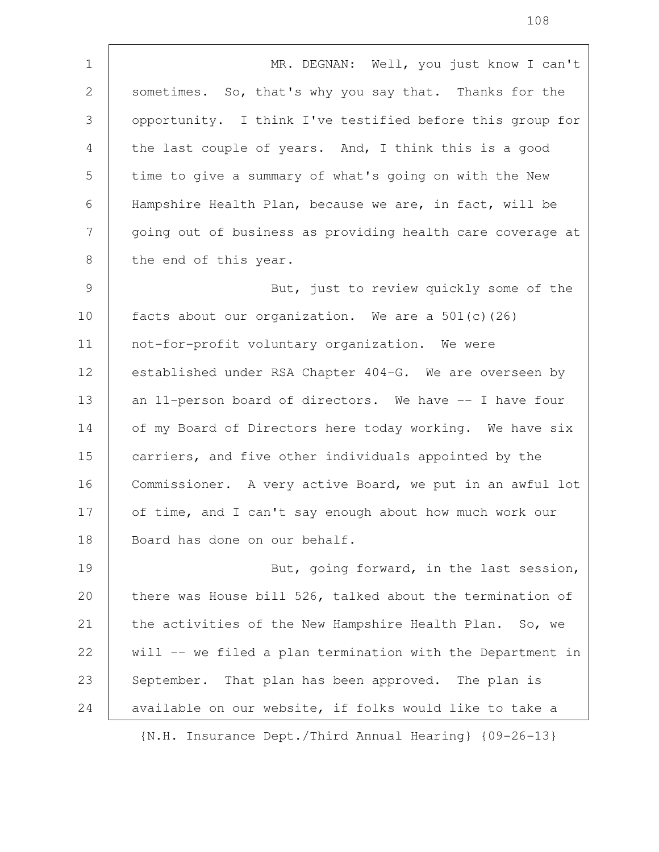MR. DEGNAN: Well, you just know I can't sometimes. So, that's why you say that. Thanks for the opportunity. I think I've testified before this group for the last couple of years. And, I think this is a good time to give a summary of what's going on with the New Hampshire Health Plan, because we are, in fact, will be going out of business as providing health care coverage at the end of this year. But, just to review quickly some of the facts about our organization. We are a  $501(c)(26)$ not-for-profit voluntary organization. We were established under RSA Chapter 404-G. We are overseen by an 11-person board of directors. We have -- I have four of my Board of Directors here today working. We have six carriers, and five other individuals appointed by the Commissioner. A very active Board, we put in an awful lot of time, and I can't say enough about how much work our Board has done on our behalf. But, going forward, in the last session, there was House bill 526, talked about the termination of the activities of the New Hampshire Health Plan. So, we will -- we filed a plan termination with the Department in September. That plan has been approved. The plan is available on our website, if folks would like to take a 1 2 3 4 5 6 7 8 9 10 11 12 13 14 15 16 17 18 19 20 21 22 23 24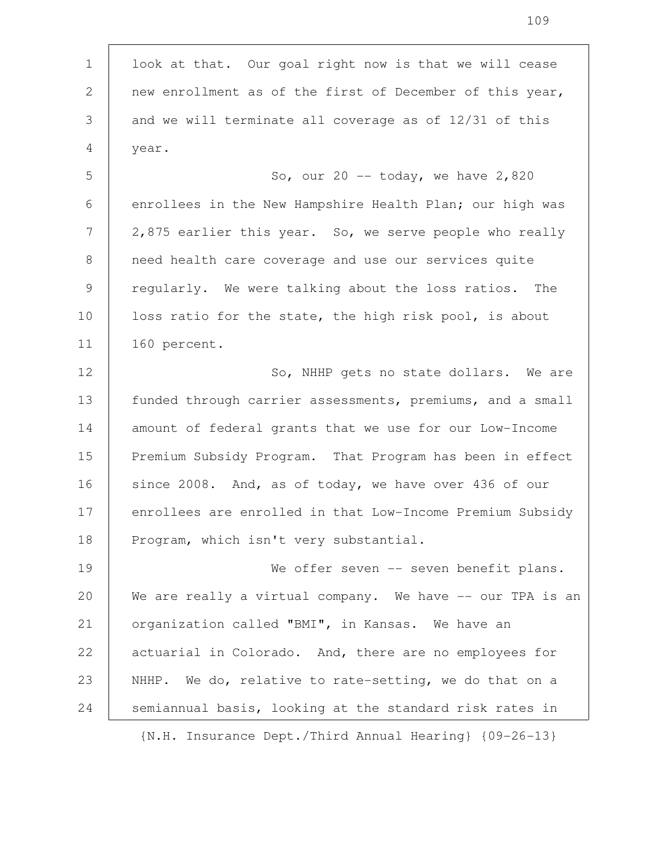look at that. Our goal right now is that we will cease new enrollment as of the first of December of this year, and we will terminate all coverage as of 12/31 of this year. So, our  $20$  -- today, we have  $2,820$ enrollees in the New Hampshire Health Plan; our high was 2,875 earlier this year. So, we serve people who really need health care coverage and use our services quite regularly. We were talking about the loss ratios. The loss ratio for the state, the high risk pool, is about 160 percent. So, NHHP gets no state dollars. We are funded through carrier assessments, premiums, and a small amount of federal grants that we use for our Low-Income Premium Subsidy Program. That Program has been in effect since 2008. And, as of today, we have over 436 of our enrollees are enrolled in that Low-Income Premium Subsidy Program, which isn't very substantial. We offer seven -- seven benefit plans. We are really a virtual company. We have -- our TPA is an organization called "BMI", in Kansas. We have an actuarial in Colorado. And, there are no employees for NHHP. We do, relative to rate-setting, we do that on a semiannual basis, looking at the standard risk rates in 1 2 3 4 5 6 7 8 9 10 11 12 13 14 15 16 17 18 19 20 21 22 23 24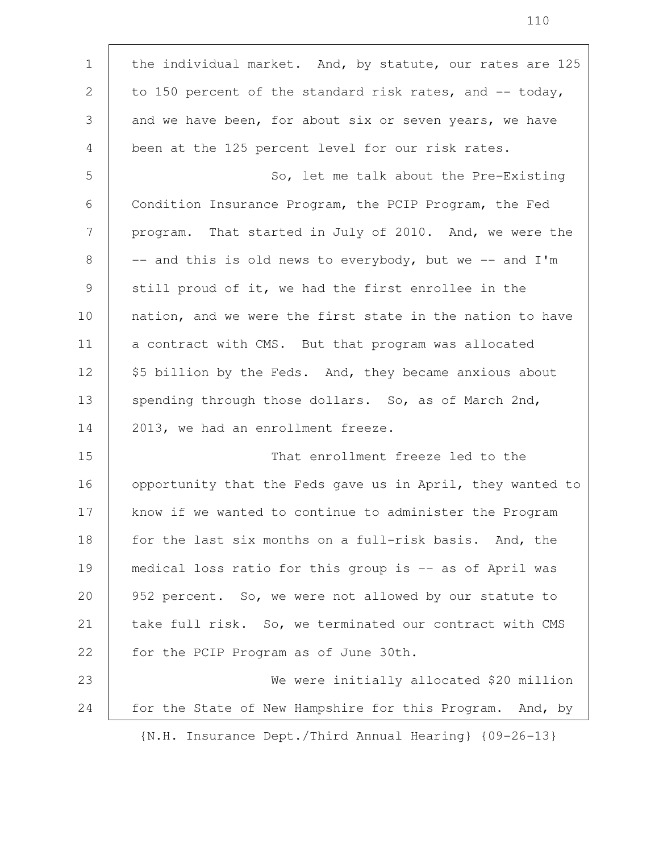the individual market. And, by statute, our rates are 125 to 150 percent of the standard risk rates, and  $-$  today, and we have been, for about six or seven years, we have been at the 125 percent level for our risk rates. So, let me talk about the Pre-Existing Condition Insurance Program, the PCIP Program, the Fed program. That started in July of 2010. And, we were the -- and this is old news to everybody, but we -- and I'm still proud of it, we had the first enrollee in the nation, and we were the first state in the nation to have a contract with CMS. But that program was allocated \$5 billion by the Feds. And, they became anxious about spending through those dollars. So, as of March 2nd, 2013, we had an enrollment freeze. That enrollment freeze led to the opportunity that the Feds gave us in April, they wanted to know if we wanted to continue to administer the Program for the last six months on a full-risk basis. And, the medical loss ratio for this group is -- as of April was 952 percent. So, we were not allowed by our statute to take full risk. So, we terminated our contract with CMS for the PCIP Program as of June 30th. We were initially allocated \$20 million for the State of New Hampshire for this Program. And, by {N.H. Insurance Dept./Third Annual Hearing} {09-26-13} 1 2 3 4 5 6 7 8 9 10 11 12 13 14 15 16 17 18 19 20 21 22 23 24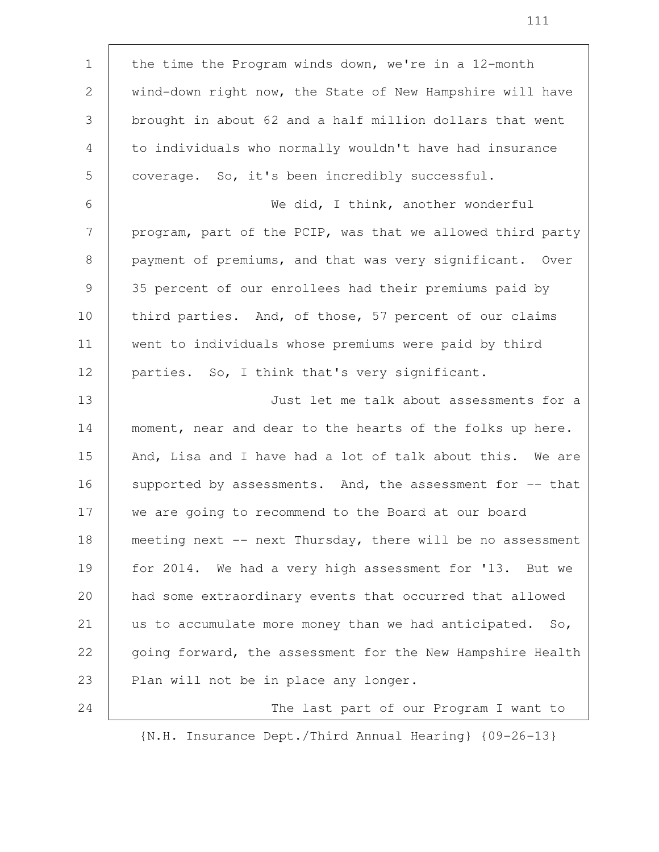| $\mathbf 1$  | the time the Program winds down, we're in a 12-month        |
|--------------|-------------------------------------------------------------|
| $\mathbf{2}$ | wind-down right now, the State of New Hampshire will have   |
| 3            | brought in about 62 and a half million dollars that went    |
| 4            | to individuals who normally wouldn't have had insurance     |
| 5            | coverage. So, it's been incredibly successful.              |
| 6            | We did, I think, another wonderful                          |
| 7            | program, part of the PCIP, was that we allowed third party  |
| 8            | payment of premiums, and that was very significant. Over    |
| 9            | 35 percent of our enrollees had their premiums paid by      |
| 10           | third parties. And, of those, 57 percent of our claims      |
| 11           | went to individuals whose premiums were paid by third       |
| 12           | parties. So, I think that's very significant.               |
|              |                                                             |
| 13           | Just let me talk about assessments for a                    |
| 14           | moment, near and dear to the hearts of the folks up here.   |
| 15           | And, Lisa and I have had a lot of talk about this. We are   |
| 16           | supported by assessments. And, the assessment for -- that   |
| 17           | we are going to recommend to the Board at our board         |
| 18           | meeting next -- next Thursday, there will be no assessment  |
| 19           | for 2014. We had a very high assessment for '13. But we     |
| 20           | had some extraordinary events that occurred that allowed    |
| 21           | us to accumulate more money than we had anticipated.<br>So, |
| 22           | going forward, the assessment for the New Hampshire Health  |
| 23           | Plan will not be in place any longer.                       |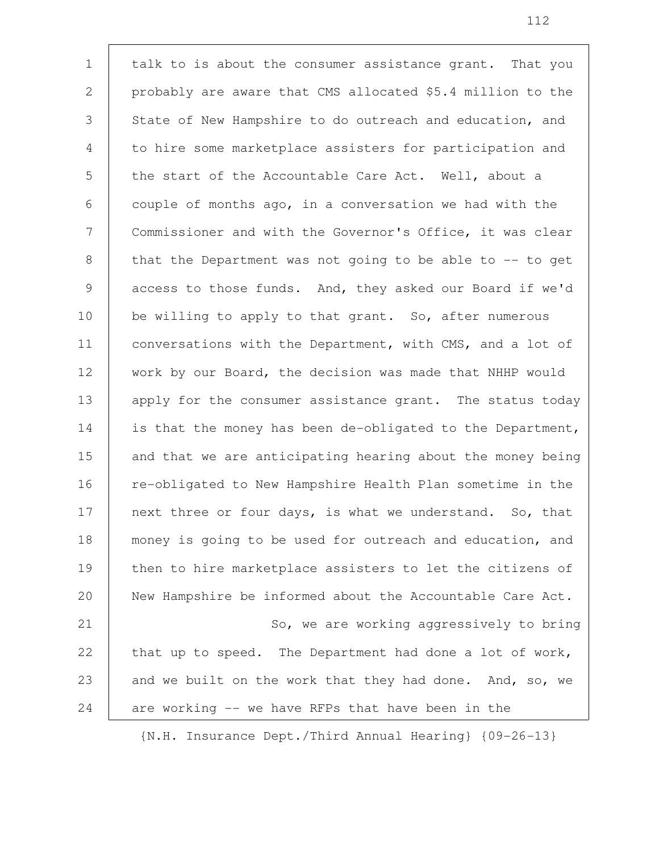talk to is about the consumer assistance grant. That you probably are aware that CMS allocated \$5.4 million to the State of New Hampshire to do outreach and education, and to hire some marketplace assisters for participation and the start of the Accountable Care Act. Well, about a couple of months ago, in a conversation we had with the Commissioner and with the Governor's Office, it was clear that the Department was not going to be able to -- to get access to those funds. And, they asked our Board if we'd be willing to apply to that grant. So, after numerous conversations with the Department, with CMS, and a lot of work by our Board, the decision was made that NHHP would apply for the consumer assistance grant. The status today is that the money has been de-obligated to the Department, and that we are anticipating hearing about the money being re-obligated to New Hampshire Health Plan sometime in the next three or four days, is what we understand. So, that money is going to be used for outreach and education, and then to hire marketplace assisters to let the citizens of New Hampshire be informed about the Accountable Care Act. So, we are working aggressively to bring that up to speed. The Department had done a lot of work, and we built on the work that they had done. And, so, we are working -- we have RFPs that have been in the 1 2 3 4 5 6 7 8 9 10 11 12 13 14 15 16 17 18 19 20 21 22 23 24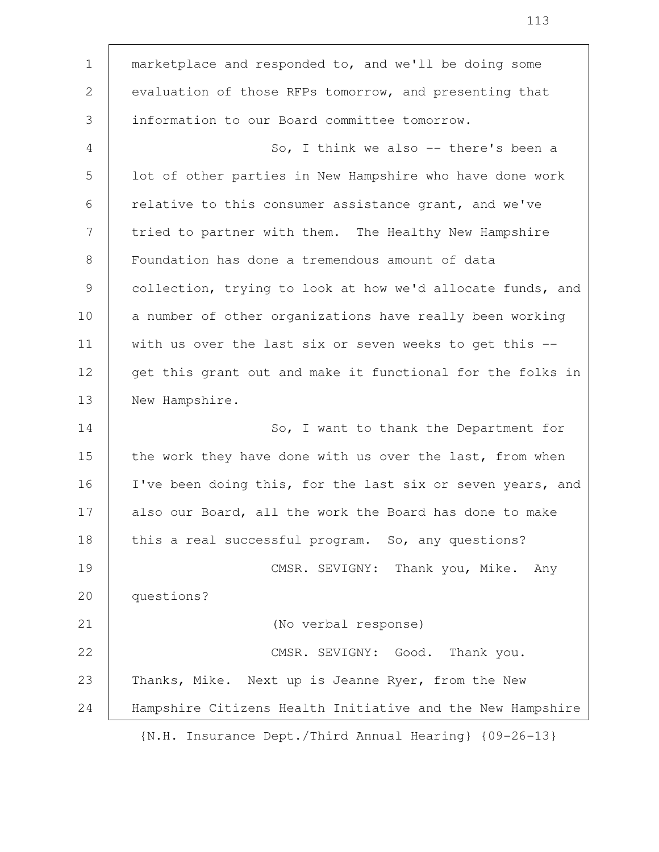marketplace and responded to, and we'll be doing some evaluation of those RFPs tomorrow, and presenting that information to our Board committee tomorrow. So, I think we also -- there's been a lot of other parties in New Hampshire who have done work relative to this consumer assistance grant, and we've tried to partner with them. The Healthy New Hampshire Foundation has done a tremendous amount of data collection, trying to look at how we'd allocate funds, and a number of other organizations have really been working with us over the last six or seven weeks to get this -get this grant out and make it functional for the folks in New Hampshire. So, I want to thank the Department for the work they have done with us over the last, from when I've been doing this, for the last six or seven years, and also our Board, all the work the Board has done to make this a real successful program. So, any questions? CMSR. SEVIGNY: Thank you, Mike. Any questions? (No verbal response) CMSR. SEVIGNY: Good. Thank you. Thanks, Mike. Next up is Jeanne Ryer, from the New Hampshire Citizens Health Initiative and the New Hampshire {N.H. Insurance Dept./Third Annual Hearing} {09-26-13} 1 2 3 4 5 6 7 8 9 10 11 12 13 14 15 16 17 18 19 20 21 22 23 24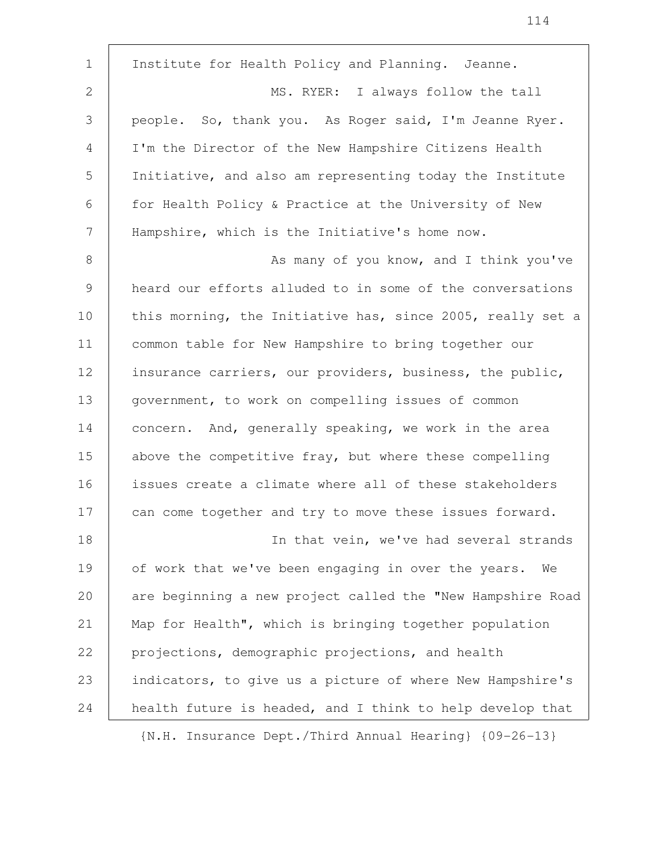Institute for Health Policy and Planning. Jeanne. MS. RYER: I always follow the tall people. So, thank you. As Roger said, I'm Jeanne Ryer. I'm the Director of the New Hampshire Citizens Health Initiative, and also am representing today the Institute for Health Policy & Practice at the University of New Hampshire, which is the Initiative's home now. As many of you know, and I think you've heard our efforts alluded to in some of the conversations this morning, the Initiative has, since 2005, really set a common table for New Hampshire to bring together our insurance carriers, our providers, business, the public, government, to work on compelling issues of common concern. And, generally speaking, we work in the area above the competitive fray, but where these compelling issues create a climate where all of these stakeholders can come together and try to move these issues forward. In that vein, we've had several strands of work that we've been engaging in over the years. We are beginning a new project called the "New Hampshire Road Map for Health", which is bringing together population projections, demographic projections, and health indicators, to give us a picture of where New Hampshire's health future is headed, and I think to help develop that 1 2 3 4 5 6 7 8 9 10 11 12 13 14 15 16 17 18 19 20 21 22 23 24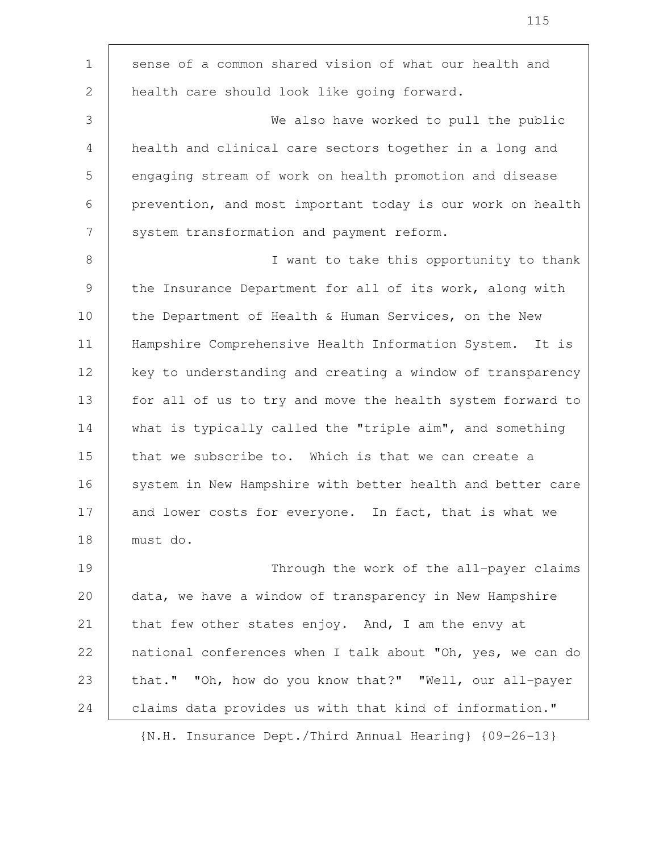| $\mathbf 1$     | sense of a common shared vision of what our health and     |
|-----------------|------------------------------------------------------------|
| $\overline{2}$  | health care should look like going forward.                |
| 3               | We also have worked to pull the public                     |
| 4               | health and clinical care sectors together in a long and    |
| 5               | engaging stream of work on health promotion and disease    |
| 6               | prevention, and most important today is our work on health |
| $7\phantom{.0}$ | system transformation and payment reform.                  |
| 8               | I want to take this opportunity to thank                   |
| 9               | the Insurance Department for all of its work, along with   |
| 10              | the Department of Health & Human Services, on the New      |
| 11              | Hampshire Comprehensive Health Information System. It is   |
| 12              | key to understanding and creating a window of transparency |
| 13              | for all of us to try and move the health system forward to |
| 14              | what is typically called the "triple aim", and something   |
| 15              | that we subscribe to. Which is that we can create a        |
| 16              | system in New Hampshire with better health and better care |
| 17              | and lower costs for everyone. In fact, that is what we     |
| 18              | must do.                                                   |
| 19              | Through the work of the all-payer claims                   |
| 20              | data, we have a window of transparency in New Hampshire    |
| 21              | that few other states enjoy. And, I am the envy at         |
| 22              | national conferences when I talk about "Oh, yes, we can do |
| 23              | that." "Oh, how do you know that?" "Well, our all-payer    |
| 24              | claims data provides us with that kind of information."    |
|                 |                                                            |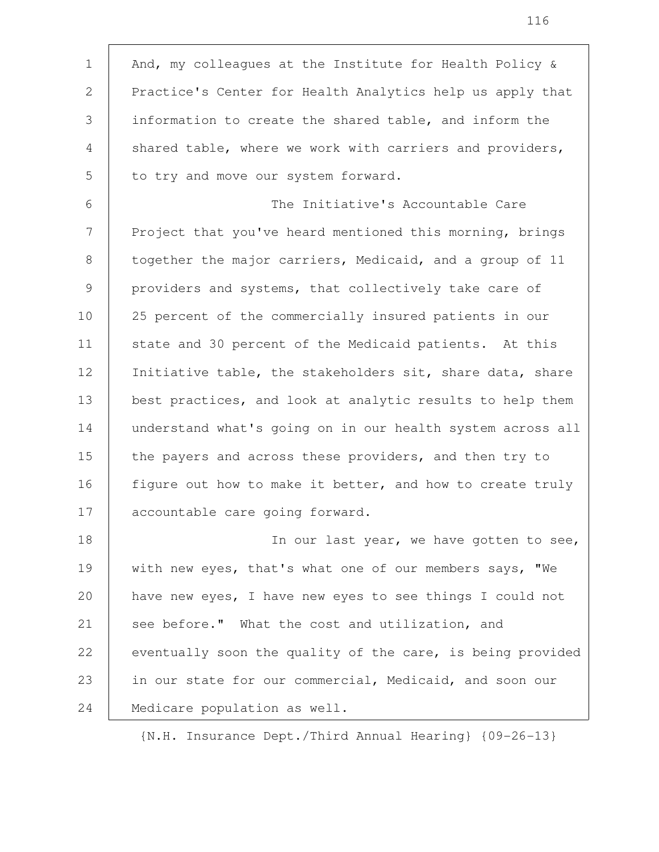And, my colleagues at the Institute for Health Policy & Practice's Center for Health Analytics help us apply that information to create the shared table, and inform the shared table, where we work with carriers and providers, to try and move our system forward. The Initiative's Accountable Care Project that you've heard mentioned this morning, brings together the major carriers, Medicaid, and a group of 11 providers and systems, that collectively take care of 25 percent of the commercially insured patients in our state and 30 percent of the Medicaid patients. At this Initiative table, the stakeholders sit, share data, share best practices, and look at analytic results to help them understand what's going on in our health system across all the payers and across these providers, and then try to figure out how to make it better, and how to create truly accountable care going forward. In our last year, we have gotten to see, with new eyes, that's what one of our members says, "We have new eyes, I have new eyes to see things I could not see before." What the cost and utilization, and eventually soon the quality of the care, is being provided in our state for our commercial, Medicaid, and soon our Medicare population as well. 1 2 3 4 5 6 7 8 9 10 11 12 13 14 15 16 17 18 19 20 21 22 23 24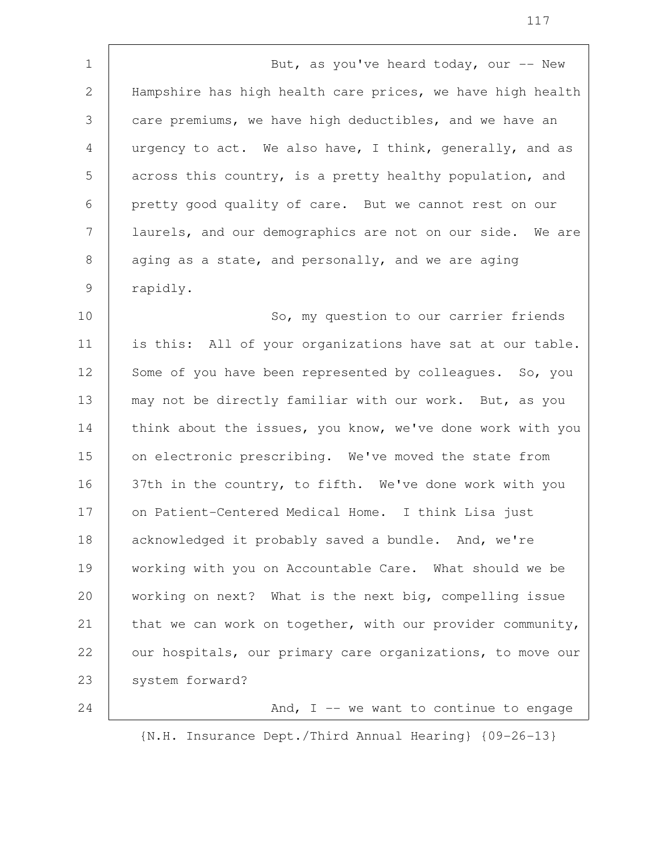But, as you've heard today, our  $--$  New Hampshire has high health care prices, we have high health care premiums, we have high deductibles, and we have an urgency to act. We also have, I think, generally, and as across this country, is a pretty healthy population, and pretty good quality of care. But we cannot rest on our laurels, and our demographics are not on our side. We are aging as a state, and personally, and we are aging rapidly. 1 2 3 4 5 6 7 8 9

So, my question to our carrier friends is this: All of your organizations have sat at our table. Some of you have been represented by colleagues. So, you may not be directly familiar with our work. But, as you think about the issues, you know, we've done work with you on electronic prescribing. We've moved the state from 37th in the country, to fifth. We've done work with you on Patient-Centered Medical Home. I think Lisa just acknowledged it probably saved a bundle. And, we're working with you on Accountable Care. What should we be working on next? What is the next big, compelling issue that we can work on together, with our provider community, our hospitals, our primary care organizations, to move our system forward? 10 11 12 13 14 15 16 17 18 19 20 21 22 23

And,  $I$  -- we want to continue to engage

{N.H. Insurance Dept./Third Annual Hearing} {09-26-13}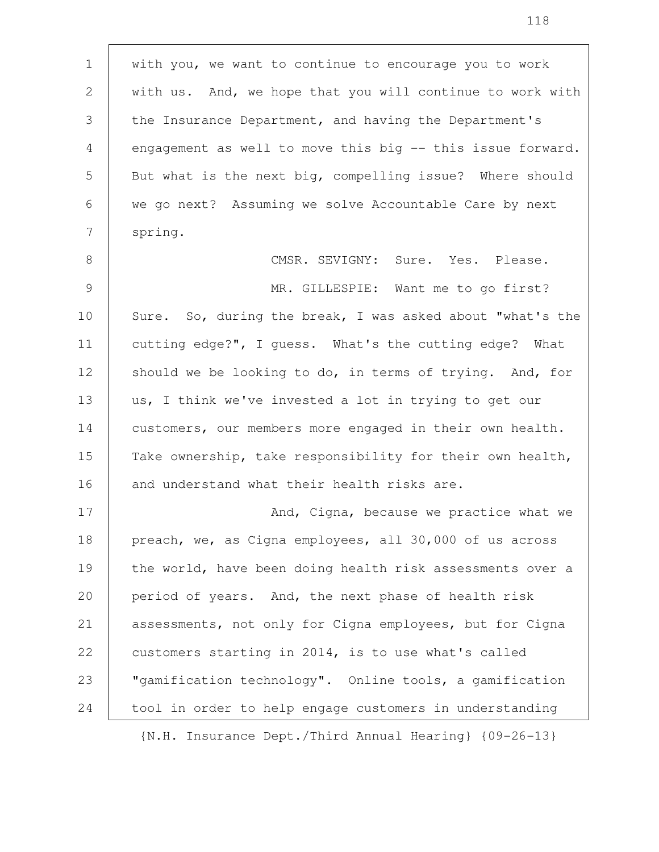with you, we want to continue to encourage you to work with us. And, we hope that you will continue to work with the Insurance Department, and having the Department's engagement as well to move this big -- this issue forward. But what is the next big, compelling issue? Where should we go next? Assuming we solve Accountable Care by next spring. CMSR. SEVIGNY: Sure. Yes. Please. MR. GILLESPIE: Want me to go first? Sure. So, during the break, I was asked about "what's the cutting edge?", I guess. What's the cutting edge? What should we be looking to do, in terms of trying. And, for us, I think we've invested a lot in trying to get our customers, our members more engaged in their own health. Take ownership, take responsibility for their own health, and understand what their health risks are. And, Cigna, because we practice what we preach, we, as Cigna employees, all 30,000 of us across the world, have been doing health risk assessments over a period of years. And, the next phase of health risk assessments, not only for Cigna employees, but for Cigna customers starting in 2014, is to use what's called "gamification technology". Online tools, a gamification tool in order to help engage customers in understanding 1 2 3 4 5 6 7 8 9 10 11 12 13 14 15 16 17 18 19 20 21 22 23 24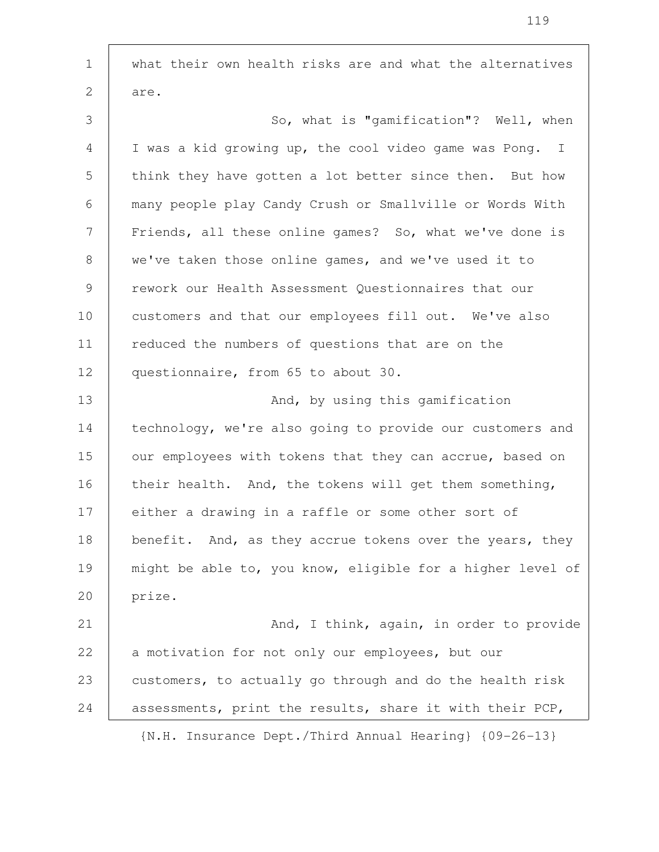what their own health risks are and what the alternatives are. So, what is "gamification"? Well, when I was a kid growing up, the cool video game was Pong. I think they have gotten a lot better since then. But how many people play Candy Crush or Smallville or Words With Friends, all these online games? So, what we've done is we've taken those online games, and we've used it to rework our Health Assessment Questionnaires that our customers and that our employees fill out. We've also reduced the numbers of questions that are on the questionnaire, from 65 to about 30. And, by using this gamification technology, we're also going to provide our customers and our employees with tokens that they can accrue, based on their health. And, the tokens will get them something, either a drawing in a raffle or some other sort of benefit. And, as they accrue tokens over the years, they might be able to, you know, eligible for a higher level of prize. And, I think, again, in order to provide a motivation for not only our employees, but our customers, to actually go through and do the health risk assessments, print the results, share it with their PCP, {N.H. Insurance Dept./Third Annual Hearing} {09-26-13} 1 2 3 4 5 6 7 8 9 10 11 12 13 14 15 16 17 18 19 20 21 22 23 24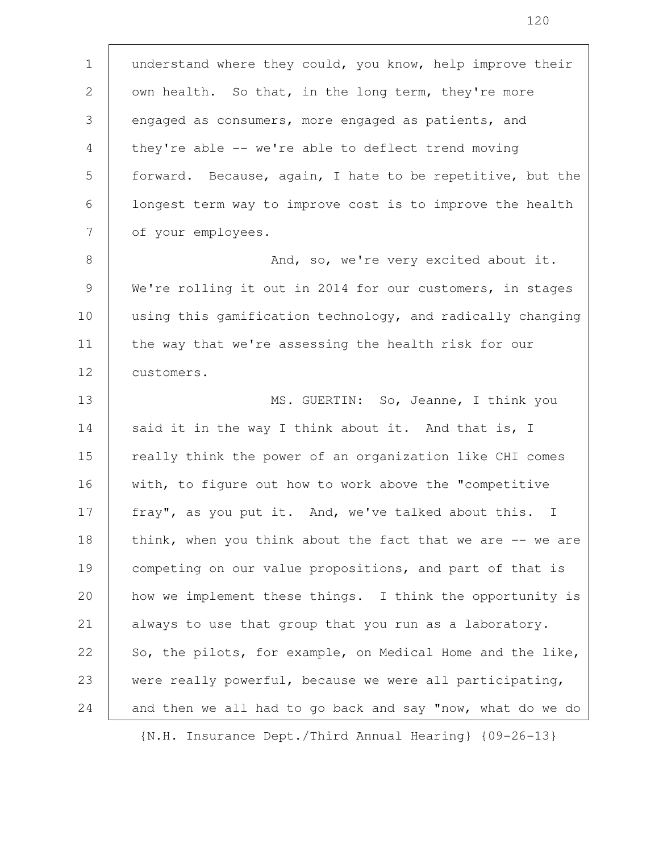understand where they could, you know, help improve their own health. So that, in the long term, they're more engaged as consumers, more engaged as patients, and they're able -- we're able to deflect trend moving forward. Because, again, I hate to be repetitive, but the longest term way to improve cost is to improve the health of your employees. And, so, we're very excited about it. We're rolling it out in 2014 for our customers, in stages using this gamification technology, and radically changing the way that we're assessing the health risk for our customers. MS. GUERTIN: So, Jeanne, I think you said it in the way I think about it. And that is, I really think the power of an organization like CHI comes with, to figure out how to work above the "competitive fray", as you put it. And, we've talked about this. I think, when you think about the fact that we are -- we are competing on our value propositions, and part of that is how we implement these things. I think the opportunity is always to use that group that you run as a laboratory. So, the pilots, for example, on Medical Home and the like, were really powerful, because we were all participating, and then we all had to go back and say "now, what do we do 1 2 3 4 5 6 7 8 9 10 11 12 13 14 15 16 17 18 19 20 21 22 23 24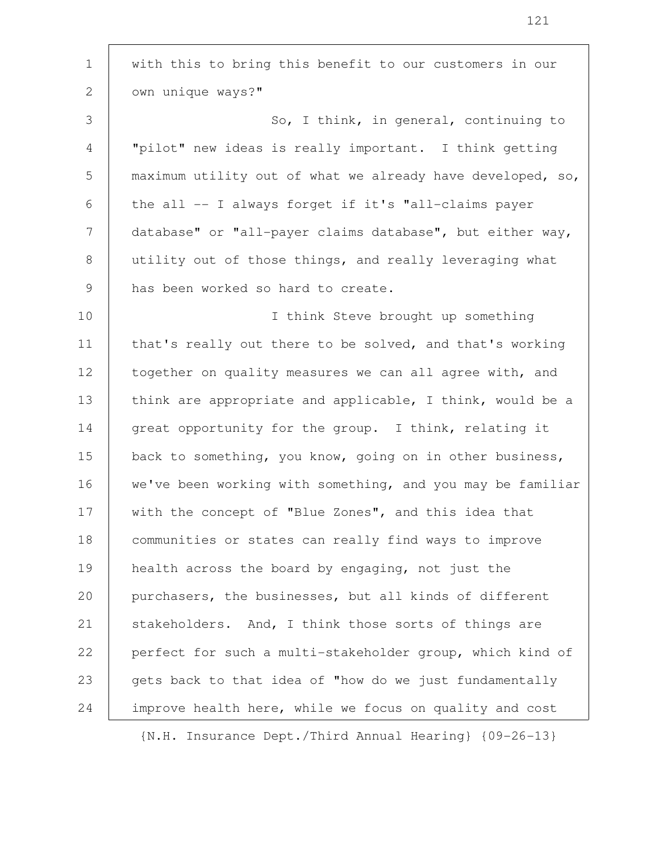with this to bring this benefit to our customers in our own unique ways?" So, I think, in general, continuing to "pilot" new ideas is really important. I think getting maximum utility out of what we already have developed, so, the all -- I always forget if it's "all-claims payer database" or "all-payer claims database", but either way, utility out of those things, and really leveraging what has been worked so hard to create. I think Steve brought up something that's really out there to be solved, and that's working together on quality measures we can all agree with, and think are appropriate and applicable, I think, would be a great opportunity for the group. I think, relating it back to something, you know, going on in other business, we've been working with something, and you may be familiar with the concept of "Blue Zones", and this idea that communities or states can really find ways to improve health across the board by engaging, not just the purchasers, the businesses, but all kinds of different stakeholders. And, I think those sorts of things are perfect for such a multi-stakeholder group, which kind of gets back to that idea of "how do we just fundamentally improve health here, while we focus on quality and cost 1 2 3 4 5 6 7 8 9 10 11 12 13 14 15 16 17 18 19 20 21 22 23 24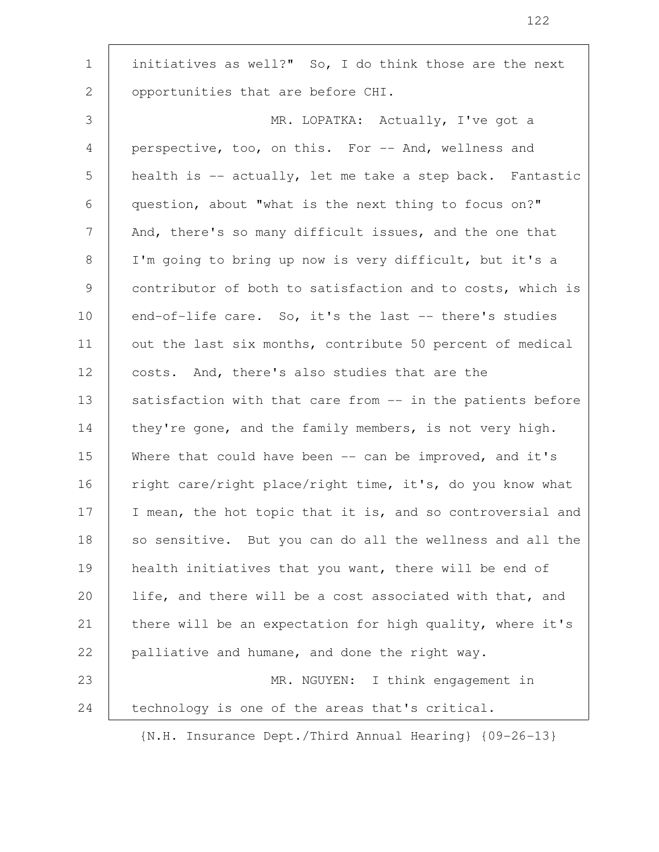initiatives as well?" So, I do think those are the next opportunities that are before CHI. MR. LOPATKA: Actually, I've got a perspective, too, on this. For -- And, wellness and health is -- actually, let me take a step back. Fantastic question, about "what is the next thing to focus on?" And, there's so many difficult issues, and the one that I'm going to bring up now is very difficult, but it's a contributor of both to satisfaction and to costs, which is end-of-life care. So, it's the last -- there's studies out the last six months, contribute 50 percent of medical costs. And, there's also studies that are the satisfaction with that care from -- in the patients before they're gone, and the family members, is not very high. Where that could have been  $-$ - can be improved, and it's right care/right place/right time, it's, do you know what I mean, the hot topic that it is, and so controversial and so sensitive. But you can do all the wellness and all the health initiatives that you want, there will be end of life, and there will be a cost associated with that, and there will be an expectation for high quality, where it's palliative and humane, and done the right way. MR. NGUYEN: I think engagement in technology is one of the areas that's critical. 1 2 3 4 5 6 7 8 9 10 11 12 13 14 15 16 17 18 19 20 21 22 23 24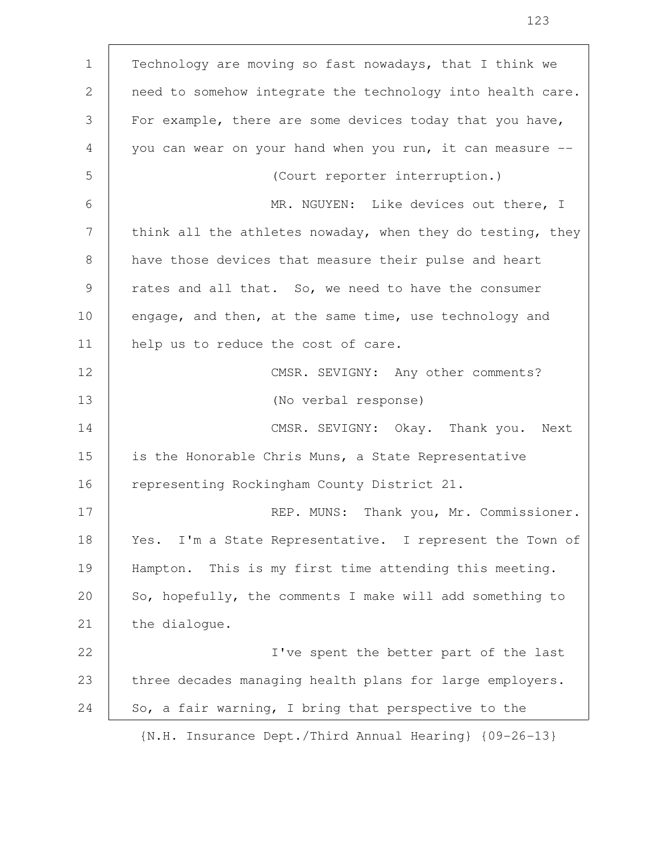| $\mathbf{1}$ | Technology are moving so fast nowadays, that I think we    |
|--------------|------------------------------------------------------------|
| 2            | need to somehow integrate the technology into health care. |
| 3            | For example, there are some devices today that you have,   |
| 4            | you can wear on your hand when you run, it can measure --  |
| 5            | (Court reporter interruption.)                             |
| 6            | MR. NGUYEN: Like devices out there, I                      |
| 7            | think all the athletes nowaday, when they do testing, they |
| 8            | have those devices that measure their pulse and heart      |
| 9            | rates and all that. So, we need to have the consumer       |
| 10           | engage, and then, at the same time, use technology and     |
| 11           | help us to reduce the cost of care.                        |
| 12           | CMSR. SEVIGNY: Any other comments?                         |
| 13           | (No verbal response)                                       |
| 14           | CMSR. SEVIGNY: Okay. Thank you. Next                       |
| 15           | is the Honorable Chris Muns, a State Representative        |
| 16           | representing Rockingham County District 21.                |
| 17           | REP. MUNS: Thank you, Mr. Commissioner.                    |
| 18           | Yes. I'm a State Representative. I represent the Town of   |
| 19           | Hampton. This is my first time attending this meeting.     |
| 20           | So, hopefully, the comments I make will add something to   |
| 21           | the dialogue.                                              |
| 22           | I've spent the better part of the last                     |
| 23           | three decades managing health plans for large employers.   |
| 24           | So, a fair warning, I bring that perspective to the        |
|              |                                                            |

 $\Gamma$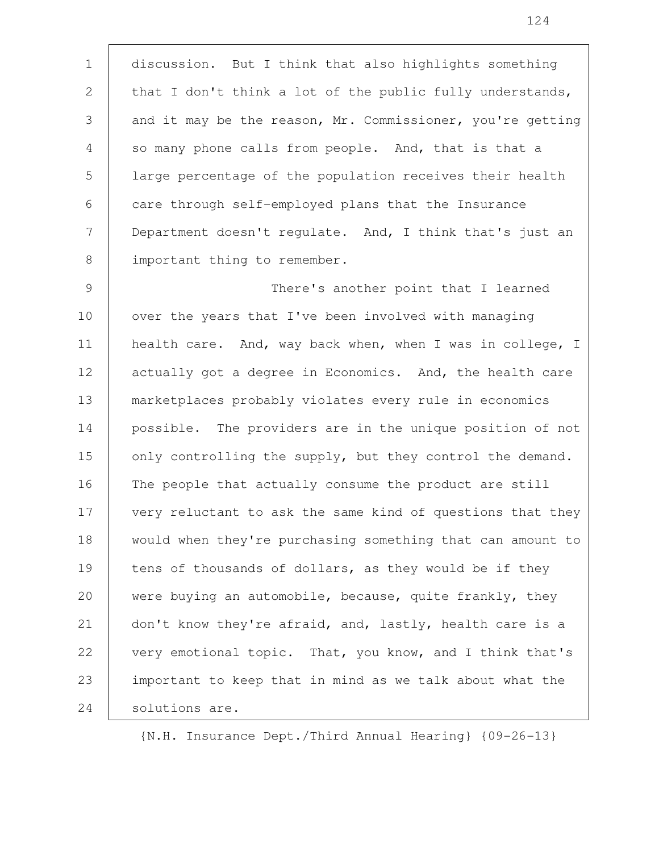discussion. But I think that also highlights something that I don't think a lot of the public fully understands, and it may be the reason, Mr. Commissioner, you're getting so many phone calls from people. And, that is that a large percentage of the population receives their health care through self-employed plans that the Insurance Department doesn't regulate. And, I think that's just an important thing to remember. 1 2 3 4 5 6 7 8

There's another point that I learned over the years that I've been involved with managing health care. And, way back when, when I was in college, I actually got a degree in Economics. And, the health care marketplaces probably violates every rule in economics possible. The providers are in the unique position of not only controlling the supply, but they control the demand. The people that actually consume the product are still very reluctant to ask the same kind of questions that they would when they're purchasing something that can amount to tens of thousands of dollars, as they would be if they were buying an automobile, because, quite frankly, they don't know they're afraid, and, lastly, health care is a very emotional topic. That, you know, and I think that's important to keep that in mind as we talk about what the solutions are. 9 10 11 12 13 14 15 16 17 18 19 20 21 22 23 24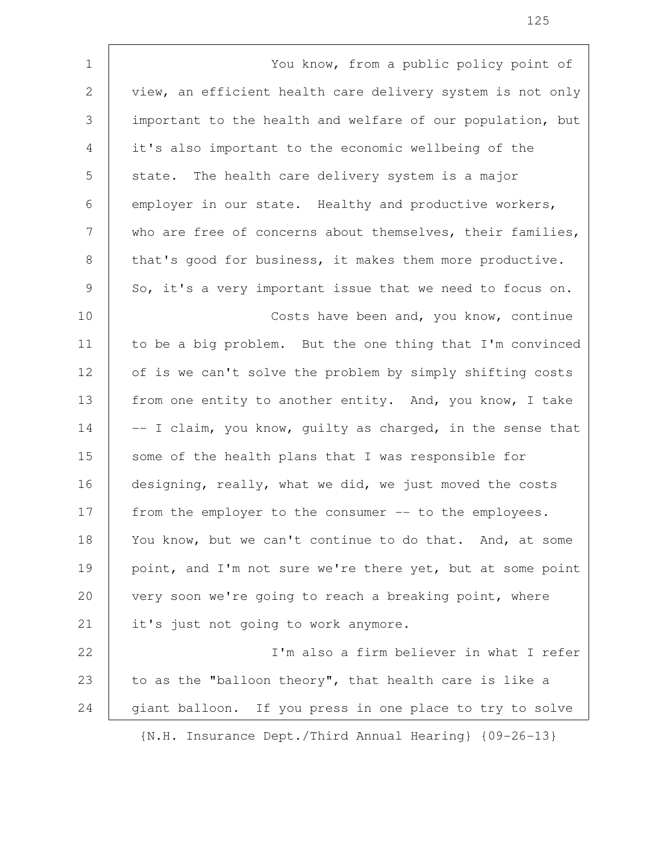You know, from a public policy point of view, an efficient health care delivery system is not only important to the health and welfare of our population, but it's also important to the economic wellbeing of the state. The health care delivery system is a major employer in our state. Healthy and productive workers, who are free of concerns about themselves, their families, that's good for business, it makes them more productive. So, it's a very important issue that we need to focus on. Costs have been and, you know, continue to be a big problem. But the one thing that I'm convinced of is we can't solve the problem by simply shifting costs from one entity to another entity. And, you know, I take -- I claim, you know, guilty as charged, in the sense that some of the health plans that I was responsible for designing, really, what we did, we just moved the costs from the employer to the consumer -- to the employees. You know, but we can't continue to do that. And, at some point, and I'm not sure we're there yet, but at some point very soon we're going to reach a breaking point, where it's just not going to work anymore. I'm also a firm believer in what I refer to as the "balloon theory", that health care is like a giant balloon. If you press in one place to try to solve {N.H. Insurance Dept./Third Annual Hearing} {09-26-13} 1 2 3 4 5 6 7 8 9 10 11 12 13 14 15 16 17 18 19 20 21 22 23 24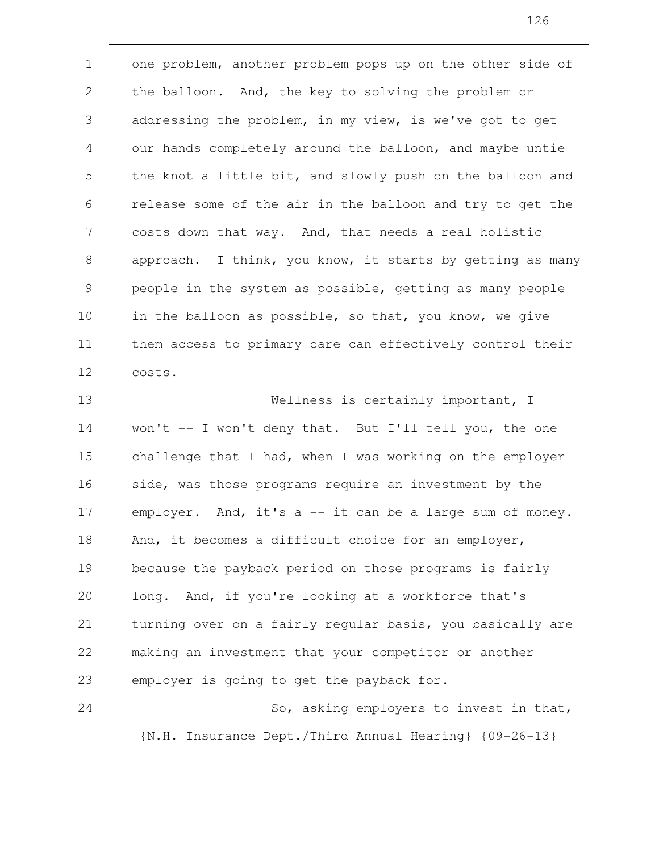one problem, another problem pops up on the other side of the balloon. And, the key to solving the problem or addressing the problem, in my view, is we've got to get our hands completely around the balloon, and maybe untie the knot a little bit, and slowly push on the balloon and release some of the air in the balloon and try to get the costs down that way. And, that needs a real holistic approach. I think, you know, it starts by getting as many people in the system as possible, getting as many people in the balloon as possible, so that, you know, we give them access to primary care can effectively control their costs. Wellness is certainly important, I 1 2 3 4 5 6 7 8 9 10 11 12 13

won't -- I won't deny that. But I'll tell you, the one challenge that I had, when I was working on the employer side, was those programs require an investment by the employer. And, it's a -- it can be a large sum of money. And, it becomes a difficult choice for an employer, because the payback period on those programs is fairly long. And, if you're looking at a workforce that's turning over on a fairly regular basis, you basically are making an investment that your competitor or another employer is going to get the payback for. So, asking employers to invest in that, 14 15 16 17 18 19 20 21 22 23 24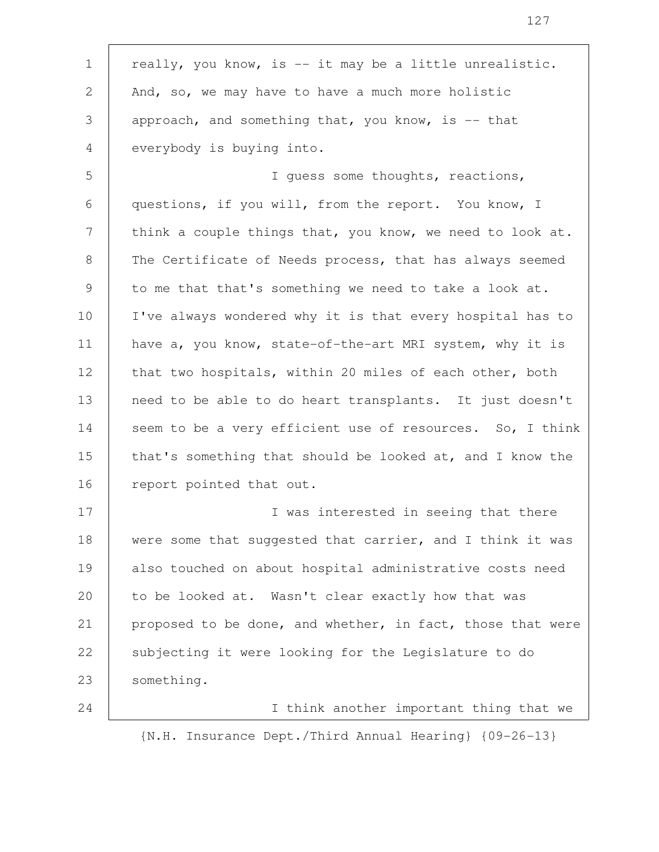really, you know, is -- it may be a little unrealistic. And, so, we may have to have a much more holistic approach, and something that, you know, is  $-$  that everybody is buying into. I guess some thoughts, reactions, questions, if you will, from the report. You know, I think a couple things that, you know, we need to look at. The Certificate of Needs process, that has always seemed to me that that's something we need to take a look at. I've always wondered why it is that every hospital has to have a, you know, state-of-the-art MRI system, why it is that two hospitals, within 20 miles of each other, both need to be able to do heart transplants. It just doesn't seem to be a very efficient use of resources. So, I think that's something that should be looked at, and I know the report pointed that out. I was interested in seeing that there were some that suggested that carrier, and I think it was also touched on about hospital administrative costs need to be looked at. Wasn't clear exactly how that was proposed to be done, and whether, in fact, those that were subjecting it were looking for the Legislature to do something. 1 2 3 4 5 6 7 8 9 10 11 12 13 14 15 16 17 18 19 20 21 22 23

{N.H. Insurance Dept./Third Annual Hearing} {09-26-13}

24

I think another important thing that we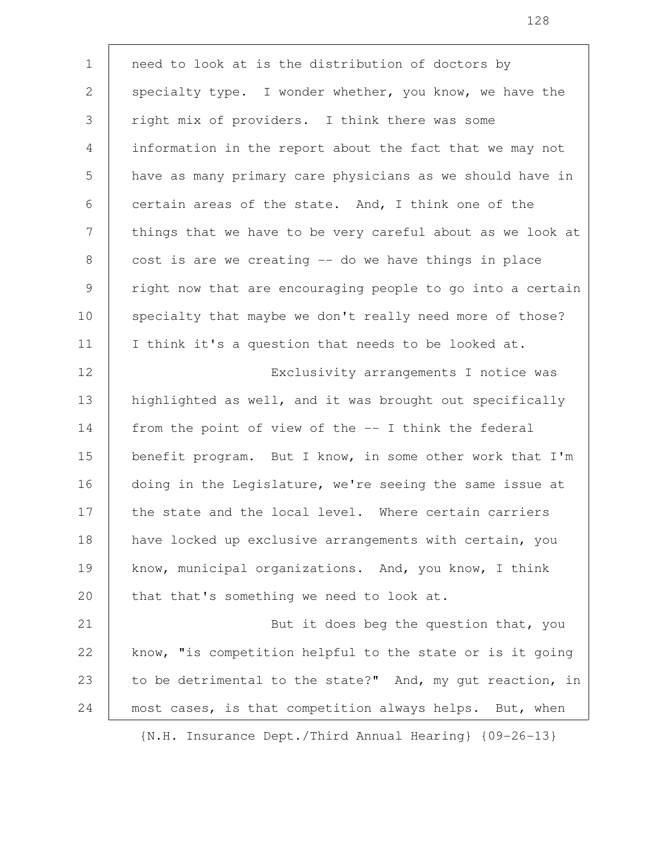need to look at is the distribution of doctors by specialty type. I wonder whether, you know, we have the right mix of providers. I think there was some information in the report about the fact that we may not have as many primary care physicians as we should have in certain areas of the state. And, I think one of the things that we have to be very careful about as we look at cost is are we creating -- do we have things in place right now that are encouraging people to go into a certain specialty that maybe we don't really need more of those? I think it's a question that needs to be looked at. Exclusivity arrangements I notice was highlighted as well, and it was brought out specifically from the point of view of the -- I think the federal benefit program. But I know, in some other work that I'm doing in the Legislature, we're seeing the same issue at the state and the local level. Where certain carriers have locked up exclusive arrangements with certain, you know, municipal organizations. And, you know, I think that that's something we need to look at. But it does beg the question that, you know, "is competition helpful to the state or is it going to be detrimental to the state?" And, my gut reaction, in most cases, is that competition always helps. But, when 1 2 3 4 5 6 7 8 9 10 11 12 13 14 15 16 17 18 19 20 21 22 23 24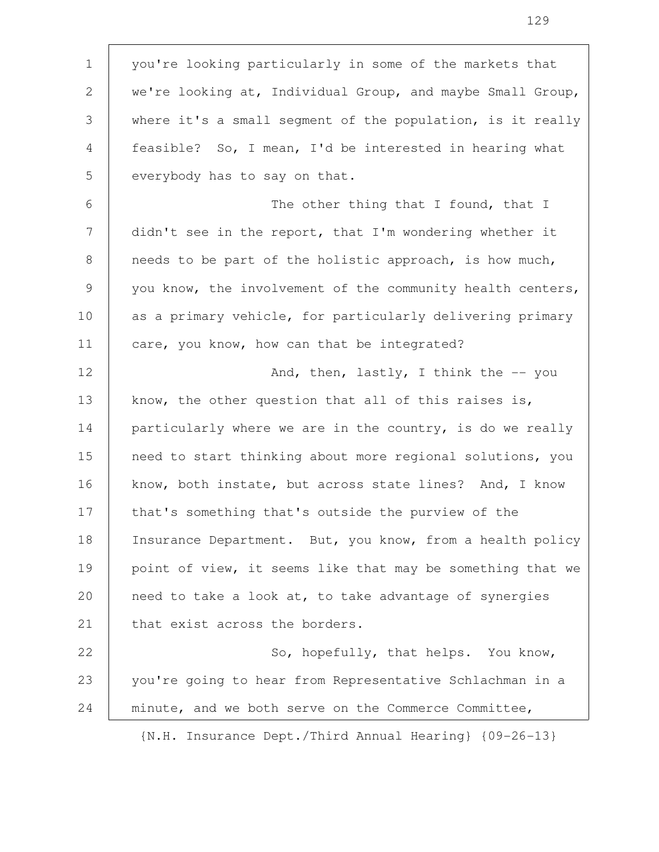you're looking particularly in some of the markets that we're looking at, Individual Group, and maybe Small Group, where it's a small segment of the population, is it really feasible? So, I mean, I'd be interested in hearing what everybody has to say on that. The other thing that I found, that I didn't see in the report, that I'm wondering whether it needs to be part of the holistic approach, is how much, you know, the involvement of the community health centers, as a primary vehicle, for particularly delivering primary care, you know, how can that be integrated? And, then, lastly, I think the  $-$ - you know, the other question that all of this raises is, particularly where we are in the country, is do we really need to start thinking about more regional solutions, you know, both instate, but across state lines? And, I know that's something that's outside the purview of the Insurance Department. But, you know, from a health policy point of view, it seems like that may be something that we need to take a look at, to take advantage of synergies that exist across the borders. So, hopefully, that helps. You know, you're going to hear from Representative Schlachman in a minute, and we both serve on the Commerce Committee, 1 2 3 4 5 6 7 8 9 10 11 12 13 14 15 16 17 18 19 20 21 22 23 24

{N.H. Insurance Dept./Third Annual Hearing} {09-26-13}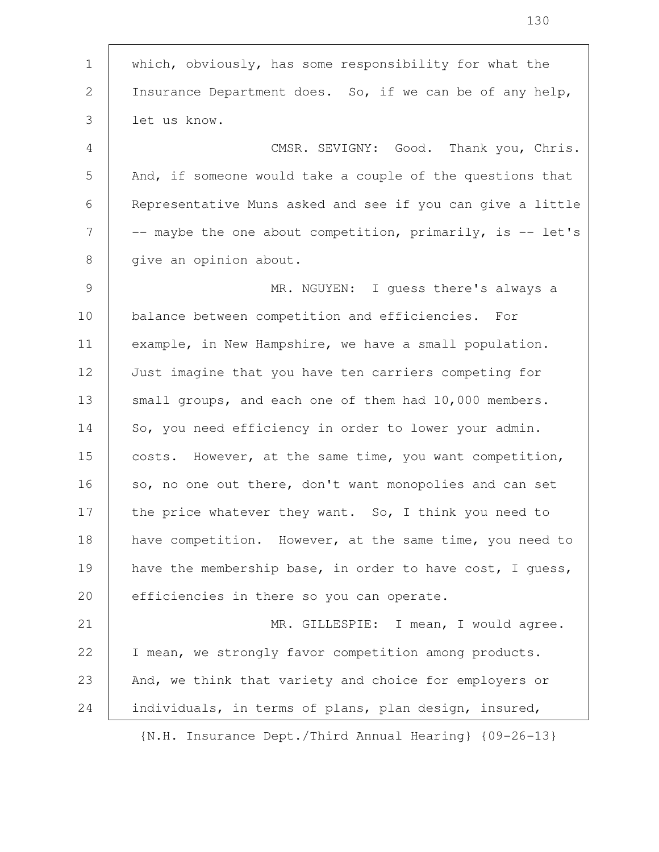which, obviously, has some responsibility for what the Insurance Department does. So, if we can be of any help, let us know. CMSR. SEVIGNY: Good. Thank you, Chris. And, if someone would take a couple of the questions that Representative Muns asked and see if you can give a little -- maybe the one about competition, primarily, is -- let's give an opinion about. MR. NGUYEN: I guess there's always a balance between competition and efficiencies. For example, in New Hampshire, we have a small population. Just imagine that you have ten carriers competing for small groups, and each one of them had 10,000 members. So, you need efficiency in order to lower your admin. costs. However, at the same time, you want competition, so, no one out there, don't want monopolies and can set the price whatever they want. So, I think you need to have competition. However, at the same time, you need to have the membership base, in order to have cost, I guess, efficiencies in there so you can operate. MR. GILLESPIE: I mean, I would agree. I mean, we strongly favor competition among products. And, we think that variety and choice for employers or individuals, in terms of plans, plan design, insured, {N.H. Insurance Dept./Third Annual Hearing} {09-26-13} 1 2 3 4 5 6 7 8 9 10 11 12 13 14 15 16 17 18 19 20 21 22 23 24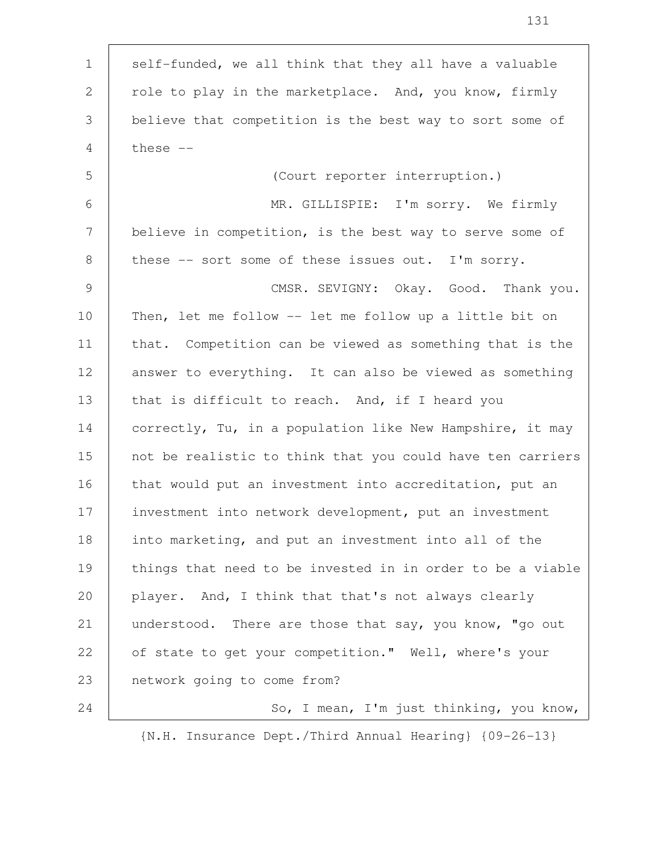| $\mathbf 1$   | self-funded, we all think that they all have a valuable    |
|---------------|------------------------------------------------------------|
| $\mathbf{2}$  | role to play in the marketplace. And, you know, firmly     |
| 3             | believe that competition is the best way to sort some of   |
| 4             | these $--$                                                 |
| 5             | (Court reporter interruption.)                             |
| 6             | MR. GILLISPIE: I'm sorry. We firmly                        |
| 7             | believe in competition, is the best way to serve some of   |
| 8             | these -- sort some of these issues out. I'm sorry.         |
| $\mathcal{G}$ | CMSR. SEVIGNY: Okay. Good. Thank you.                      |
| 10            | Then, let me follow -- let me follow up a little bit on    |
| 11            | that. Competition can be viewed as something that is the   |
| 12            | answer to everything. It can also be viewed as something   |
| 13            | that is difficult to reach. And, if I heard you            |
| 14            | correctly, Tu, in a population like New Hampshire, it may  |
| 15            | not be realistic to think that you could have ten carriers |
| 16            | that would put an investment into accreditation, put an    |
| 17            | investment into network development, put an investment     |
| 18            | into marketing, and put an investment into all of the      |
| 19            | things that need to be invested in in order to be a viable |
| 20            | player. And, I think that that's not always clearly        |
| 21            | understood. There are those that say, you know, "go out    |
| 22            | of state to get your competition." Well, where's your      |
| 23            | network going to come from?                                |
| 24            | So, I mean, I'm just thinking, you know,                   |

 $\mathsf{T}$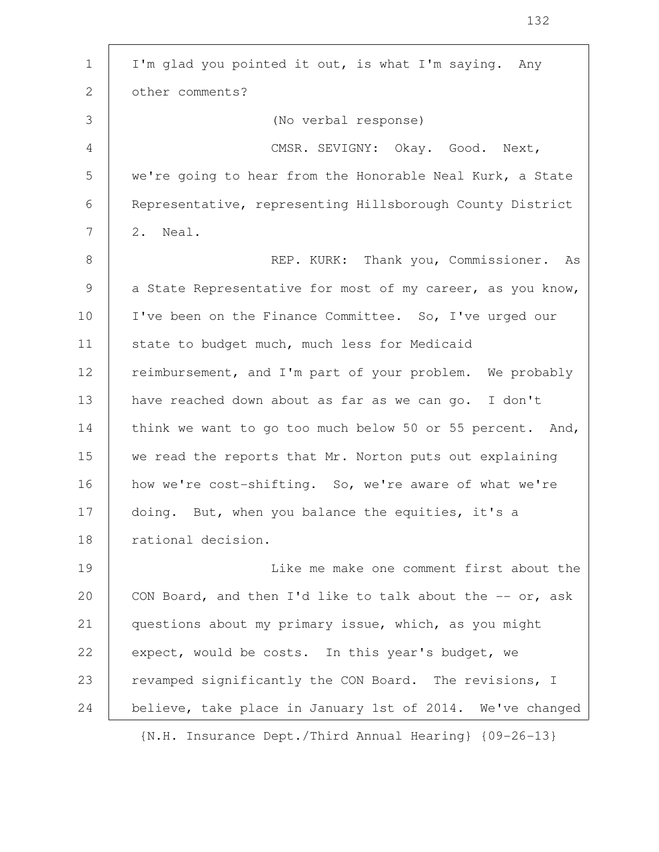| $\mathbf{1}$    | I'm glad you pointed it out, is what I'm saying. Any         |
|-----------------|--------------------------------------------------------------|
| 2               | other comments?                                              |
| 3               | (No verbal response)                                         |
| $\overline{4}$  | CMSR. SEVIGNY: Okay. Good. Next,                             |
| 5               | we're going to hear from the Honorable Neal Kurk, a State    |
| 6               | Representative, representing Hillsborough County District    |
| $7\phantom{.0}$ | 2. Neal.                                                     |
| 8               | REP. KURK: Thank you, Commissioner. As                       |
| 9               | a State Representative for most of my career, as you know,   |
| 10              | I've been on the Finance Committee. So, I've urged our       |
| 11              | state to budget much, much less for Medicaid                 |
| 12              | reimbursement, and I'm part of your problem. We probably     |
| 13              | have reached down about as far as we can go. I don't         |
| 14              | think we want to go too much below 50 or 55 percent. And,    |
| 15              | we read the reports that Mr. Norton puts out explaining      |
| 16              | how we're cost-shifting. So, we're aware of what we're       |
| 17              | doing. But, when you balance the equities, it's a            |
| 18              | rational decision.                                           |
| 19              | Like me make one comment first about the                     |
| 20              | CON Board, and then I'd like to talk about the $-$ - or, ask |
| 21              | questions about my primary issue, which, as you might        |
| 22              | expect, would be costs. In this year's budget, we            |
| 23              | revamped significantly the CON Board. The revisions, I       |
| 24              | believe, take place in January 1st of 2014. We've changed    |
|                 | {N.H. Insurance Dept./Third Annual Hearing} {09-26-13}       |

 $\mathsf{T}$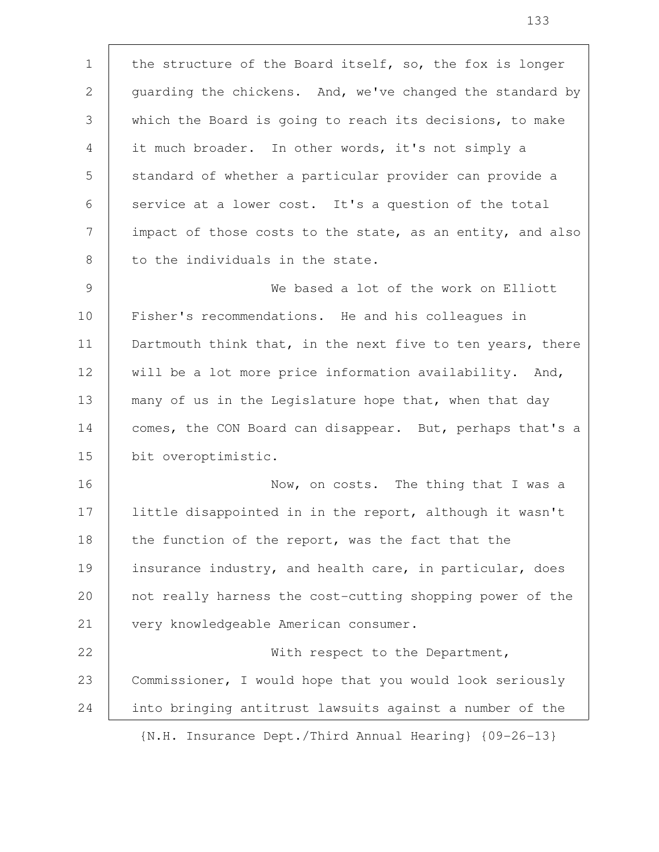the structure of the Board itself, so, the fox is longer guarding the chickens. And, we've changed the standard by which the Board is going to reach its decisions, to make it much broader. In other words, it's not simply a standard of whether a particular provider can provide a service at a lower cost. It's a question of the total impact of those costs to the state, as an entity, and also to the individuals in the state. We based a lot of the work on Elliott Fisher's recommendations. He and his colleagues in Dartmouth think that, in the next five to ten years, there will be a lot more price information availability. And, many of us in the Legislature hope that, when that day comes, the CON Board can disappear. But, perhaps that's a bit overoptimistic. Now, on costs. The thing that I was a little disappointed in in the report, although it wasn't the function of the report, was the fact that the insurance industry, and health care, in particular, does not really harness the cost-cutting shopping power of the very knowledgeable American consumer. With respect to the Department, Commissioner, I would hope that you would look seriously into bringing antitrust lawsuits against a number of the {N.H. Insurance Dept./Third Annual Hearing} {09-26-13} 1 2 3 4 5 6 7 8 9 10 11 12 13 14 15 16 17 18 19 20 21 22 23 24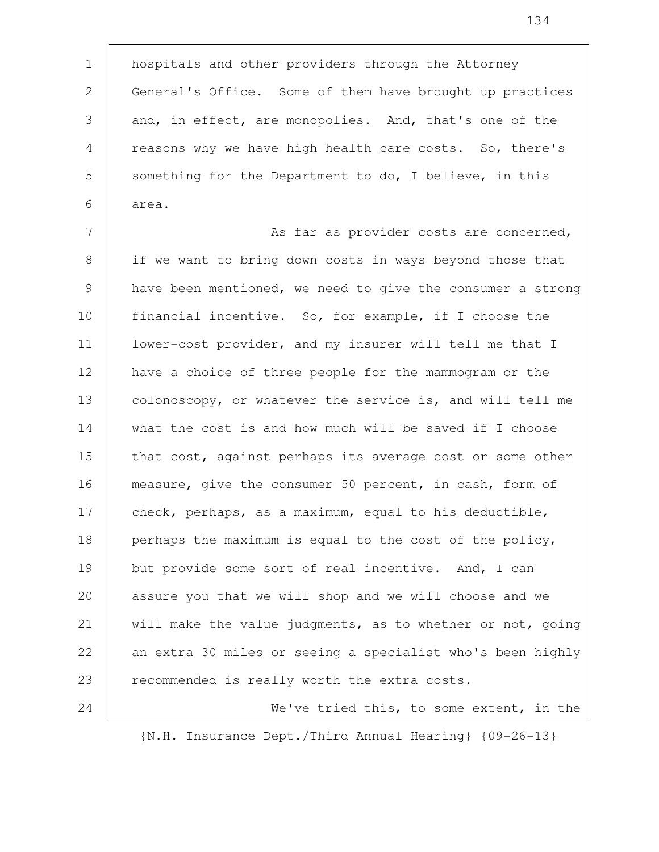hospitals and other providers through the Attorney General's Office. Some of them have brought up practices and, in effect, are monopolies. And, that's one of the reasons why we have high health care costs. So, there's something for the Department to do, I believe, in this area. 1 2 3 4 5 6

As far as provider costs are concerned, if we want to bring down costs in ways beyond those that have been mentioned, we need to give the consumer a strong financial incentive. So, for example, if I choose the lower-cost provider, and my insurer will tell me that I have a choice of three people for the mammogram or the colonoscopy, or whatever the service is, and will tell me what the cost is and how much will be saved if I choose that cost, against perhaps its average cost or some other measure, give the consumer 50 percent, in cash, form of check, perhaps, as a maximum, equal to his deductible, perhaps the maximum is equal to the cost of the policy, but provide some sort of real incentive. And, I can assure you that we will shop and we will choose and we will make the value judgments, as to whether or not, going an extra 30 miles or seeing a specialist who's been highly recommended is really worth the extra costs. 7 8 9 10 11 12 13 14 15 16 17 18 19 20 21 22 23 24

We've tried this, to some extent, in the {N.H. Insurance Dept./Third Annual Hearing} {09-26-13}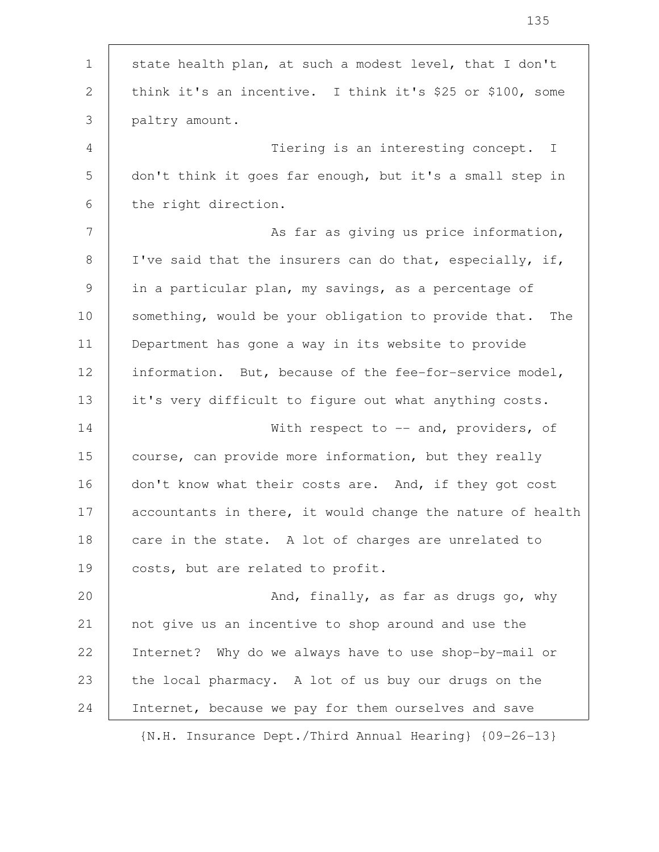| $\mathbf 1$     | state health plan, at such a modest level, that I don't               |
|-----------------|-----------------------------------------------------------------------|
| 2               | think it's an incentive. I think it's \$25 or \$100, some             |
| 3               | paltry amount.                                                        |
| 4               | Tiering is an interesting concept. I                                  |
| 5               | don't think it goes far enough, but it's a small step in              |
| 6               | the right direction.                                                  |
| $7\phantom{.0}$ | As far as giving us price information,                                |
| 8               | I've said that the insurers can do that, especially, if,              |
| 9               | in a particular plan, my savings, as a percentage of                  |
| 10              | something, would be your obligation to provide that.<br>The           |
| 11              | Department has gone a way in its website to provide                   |
| 12              | information. But, because of the fee-for-service model,               |
| 13              | it's very difficult to figure out what anything costs.                |
| 14              | With respect to $--$ and, providers, of                               |
| 15              | course, can provide more information, but they really                 |
| 16              | don't know what their costs are. And, if they got cost                |
| 17              | accountants in there, it would change the nature of health            |
| 18              | care in the state. A lot of charges are unrelated to                  |
| 19              | costs, but are related to profit.                                     |
| 20              | And, finally, as far as drugs go, why                                 |
| 21              | not give us an incentive to shop around and use the                   |
| 22              | Internet? Why do we always have to use shop-by-mail or                |
| 23              | the local pharmacy. A lot of us buy our drugs on the                  |
| 24              | Internet, because we pay for them ourselves and save                  |
|                 | $\{N.H. Insquare \text{ Der./Third Annual Learning}\}$ $\{09-26-13\}$ |

 $\overline{1}$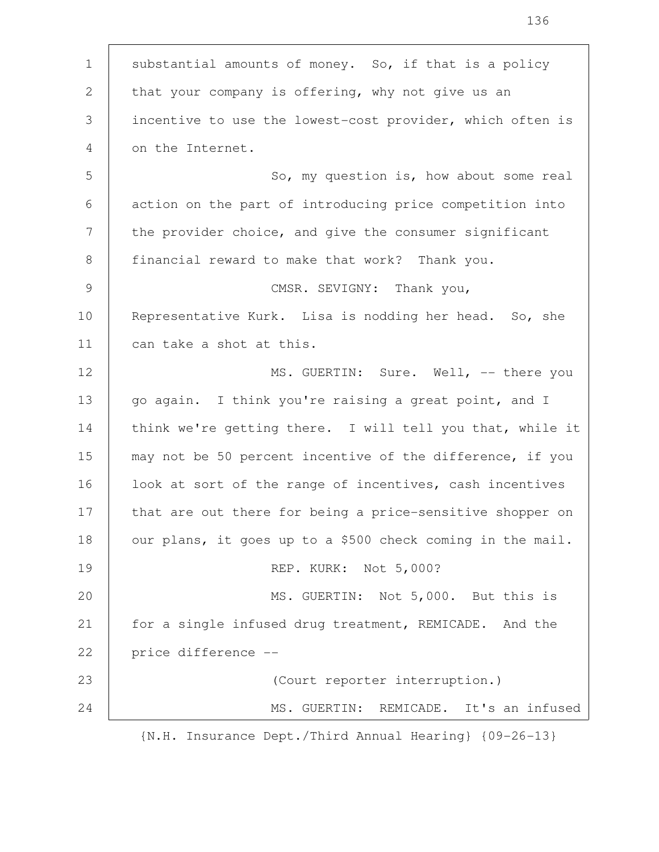substantial amounts of money. So, if that is a policy that your company is offering, why not give us an incentive to use the lowest-cost provider, which often is on the Internet. So, my question is, how about some real action on the part of introducing price competition into the provider choice, and give the consumer significant financial reward to make that work? Thank you. CMSR. SEVIGNY: Thank you, Representative Kurk. Lisa is nodding her head. So, she can take a shot at this. MS. GUERTIN: Sure. Well, -- there you go again. I think you're raising a great point, and I think we're getting there. I will tell you that, while it may not be 50 percent incentive of the difference, if you look at sort of the range of incentives, cash incentives that are out there for being a price-sensitive shopper on our plans, it goes up to a \$500 check coming in the mail. REP. KURK: Not 5,000? MS. GUERTIN: Not 5,000. But this is for a single infused drug treatment, REMICADE. And the price difference -- (Court reporter interruption.) MS. GUERTIN: REMICADE. It's an infused {N.H. Insurance Dept./Third Annual Hearing} {09-26-13} 1 2 3 4 5 6 7 8 9 10 11 12 13 14 15 16 17 18 19 20 21 22 23 24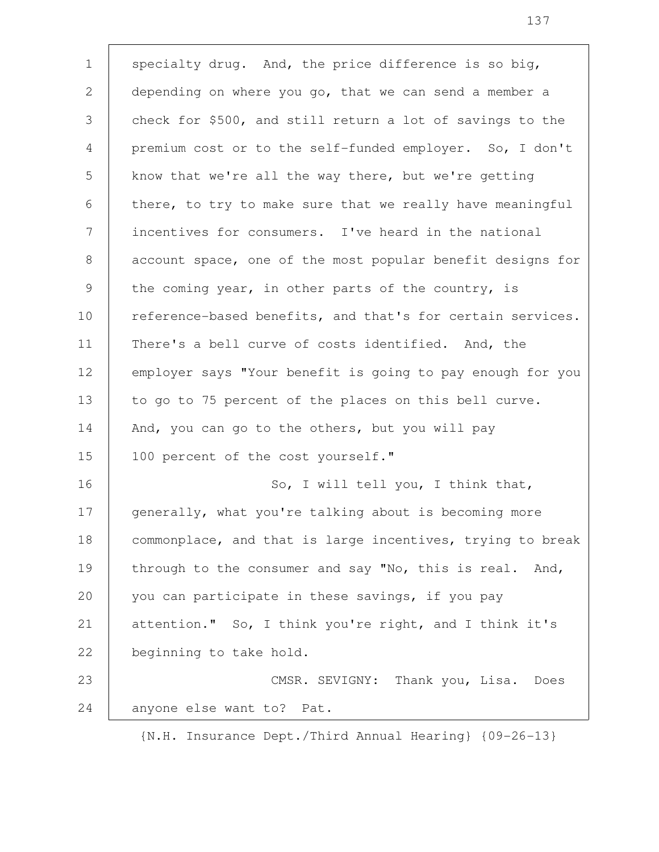specialty drug. And, the price difference is so big, depending on where you go, that we can send a member a check for \$500, and still return a lot of savings to the premium cost or to the self-funded employer. So, I don't know that we're all the way there, but we're getting there, to try to make sure that we really have meaningful incentives for consumers. I've heard in the national account space, one of the most popular benefit designs for the coming year, in other parts of the country, is reference-based benefits, and that's for certain services. There's a bell curve of costs identified. And, the employer says "Your benefit is going to pay enough for you to go to 75 percent of the places on this bell curve. And, you can go to the others, but you will pay 100 percent of the cost yourself." So, I will tell you, I think that, generally, what you're talking about is becoming more commonplace, and that is large incentives, trying to break through to the consumer and say "No, this is real. And, you can participate in these savings, if you pay attention." So, I think you're right, and I think it's beginning to take hold. CMSR. SEVIGNY: Thank you, Lisa. Does anyone else want to? Pat. 1 2 3 4 5 6 7 8 9 10 11 12 13 14 15 16 17 18 19 20 21 22 23 24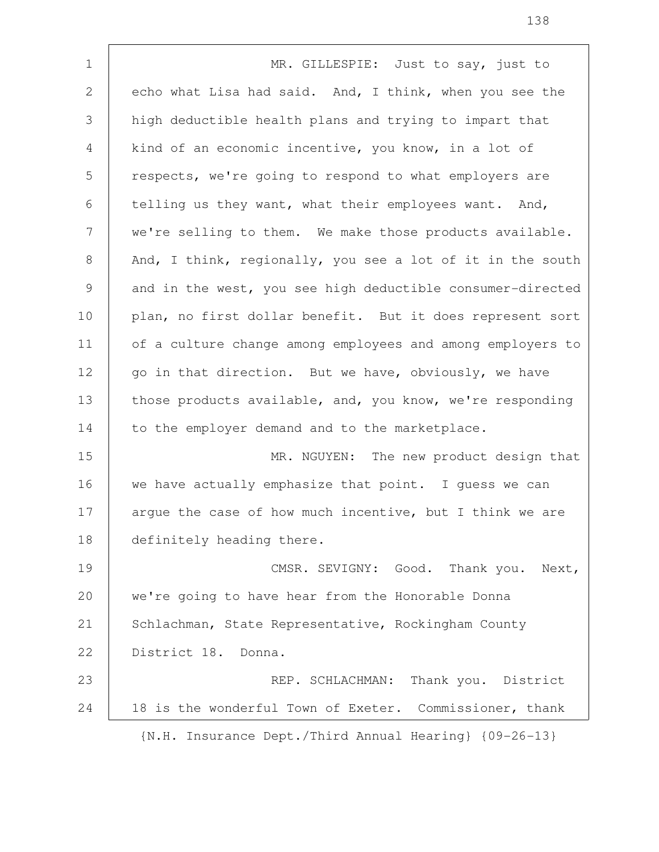MR. GILLESPIE: Just to say, just to echo what Lisa had said. And, I think, when you see the high deductible health plans and trying to impart that kind of an economic incentive, you know, in a lot of respects, we're going to respond to what employers are telling us they want, what their employees want. And, we're selling to them. We make those products available. And, I think, regionally, you see a lot of it in the south and in the west, you see high deductible consumer-directed plan, no first dollar benefit. But it does represent sort of a culture change among employees and among employers to go in that direction. But we have, obviously, we have those products available, and, you know, we're responding to the employer demand and to the marketplace. MR. NGUYEN: The new product design that we have actually emphasize that point. I guess we can argue the case of how much incentive, but I think we are definitely heading there. CMSR. SEVIGNY: Good. Thank you. Next, we're going to have hear from the Honorable Donna Schlachman, State Representative, Rockingham County District 18. Donna. REP. SCHLACHMAN: Thank you. District 18 is the wonderful Town of Exeter. Commissioner, thank {N.H. Insurance Dept./Third Annual Hearing} {09-26-13} 1 2 3 4 5 6 7 8 9 10 11 12 13 14 15 16 17 18 19 20 21 22 23 24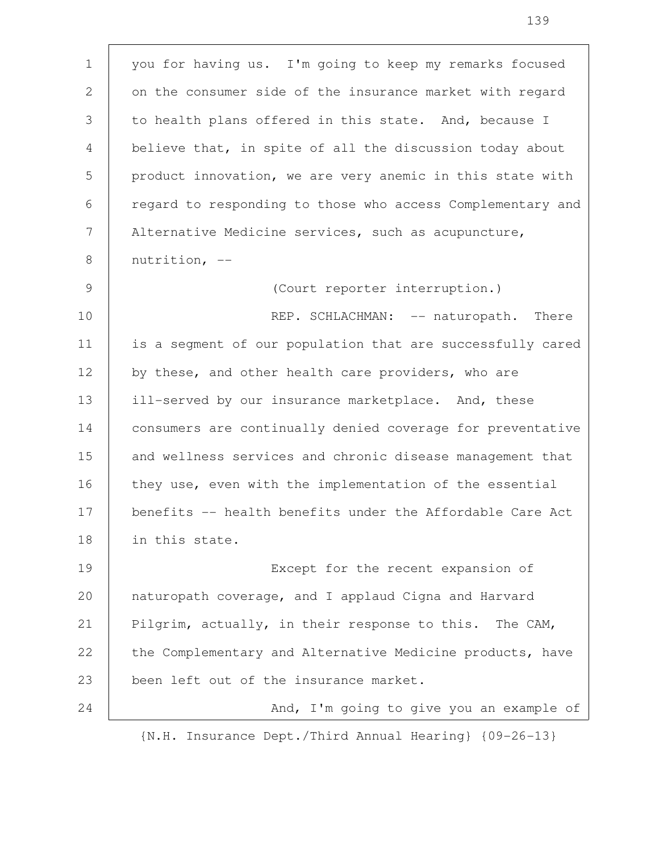you for having us. I'm going to keep my remarks focused on the consumer side of the insurance market with regard to health plans offered in this state. And, because I believe that, in spite of all the discussion today about product innovation, we are very anemic in this state with regard to responding to those who access Complementary and Alternative Medicine services, such as acupuncture, nutrition, -- (Court reporter interruption.) REP. SCHLACHMAN: -- naturopath. There is a segment of our population that are successfully cared by these, and other health care providers, who are ill-served by our insurance marketplace. And, these consumers are continually denied coverage for preventative and wellness services and chronic disease management that they use, even with the implementation of the essential benefits -- health benefits under the Affordable Care Act in this state. Except for the recent expansion of naturopath coverage, and I applaud Cigna and Harvard Pilgrim, actually, in their response to this. The CAM, the Complementary and Alternative Medicine products, have been left out of the insurance market. And, I'm going to give you an example of 1 2 3 4 5 6 7 8 9 10 11 12 13 14 15 16 17 18 19 20 21 22 23 24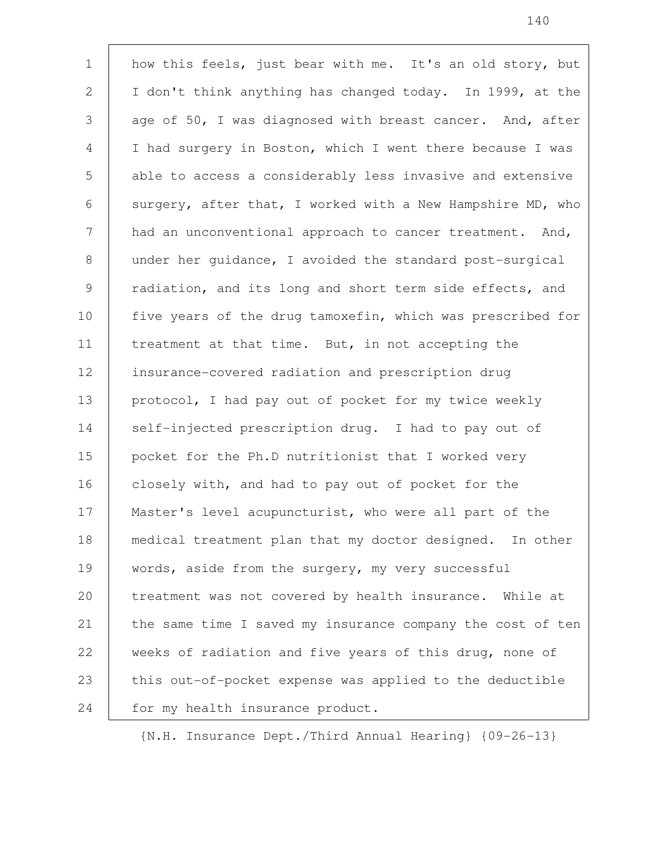how this feels, just bear with me. It's an old story, but I don't think anything has changed today. In 1999, at the age of 50, I was diagnosed with breast cancer. And, after I had surgery in Boston, which I went there because I was able to access a considerably less invasive and extensive surgery, after that, I worked with a New Hampshire MD, who had an unconventional approach to cancer treatment. And, under her guidance, I avoided the standard post-surgical radiation, and its long and short term side effects, and five years of the drug tamoxefin, which was prescribed for treatment at that time. But, in not accepting the insurance-covered radiation and prescription drug protocol, I had pay out of pocket for my twice weekly self-injected prescription drug. I had to pay out of pocket for the Ph.D nutritionist that I worked very closely with, and had to pay out of pocket for the Master's level acupuncturist, who were all part of the medical treatment plan that my doctor designed. In other words, aside from the surgery, my very successful treatment was not covered by health insurance. While at the same time I saved my insurance company the cost of ten weeks of radiation and five years of this drug, none of this out-of-pocket expense was applied to the deductible for my health insurance product. 1 2 3 4 5 6 7 8 9 10 11 12 13 14 15 16 17 18 19 20 21 22 23 24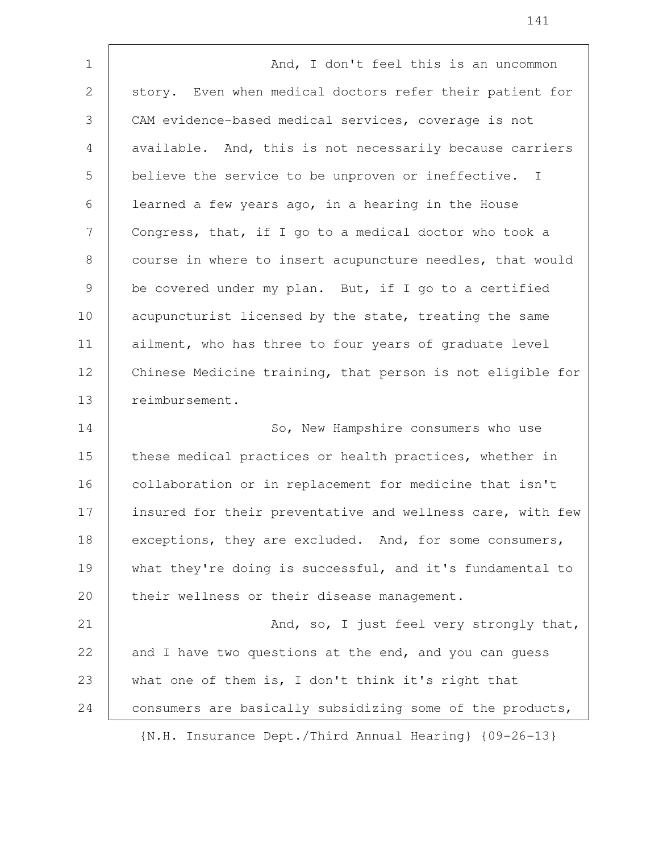And, I don't feel this is an uncommon story. Even when medical doctors refer their patient for CAM evidence-based medical services, coverage is not available. And, this is not necessarily because carriers believe the service to be unproven or ineffective. I learned a few years ago, in a hearing in the House Congress, that, if I go to a medical doctor who took a course in where to insert acupuncture needles, that would be covered under my plan. But, if I go to a certified acupuncturist licensed by the state, treating the same ailment, who has three to four years of graduate level Chinese Medicine training, that person is not eligible for reimbursement. So, New Hampshire consumers who use these medical practices or health practices, whether in collaboration or in replacement for medicine that isn't insured for their preventative and wellness care, with few exceptions, they are excluded. And, for some consumers, what they're doing is successful, and it's fundamental to their wellness or their disease management. And, so, I just feel very strongly that, and I have two questions at the end, and you can guess what one of them is, I don't think it's right that consumers are basically subsidizing some of the products, 1 2 3 4 5 6 7 8 9 10 11 12 13 14 15 16 17 18 19 20 21 22 23 24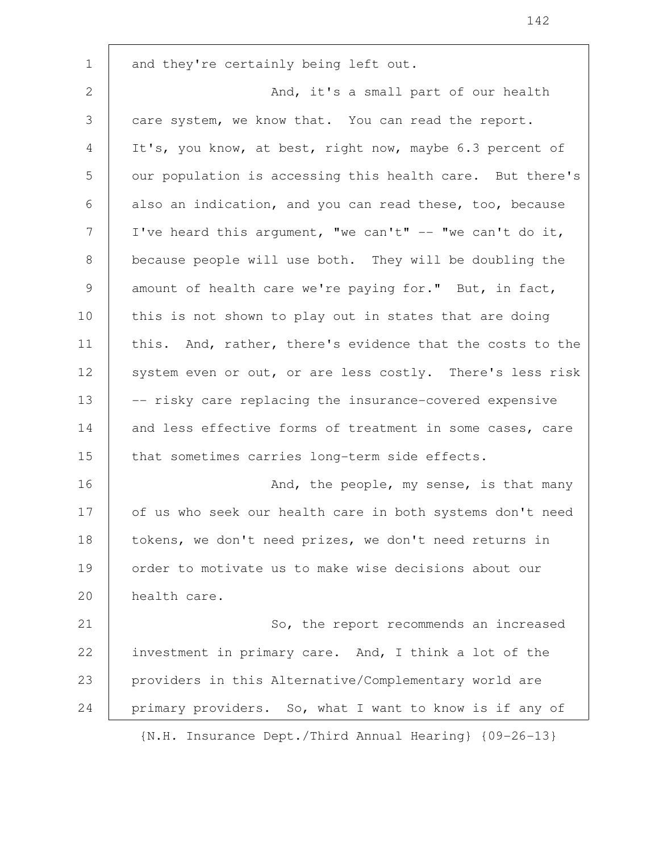and they're certainly being left out. And, it's a small part of our health care system, we know that. You can read the report. It's, you know, at best, right now, maybe 6.3 percent of our population is accessing this health care. But there's also an indication, and you can read these, too, because I've heard this argument, "we can't"  $--$  "we can't do it, because people will use both. They will be doubling the amount of health care we're paying for." But, in fact, this is not shown to play out in states that are doing this. And, rather, there's evidence that the costs to the system even or out, or are less costly. There's less risk -- risky care replacing the insurance-covered expensive and less effective forms of treatment in some cases, care that sometimes carries long-term side effects. And, the people, my sense, is that many of us who seek our health care in both systems don't need tokens, we don't need prizes, we don't need returns in order to motivate us to make wise decisions about our health care. So, the report recommends an increased investment in primary care. And, I think a lot of the providers in this Alternative/Complementary world are primary providers. So, what I want to know is if any of {N.H. Insurance Dept./Third Annual Hearing} {09-26-13} 1 2 3 4 5 6 7 8 9 10 11 12 13 14 15 16 17 18 19 20 21 22 23 24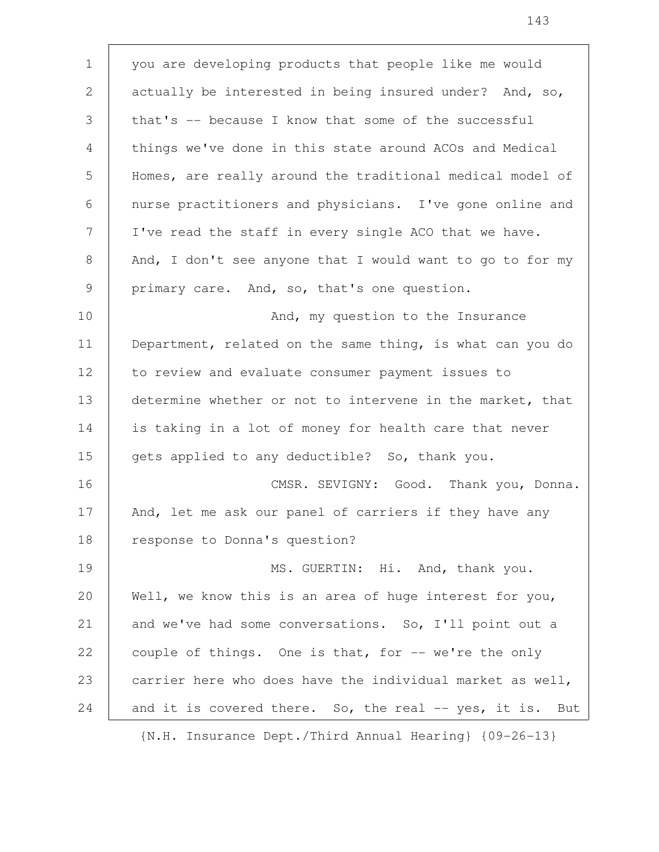you are developing products that people like me would actually be interested in being insured under? And, so, that's -- because I know that some of the successful things we've done in this state around ACOs and Medical Homes, are really around the traditional medical model of nurse practitioners and physicians. I've gone online and I've read the staff in every single ACO that we have. And, I don't see anyone that I would want to go to for my primary care. And, so, that's one question. And, my question to the Insurance Department, related on the same thing, is what can you do to review and evaluate consumer payment issues to determine whether or not to intervene in the market, that is taking in a lot of money for health care that never gets applied to any deductible? So, thank you. CMSR. SEVIGNY: Good. Thank you, Donna. And, let me ask our panel of carriers if they have any response to Donna's question? MS. GUERTIN: Hi. And, thank you. Well, we know this is an area of huge interest for you, and we've had some conversations. So, I'll point out a couple of things. One is that, for -- we're the only carrier here who does have the individual market as well, and it is covered there. So, the real -- yes, it is. But 1 2 3 4 5 6 7 8 9 10 11 12 13 14 15 16 17 18 19 20 21 22 23 24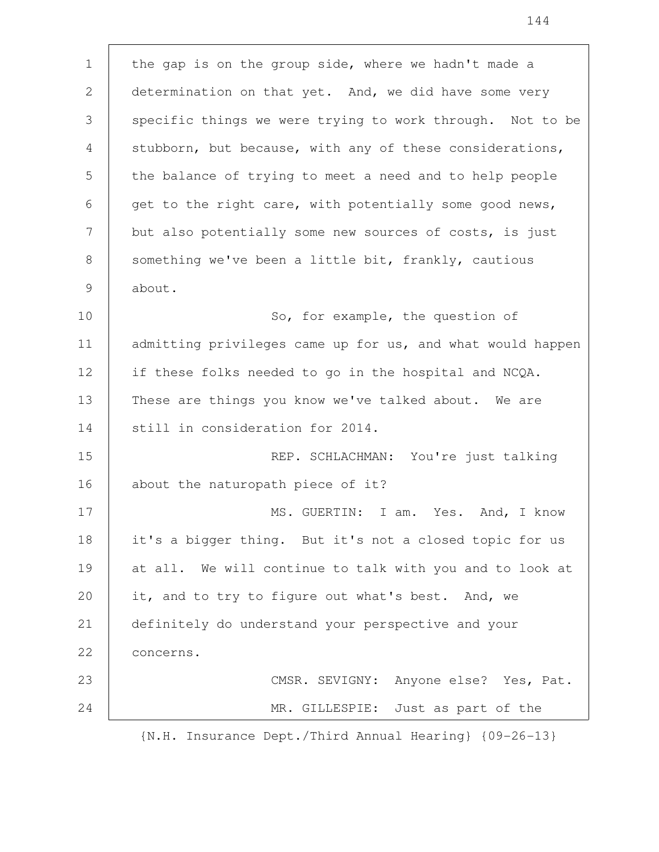the gap is on the group side, where we hadn't made a determination on that yet. And, we did have some very specific things we were trying to work through. Not to be stubborn, but because, with any of these considerations, the balance of trying to meet a need and to help people get to the right care, with potentially some good news, but also potentially some new sources of costs, is just something we've been a little bit, frankly, cautious about. So, for example, the question of admitting privileges came up for us, and what would happen if these folks needed to go in the hospital and NCQA. These are things you know we've talked about. We are still in consideration for 2014. REP. SCHLACHMAN: You're just talking about the naturopath piece of it? MS. GUERTIN: I am. Yes. And, I know it's a bigger thing. But it's not a closed topic for us at all. We will continue to talk with you and to look at it, and to try to figure out what's best. And, we definitely do understand your perspective and your concerns. CMSR. SEVIGNY: Anyone else? Yes, Pat. MR. GILLESPIE: Just as part of the 1 2 3 4 5 6 7 8 9 10 11 12 13 14 15 16 17 18 19 20 21 22 23 24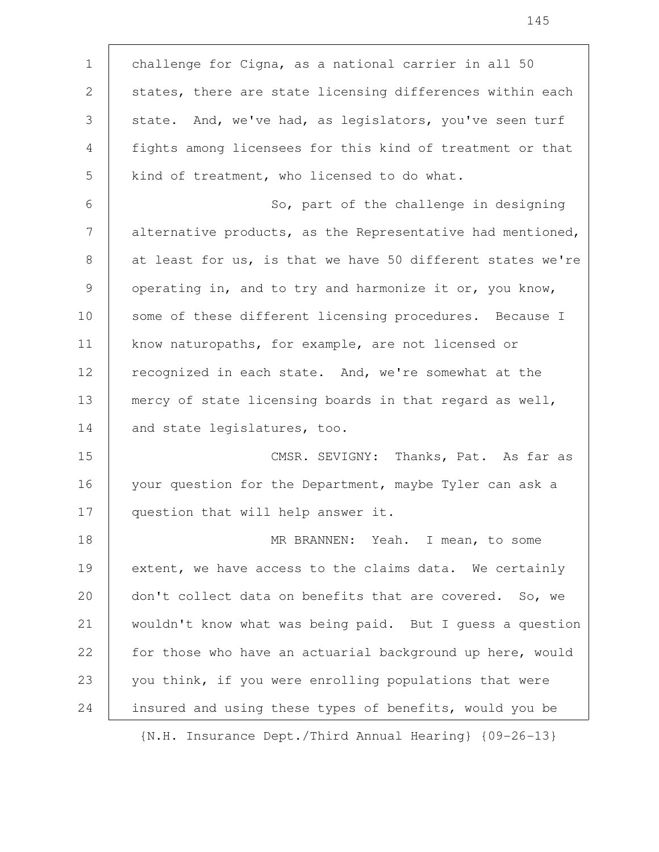challenge for Cigna, as a national carrier in all 50 states, there are state licensing differences within each state. And, we've had, as legislators, you've seen turf fights among licensees for this kind of treatment or that kind of treatment, who licensed to do what. So, part of the challenge in designing alternative products, as the Representative had mentioned, at least for us, is that we have 50 different states we're operating in, and to try and harmonize it or, you know, some of these different licensing procedures. Because I know naturopaths, for example, are not licensed or recognized in each state. And, we're somewhat at the mercy of state licensing boards in that regard as well, and state legislatures, too. CMSR. SEVIGNY: Thanks, Pat. As far as your question for the Department, maybe Tyler can ask a question that will help answer it. MR BRANNEN: Yeah. I mean, to some extent, we have access to the claims data. We certainly don't collect data on benefits that are covered. So, we wouldn't know what was being paid. But I guess a question for those who have an actuarial background up here, would you think, if you were enrolling populations that were insured and using these types of benefits, would you be 1 2 3 4 5 6 7 8 9 10 11 12 13 14 15 16 17 18 19 20 21 22 23 24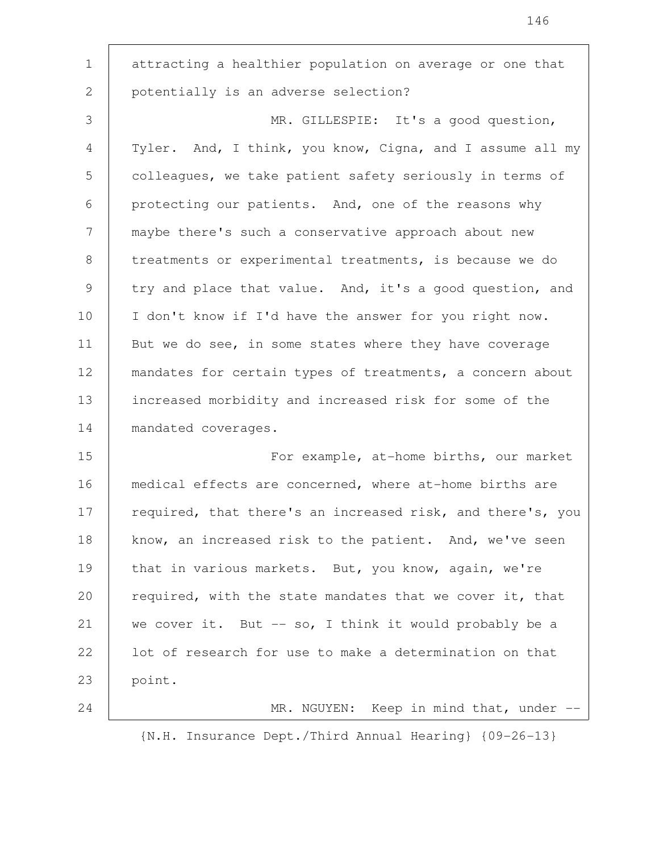attracting a healthier population on average or one that potentially is an adverse selection? MR. GILLESPIE: It's a good question, Tyler. And, I think, you know, Cigna, and I assume all my colleagues, we take patient safety seriously in terms of protecting our patients. And, one of the reasons why maybe there's such a conservative approach about new treatments or experimental treatments, is because we do try and place that value. And, it's a good question, and I don't know if I'd have the answer for you right now. But we do see, in some states where they have coverage mandates for certain types of treatments, a concern about increased morbidity and increased risk for some of the mandated coverages. For example, at-home births, our market medical effects are concerned, where at-home births are required, that there's an increased risk, and there's, you know, an increased risk to the patient. And, we've seen that in various markets. But, you know, again, we're required, with the state mandates that we cover it, that we cover it. But  $-$  so, I think it would probably be a lot of research for use to make a determination on that point. MR. NGUYEN: Keep in mind that, under -- 1 2 3 4 5 6 7 8 9 10 11 12 13 14 15 16 17 18 19 20 21 22 23 24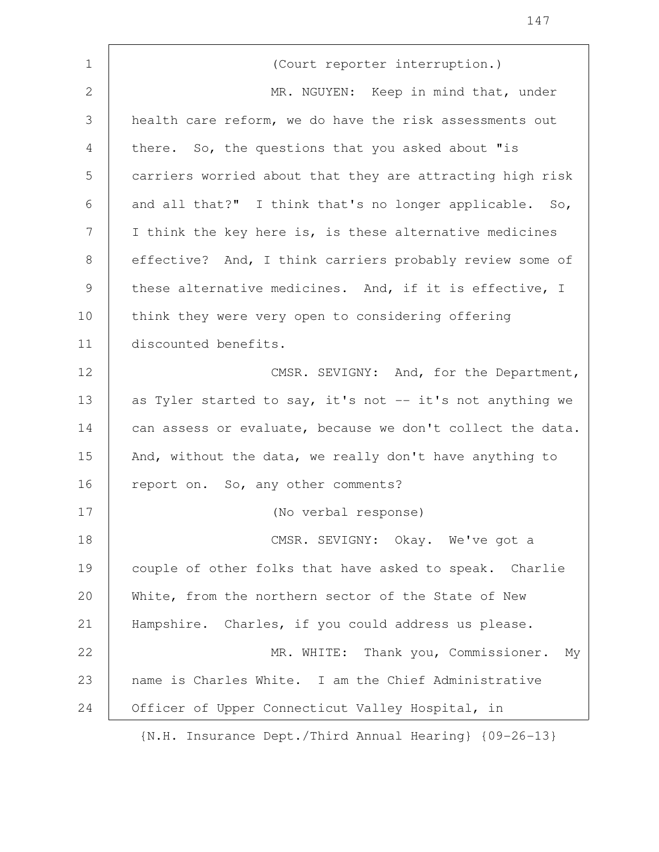| $\mathbf 1$    | (Court reporter interruption.)                             |
|----------------|------------------------------------------------------------|
| 2              | MR. NGUYEN: Keep in mind that, under                       |
| 3              | health care reform, we do have the risk assessments out    |
| $\overline{4}$ | there. So, the questions that you asked about "is          |
| 5              | carriers worried about that they are attracting high risk  |
| 6              | and all that?" I think that's no longer applicable. So,    |
| 7              | I think the key here is, is these alternative medicines    |
| 8              | effective? And, I think carriers probably review some of   |
| $\mathcal{G}$  | these alternative medicines. And, if it is effective, I    |
| 10             | think they were very open to considering offering          |
| 11             | discounted benefits.                                       |
| 12             | CMSR. SEVIGNY: And, for the Department,                    |
| 13             | as Tyler started to say, it's not -- it's not anything we  |
| 14             | can assess or evaluate, because we don't collect the data. |
| 15             | And, without the data, we really don't have anything to    |
| 16             | report on. So, any other comments?                         |
| 17             | (No verbal response)                                       |
| 18             | CMSR. SEVIGNY: Okay. We've got a                           |
| 19             | couple of other folks that have asked to speak. Charlie    |
| 20             | White, from the northern sector of the State of New        |
| 21             | Hampshire. Charles, if you could address us please.        |
| 22             | MR. WHITE: Thank you, Commissioner.<br>Мy                  |
| 23             | name is Charles White. I am the Chief Administrative       |
| 24             | Officer of Upper Connecticut Valley Hospital, in           |
|                | {N.H. Insurance Dept./Third Annual Hearing} {09-26-13}     |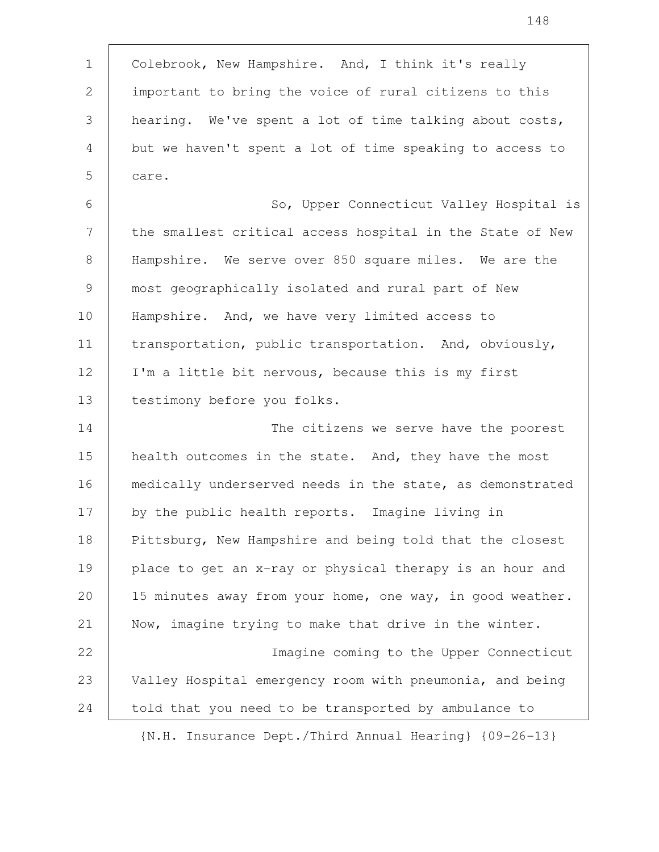Colebrook, New Hampshire. And, I think it's really important to bring the voice of rural citizens to this hearing. We've spent a lot of time talking about costs, but we haven't spent a lot of time speaking to access to care. So, Upper Connecticut Valley Hospital is the smallest critical access hospital in the State of New Hampshire. We serve over 850 square miles. We are the most geographically isolated and rural part of New Hampshire. And, we have very limited access to transportation, public transportation. And, obviously, I'm a little bit nervous, because this is my first testimony before you folks. The citizens we serve have the poorest health outcomes in the state. And, they have the most medically underserved needs in the state, as demonstrated by the public health reports. Imagine living in Pittsburg, New Hampshire and being told that the closest place to get an x-ray or physical therapy is an hour and 15 minutes away from your home, one way, in good weather. Now, imagine trying to make that drive in the winter. Imagine coming to the Upper Connecticut Valley Hospital emergency room with pneumonia, and being told that you need to be transported by ambulance to 1 2 3 4 5 6 7 8 9 10 11 12 13 14 15 16 17 18 19 20 21 22 23 24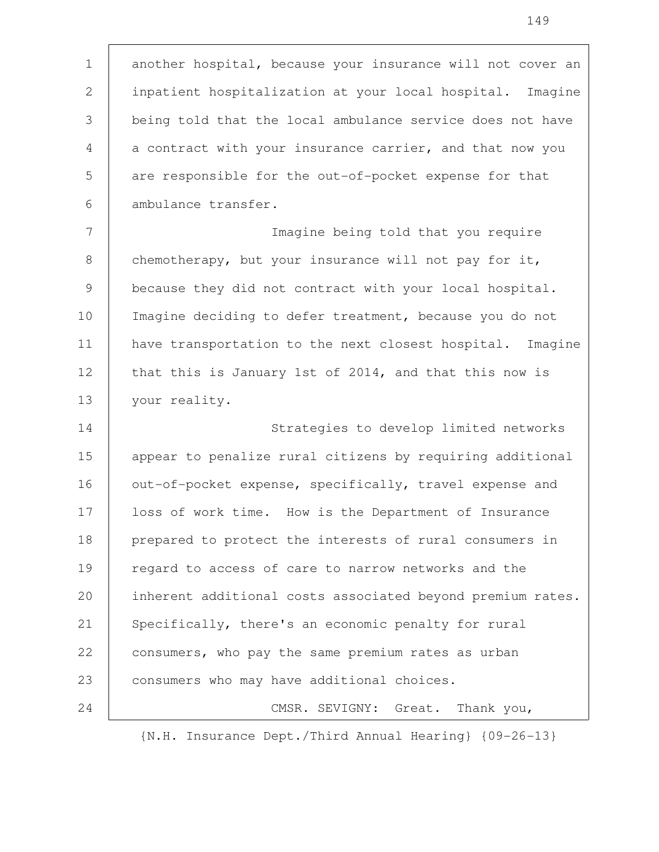another hospital, because your insurance will not cover an inpatient hospitalization at your local hospital. Imagine being told that the local ambulance service does not have a contract with your insurance carrier, and that now you are responsible for the out-of-pocket expense for that ambulance transfer. Imagine being told that you require 1 2 3 4 5 6 7

chemotherapy, but your insurance will not pay for it, because they did not contract with your local hospital. Imagine deciding to defer treatment, because you do not have transportation to the next closest hospital. Imagine that this is January 1st of 2014, and that this now is your reality. 8 9 10 11 12 13

Strategies to develop limited networks appear to penalize rural citizens by requiring additional out-of-pocket expense, specifically, travel expense and loss of work time. How is the Department of Insurance prepared to protect the interests of rural consumers in regard to access of care to narrow networks and the inherent additional costs associated beyond premium rates. Specifically, there's an economic penalty for rural consumers, who pay the same premium rates as urban consumers who may have additional choices. CMSR. SEVIGNY: Great. Thank you, 14 15 16 17 18 19 20 21 22 23 24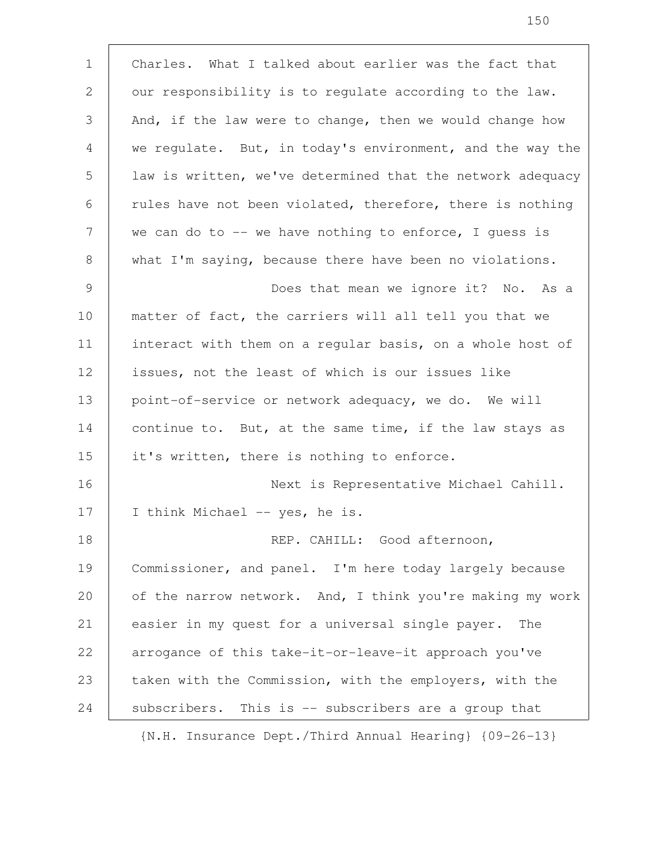Charles. What I talked about earlier was the fact that our responsibility is to regulate according to the law. And, if the law were to change, then we would change how we regulate. But, in today's environment, and the way the law is written, we've determined that the network adequacy rules have not been violated, therefore, there is nothing we can do to -- we have nothing to enforce, I quess is what I'm saying, because there have been no violations. Does that mean we ignore it? No. As a matter of fact, the carriers will all tell you that we interact with them on a regular basis, on a whole host of issues, not the least of which is our issues like point-of-service or network adequacy, we do. We will continue to. But, at the same time, if the law stays as it's written, there is nothing to enforce. Next is Representative Michael Cahill. I think Michael -- yes, he is. REP. CAHILL: Good afternoon, Commissioner, and panel. I'm here today largely because of the narrow network. And, I think you're making my work easier in my quest for a universal single payer. The arrogance of this take-it-or-leave-it approach you've taken with the Commission, with the employers, with the subscribers. This is -- subscribers are a group that 1 2 3 4 5 6 7 8 9 10 11 12 13 14 15 16 17 18 19 20 21 22 23 24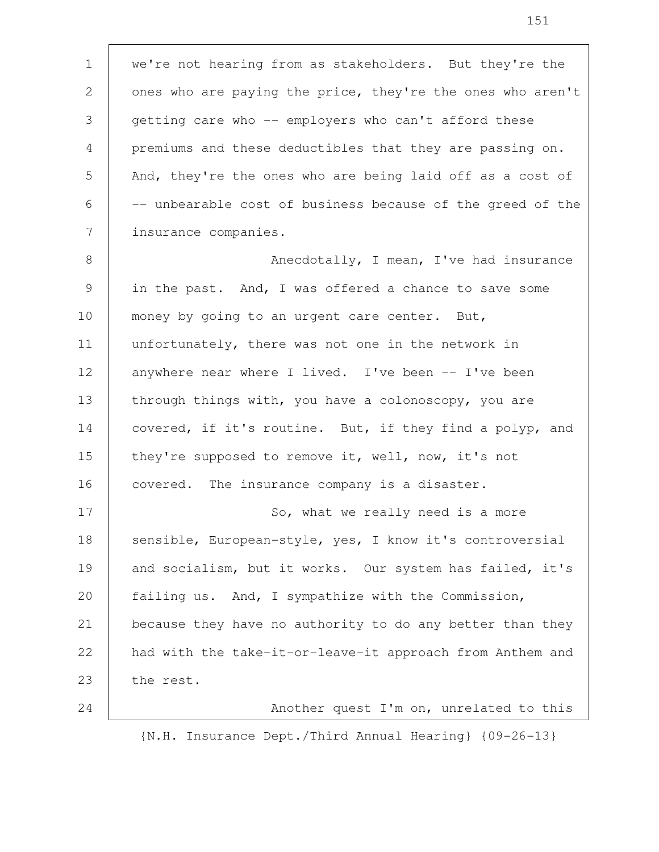we're not hearing from as stakeholders. But they're the ones who are paying the price, they're the ones who aren't getting care who -- employers who can't afford these premiums and these deductibles that they are passing on. And, they're the ones who are being laid off as a cost of -- unbearable cost of business because of the greed of the insurance companies. 1 2 3 4 5 6 7

Anecdotally, I mean, I've had insurance in the past. And, I was offered a chance to save some money by going to an urgent care center. But, unfortunately, there was not one in the network in anywhere near where I lived. I've been -- I've been through things with, you have a colonoscopy, you are covered, if it's routine. But, if they find a polyp, and they're supposed to remove it, well, now, it's not covered. The insurance company is a disaster. So, what we really need is a more sensible, European-style, yes, I know it's controversial and socialism, but it works. Our system has failed, it's failing us. And, I sympathize with the Commission, because they have no authority to do any better than they had with the take-it-or-leave-it approach from Anthem and 8 9 10 11 12 13 14 15 16 17 18 19 20 21 22

the rest. 23

24

Another quest I'm on, unrelated to this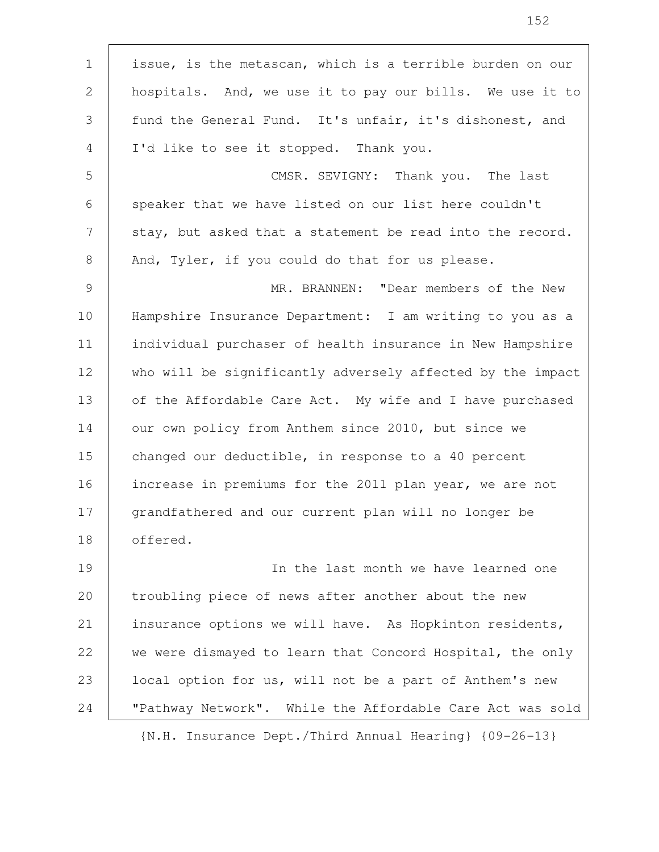| $\mathbf 1$ | issue, is the metascan, which is a terrible burden on our  |
|-------------|------------------------------------------------------------|
| 2           | hospitals. And, we use it to pay our bills. We use it to   |
| 3           | fund the General Fund. It's unfair, it's dishonest, and    |
| 4           | I'd like to see it stopped. Thank you.                     |
| 5           | CMSR. SEVIGNY: Thank you. The last                         |
| 6           | speaker that we have listed on our list here couldn't      |
| 7           | stay, but asked that a statement be read into the record.  |
| 8           | And, Tyler, if you could do that for us please.            |
| 9           | MR. BRANNEN: "Dear members of the New                      |
| 10          | Hampshire Insurance Department: I am writing to you as a   |
| 11          | individual purchaser of health insurance in New Hampshire  |
| 12          | who will be significantly adversely affected by the impact |
| 13          | of the Affordable Care Act. My wife and I have purchased   |
| 14          | our own policy from Anthem since 2010, but since we        |
| 15          | changed our deductible, in response to a 40 percent        |
| 16          | increase in premiums for the 2011 plan year, we are not    |
| 17          | grandfathered and our current plan will no longer be       |
| 18          | offered.                                                   |
| 19          | In the last month we have learned one                      |
| 20          | troubling piece of news after another about the new        |
| 21          | insurance options we will have. As Hopkinton residents,    |
| 22          | we were dismayed to learn that Concord Hospital, the only  |
| 23          | local option for us, will not be a part of Anthem's new    |
| 24          | "Pathway Network". While the Affordable Care Act was sold  |
|             | {N.H. Insurance Dept./Third Annual Hearing} {09-26-13}     |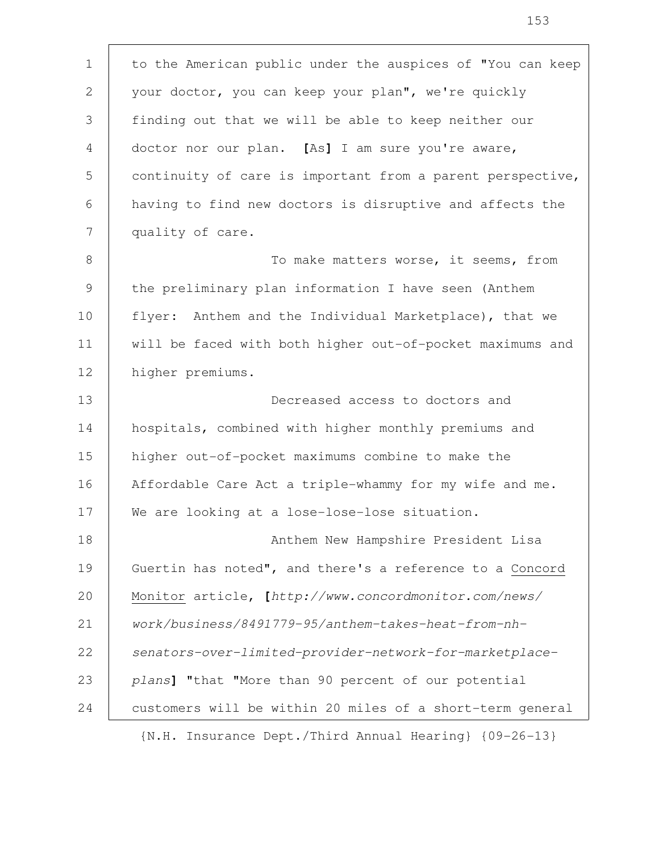to the American public under the auspices of "You can keep your doctor, you can keep your plan", we're quickly finding out that we will be able to keep neither our doctor nor our plan. **[**As**]** I am sure you're aware, continuity of care is important from a parent perspective, having to find new doctors is disruptive and affects the quality of care. To make matters worse, it seems, from the preliminary plan information I have seen (Anthem flyer: Anthem and the Individual Marketplace), that we will be faced with both higher out-of-pocket maximums and higher premiums. Decreased access to doctors and hospitals, combined with higher monthly premiums and higher out-of-pocket maximums combine to make the Affordable Care Act a triple-whammy for my wife and me. We are looking at a lose-lose-lose situation. Anthem New Hampshire President Lisa Guertin has noted", and there's a reference to a Concord Monitor article**, [**http://www.concordmonitor.com/news/ work/business/8491779-95/anthem-takes-heat-from-nhsenators-over-limited-provider-network-for-marketplaceplans**]** "that "More than 90 percent of our potential customers will be within 20 miles of a short-term general 1 2 3 4 5 6 7 8 9 10 11 12 13 14 15 16 17 18 19 20 21 22 23 24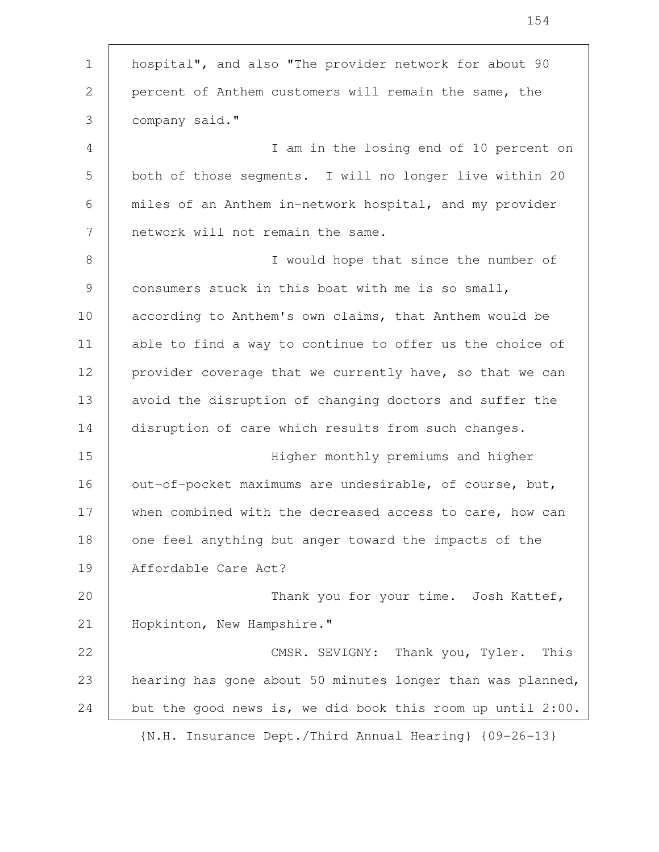| $\mathbf 1$    | hospital", and also "The provider network for about 90     |
|----------------|------------------------------------------------------------|
| $\mathbf{2}$   | percent of Anthem customers will remain the same, the      |
| 3              | company said."                                             |
| $\overline{4}$ | I am in the losing end of 10 percent on                    |
| 5              | both of those segments. I will no longer live within 20    |
| 6              | miles of an Anthem in-network hospital, and my provider    |
| 7              | network will not remain the same.                          |
| $8\,$          | I would hope that since the number of                      |
| $\mathcal{G}$  | consumers stuck in this boat with me is so small,          |
| 10             | according to Anthem's own claims, that Anthem would be     |
| 11             | able to find a way to continue to offer us the choice of   |
| 12             | provider coverage that we currently have, so that we can   |
| 13             | avoid the disruption of changing doctors and suffer the    |
| 14             | disruption of care which results from such changes.        |
| 15             | Higher monthly premiums and higher                         |
| 16             | out-of-pocket maximums are undesirable, of course, but,    |
| 17             | when combined with the decreased access to care, how can   |
| 18             | one feel anything but anger toward the impacts of the      |
| 19             | Affordable Care Act?                                       |
| 20             | Thank you for your time. Josh Kattef,                      |
| 21             | Hopkinton, New Hampshire."                                 |
| 22             | CMSR. SEVIGNY: Thank you, Tyler.<br>This                   |
| 23             | hearing has gone about 50 minutes longer than was planned, |
| 24             | but the good news is, we did book this room up until 2:00. |
|                | {N.H. Insurance Dept./Third Annual Hearing} {09-26-13}     |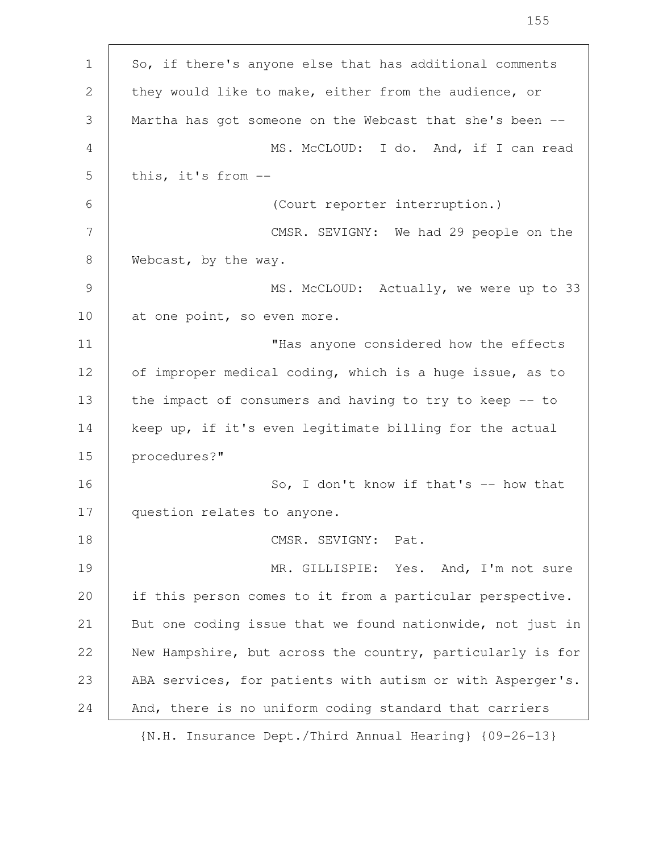| $\mathbf 1$ | So, if there's anyone else that has additional comments    |
|-------------|------------------------------------------------------------|
| 2           | they would like to make, either from the audience, or      |
| 3           | Martha has got someone on the Webcast that she's been --   |
| 4           | MS. McCLOUD: I do. And, if I can read                      |
| 5           | this, it's from --                                         |
| 6           | (Court reporter interruption.)                             |
| 7           | CMSR. SEVIGNY: We had 29 people on the                     |
| 8           | Webcast, by the way.                                       |
| 9           | MS. McCLOUD: Actually, we were up to 33                    |
| 10          | at one point, so even more.                                |
| 11          | "Has anyone considered how the effects                     |
| 12          | of improper medical coding, which is a huge issue, as to   |
| 13          | the impact of consumers and having to try to keep -- to    |
| 14          | keep up, if it's even legitimate billing for the actual    |
| 15          | procedures?"                                               |
| 16          | So, I don't know if that's $-$ how that                    |
| 17          | question relates to anyone.                                |
| 18          | CMSR. SEVIGNY: Pat.                                        |
| 19          | MR. GILLISPIE: Yes. And, I'm not sure                      |
| 20          | if this person comes to it from a particular perspective.  |
| 21          | But one coding issue that we found nationwide, not just in |
| 22          | New Hampshire, but across the country, particularly is for |
| 23          | ABA services, for patients with autism or with Asperger's. |
| 24          | And, there is no uniform coding standard that carriers     |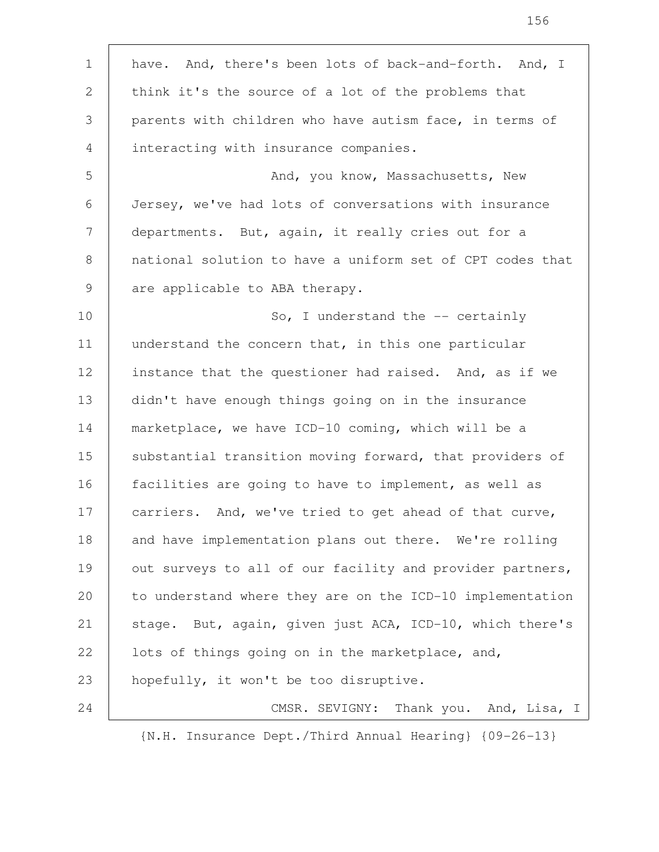have. And, there's been lots of back-and-forth. And, I think it's the source of a lot of the problems that parents with children who have autism face, in terms of interacting with insurance companies. And, you know, Massachusetts, New Jersey, we've had lots of conversations with insurance departments. But, again, it really cries out for a national solution to have a uniform set of CPT codes that are applicable to ABA therapy. So, I understand the -- certainly understand the concern that, in this one particular instance that the questioner had raised. And, as if we didn't have enough things going on in the insurance marketplace, we have ICD-10 coming, which will be a substantial transition moving forward, that providers of facilities are going to have to implement, as well as carriers. And, we've tried to get ahead of that curve, and have implementation plans out there. We're rolling out surveys to all of our facility and provider partners, to understand where they are on the ICD-10 implementation stage. But, again, given just ACA, ICD-10, which there's lots of things going on in the marketplace, and, hopefully, it won't be too disruptive. CMSR. SEVIGNY: Thank you. And, Lisa, I 1 2 3 4 5 6 7 8 9 10 11 12 13 14 15 16 17 18 19 20 21 22 23 24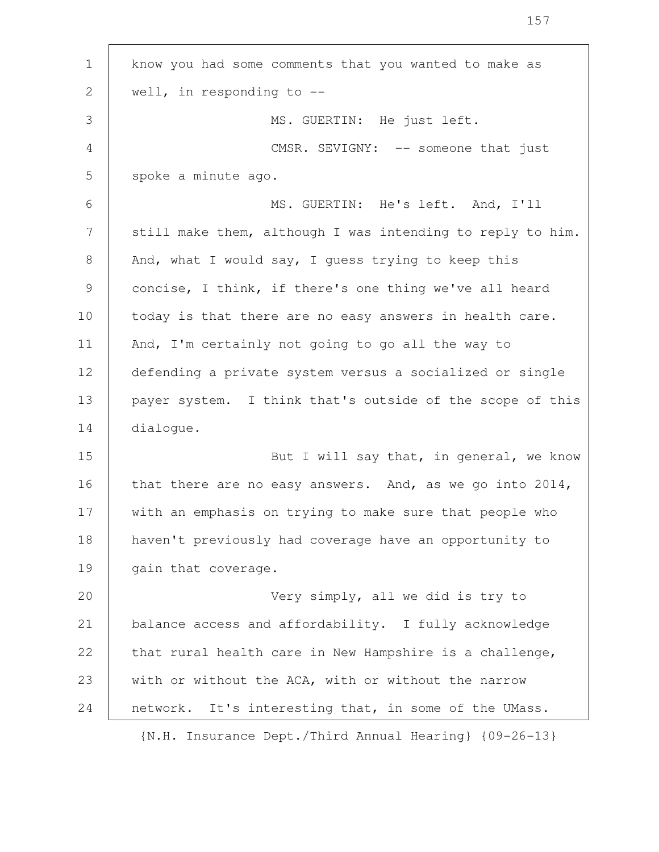| $\mathbf 1$     | know you had some comments that you wanted to make as       |
|-----------------|-------------------------------------------------------------|
| 2               | well, in responding to $-$ -                                |
| 3               | MS. GUERTIN: He just left.                                  |
| $\overline{4}$  | CMSR. SEVIGNY: -- someone that just                         |
| 5               | spoke a minute ago.                                         |
| 6               | MS. GUERTIN: He's left. And, I'll                           |
| $7\phantom{.0}$ | still make them, although I was intending to reply to him.  |
| 8               | And, what I would say, I guess trying to keep this          |
| 9               | concise, I think, if there's one thing we've all heard      |
| 10              | today is that there are no easy answers in health care.     |
| 11              | And, I'm certainly not going to go all the way to           |
| 12              | defending a private system versus a socialized or single    |
| 13              | payer system. I think that's outside of the scope of this   |
| 14              | dialogue.                                                   |
| 15              | But I will say that, in general, we know                    |
| 16              | that there are no easy answers. And, as we go into $2014$ , |
| 17              | with an emphasis on trying to make sure that people who     |
| 18              | haven't previously had coverage have an opportunity to      |
| 19              | gain that coverage.                                         |
| 20              | Very simply, all we did is try to                           |
| 21              | balance access and affordability. I fully acknowledge       |
| 22              | that rural health care in New Hampshire is a challenge,     |
| 23              | with or without the ACA, with or without the narrow         |
| 24              | network.<br>It's interesting that, in some of the UMass.    |
|                 | {N.H. Insurance Dept./Third Annual Hearing} {09-26-13}      |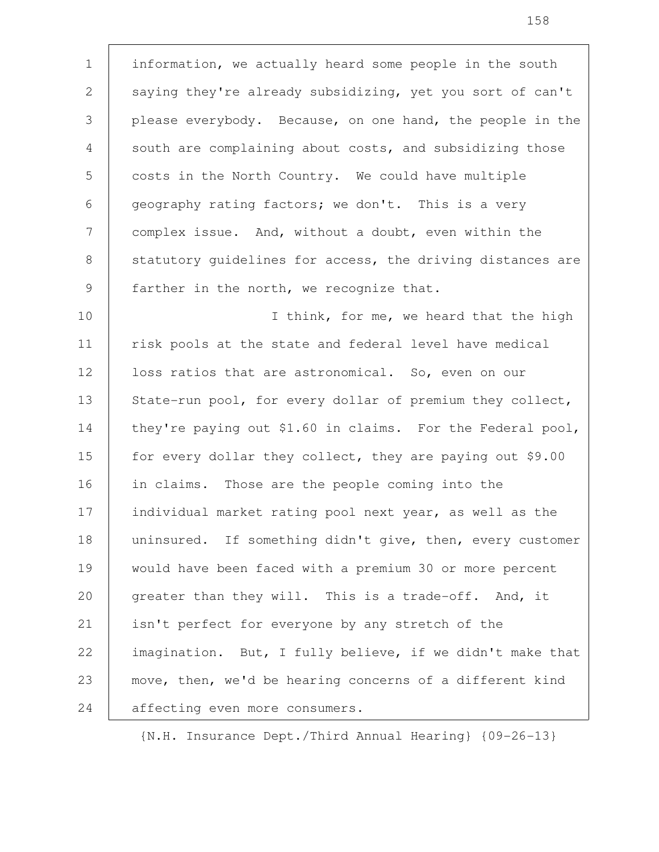information, we actually heard some people in the south saying they're already subsidizing, yet you sort of can't please everybody. Because, on one hand, the people in the south are complaining about costs, and subsidizing those costs in the North Country. We could have multiple geography rating factors; we don't. This is a very complex issue. And, without a doubt, even within the statutory guidelines for access, the driving distances are farther in the north, we recognize that. 1 2 3 4 5 6 7 8 9

I think, for me, we heard that the high risk pools at the state and federal level have medical loss ratios that are astronomical. So, even on our State-run pool, for every dollar of premium they collect, they're paying out \$1.60 in claims. For the Federal pool, for every dollar they collect, they are paying out \$9.00 in claims. Those are the people coming into the individual market rating pool next year, as well as the uninsured. If something didn't give, then, every customer would have been faced with a premium 30 or more percent greater than they will. This is a trade-off. And, it isn't perfect for everyone by any stretch of the imagination. But, I fully believe, if we didn't make that move, then, we'd be hearing concerns of a different kind affecting even more consumers. 10 11 12 13 14 15 16 17 18 19 20 21 22 23 24

{N.H. Insurance Dept./Third Annual Hearing} {09-26-13}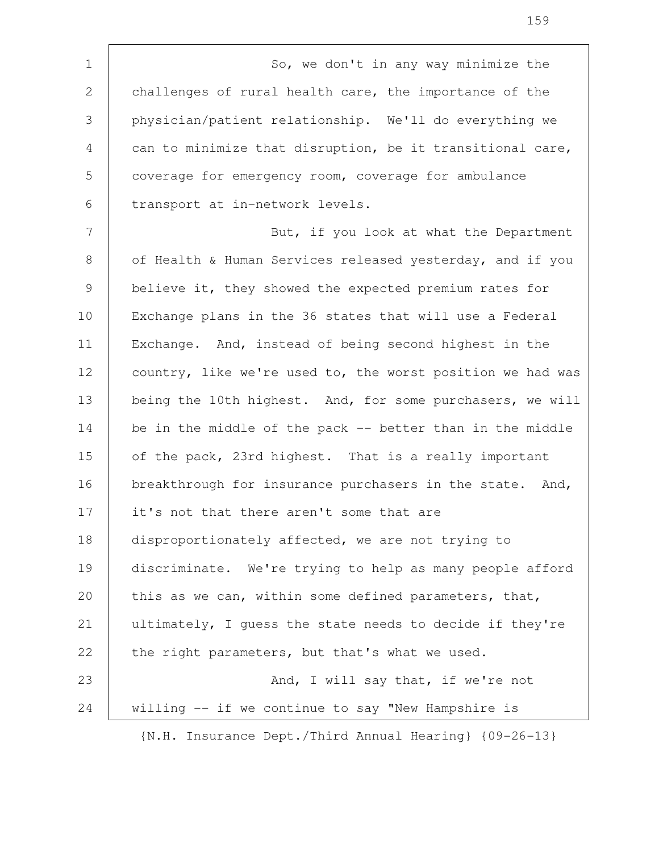So, we don't in any way minimize the challenges of rural health care, the importance of the physician/patient relationship. We'll do everything we can to minimize that disruption, be it transitional care, coverage for emergency room, coverage for ambulance transport at in-network levels. But, if you look at what the Department of Health & Human Services released yesterday, and if you believe it, they showed the expected premium rates for Exchange plans in the 36 states that will use a Federal Exchange. And, instead of being second highest in the country, like we're used to, the worst position we had was being the 10th highest. And, for some purchasers, we will be in the middle of the pack -- better than in the middle of the pack, 23rd highest. That is a really important breakthrough for insurance purchasers in the state. And, it's not that there aren't some that are disproportionately affected, we are not trying to discriminate. We're trying to help as many people afford this as we can, within some defined parameters, that, ultimately, I guess the state needs to decide if they're the right parameters, but that's what we used. And, I will say that, if we're not willing -- if we continue to say "New Hampshire is {N.H. Insurance Dept./Third Annual Hearing} {09-26-13} 1 2 3 4 5 6 7 8 9 10 11 12 13 14 15 16 17 18 19 20 21 22 23 24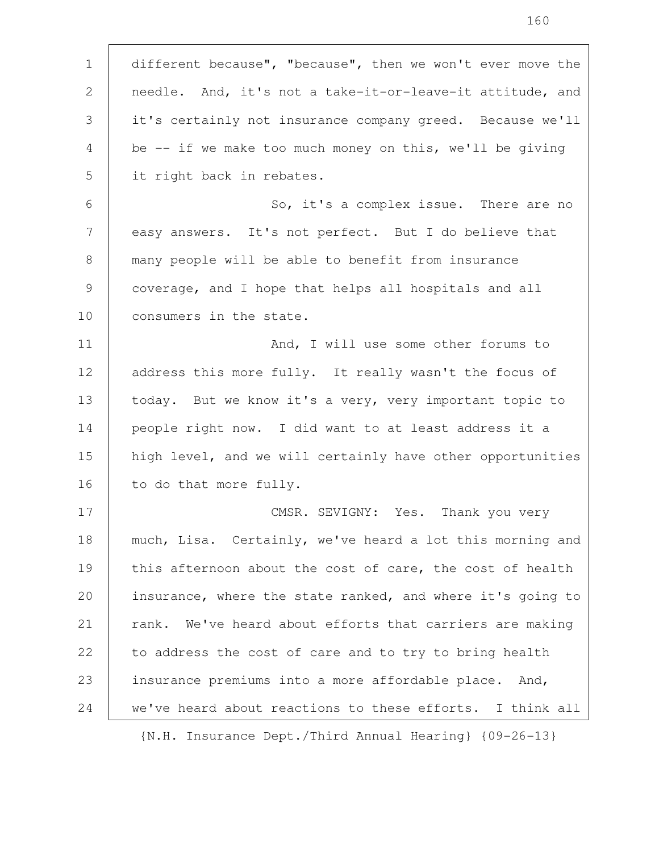| $\mathbf 1$ | different because", "because", then we won't ever move the |
|-------------|------------------------------------------------------------|
| 2           | needle. And, it's not a take-it-or-leave-it attitude, and  |
| 3           | it's certainly not insurance company greed. Because we'll  |
| 4           | be $-$ if we make too much money on this, we'll be giving  |
| 5           | it right back in rebates.                                  |
| 6           | So, it's a complex issue. There are no                     |
| 7           | easy answers. It's not perfect. But I do believe that      |
| 8           | many people will be able to benefit from insurance         |
| 9           | coverage, and I hope that helps all hospitals and all      |
| 10          | consumers in the state.                                    |
| 11          | And, I will use some other forums to                       |
| 12          | address this more fully. It really wasn't the focus of     |
| 13          | today. But we know it's a very, very important topic to    |
| 14          | people right now. I did want to at least address it a      |
| 15          | high level, and we will certainly have other opportunities |
| 16          | to do that more fully.                                     |
| 17          | CMSR. SEVIGNY: Yes. Thank you very                         |
| 18          | much, Lisa. Certainly, we've heard a lot this morning and  |
| 19          | this afternoon about the cost of care, the cost of health  |
| 20          | insurance, where the state ranked, and where it's going to |
| 21          | rank. We've heard about efforts that carriers are making   |
| 22          | to address the cost of care and to try to bring health     |
| 23          | insurance premiums into a more affordable place. And,      |
| 24          | we've heard about reactions to these efforts. I think all  |
|             |                                                            |